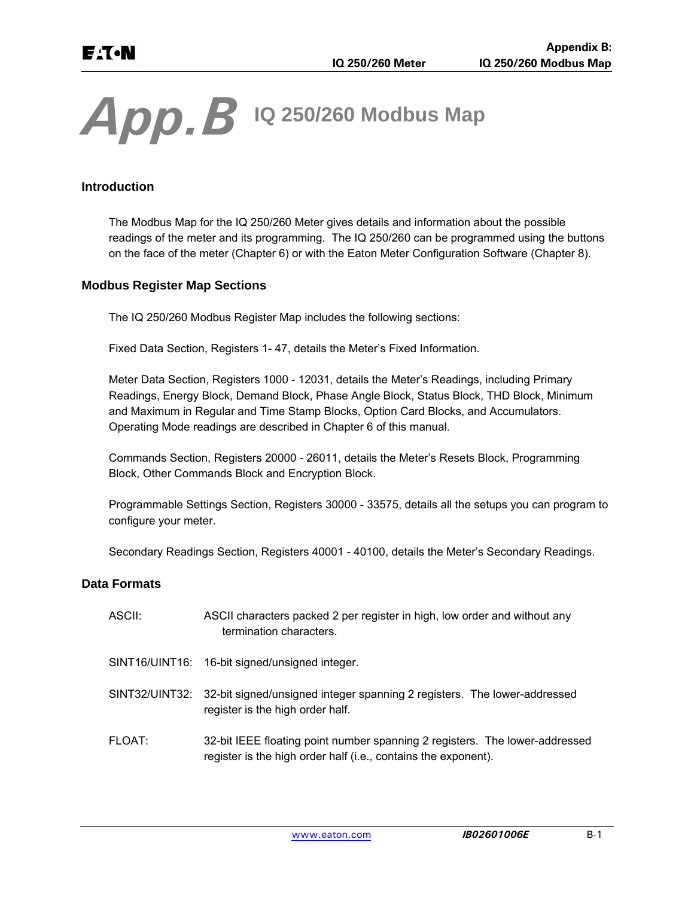# *App.B* **IQ 250/260 Modbus Map**

## **Introduction**

The Modbus Map for the IQ 250/260 Meter gives details and information about the possible readings of the meter and its programming. The IQ 250/260 can be programmed using the buttons on the face of the meter (Chapter 6) or with the Eaton Meter Configuration Software (Chapter 8).

#### **Modbus Register Map Sections**

The IQ 250/260 Modbus Register Map includes the following sections:

Fixed Data Section, Registers 1- 47, details the Meter's Fixed Information.

Meter Data Section, Registers 1000 - 12031, details the Meter's Readings, including Primary Readings, Energy Block, Demand Block, Phase Angle Block, Status Block, THD Block, Minimum and Maximum in Regular and Time Stamp Blocks, Option Card Blocks, and Accumulators. Operating Mode readings are described in Chapter 6 of this manual.

Commands Section, Registers 20000 - 26011, details the Meter's Resets Block, Programming Block, Other Commands Block and Encryption Block.

Programmable Settings Section, Registers 30000 - 33575, details all the setups you can program to configure your meter.

Secondary Readings Section, Registers 40001 - 40100, details the Meter's Secondary Readings.

#### **Data Formats**

| ASCII: | ASCII characters packed 2 per register in high, low order and without any<br>termination characters.                                          |
|--------|-----------------------------------------------------------------------------------------------------------------------------------------------|
|        | SINT16/UINT16: 16-bit signed/unsigned integer.                                                                                                |
|        | SINT32/UINT32: 32-bit signed/unsigned integer spanning 2 registers. The lower-addressed<br>register is the high order half.                   |
| FLOAT: | 32-bit IEEE floating point number spanning 2 registers. The lower-addressed<br>register is the high order half (i.e., contains the exponent). |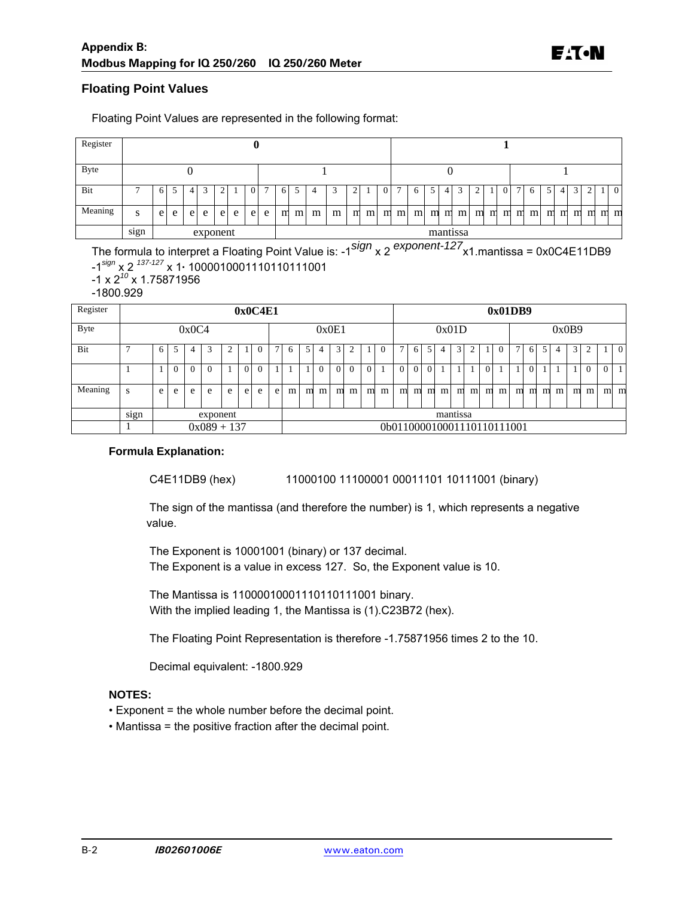#### **Floating Point Values**

| Register    |                 | U                                        |  |   |  |                |  |                |                                                                                                                                 |    |   |   |   |                    |  |                |  |   |   |   |   |                                 |  |                |   |   |   |   |                |   |  |                |
|-------------|-----------------|------------------------------------------|--|---|--|----------------|--|----------------|---------------------------------------------------------------------------------------------------------------------------------|----|---|---|---|--------------------|--|----------------|--|---|---|---|---|---------------------------------|--|----------------|---|---|---|---|----------------|---|--|----------------|
| <b>Byte</b> |                 |                                          |  |   |  |                |  |                |                                                                                                                                 |    |   |   |   |                    |  |                |  |   |   |   |   |                                 |  |                |   |   |   |   |                |   |  |                |
| Bit         |                 | 6                                        |  | 4 |  | $\overline{2}$ |  | $\overline{0}$ | 7                                                                                                                               | -6 | 5 | 4 | 3 | ◠<br>$\mathcal{L}$ |  | $\overline{0}$ |  | 6 | 5 | 4 | 3 | $\mathcal{L}$<br>$\overline{2}$ |  | $\overline{0}$ | 7 | 6 | 5 | 4 | $\overline{3}$ | 2 |  | $\overline{0}$ |
| Meaning     | S               | e<br>e l<br>e<br>e<br>e<br>e<br>e l<br>e |  |   |  |                |  | m              | m<br>m<br>mmmm<br>m<br>m<br>m <sub>l</sub><br>m <sub>l</sub><br>m<br>m<br>m<br>m m<br>m<br>m<br>m <sub>l</sub><br>m<br>m<br>m m |    |   |   |   |                    |  |                |  |   |   |   |   |                                 |  |                |   |   |   |   |                |   |  |                |
|             | $\cdot$<br>sign | exponent                                 |  |   |  |                |  | mantissa       |                                                                                                                                 |    |   |   |   |                    |  |                |  |   |   |   |   |                                 |  |                |   |   |   |   |                |   |  |                |

Floating Point Values are represented in the following format:

The formula to interpret a Floating Point Value is: -1*sign* x 2 *exponent-127*x1.mantissa = 0x0C4E11DB9 -1*sign* x 2 *137-127* x 1**·** 1000010001110110111001

- -1 x 2*<sup>10</sup>* x 1.75871956
- -1800.929

| Register    |      | 0x0C4E1       |                            |          |          |   |                            |          |       |   |                |          | 0x01DB9        |          |          |   |               |          |                |                |                |  |                |   |   |   |    |   |   |          |                |                |
|-------------|------|---------------|----------------------------|----------|----------|---|----------------------------|----------|-------|---|----------------|----------|----------------|----------|----------|---|---------------|----------|----------------|----------------|----------------|--|----------------|---|---|---|----|---|---|----------|----------------|----------------|
| <b>Byte</b> |      | 0x0C4         |                            |          |          |   |                            |          | 0x0E1 |   |                |          |                | 0x01D    |          |   |               |          |                |                | 0x0B9          |  |                |   |   |   |    |   |   |          |                |                |
| Bit         |      | 6             | 5                          | 4        | 3        | 2 |                            |          | 7     | 6 | 5              |          | 3 <sub>1</sub> | ◠        |          | 0 | $\mathcal{I}$ | 6        | 5 <sub>1</sub> | 4 <sup>1</sup> | $\overline{3}$ |  |                |   | 7 | 6 | .5 | 4 | 3 |          |                | $\overline{0}$ |
|             |      |               | $\Omega$                   | $\Omega$ | $\Omega$ |   | $\Omega$                   | $\Omega$ |       |   |                | $\Omega$ | 01             | $\Omega$ | $\Omega$ |   | $\Omega$      | $\Omega$ | $\Omega$       |                |                |  | $\overline{0}$ |   |   | 0 |    |   |   | $\Omega$ | $\overline{0}$ |                |
| Meaning     | S    | e             | e<br>e<br>e<br>e<br>e<br>e |          |          |   |                            | e        | m     | m | m <sub>l</sub> | m        | m              | m        | m        | m | m             | m        | m <sub>l</sub> | m              | m              |  | $m$ $m$        | m | m | m | m  | m | m |          | $m$ $m$        |                |
|             | sign | exponent      |                            |          |          |   |                            | mantissa |       |   |                |          |                |          |          |   |               |          |                |                |                |  |                |   |   |   |    |   |   |          |                |                |
|             |      | $0x089 + 137$ |                            |          |          |   | 0b011000010001110110111001 |          |       |   |                |          |                |          |          |   |               |          |                |                |                |  |                |   |   |   |    |   |   |          |                |                |

#### **Formula Explanation:**

C4E11DB9 (hex) 11000100 11100001 00011101 10111001 (binary)

 The sign of the mantissa (and therefore the number) is 1, which represents a negative value.

 The Exponent is 10001001 (binary) or 137 decimal. The Exponent is a value in excess 127. So, the Exponent value is 10.

 The Mantissa is 11000010001110110111001 binary. With the implied leading 1, the Mantissa is (1).C23B72 (hex).

The Floating Point Representation is therefore -1.75871956 times 2 to the 10.

Decimal equivalent: -1800.929

#### **NOTES:**

• Exponent = the whole number before the decimal point.

• Mantissa = the positive fraction after the decimal point.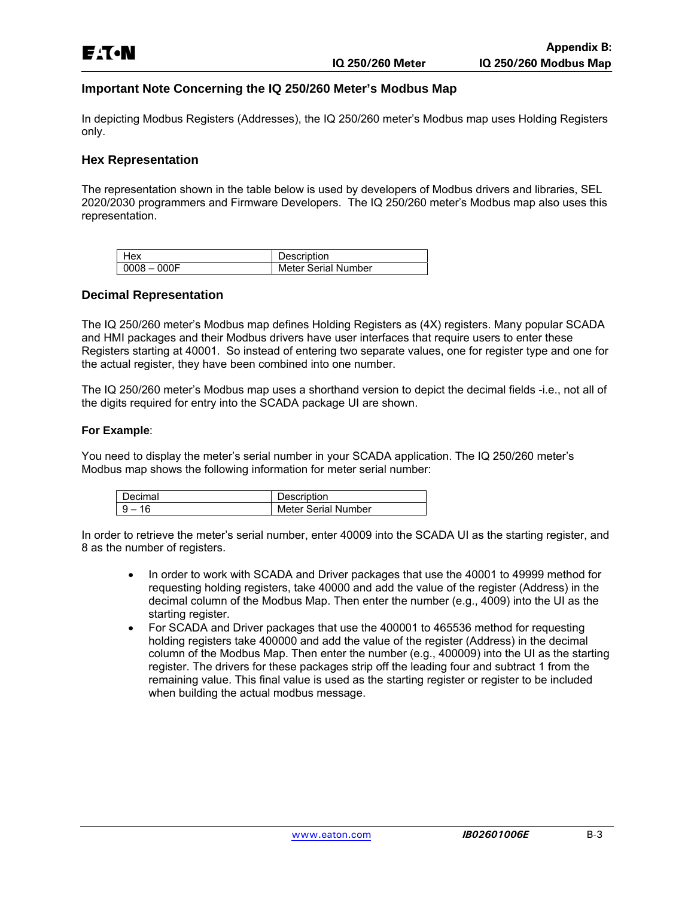#### **Important Note Concerning the IQ 250/260 Meter's Modbus Map**

In depicting Modbus Registers (Addresses), the IQ 250/260 meter's Modbus map uses Holding Registers only.

#### **Hex Representation**

The representation shown in the table below is used by developers of Modbus drivers and libraries, SEL 2020/2030 programmers and Firmware Developers. The IQ 250/260 meter's Modbus map also uses this representation.

|                | Description         |
|----------------|---------------------|
| $10008 - 000F$ | Meter Serial Number |

#### **Decimal Representation**

The IQ 250/260 meter's Modbus map defines Holding Registers as (4X) registers. Many popular SCADA and HMI packages and their Modbus drivers have user interfaces that require users to enter these Registers starting at 40001. So instead of entering two separate values, one for register type and one for the actual register, they have been combined into one number.

The IQ 250/260 meter's Modbus map uses a shorthand version to depict the decimal fields -i.e., not all of the digits required for entry into the SCADA package UI are shown.

#### **For Example**:

You need to display the meter's serial number in your SCADA application. The IQ 250/260 meter's Modbus map shows the following information for meter serial number:

| )ecimal | Description         |
|---------|---------------------|
|         | Meter Serial Number |

In order to retrieve the meter's serial number, enter 40009 into the SCADA UI as the starting register, and 8 as the number of registers.

- In order to work with SCADA and Driver packages that use the 40001 to 49999 method for requesting holding registers, take 40000 and add the value of the register (Address) in the decimal column of the Modbus Map. Then enter the number (e.g., 4009) into the UI as the starting register.
- For SCADA and Driver packages that use the 400001 to 465536 method for requesting holding registers take 400000 and add the value of the register (Address) in the decimal column of the Modbus Map. Then enter the number (e.g., 400009) into the UI as the starting register. The drivers for these packages strip off the leading four and subtract 1 from the remaining value. This final value is used as the starting register or register to be included when building the actual modbus message.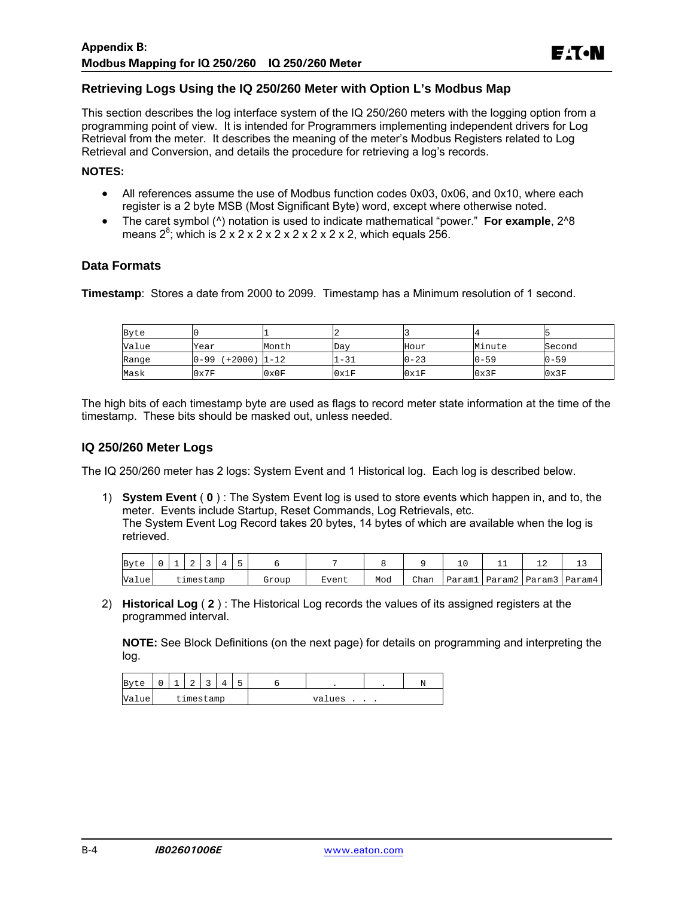#### **Retrieving Logs Using the IQ 250/260 Meter with Option L's Modbus Map**

This section describes the log interface system of the IQ 250/260 meters with the logging option from a programming point of view. It is intended for Programmers implementing independent drivers for Log Retrieval from the meter. It describes the meaning of the meter's Modbus Registers related to Log Retrieval and Conversion, and details the procedure for retrieving a log's records.

#### **NOTES:**

- All references assume the use of Modbus function codes 0x03, 0x06, and 0x10, where each register is a 2 byte MSB (Most Significant Byte) word, except where otherwise noted.
- The caret symbol (^) notation is used to indicate mathematical "power." **For example**, 2^8 means  $2^8$ ; which is  $2 \times 2 \times 2 \times 2 \times 2 \times 2 \times 2$ , which equals 256.

#### **Data Formats**

**Timestamp**: Stores a date from 2000 to 2099. Timestamp has a Minimum resolution of 1 second.

| Byte  |                         |       |       |          |          |          |
|-------|-------------------------|-------|-------|----------|----------|----------|
| Value | Year                    | Month | Day   | Hour     | Minute   | Second   |
| Range | $0-99$ $(+2000)$ $1-12$ |       | $-31$ | $0 - 23$ | $0 - 59$ | $0 - 59$ |
| Mask  | 0x7F                    | 0x0F  | 0x1F  | 0x1F     | 0x3F     | 0x3F     |

The high bits of each timestamp byte are used as flags to record meter state information at the time of the timestamp. These bits should be masked out, unless needed.

#### **IQ 250/260 Meter Logs**

The IQ 250/260 meter has 2 logs: System Event and 1 Historical log. Each log is described below.

1) **System Event** ( **0** ) : The System Event log is used to store events which happen in, and to, the meter. Events include Startup, Reset Commands, Log Retrievals, etc. The System Event Log Record takes 20 bytes, 14 bytes of which are available when the log is retrieved.

| Byte  |  | ▵ |           |  |       |       |     |             |        |  | --                           |
|-------|--|---|-----------|--|-------|-------|-----|-------------|--------|--|------------------------------|
| Value |  |   | timestamp |  | Grour | Event | Mod | <b>Chan</b> | Paraml |  | l   Param2   Param3   Param4 |

2) **Historical Log** ( **2** ) : The Historical Log records the values of its assigned registers at the programmed interval.

**NOTE:** See Block Definitions (on the next page) for details on programming and interpreting the log.

| Byte  | $\Omega$  | $\overline{\phantom{a}}$ | $\sim$<br>▵ | $\sim$<br>◡ |  | - |        |  |
|-------|-----------|--------------------------|-------------|-------------|--|---|--------|--|
| Value | timestamp |                          |             |             |  |   | values |  |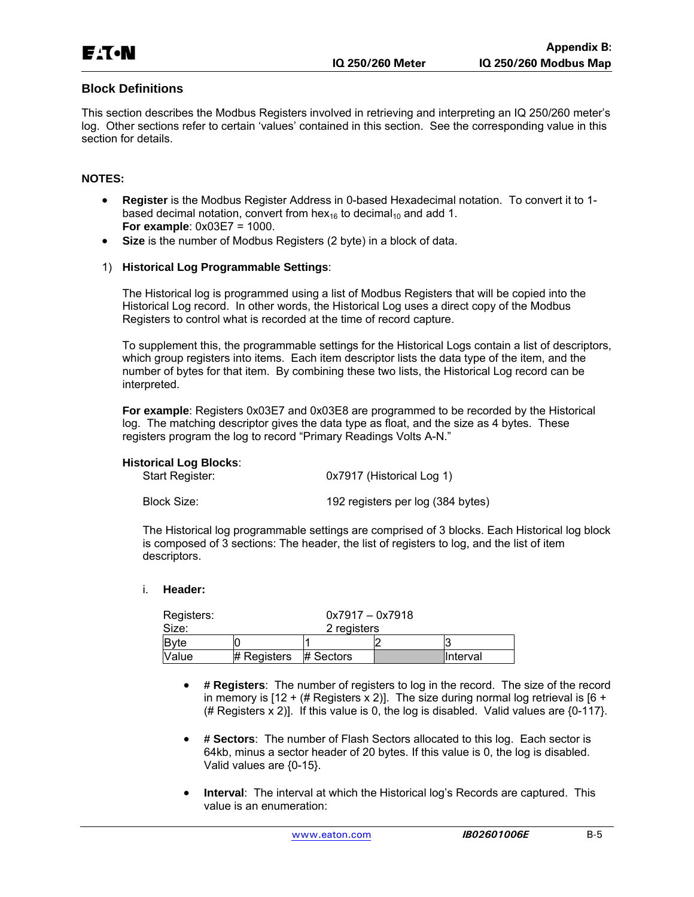#### **Block Definitions**

This section describes the Modbus Registers involved in retrieving and interpreting an IQ 250/260 meter's log. Other sections refer to certain 'values' contained in this section. See the corresponding value in this section for details.

#### **NOTES:**

- **Register** is the Modbus Register Address in 0-based Hexadecimal notation. To convert it to 1 based decimal notation, convert from hex<sub>16</sub> to decimal<sub>10</sub> and add 1. **For example**: 0x03E7 = 1000.
- **Size** is the number of Modbus Registers (2 byte) in a block of data.

#### 1) **Historical Log Programmable Settings**:

The Historical log is programmed using a list of Modbus Registers that will be copied into the Historical Log record. In other words, the Historical Log uses a direct copy of the Modbus Registers to control what is recorded at the time of record capture.

To supplement this, the programmable settings for the Historical Logs contain a list of descriptors, which group registers into items. Each item descriptor lists the data type of the item, and the number of bytes for that item. By combining these two lists, the Historical Log record can be interpreted.

**For example**: Registers 0x03E7 and 0x03E8 are programmed to be recorded by the Historical log. The matching descriptor gives the data type as float, and the size as 4 bytes. These registers program the log to record "Primary Readings Volts A-N."

#### **Historical Log Blocks**:

| Start Register: | 0x7917 (Historical Log 1)         |
|-----------------|-----------------------------------|
| Block Size:     | 192 registers per log (384 bytes) |

The Historical log programmable settings are comprised of 3 blocks. Each Historical log block is composed of 3 sections: The header, the list of registers to log, and the list of item descriptors.

#### i. **Header:**

| Registers: |               | $0x7917 - 0x7918$ |  |           |
|------------|---------------|-------------------|--|-----------|
| Size:      |               | 2 registers       |  |           |
| Byte       |               |                   |  |           |
| Value      | $#$ Registers | # Sectors         |  | IInterval |

- **# Registers**: The number of registers to log in the record. The size of the record in memory is  $[12 + (\# \text{Regions} \times 2)]$ . The size during normal log retrieval is  $[6 +$ (# Registers  $x$  2)]. If this value is 0, the log is disabled. Valid values are  ${0-117}$ .
- **# Sectors**: The number of Flash Sectors allocated to this log. Each sector is 64kb, minus a sector header of 20 bytes. If this value is 0, the log is disabled. Valid values are {0-15}.
- **Interval**: The interval at which the Historical log's Records are captured. This value is an enumeration: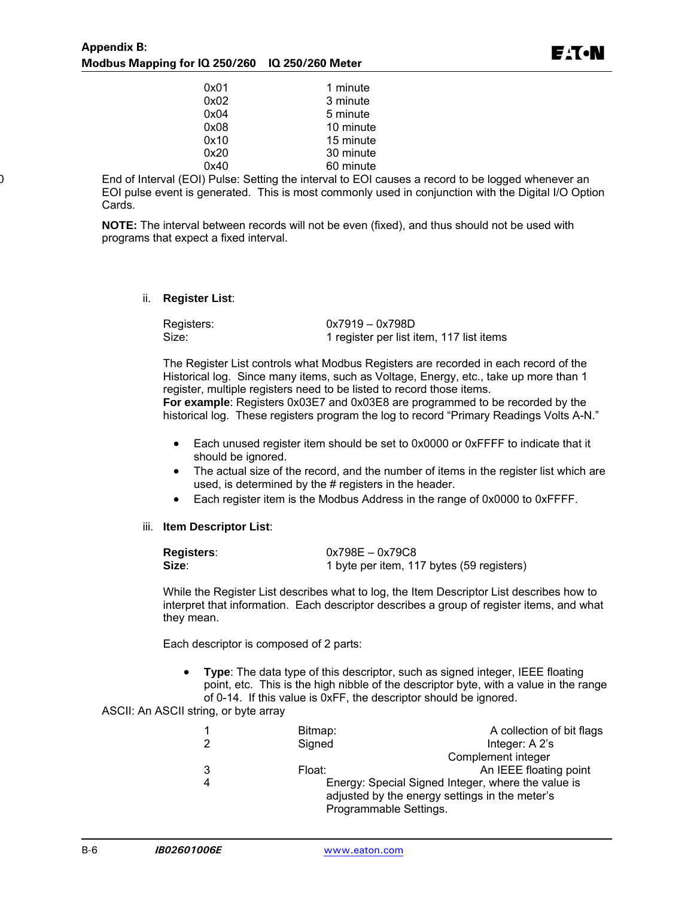| 0x01 | 1 minute  |
|------|-----------|
| 0x02 | 3 minute  |
| 0x04 | 5 minute  |
| 0x08 | 10 minute |
| 0x10 | 15 minute |
| 0x20 | 30 minute |
| 0x40 |           |
|      | 60 minute |

End of Interval (EOI) Pulse: Setting the interval to EOI causes a record to be logged whenever an EOI pulse event is generated. This is most commonly used in conjunction with the Digital I/O Option Cards.

**NOTE:** The interval between records will not be even (fixed), and thus should not be used with programs that expect a fixed interval.

ii. **Register List**:

| Registers: | $0x7919 - 0x798D$                        |
|------------|------------------------------------------|
| Size:      | 1 register per list item, 117 list items |

The Register List controls what Modbus Registers are recorded in each record of the Historical log. Since many items, such as Voltage, Energy, etc., take up more than 1 register, multiple registers need to be listed to record those items. **For example**: Registers 0x03E7 and 0x03E8 are programmed to be recorded by the

historical log. These registers program the log to record "Primary Readings Volts A-N."

- Each unused register item should be set to 0x0000 or 0xFFFF to indicate that it should be ignored.
- The actual size of the record, and the number of items in the register list which are used, is determined by the # registers in the header.
- Each register item is the Modbus Address in the range of 0x0000 to 0xFFFF.
- iii. **Item Descriptor List**:

| <b>Registers:</b> | $0x798E - 0x79C8$                         |
|-------------------|-------------------------------------------|
| Size:             | 1 byte per item, 117 bytes (59 registers) |

While the Register List describes what to log, the Item Descriptor List describes how to interpret that information. Each descriptor describes a group of register items, and what they mean.

Each descriptor is composed of 2 parts:

 **Type**: The data type of this descriptor, such as signed integer, IEEE floating point, etc. This is the high nibble of the descriptor byte, with a value in the range of 0-14. If this value is 0xFF, the descriptor should be ignored.

ASCII: An ASCII string, or byte array

|               | Bitmap:                | A collection of bit flags                          |
|---------------|------------------------|----------------------------------------------------|
| $\mathcal{P}$ | Signed                 | Integer: A 2's                                     |
|               |                        | Complement integer                                 |
| 3             | Float:                 | An IEEE floating point                             |
| 4             |                        | Energy: Special Signed Integer, where the value is |
|               |                        | adjusted by the energy settings in the meter's     |
|               | Programmable Settings. |                                                    |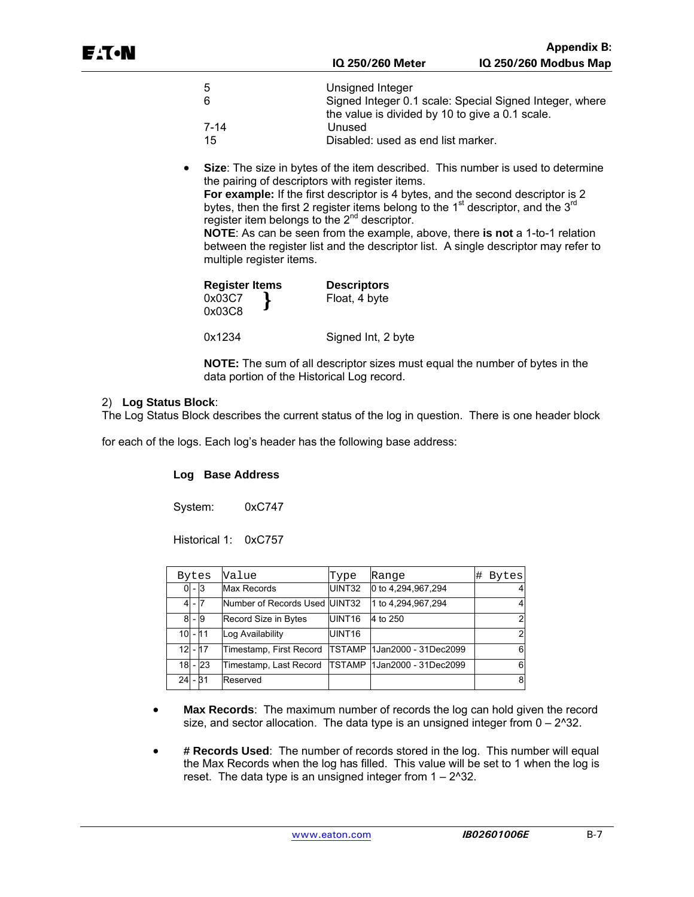| -5   | Unsigned Integer                                                                                           |
|------|------------------------------------------------------------------------------------------------------------|
| -6   | Signed Integer 0.1 scale: Special Signed Integer, where<br>the value is divided by 10 to give a 0.1 scale. |
| 7-14 | Unused                                                                                                     |
| 15   | Disabled: used as end list marker.                                                                         |

 **Size**: The size in bytes of the item described. This number is used to determine the pairing of descriptors with register items.

**For example:** If the first descriptor is 4 bytes, and the second descriptor is 2 bytes, then the first 2 register items belong to the  $1<sup>st</sup>$  descriptor, and the  $3<sup>rd</sup>$ register item belongs to the 2<sup>nd</sup> descriptor.

**NOTE**: As can be seen from the example, above, there **is not** a 1-to-1 relation between the register list and the descriptor list. A single descriptor may refer to multiple register items.

| Register Items | <b>Descriptors</b> |  |
|----------------|--------------------|--|
| 0x03C7         | Float, 4 byte      |  |
| 0x03C8         |                    |  |
| 0x1234         | Signed Int, 2 byte |  |

**NOTE:** The sum of all descriptor sizes must equal the number of bytes in the data portion of the Historical Log record.

#### 2) **Log Status Block**:

The Log Status Block describes the current status of the log in question. There is one header block

for each of the logs. Each log's header has the following base address:

#### **Log Base Address**

System: 0xC747

Historical 1: 0xC757

|           |         | Bytes     | Value                         | Type               | Range                              | #<br><b>Bytes</b> |
|-----------|---------|-----------|-------------------------------|--------------------|------------------------------------|-------------------|
|           | $0 - 3$ |           | <b>Max Records</b>            | UINT32             | 0 to 4,294,967,294                 |                   |
| 4         | - 17    |           | Number of Records Used UINT32 |                    | 1 to 4,294,967,294                 |                   |
| 8         |         | - 9       | Record Size in Bytes          | UINT <sub>16</sub> | 4 to 250                           |                   |
|           |         | $10 - 11$ | Log Availability              | UINT <sub>16</sub> |                                    |                   |
|           |         | $12 - 17$ | Timestamp, First Record       |                    | <b>TSTAMP 1Jan2000 - 31Dec2099</b> |                   |
| 18        |         | <b>23</b> | Timestamp, Last Record        |                    | TSTAMP   1 Jan 2000 - 31 Dec 2099  |                   |
| $24 - 31$ |         |           | Reserved                      |                    |                                    |                   |

- **Max Records**: The maximum number of records the log can hold given the record size, and sector allocation. The data type is an unsigned integer from 0 – 2^32.
- **# Records Used**: The number of records stored in the log. This number will equal the Max Records when the log has filled. This value will be set to 1 when the log is reset. The data type is an unsigned integer from  $1 - 2^2$ 32.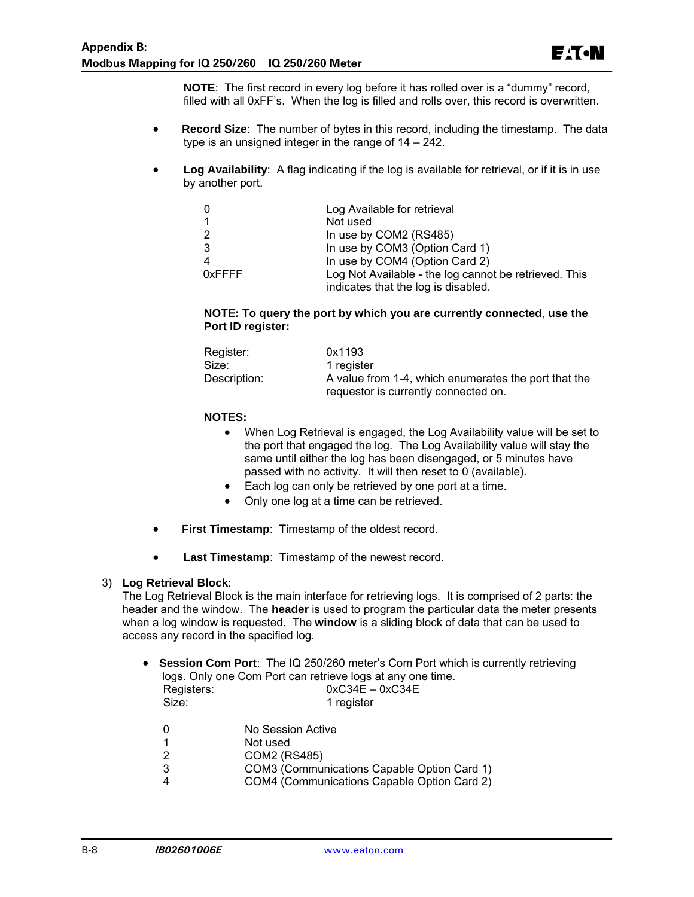**NOTE**: The first record in every log before it has rolled over is a "dummy" record, filled with all 0xFF's. When the log is filled and rolls over, this record is overwritten.

- **Record Size**: The number of bytes in this record, including the timestamp. The data type is an unsigned integer in the range of 14 – 242.
- **Log Availability**: A flag indicating if the log is available for retrieval, or if it is in use by another port.

|        | Log Available for retrieval                           |
|--------|-------------------------------------------------------|
|        | Not used                                              |
|        | In use by COM2 (RS485)                                |
| 3      | In use by COM3 (Option Card 1)                        |
|        | In use by COM4 (Option Card 2)                        |
| 0xFFFF | Log Not Available - the log cannot be retrieved. This |
|        | indicates that the log is disabled.                   |

#### **NOTE: To query the port by which you are currently connected**, **use the Port ID register:**

| Register:    | 0x1193                                               |
|--------------|------------------------------------------------------|
| Size:        | 1 register                                           |
| Description: | A value from 1-4, which enumerates the port that the |
|              | requestor is currently connected on.                 |

#### **NOTES:**

- When Log Retrieval is engaged, the Log Availability value will be set to the port that engaged the log. The Log Availability value will stay the same until either the log has been disengaged, or 5 minutes have passed with no activity. It will then reset to 0 (available).
- Each log can only be retrieved by one port at a time.
- Only one log at a time can be retrieved.
- **First Timestamp**: Timestamp of the oldest record.
- **Last Timestamp**: Timestamp of the newest record.

#### 3) **Log Retrieval Block**:

The Log Retrieval Block is the main interface for retrieving logs. It is comprised of 2 parts: the header and the window. The **header** is used to program the particular data the meter presents when a log window is requested. The **window** is a sliding block of data that can be used to access any record in the specified log.

|            | • Session Com Port: The IQ 250/260 meter's Com Port which is currently retrieving |
|------------|-----------------------------------------------------------------------------------|
|            | logs. Only one Com Port can retrieve logs at any one time.                        |
| Registers: | $0xC34E - 0xC34E$                                                                 |
| Size:      | 1 register                                                                        |

| 0 | No Session Active |
|---|-------------------|
|   |                   |

- 1 Not used<br>2 COM2 (R
- 2 COM2 (RS485)
- 3 COM3 (Communications Capable Option Card 1)
- 4 COM4 (Communications Capable Option Card 2)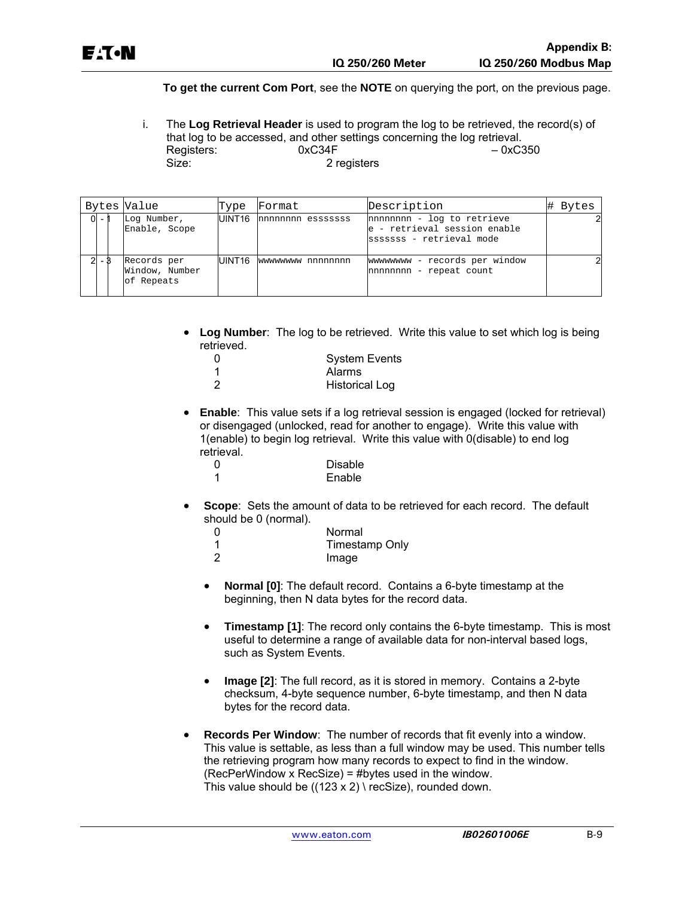#### **To get the current Com Port**, see the **NOTE** on querying the port, on the previous page.

i. The **Log Retrieval Header** is used to program the log to be retrieved, the record(s) of that log to be accessed, and other settings concerning the log retrieval.<br>Registers: 0xC34F -0xC350 Registers:<br>Size: 2 registers

|           | Bytes Value                                 | Type   | Format                   | Description                                                                            | # Bytes |
|-----------|---------------------------------------------|--------|--------------------------|----------------------------------------------------------------------------------------|---------|
| $ 0  - 1$ | Log Number,<br>Enable, Scope                |        | UINT16 nnnnnnnn esssssss | nnnnnnnn - log to retrieve<br>e - retrieval session enable<br>sssssss - retrieval mode |         |
|           | Records per<br>Window, Number<br>of Repeats | UINT16 | wwwwwww nnnnnnnn         | wwwwwww - records per window<br>nnnnnnnn - repeat count                                |         |

 **Log Number**: The log to be retrieved. Write this value to set which log is being retrieved.

| 0 | <b>System Events</b>  |
|---|-----------------------|
|   | Alarms                |
| 2 | <b>Historical Log</b> |

 **Enable**: This value sets if a log retrieval session is engaged (locked for retrieval) or disengaged (unlocked, read for another to engage). Write this value with 1(enable) to begin log retrieval. Write this value with 0(disable) to end log retrieval.

| <sup>0</sup> | Disable |
|--------------|---------|
|              | Enable  |

 **Scope**: Sets the amount of data to be retrieved for each record. The default should be 0 (normal).

| $\Omega$ | Normal         |
|----------|----------------|
|          | Timestamp Only |
|          | Image          |

- **Normal [0]**: The default record. Contains a 6-byte timestamp at the beginning, then N data bytes for the record data.
- **Timestamp [1]:** The record only contains the 6-byte timestamp. This is most useful to determine a range of available data for non-interval based logs, such as System Events.
- **Image [2]**: The full record, as it is stored in memory. Contains a 2-byte checksum, 4-byte sequence number, 6-byte timestamp, and then N data bytes for the record data.
- **Records Per Window**: The number of records that fit evenly into a window. This value is settable, as less than a full window may be used. This number tells the retrieving program how many records to expect to find in the window. (RecPerWindow x RecSize) = #bytes used in the window. This value should be  $((123 \times 2) \setminus \text{recSize})$ , rounded down.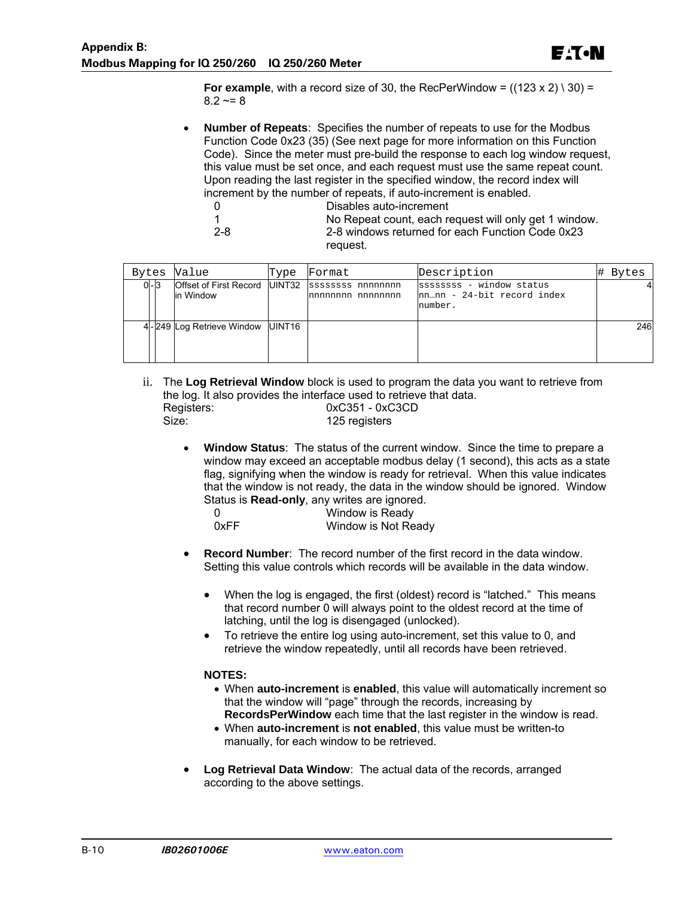E<sub>'</sub>T.N

**For example**, with a record size of 30, the RecPerWindow =  $((123 \times 2) \setminus 30)$  =  $8.2 \sim 8$ 

 **Number of Repeats**: Specifies the number of repeats to use for the Modbus Function Code 0x23 (35) (See next page for more information on this Function Code). Since the meter must pre-build the response to each log window request, this value must be set once, and each request must use the same repeat count. Upon reading the last register in the specified window, the record index will increment by the number of repeats, if auto-increment is enabled.

| - 0  | Disables auto-increment                               |
|------|-------------------------------------------------------|
|      | No Repeat count, each request will only get 1 window. |
| -2-8 | 2-8 windows returned for each Function Code 0x23      |
|      | reguest.                                              |

| Bytes   | Value                                         | Type | Format                                   | Description                                                       | Bytes |
|---------|-----------------------------------------------|------|------------------------------------------|-------------------------------------------------------------------|-------|
| $0 - 3$ | Offset of First Record   UINT32<br>lin Window |      | sssssssss nnnnnnnn<br>Innnnnnnn nnnnnnnn | ssssssss - window status<br>nnnn - 24-bit record index<br>number. |       |
|         | 4-249 Log Retrieve Window UINT16              |      |                                          |                                                                   | 246   |

ii. The **Log Retrieval Window** block is used to program the data you want to retrieve from the log. It also provides the interface used to retrieve that data. Registers: 0xC351 - 0xC3CD 125 registers

 **Window Status**: The status of the current window. Since the time to prepare a window may exceed an acceptable modbus delay (1 second), this acts as a state flag, signifying when the window is ready for retrieval. When this value indicates that the window is not ready, the data in the window should be ignored. Window Status is **Read-only**, any writes are ignored.

| 0    | __ | Window is Ready     |
|------|----|---------------------|
| 0xFF |    | Window is Not Ready |

- **Record Number**: The record number of the first record in the data window. Setting this value controls which records will be available in the data window.
	- When the log is engaged, the first (oldest) record is "latched." This means that record number 0 will always point to the oldest record at the time of latching, until the log is disengaged (unlocked).
	- To retrieve the entire log using auto-increment, set this value to 0, and retrieve the window repeatedly, until all records have been retrieved.

#### **NOTES:**

- When **auto-increment** is **enabled**, this value will automatically increment so that the window will "page" through the records, increasing by **RecordsPerWindow** each time that the last register in the window is read.
- When **auto-increment** is **not enabled**, this value must be written-to manually, for each window to be retrieved.
- **Log Retrieval Data Window**: The actual data of the records, arranged according to the above settings.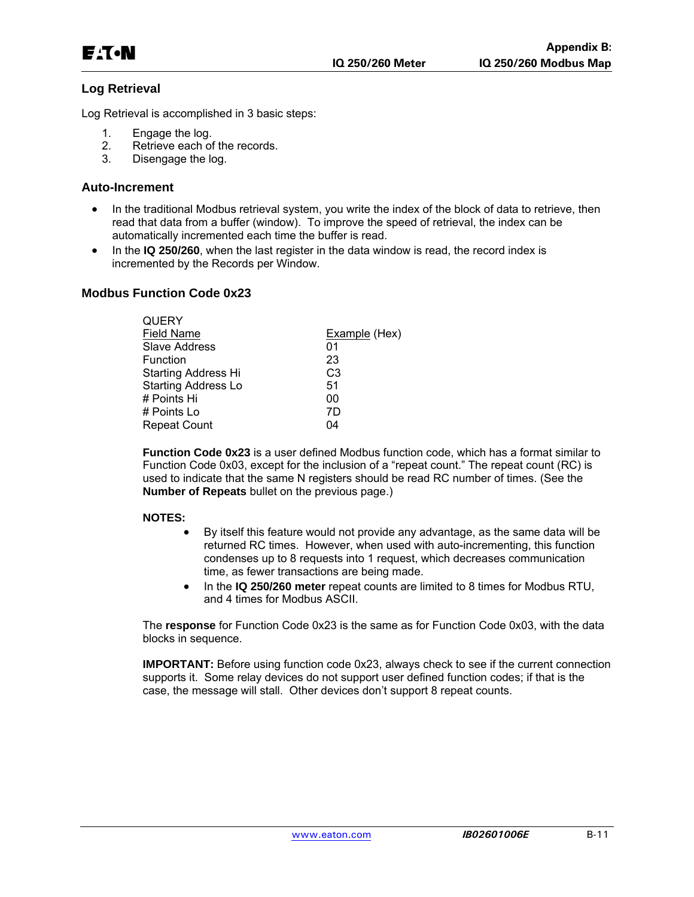### **Log Retrieval**

Log Retrieval is accomplished in 3 basic steps:

- 1. Engage the log.
- 2. Retrieve each of the records.
- 3. Disengage the log.

#### **Auto-Increment**

- In the traditional Modbus retrieval system, you write the index of the block of data to retrieve, then read that data from a buffer (window). To improve the speed of retrieval, the index can be automatically incremented each time the buffer is read.
- In the **IQ 250/260**, when the last register in the data window is read, the record index is incremented by the Records per Window.

#### **Modbus Function Code 0x23**

 $\sim$ uery

| <b>QUERY</b>               |                |
|----------------------------|----------------|
| Field Name                 | Example (Hex)  |
| <b>Slave Address</b>       | 01             |
| Function                   | 23             |
| <b>Starting Address Hi</b> | C <sub>3</sub> |
| <b>Starting Address Lo</b> | 51             |
| # Points Hi                | 00             |
| # Points Lo                | 7D             |
| <b>Repeat Count</b>        | 04             |
|                            |                |

**Function Code 0x23** is a user defined Modbus function code, which has a format similar to Function Code 0x03, except for the inclusion of a "repeat count." The repeat count (RC) is used to indicate that the same N registers should be read RC number of times. (See the **Number of Repeats** bullet on the previous page.)

#### **NOTES:**

- By itself this feature would not provide any advantage, as the same data will be returned RC times. However, when used with auto-incrementing, this function condenses up to 8 requests into 1 request, which decreases communication time, as fewer transactions are being made.
- In the **IQ 250/260 meter** repeat counts are limited to 8 times for Modbus RTU, and 4 times for Modbus ASCII.

The **response** for Function Code 0x23 is the same as for Function Code 0x03, with the data blocks in sequence.

**IMPORTANT:** Before using function code 0x23, always check to see if the current connection supports it. Some relay devices do not support user defined function codes; if that is the case, the message will stall. Other devices don't support 8 repeat counts.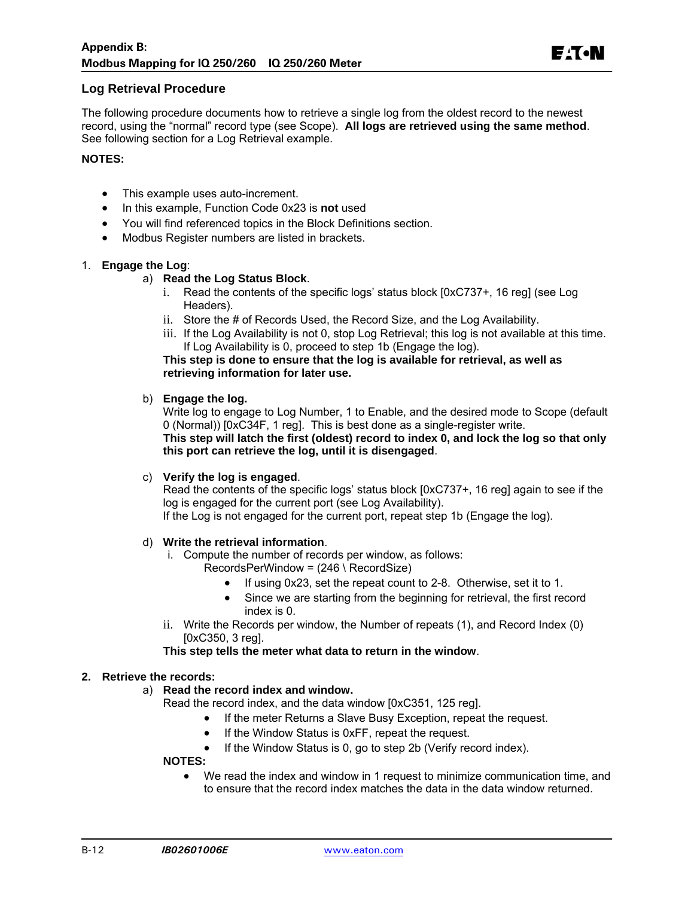#### **Log Retrieval Procedure**

The following procedure documents how to retrieve a single log from the oldest record to the newest record, using the "normal" record type (see Scope). **All logs are retrieved using the same method**. See following section for a Log Retrieval example.

#### **NOTES:**

- This example uses auto-increment.
- In this example, Function Code 0x23 is **not** used
- You will find referenced topics in the Block Definitions section.
- Modbus Register numbers are listed in brackets.

#### 1. **Engage the Log**:

#### a) **Read the Log Status Block**.

- i. Read the contents of the specific logs' status block [0xC737+, 16 reg] (see Log Headers).
- ii. Store the # of Records Used, the Record Size, and the Log Availability.
- iii. If the Log Availability is not 0, stop Log Retrieval; this log is not available at this time. If Log Availability is 0, proceed to step 1b (Engage the log).

**This step is done to ensure that the log is available for retrieval, as well as retrieving information for later use.** 

#### b) **Engage the log.**

Write log to engage to Log Number, 1 to Enable, and the desired mode to Scope (default 0 (Normal)) [0xC34F, 1 reg]. This is best done as a single-register write. **This step will latch the first (oldest) record to index 0, and lock the log so that only this port can retrieve the log, until it is disengaged**.

#### c) **Verify the log is engaged**.

Read the contents of the specific logs' status block [0xC737+, 16 reg] again to see if the log is engaged for the current port (see Log Availability).

If the Log is not engaged for the current port, repeat step 1b (Engage the log).

#### d) **Write the retrieval information**.

- i. Compute the number of records per window, as follows:
	- RecordsPerWindow = (246 \ RecordSize)
		- If using 0x23, set the repeat count to 2-8. Otherwise, set it to 1.
		- Since we are starting from the beginning for retrieval, the first record index is 0.
- ii. Write the Records per window, the Number of repeats (1), and Record Index (0) [0xC350, 3 reg].

**This step tells the meter what data to return in the window**.

#### **2. Retrieve the records:**

- a) **Read the record index and window.**
	- Read the record index, and the data window [0xC351, 125 reg].
		- If the meter Returns a Slave Busy Exception, repeat the request.
		- If the Window Status is 0xFF, repeat the request.
		- If the Window Status is 0, go to step 2b (Verify record index).

#### **NOTES:**

 We read the index and window in 1 request to minimize communication time, and to ensure that the record index matches the data in the data window returned.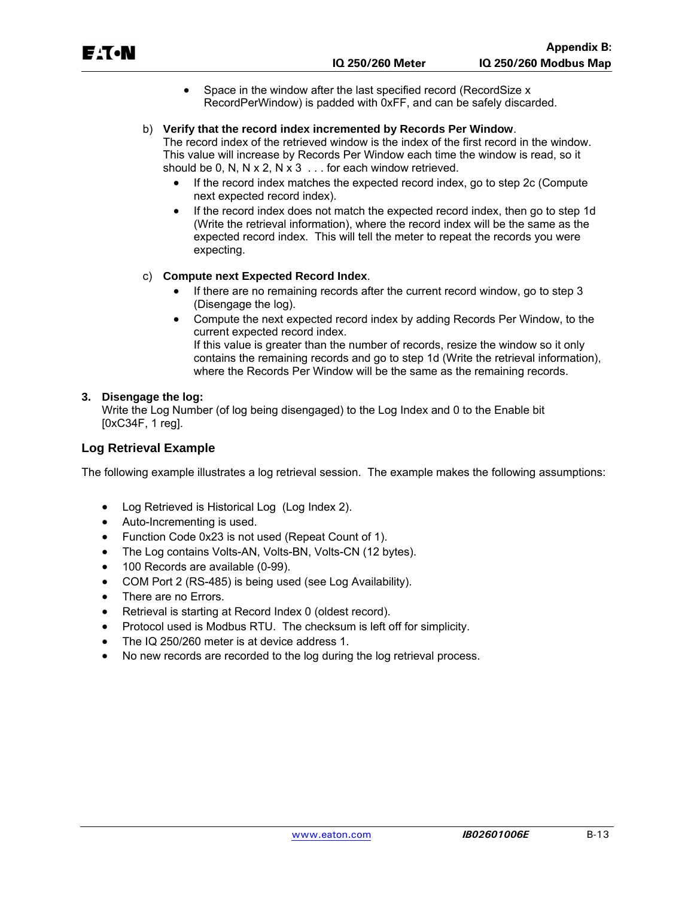|    | EACN                                   |           |                                                                                                                                       | IQ 250/260 Meter | <b>Appendix B:</b><br>IQ 250/260 Modbus Map                                                                                                                                                                                                                     |
|----|----------------------------------------|-----------|---------------------------------------------------------------------------------------------------------------------------------------|------------------|-----------------------------------------------------------------------------------------------------------------------------------------------------------------------------------------------------------------------------------------------------------------|
|    |                                        | $\bullet$ | Space in the window after the last specified record (RecordSize x                                                                     |                  |                                                                                                                                                                                                                                                                 |
|    |                                        |           |                                                                                                                                       |                  | RecordPerWindow) is padded with 0xFF, and can be safely discarded.                                                                                                                                                                                              |
|    |                                        | $\bullet$ | b) Verify that the record index incremented by Records Per Window.<br>should be 0, N, N x 2, N x 3 $\dots$ for each window retrieved. |                  | The record index of the retrieved window is the index of the first record in the window.<br>This value will increase by Records Per Window each time the window is read, so it<br>If the record index matches the expected record index, go to step 2c (Compute |
|    |                                        |           | next expected record index).                                                                                                          |                  |                                                                                                                                                                                                                                                                 |
|    |                                        |           | expecting.                                                                                                                            |                  | If the record index does not match the expected record index, then go to step 1d<br>(Write the retrieval information), where the record index will be the same as the<br>expected record index. This will tell the meter to repeat the records you were         |
|    | C)                                     |           | <b>Compute next Expected Record Index.</b>                                                                                            |                  |                                                                                                                                                                                                                                                                 |
|    |                                        |           | (Disengage the log).                                                                                                                  |                  | If there are no remaining records after the current record window, go to step 3                                                                                                                                                                                 |
|    |                                        | $\bullet$ | current expected record index.                                                                                                        |                  | Compute the next expected record index by adding Records Per Window, to the                                                                                                                                                                                     |
|    |                                        |           |                                                                                                                                       |                  | If this value is greater than the number of records, resize the window so it only<br>contains the remaining records and go to step 1d (Write the retrieval information),<br>where the Records Per Window will be the same as the remaining records.             |
| 3. | Disengage the log:<br>[0xC34F, 1 reg]. |           | Write the Log Number (of log being disengaged) to the Log Index and 0 to the Enable bit                                               |                  |                                                                                                                                                                                                                                                                 |
|    | Log Retrieval Example                  |           |                                                                                                                                       |                  |                                                                                                                                                                                                                                                                 |
|    |                                        |           |                                                                                                                                       |                  | The following example illustrates a log retrieval session. The example makes the following assumptions:                                                                                                                                                         |
|    | $\bullet$                              |           | Log Retrieved is Historical Log (Log Index 2).                                                                                        |                  |                                                                                                                                                                                                                                                                 |

- Auto-Incrementing is used.
- Function Code 0x23 is not used (Repeat Count of 1).
- The Log contains Volts-AN, Volts-BN, Volts-CN (12 bytes).
- 100 Records are available (0-99).
- COM Port 2 (RS-485) is being used (see Log Availability).
- There are no Errors.
- Retrieval is starting at Record Index 0 (oldest record).
- Protocol used is Modbus RTU. The checksum is left off for simplicity.
- The IQ 250/260 meter is at device address 1.
- No new records are recorded to the log during the log retrieval process.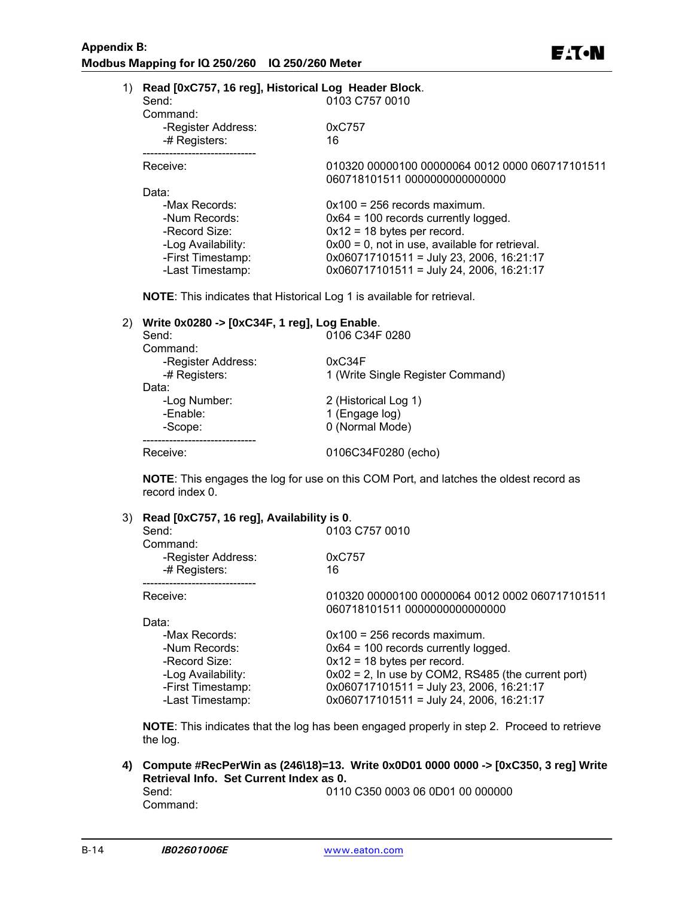| 1) | Read [0xC757, 16 reg], Historical Log Header Block. |                                                                                  |
|----|-----------------------------------------------------|----------------------------------------------------------------------------------|
|    | Send:                                               | 0103 C757 0010                                                                   |
|    | Command:                                            |                                                                                  |
|    | -Register Address:                                  | 0xC757                                                                           |
|    | -# Registers:                                       | 16                                                                               |
|    | Receive:                                            | 010320 00000100 00000064 0012 0000 060717101511<br>060718101511 0000000000000000 |
|    | Data:                                               |                                                                                  |
|    | -Max Records:                                       | $0x100 = 256$ records maximum.                                                   |
|    | -Num Records:                                       | $0x64 = 100$ records currently logged.                                           |
|    | -Record Size:                                       | $0x12 = 18$ bytes per record.                                                    |
|    | -Log Availability:                                  | $0x00 = 0$ , not in use, available for retrieval.                                |
|    | -First Timestamp:                                   | $0x060717101511 =$ July 23, 2006, 16:21:17                                       |
|    | -Last Timestamp:                                    | $0x060717101511 =$ July 24, 2006, 16:21:17                                       |

**NOTE**: This indicates that Historical Log 1 is available for retrieval.

#### 2) **Write 0x0280 -> [0xC34F, 1 reg], Log Enable**.

| 0106 C34F 0280                    |
|-----------------------------------|
|                                   |
| 0xC34F                            |
| 1 (Write Single Register Command) |
|                                   |
| 2 (Historical Log 1)              |
| 1 (Engage log)                    |
| 0 (Normal Mode)                   |
| 0106C34F0280 (echo)               |
|                                   |

**NOTE**: This engages the log for use on this COM Port, and latches the oldest record as record index 0.

#### 3) **Read [0xC757, 16 reg], Availability is 0**.

| Send:<br>Command:  | 0103 C757 0010                                        |
|--------------------|-------------------------------------------------------|
| -Register Address: | 0xC757                                                |
| -# Registers:      | 16                                                    |
| Receive:           | 010320 00000100 00000064 0012 0002 060717101511       |
|                    | 060718101511 0000000000000000                         |
| Data:              |                                                       |
| -Max Records:      | $0x100 = 256$ records maximum.                        |
| -Num Records:      | $0x64 = 100$ records currently logged.                |
| -Record Size:      | $0x12 = 18$ bytes per record.                         |
| -Log Availability: | $0x02 = 2$ , In use by COM2, RS485 (the current port) |
| -First Timestamp:  | $0x060717101511 =$ July 23, 2006, 16:21:17            |
| -Last Timestamp:   | $0x060717101511 =$ July 24, 2006, 16:21:17            |

**NOTE**: This indicates that the log has been engaged properly in step 2. Proceed to retrieve the log.

# **4) Compute #RecPerWin as (246\18)=13. Write 0x0D01 0000 0000 -> [0xC350, 3 reg] Write Retrieval Info. Set Current Index as 0.**

0110 C350 0003 06 0D01 00 000000 Command: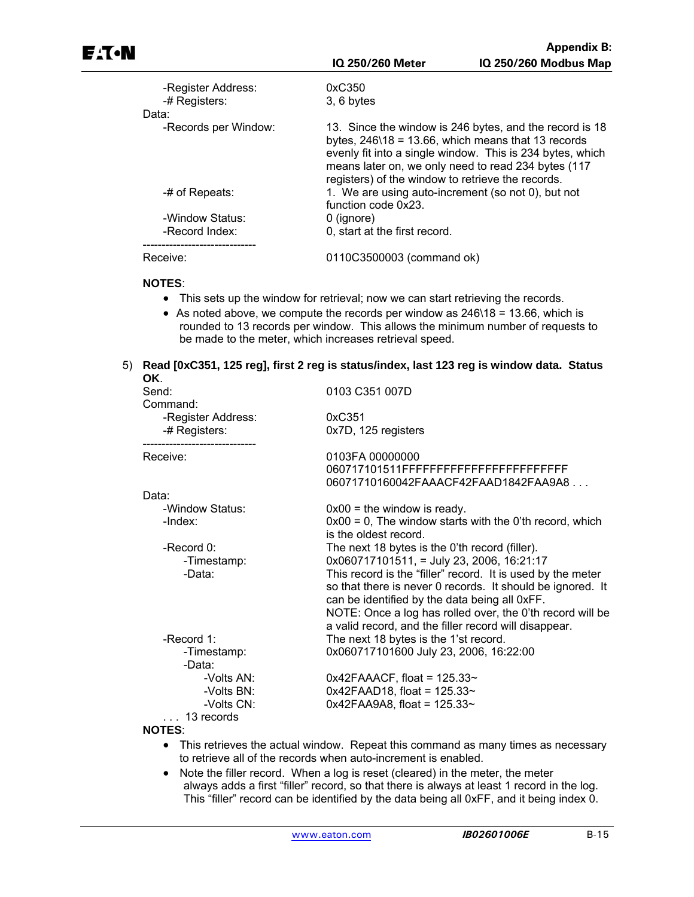| -Register Address:<br>-# Registers:<br>Data: | 0xC350<br>$3, 6$ bytes                                                                                                                                                                                                                                                                              |  |  |
|----------------------------------------------|-----------------------------------------------------------------------------------------------------------------------------------------------------------------------------------------------------------------------------------------------------------------------------------------------------|--|--|
| -Records per Window:                         | 13. Since the window is 246 bytes, and the record is 18<br>bytes, $246\overline{18} = 13.66$ , which means that 13 records<br>evenly fit into a single window. This is 234 bytes, which<br>means later on, we only need to read 234 bytes (117<br>registers) of the window to retrieve the records. |  |  |
| -# of Repeats:                               | 1. We are using auto-increment (so not 0), but not<br>function code 0x23.                                                                                                                                                                                                                           |  |  |
| -Window Status:                              | 0 (ignore)                                                                                                                                                                                                                                                                                          |  |  |
| -Record Index:                               | 0, start at the first record.                                                                                                                                                                                                                                                                       |  |  |
| Receive:                                     | 0110C3500003 (command ok)                                                                                                                                                                                                                                                                           |  |  |

#### **NOTES**:

- This sets up the window for retrieval; now we can start retrieving the records.
- As noted above, we compute the records per window as 246\18 = 13.66, which is rounded to 13 records per window. This allows the minimum number of requests to be made to the meter, which increases retrieval speed.

#### 5) **Read [0xC351, 125 reg], first 2 reg is status/index, last 123 reg is window data. Status OK**.

| Send:<br>Command:                                             | 0103 C351 007D                                                                                                                                                                                                                                                                                                                                                                                     |
|---------------------------------------------------------------|----------------------------------------------------------------------------------------------------------------------------------------------------------------------------------------------------------------------------------------------------------------------------------------------------------------------------------------------------------------------------------------------------|
| -Register Address:<br>-# Registers:                           | 0xC351<br>0x7D, 125 registers                                                                                                                                                                                                                                                                                                                                                                      |
| Receive:                                                      | 0103FA 00000000<br>060717101511FFFFFFFFFFFFFFFFFFFFFFFFFFF<br>06071710160042FAAACF42FAAD1842FAA9A8                                                                                                                                                                                                                                                                                                 |
| Data:                                                         |                                                                                                                                                                                                                                                                                                                                                                                                    |
| -Window Status:<br>-Index:                                    | $0x00 =$ the window is ready.<br>$0x00 = 0$ , The window starts with the 0'th record, which<br>is the oldest record.                                                                                                                                                                                                                                                                               |
| -Record $0$ :<br>-Timestamp:<br>-Data:                        | The next 18 bytes is the 0'th record (filler).<br>$0x060717101511$ , = July 23, 2006, 16:21:17<br>This record is the "filler" record. It is used by the meter<br>so that there is never 0 records. It should be ignored. It<br>can be identified by the data being all 0xFF.<br>NOTE: Once a log has rolled over, the 0'th record will be<br>a valid record, and the filler record will disappear. |
| -Record $1$ :<br>-Timestamp:<br>-Data:                        | The next 18 bytes is the 1'st record.<br>0x060717101600 July 23, 2006, 16:22:00                                                                                                                                                                                                                                                                                                                    |
| -Volts AN:<br>-Volts BN:<br>-Volts CN:<br>$\ldots$ 13 records | $0x42FAAACF$ , float = 125.33~<br>$0x42FAAD18$ , float = 125.33~<br>$0x42FAA9A8$ , float = 125.33~                                                                                                                                                                                                                                                                                                 |
| <b>NOTES:</b>                                                 |                                                                                                                                                                                                                                                                                                                                                                                                    |

- This retrieves the actual window. Repeat this command as many times as necessary to retrieve all of the records when auto-increment is enabled.
- Note the filler record. When a log is reset (cleared) in the meter, the meter always adds a first "filler" record, so that there is always at least 1 record in the log. This "filler" record can be identified by the data being all 0xFF, and it being index 0.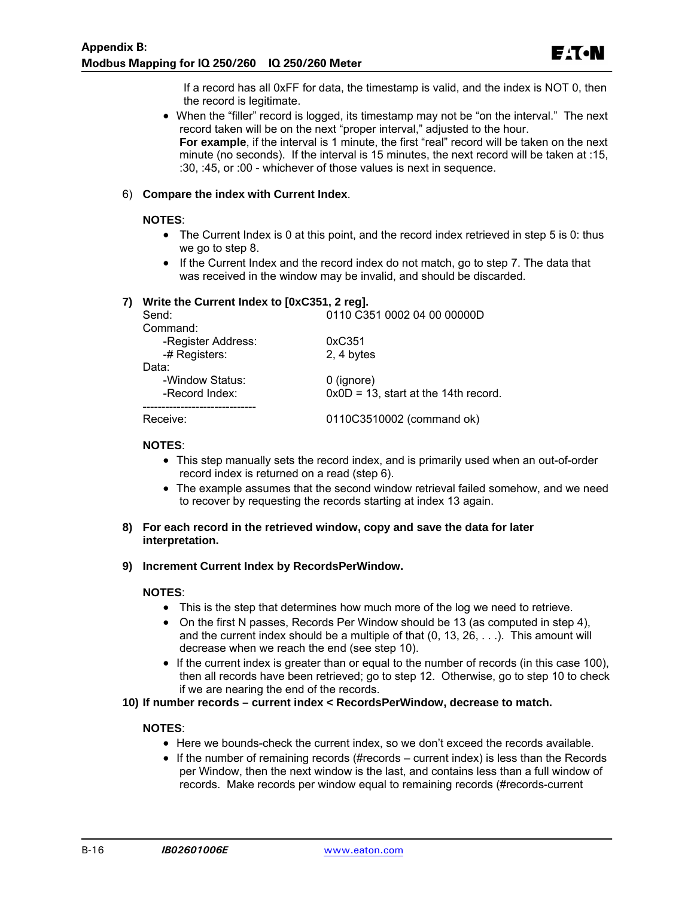If a record has all 0xFF for data, the timestamp is valid, and the index is NOT 0, then the record is legitimate.

• When the "filler" record is logged, its timestamp may not be "on the interval." The next record taken will be on the next "proper interval," adjusted to the hour. **For example**, if the interval is 1 minute, the first "real" record will be taken on the next minute (no seconds). If the interval is 15 minutes, the next record will be taken at :15, :30, :45, or :00 - whichever of those values is next in sequence.

#### 6) **Compare the index with Current Index**.

#### **NOTES**:

- The Current Index is 0 at this point, and the record index retrieved in step 5 is 0: thus we go to step 8.
- If the Current Index and the record index do not match, go to step 7. The data that was received in the window may be invalid, and should be discarded.

#### **7) Write the Current Index to [0xC351, 2 reg].**

| Send:              | 0110 C351 0002 04 00 00000D             |
|--------------------|-----------------------------------------|
| Command:           |                                         |
| -Register Address: | 0xC351                                  |
| -# Registers:      | 2, 4 bytes                              |
| Data:              |                                         |
| -Window Status:    | $0$ (ignore)                            |
| -Record Index:     | $0x0D = 13$ , start at the 14th record. |
|                    |                                         |
| Receive:           | 0110C3510002 (command ok)               |

#### **NOTES**:

- This step manually sets the record index, and is primarily used when an out-of-order record index is returned on a read (step 6).
- The example assumes that the second window retrieval failed somehow, and we need to recover by requesting the records starting at index 13 again.
- **8) For each record in the retrieved window, copy and save the data for later interpretation.**

#### **9) Increment Current Index by RecordsPerWindow.**

#### **NOTES**:

- This is the step that determines how much more of the log we need to retrieve.
- On the first N passes, Records Per Window should be 13 (as computed in step 4), and the current index should be a multiple of that  $(0, 13, 26, \ldots)$ . This amount will decrease when we reach the end (see step 10).
- If the current index is greater than or equal to the number of records (in this case 100), then all records have been retrieved; go to step 12. Otherwise, go to step 10 to check if we are nearing the end of the records.

#### **10) If number records – current index < RecordsPerWindow, decrease to match.**

#### **NOTES**:

- Here we bounds-check the current index, so we don't exceed the records available.
- $\bullet$  If the number of remaining records (#records current index) is less than the Records per Window, then the next window is the last, and contains less than a full window of records. Make records per window equal to remaining records (#records-current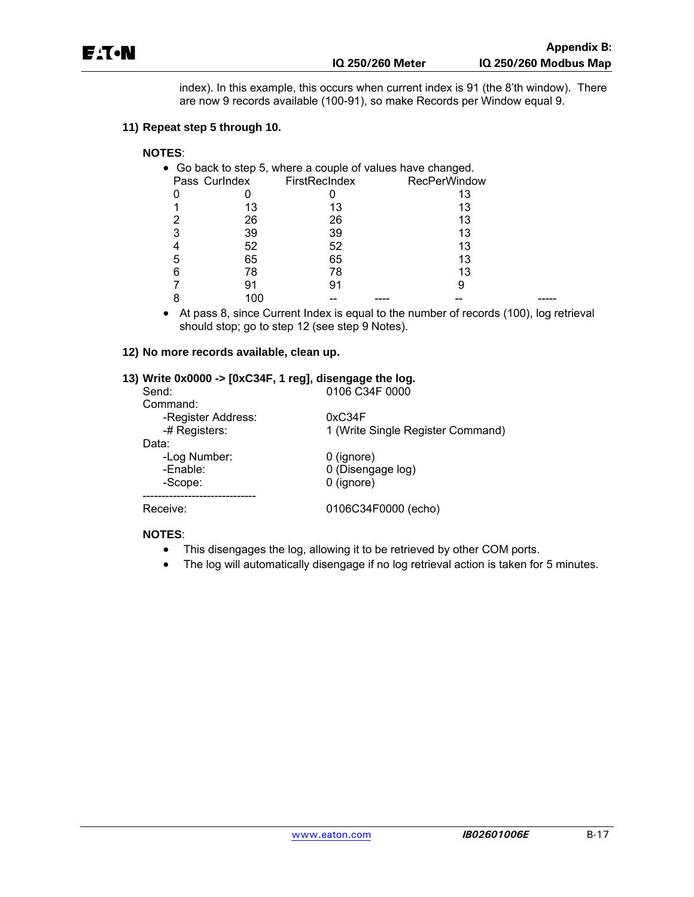index). In this example, this occurs when current index is 91 (the 8'th window). There are now 9 records available (100-91), so make Records per Window equal 9.

#### **11) Repeat step 5 through 10.**

### **NOTES**:

|   |               | • Go back to step 5, where a couple of values have changed. |                     |  |
|---|---------------|-------------------------------------------------------------|---------------------|--|
|   | Pass Curlndex | FirstRecIndex                                               | <b>RecPerWindow</b> |  |
|   |               |                                                             | 13                  |  |
|   | 13            | 13                                                          | 13                  |  |
|   | 26            | 26                                                          | 13                  |  |
| 3 | 39            | 39                                                          | 13                  |  |
|   | 52            | 52                                                          | 13                  |  |
| 5 | 65            | 65                                                          | 13                  |  |
| 6 | 78            | 78                                                          | 13                  |  |
|   | 91            | 91                                                          | 9                   |  |
|   | 100           |                                                             |                     |  |

 At pass 8, since Current Index is equal to the number of records (100), log retrieval should stop; go to step 12 (see step 9 Notes).

#### **12) No more records available, clean up.**

#### **13) Write 0x0000 -> [0xC34F, 1 reg], disengage the log.**

| Send:              | 0106 C34F 0000                    |
|--------------------|-----------------------------------|
| Command:           |                                   |
| -Register Address: | 0xC34F                            |
| -# Registers:      | 1 (Write Single Register Command) |
| Data:              |                                   |
| -Log Number:       | 0 (ignore)                        |
| -Enable:           | 0 (Disengage log)                 |
| -Scope:            | $0$ (ignore)                      |
|                    |                                   |
| Receive:           | 0106C34F0000 (echo)               |
|                    |                                   |

#### **NOTES**:

- This disengages the log, allowing it to be retrieved by other COM ports.
- The log will automatically disengage if no log retrieval action is taken for 5 minutes.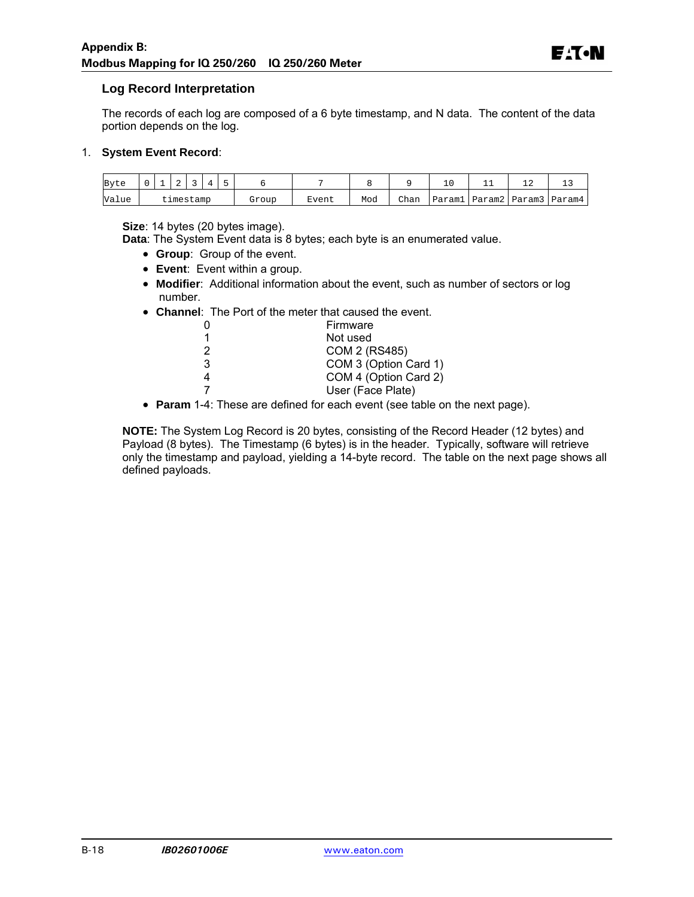#### **Log Record Interpretation**

The records of each log are composed of a 6 byte timestamp, and N data. The content of the data portion depends on the log.

#### 1. **System Event Record**:

| Byte  |  |           |  |       |       |     |      |        | ∸ | - -                  |
|-------|--|-----------|--|-------|-------|-----|------|--------|---|----------------------|
| Value |  | cimestamp |  | Group | Event | Mod | Chan | Paraml |   | Param2 Param3 Param4 |

**Size**: 14 bytes (20 bytes image).

**Data**: The System Event data is 8 bytes; each byte is an enumerated value.

- **Group**: Group of the event.
- **Event**: Event within a group.
- **Modifier**: Additional information about the event, such as number of sectors or log number.
- **Channel**: The Port of the meter that caused the event.

|   | Firmware              |
|---|-----------------------|
|   | Not used              |
| 2 | COM 2 (RS485)         |
| 3 | COM 3 (Option Card 1) |
| 4 | COM 4 (Option Card 2) |
|   | User (Face Plate)     |
|   |                       |

**Param** 1-4: These are defined for each event (see table on the next page).

**NOTE:** The System Log Record is 20 bytes, consisting of the Record Header (12 bytes) and Payload (8 bytes). The Timestamp (6 bytes) is in the header. Typically, software will retrieve only the timestamp and payload, yielding a 14-byte record. The table on the next page shows all defined payloads.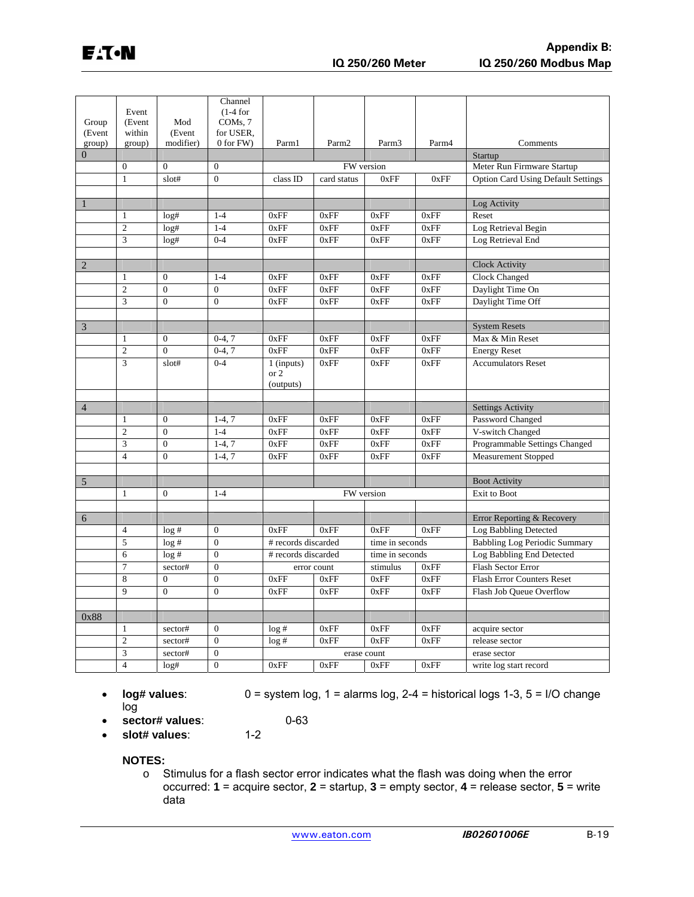|                  | Event                     |                     | Channel<br>$(1-4$ for  |                     |                   |                   |       |                                           |
|------------------|---------------------------|---------------------|------------------------|---------------------|-------------------|-------------------|-------|-------------------------------------------|
| Group            | (Event                    | Mod                 | COMs, 7                |                     |                   |                   |       |                                           |
| (Event<br>group) | within<br>group)          | (Event<br>modifier) | for USER,<br>0 for FW) | Parm1               | Parm <sub>2</sub> | Parm <sub>3</sub> | Parm4 | Comments                                  |
| $\overline{0}$   |                           |                     |                        |                     |                   |                   |       | Startup                                   |
|                  | $\mathbf{0}$              | $\mathbf{0}$        | $\boldsymbol{0}$       |                     | FW version        |                   |       | Meter Run Firmware Startup                |
|                  | $\mathbf{1}$              | slot#               | $\overline{0}$         | class ID            | card status       | 0xFF              | 0xFF  | <b>Option Card Using Default Settings</b> |
|                  |                           |                     |                        |                     |                   |                   |       |                                           |
| $\mathbf{1}$     |                           |                     |                        |                     |                   |                   |       | Log Activity                              |
|                  | $\mathbf{1}$              | log#                | $1 - 4$                | 0xFF                | 0xFF              | 0xFF              | 0xFF  | Reset                                     |
|                  | $\overline{2}$            | log#                | $1 - 4$                | 0xFF                | 0xFF              | 0xFF              | 0xFF  | Log Retrieval Begin                       |
|                  | 3                         | log#                | $0 - 4$                | 0xFF                | 0xFF              | 0xFF              | 0xFF  | Log Retrieval End                         |
|                  |                           |                     |                        |                     |                   |                   |       |                                           |
| $\overline{2}$   |                           |                     |                        |                     |                   |                   |       | <b>Clock Activity</b>                     |
|                  | 1                         | $\overline{0}$      | $1 - 4$                | 0xFF                | 0xFF              | 0xFF              | 0xFF  | Clock Changed                             |
|                  | $\overline{2}$            | $\overline{0}$      | $\mathbf{0}$           | 0xFF                | 0xFF              | 0xFF              | 0xFF  | Daylight Time On                          |
|                  | 3                         | $\overline{0}$      | $\overline{0}$         | 0xFF                | 0xFF              | 0xFF              | 0xFF  | Daylight Time Off                         |
|                  |                           |                     |                        |                     |                   |                   |       |                                           |
| $\overline{3}$   |                           |                     |                        |                     |                   |                   |       | <b>System Resets</b>                      |
|                  | $\mathbf{1}$              | $\mathbf{0}$        | $0-4, 7$               | 0xFF                | 0xFF              | 0xFF              | 0xFF  | Max & Min Reset                           |
|                  | $\overline{2}$            | $\overline{0}$      | $0-4, 7$               | 0xFF                | 0xFF              | 0xFF              | 0xFF  | <b>Energy Reset</b>                       |
|                  | 3                         | slot#               | $0 - 4$                | 1 (inputs)          | 0xFF              | 0xFF              | 0xFF  | <b>Accumulators Reset</b>                 |
|                  |                           |                     |                        | or 2<br>(outputs)   |                   |                   |       |                                           |
|                  |                           |                     |                        |                     |                   |                   |       |                                           |
| $\overline{4}$   |                           |                     |                        |                     |                   |                   |       | <b>Settings Activity</b>                  |
|                  | $\mathbf{1}$              | $\mathbf{0}$        | $1-4, 7$               | 0xFF                | 0xFF              | 0xFF              | 0xFF  | Password Changed                          |
|                  | $\overline{2}$            | $\overline{0}$      | $1 - 4$                | 0xFF                | 0xFF              | 0xFF              | 0xFF  | V-switch Changed                          |
|                  | $\ensuremath{\mathbf{3}}$ | $\overline{0}$      | $1-4, 7$               | 0xFF                | 0xFF              | 0xFF              | 0xFF  | Programmable Settings Changed             |
|                  | $\overline{4}$            | $\theta$            | $1-4, 7$               | 0xFF                | 0xFF              | 0xFF              | 0xFF  | <b>Measurement Stopped</b>                |
|                  |                           |                     |                        |                     |                   |                   |       |                                           |
| $\overline{5}$   |                           |                     |                        |                     |                   |                   |       | <b>Boot Activity</b>                      |
|                  | $\mathbf{1}$              | $\mathbf{0}$        | $1 - 4$                |                     | FW version        |                   |       | Exit to Boot                              |
|                  |                           |                     |                        |                     |                   |                   |       |                                           |
| 6                |                           |                     |                        |                     |                   |                   |       | Error Reporting & Recovery                |
|                  | $\overline{4}$            | log#                | $\boldsymbol{0}$       | 0xFF                | 0xFF              | 0xFF              | 0xFF  | Log Babbling Detected                     |
|                  | 5                         | log#                | $\overline{0}$         | # records discarded |                   | time in seconds   |       | <b>Babbling Log Periodic Summary</b>      |
|                  | 6                         | log#                | $\boldsymbol{0}$       | # records discarded |                   | time in seconds   |       | Log Babbling End Detected                 |
|                  | $\overline{7}$            | sector#             | $\boldsymbol{0}$       |                     | error count       | stimulus          | 0xFF  | <b>Flash Sector Error</b>                 |
|                  | 8                         | $\overline{0}$      | $\overline{0}$         | 0xFF                | 0xFF              | 0xFF              | 0xFF  | <b>Flash Error Counters Reset</b>         |
|                  | $\overline{9}$            | $\overline{0}$      | $\overline{0}$         | 0xFF                | 0xFF              | 0xFF              | 0xFF  | Flash Job Queue Overflow                  |
|                  |                           |                     |                        |                     |                   |                   |       |                                           |
| 0x88             |                           |                     |                        |                     |                   |                   |       |                                           |
|                  | $\mathbf{1}$              | sector#             | $\boldsymbol{0}$       | log#                | 0xFF              | 0xFF              | 0xFF  | acquire sector                            |
|                  | $\overline{2}$            | sector#             | $\mathbf{0}$           | log#                | 0xFF              | 0xFF              | 0xFF  | release sector                            |
|                  | 3                         | sector#             | $\boldsymbol{0}$       |                     | erase count       |                   |       | erase sector                              |
|                  | $\overline{4}$            | log#                | $\overline{0}$         | 0xFF                | 0xFF              | 0xFF              | 0xFF  | write log start record                    |

- **.**  $log# values: 0 = system log, 1 = alarms log, 2-4 = historical log, 1-3, 5 = I/O change$ log
- **sector# values:** 0-63<br>**slot# values**: 1-2
- **slot# values:**

**NOTES:** 

o Stimulus for a flash sector error indicates what the flash was doing when the error occurred: **1** = acquire sector, **2** = startup, **3** = empty sector, **4** = release sector, **5** = write data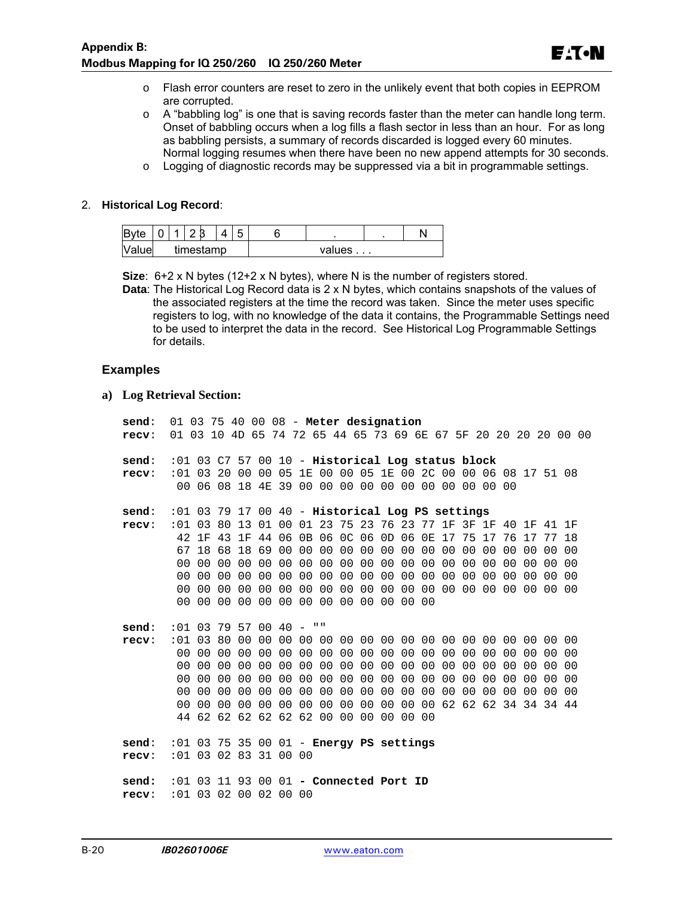- o Flash error counters are reset to zero in the unlikely event that both copies in EEPROM are corrupted.
- $\circ$  A "babbling log" is one that is saving records faster than the meter can handle long term. Onset of babbling occurs when a log fills a flash sector in less than an hour. For as long as babbling persists, a summary of records discarded is logged every 60 minutes. Normal logging resumes when there have been no new append attempts for 30 seconds.
- $\circ$  Logging of diagnostic records may be suppressed via a bit in programmable settings.

#### 2. **Historical Log Record**:

| Byte            | $\overline{\phantom{0}}$ |  |           | 4 |  |        |  |
|-----------------|--------------------------|--|-----------|---|--|--------|--|
| $N_{2}$<br>luel |                          |  | timestamp |   |  | values |  |

**Size**: 6+2 x N bytes (12+2 x N bytes), where N is the number of registers stored.

**Data**: The Historical Log Record data is 2 x N bytes, which contains snapshots of the values of the associated registers at the time the record was taken. Since the meter uses specific registers to log, with no knowledge of the data it contains, the Programmable Settings need to be used to interpret the data in the record. See Historical Log Programmable Settings for details.

#### **Examples**

**a) Log Retrieval Section:** 

| send:                                                                | 01 03 75 40 00 08 - Meter designation                        |                                                             |  |  |  |  |  |  |  |  |  |
|----------------------------------------------------------------------|--------------------------------------------------------------|-------------------------------------------------------------|--|--|--|--|--|--|--|--|--|
| recv: 01 03 10 4D 65 74 72 65 44 65 73 69 6E 67 5F 20 20 20 20 00 00 |                                                              |                                                             |  |  |  |  |  |  |  |  |  |
| send:                                                                |                                                              |                                                             |  |  |  |  |  |  |  |  |  |
|                                                                      | $:01$ 03 C7 57 00 10 - Historical Log status block           |                                                             |  |  |  |  |  |  |  |  |  |
| recv:                                                                | :01 03 20 00 00 05 1E 00 00 05 1E 00 2C 00 00 06 08 17 51 08 |                                                             |  |  |  |  |  |  |  |  |  |
|                                                                      |                                                              | 00 06 08 18 4E 39 00 00 00 00 00 00 00 00 00 00 00          |  |  |  |  |  |  |  |  |  |
| send:                                                                | $:01$ 03 79 17 00 40 - Historical Log PS settings            |                                                             |  |  |  |  |  |  |  |  |  |
| recv:                                                                | :01 03 80 13 01 00 01 23 75 23 76 23 77 1F 3F 1F 40 1F 41 1F |                                                             |  |  |  |  |  |  |  |  |  |
|                                                                      |                                                              | 42 1F 43 1F 44 06 0B 06 0C 06 0D 06 0E 17 75 17 76 17 77 18 |  |  |  |  |  |  |  |  |  |
|                                                                      |                                                              |                                                             |  |  |  |  |  |  |  |  |  |
|                                                                      |                                                              |                                                             |  |  |  |  |  |  |  |  |  |
|                                                                      |                                                              |                                                             |  |  |  |  |  |  |  |  |  |
|                                                                      |                                                              |                                                             |  |  |  |  |  |  |  |  |  |
|                                                                      |                                                              | 00 00 00 00 00 00 00 00 00 00 00 00 00                      |  |  |  |  |  |  |  |  |  |
|                                                                      |                                                              |                                                             |  |  |  |  |  |  |  |  |  |
| send:                                                                | $:01$ 03 79 57 00 40 - ""                                    |                                                             |  |  |  |  |  |  |  |  |  |
| recv:                                                                |                                                              |                                                             |  |  |  |  |  |  |  |  |  |
|                                                                      |                                                              |                                                             |  |  |  |  |  |  |  |  |  |
|                                                                      |                                                              |                                                             |  |  |  |  |  |  |  |  |  |
|                                                                      |                                                              |                                                             |  |  |  |  |  |  |  |  |  |
|                                                                      |                                                              |                                                             |  |  |  |  |  |  |  |  |  |
|                                                                      |                                                              |                                                             |  |  |  |  |  |  |  |  |  |
|                                                                      |                                                              | 44 62 62 62 62 62 62 00 00 00 00 00 00                      |  |  |  |  |  |  |  |  |  |
| $send: 01 03 75 35 00 01 - Energy PS settings$                       |                                                              |                                                             |  |  |  |  |  |  |  |  |  |
| recv:                                                                | $:01$ 03 02 83 31 00 00                                      |                                                             |  |  |  |  |  |  |  |  |  |
|                                                                      |                                                              |                                                             |  |  |  |  |  |  |  |  |  |
| send:                                                                | :01 03 11 93 00 01 - Connected Port ID                       |                                                             |  |  |  |  |  |  |  |  |  |
| recv:                                                                | :01 03 02 00 02 00 00                                        |                                                             |  |  |  |  |  |  |  |  |  |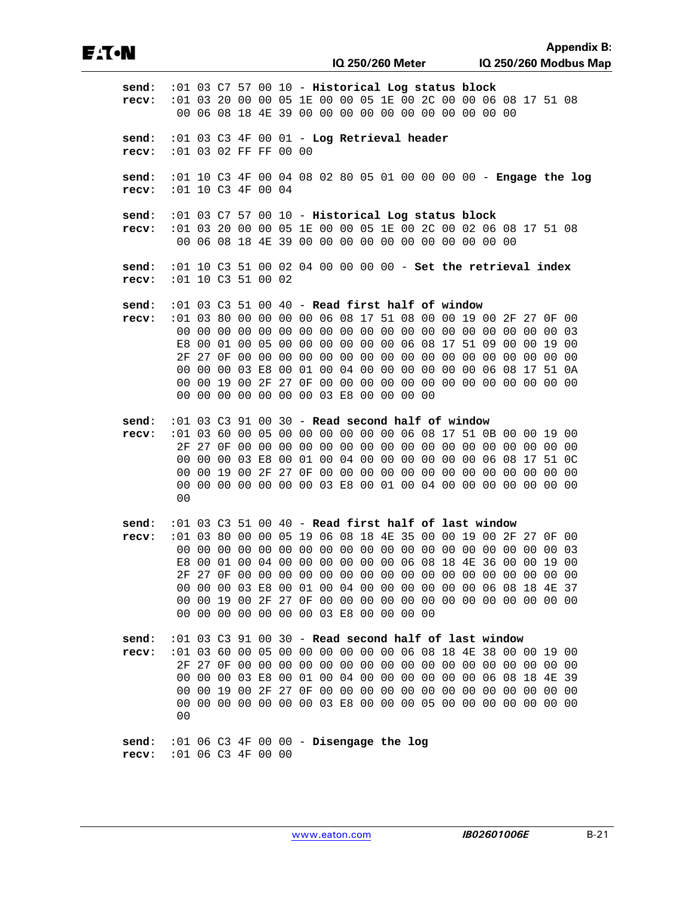**recv**: :01 06 C3 4F 00 00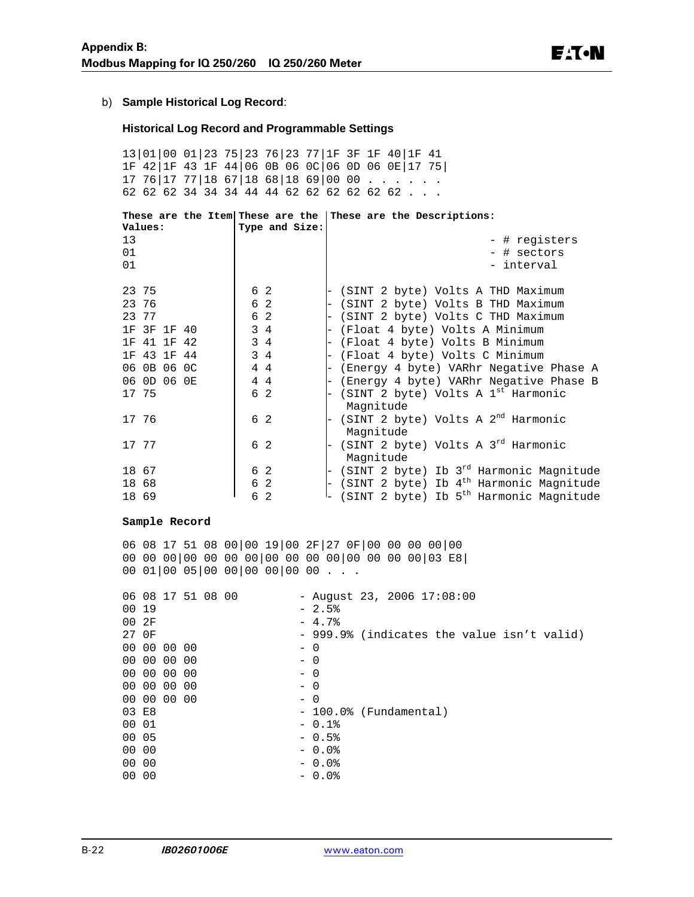#### b) **Sample Historical Log Record**:

#### **Historical Log Record and Programmable Settings**

13|01|00 01|23 75|23 76|23 77|1F 3F 1F 40|1F 41 1F 42|1F 43 1F 44|06 0B 06 0C|06 0D 06 0E|17 75|  $17 76|17 77|18 67|18 68|18 69|00 00 . . . . .$ 62 62 62 34 34 34 44 44 62 62 62 62 62 62 . . .

| Values:                                       | Type and Size:                         | These are the Item These are the These are the Descriptions:                                                                   |
|-----------------------------------------------|----------------------------------------|--------------------------------------------------------------------------------------------------------------------------------|
| 13<br>01<br>01                                |                                        | - # registers<br>- # sectors<br>- interval                                                                                     |
| 23 75<br>23 76<br>23 77                       | 6 2<br>6 2<br>6 2                      | (SINT 2 byte) Volts A THD Maximum<br>(SINT 2 byte) Volts B THD Maximum<br>-<br>(SINT 2 byte) Volts C THD Maximum               |
| 1F 3F 1F 40<br>41 1F 42<br>1 F<br>1F 43 1F 44 | $3\quad 4$<br>$3\quad 4$<br>$3\quad 4$ | (Float 4 byte) Volts A Minimum<br>(Float 4 byte) Volts B Minimum<br>(Float 4 byte) Volts C Minimum<br>$\overline{\phantom{0}}$ |
| 06 0B 06 0C<br>06 0D 06 0E                    | 4 4<br>44                              | (Energy 4 byte) VARhr Negative Phase A<br>$\overline{a}$<br>(Energy 4 byte) VARhr Negative Phase B                             |
| 17 75                                         | 6 2                                    | (SINT 2 byte) Volts A 1 <sup>st</sup> Harmonic<br>Magnitude                                                                    |
| 17 76                                         | 6 2                                    | (SINT 2 byte) Volts A $2^{nd}$ Harmonic<br>Magnitude                                                                           |
| 17 77                                         | 6 2                                    | (SINT 2 byte) Volts A 3rd Harmonic<br>Magnitude                                                                                |
| 18 67                                         | 6 2                                    | (SINT 2 byte) Ib $3^{rd}$ Harmonic Magnitude                                                                                   |
| 18 68                                         | 6 2                                    | (SINT 2 byte) Ib $4th$ Harmonic Magnitude                                                                                      |
| 18 69                                         | 2<br>6                                 | (SINT 2 byte) Ib 5 <sup>th</sup> Harmonic Magnitude                                                                            |

#### **Sample Record**

06 08 17 51 08 00|00 19|00 2F|27 0F|00 00 00 00|00 00 00 00|00 00 00 00|00 00 00 00|00 00 00 00|03 E8| 00 01|00 05|00 00|00 00|00 00 . . .

|       |             | 06 08 17 51 08 00 |  |       |         | - August 23, 2006 $17:08:00$               |
|-------|-------------|-------------------|--|-------|---------|--------------------------------------------|
| 00 19 |             |                   |  |       | $-2.5%$ |                                            |
| 002F  |             |                   |  |       | $-4.7%$ |                                            |
|       | 27 OF       |                   |  |       |         | - 999.9% (indicates the value isn't valid) |
|       | 00 00 00 00 |                   |  | $- 0$ |         |                                            |
|       | 00 00 00 00 |                   |  | $- 0$ |         |                                            |
|       | 00 00 00 00 |                   |  | $- 0$ |         |                                            |
|       | 00 00 00 00 |                   |  | $-0$  |         |                                            |
|       | 00 00 00 00 |                   |  | $- 0$ |         |                                            |
| 03 E8 |             |                   |  |       |         | $-100.0$ % (Fundamental)                   |
| 00 01 |             |                   |  |       | $-0.1%$ |                                            |
| 00 05 |             |                   |  |       | $-0.5%$ |                                            |
| 00 00 |             |                   |  |       | $-0.0%$ |                                            |
| 00 00 |             |                   |  |       | $-0.0%$ |                                            |
| 00 00 |             |                   |  |       | $-0.0%$ |                                            |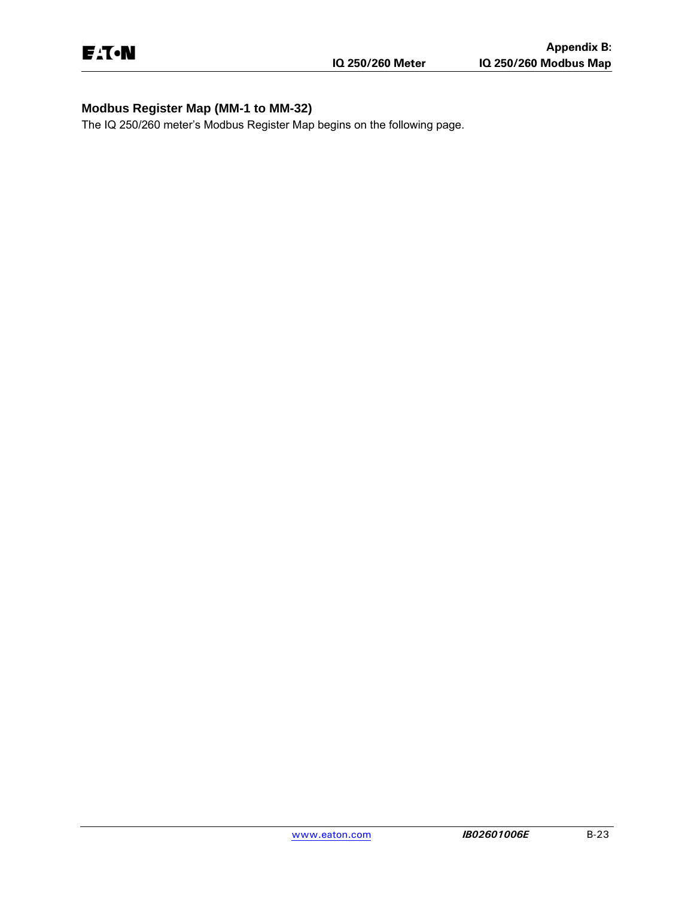# **Modbus Register Map (MM-1 to MM-32)**

The IQ 250/260 meter's Modbus Register Map begins on the following page.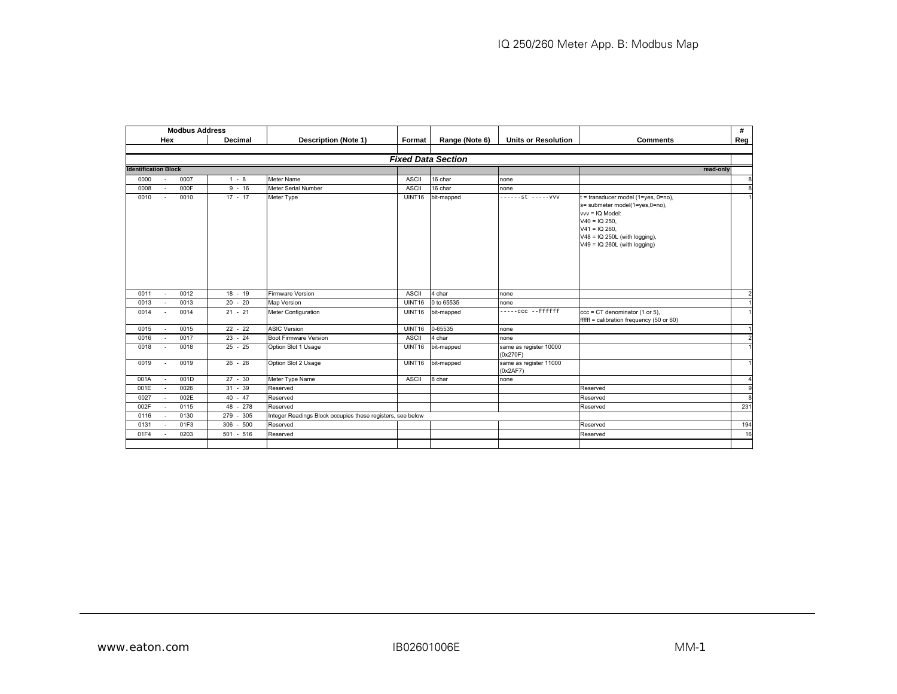|                             |                          | <b>Modbus Address</b> |               |                                                            |              |                           |                                    |                                                                                                                                                                                                      | #         |
|-----------------------------|--------------------------|-----------------------|---------------|------------------------------------------------------------|--------------|---------------------------|------------------------------------|------------------------------------------------------------------------------------------------------------------------------------------------------------------------------------------------------|-----------|
|                             | Hex                      |                       | Decimal       | <b>Description (Note 1)</b>                                | Format       | Range (Note 6)            | <b>Units or Resolution</b>         | <b>Comments</b>                                                                                                                                                                                      | Reg       |
|                             |                          |                       |               |                                                            |              | <b>Fixed Data Section</b> |                                    |                                                                                                                                                                                                      |           |
| <b>Identification Block</b> |                          |                       |               |                                                            |              |                           |                                    |                                                                                                                                                                                                      | read-only |
| 0000                        | $\sim$                   | 0007                  | $1 - 8$       | <b>Meter Name</b>                                          | <b>ASCII</b> | 16 char                   | none                               |                                                                                                                                                                                                      |           |
| 0008                        | $\sim$                   | 000F                  | $9 - 16$      | Meter Serial Number                                        | <b>ASCII</b> | 16 char                   | none                               |                                                                                                                                                                                                      |           |
| 0010                        | $\sim$                   | 0010                  | $17 - 17$     | Meter Type                                                 | UINT16       | bit-mapped                | ------st -----vvv                  | t = transducer model (1=yes, 0=no),<br>s= submeter model(1=yes,0=no),<br>vvv = IQ Model:<br>$V40 = IQ 250$ ,<br>$V41 = IQ 260.$<br>$V48 = IQ 250L$ (with logging),<br>$V49 = IQ 260L$ (with logging) |           |
| 0011                        | $\sim$                   | 0012                  | $18 - 19$     | <b>Firmware Version</b>                                    | <b>ASCII</b> | 4 char                    | none                               |                                                                                                                                                                                                      |           |
| 0013                        | $\overline{\phantom{a}}$ | 0013                  | $20 - 20$     | <b>Map Version</b>                                         | UINT16       | 0 to 65535                | none                               |                                                                                                                                                                                                      |           |
| 0014                        | $\sim$                   | 0014                  | $21 - 21$     | Meter Configuration                                        | UINT16       | bit-mapped                | -----ccc --ffffff                  | $ccc = CT$ denominator (1 or 5).<br>$f$ fffff = calibration frequency (50 or 60)                                                                                                                     |           |
| 0015                        | $\sim$                   | 0015                  | $22 - 22$     | <b>ASIC Version</b>                                        | UINT16       | 0-65535                   | none                               |                                                                                                                                                                                                      |           |
| 0016                        | $\sim$                   | 0017                  | $23 - 24$     | <b>Boot Firmware Version</b>                               | <b>ASCII</b> | 4 char                    | none                               |                                                                                                                                                                                                      |           |
| 0018                        | $\sim$                   | 0018                  | $25 - 25$     | Option Slot 1 Usage                                        | UINT16       | bit-mapped                | same as register 10000<br>(0x270F) |                                                                                                                                                                                                      |           |
| 0019                        | $\sim$                   | 0019                  | $26 - 26$     | Option Slot 2 Usage                                        | UINT16       | bit-mapped                | same as register 11000<br>(0x2AF7) |                                                                                                                                                                                                      |           |
| 001A                        | $\sim$                   | 001D                  | $27 - 30$     | Meter Type Name                                            | <b>ASCII</b> | 8 char                    | none                               |                                                                                                                                                                                                      |           |
| 001E                        | $\sim$                   | 0026                  | $31 - 39$     | Reserved                                                   |              |                           |                                    | Reserved                                                                                                                                                                                             |           |
| 0027                        | $\sim$                   | 002E                  | $40 - 47$     | Reserved                                                   |              |                           |                                    | Reserved                                                                                                                                                                                             |           |
| 002F                        | $\sim$                   | 0115                  | 48 - 278      | Reserved                                                   |              |                           |                                    | Reserved                                                                                                                                                                                             |           |
| 0116                        | $\sim$                   | 0130                  | 279 - 305     | Integer Readings Block occupies these registers, see below |              |                           |                                    |                                                                                                                                                                                                      |           |
| 0131                        | $\sim$                   | 01F3                  | $-500$<br>306 | Reserved                                                   |              |                           |                                    | Reserved                                                                                                                                                                                             |           |
|                             |                          |                       | $501 - 516$   | Reserved                                                   |              |                           |                                    | Reserved                                                                                                                                                                                             |           |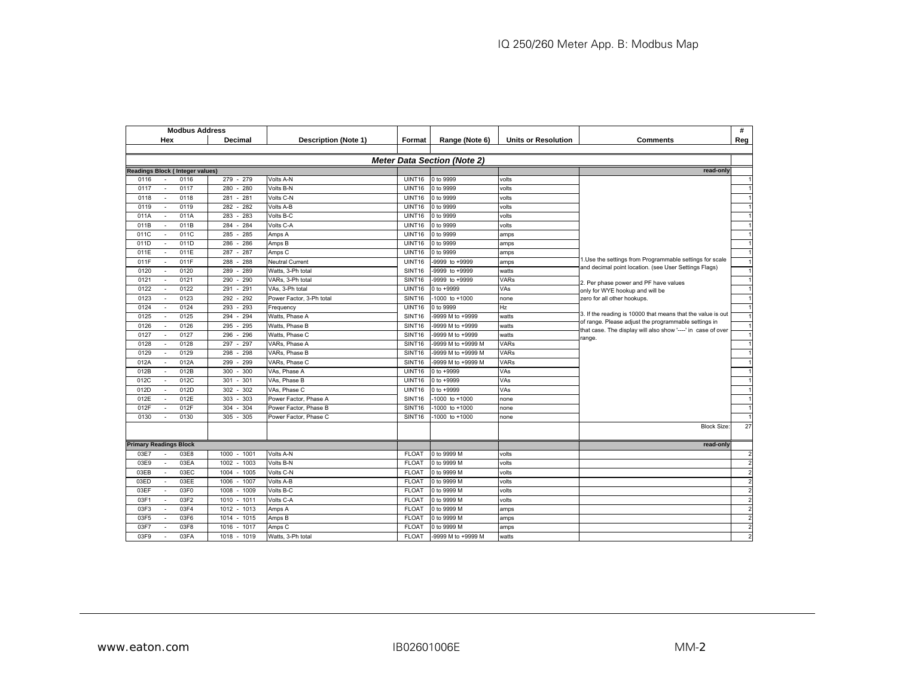| <b>Modbus Address</b>                    |                 |                             |                    |                                    |                            |                                                                                                                      | #              |
|------------------------------------------|-----------------|-----------------------------|--------------------|------------------------------------|----------------------------|----------------------------------------------------------------------------------------------------------------------|----------------|
| Hex                                      | Decimal         | <b>Description (Note 1)</b> | Format             | Range (Note 6)                     | <b>Units or Resolution</b> | <b>Comments</b>                                                                                                      | Reg            |
|                                          |                 |                             |                    |                                    |                            |                                                                                                                      |                |
|                                          |                 |                             |                    | <b>Meter Data Section (Note 2)</b> |                            |                                                                                                                      |                |
| <b>Readings Block (Integer values)</b>   |                 |                             |                    |                                    |                            | read-only                                                                                                            |                |
| 0116<br>0116                             | 279<br>$-279$   | Volts A-N                   | UINT16             | 0 to 9999                          | volts                      |                                                                                                                      |                |
| 0117<br>0117                             | 280<br>$-280$   | Volts B-N                   | UINT16             | 0 to 9999                          | volts                      |                                                                                                                      |                |
| 0118<br>0118                             | $-281$<br>281   | Volts C-N                   | UINT16             | 0 to 9999                          | volts                      |                                                                                                                      |                |
| 0119<br>0119<br>$\overline{\phantom{a}}$ | 282<br>282      | Volts A-B                   | UINT16             | 0 to 9999                          | volts                      |                                                                                                                      |                |
| 011A<br>011A                             | $-283$<br>283   | Volts B-C                   | UINT16             | 0 to 9999                          | volts                      |                                                                                                                      |                |
| 011B<br>011B                             | 284<br>284      | Volts C-A                   | UINT16             | 0 to 9999                          | volts                      |                                                                                                                      |                |
| 011C<br>011C<br>$\overline{\phantom{a}}$ | 285<br>285      | Amps A                      | UINT16             | 0 to 9999                          | amps                       |                                                                                                                      |                |
| 011D<br>011D                             | 286<br>286      | Amps B                      | UINT16             | 0 to 9999                          | amps                       |                                                                                                                      | $\overline{1}$ |
| 011E<br>011E<br>$\overline{\phantom{a}}$ | $-287$<br>287   | Amps <sub>C</sub>           | UINT16             | 0 to 9999                          | amps                       |                                                                                                                      | $\overline{1}$ |
| 011F<br>011F                             | 288<br>$-288$   | <b>Neutral Current</b>      | UINT16             | -9999 to +9999                     | amps                       | 1.Use the settings from Programmable settings for scale                                                              |                |
| 0120<br>0120                             | $-289$<br>289   | Watts, 3-Ph total           | SINT <sub>16</sub> | -9999 to +9999                     | watts                      | and decimal point location. (see User Settings Flags)                                                                | $\overline{1}$ |
| 0121<br>0121                             | $-290$<br>290   | VARs, 3-Ph total            | SINT16             | 9999 to +9999                      | VARs                       | 2. Per phase power and PF have values                                                                                |                |
| 0122<br>0122                             | 291<br>291      | VAs, 3-Ph total             | UINT16             | 0 to +9999                         | VAs                        | only for WYE hookup and will be                                                                                      |                |
| 0123<br>0123<br>÷                        | 292<br>292      | Power Factor, 3-Ph total    | SINT16             | -1000 to +1000                     | none                       | zero for all other hookups.                                                                                          |                |
| 0124<br>0124                             | 293<br>293      | Frequency                   | UINT16             | 0 to 9999                          | Hz                         |                                                                                                                      |                |
| 0125<br>0125                             | 294<br>294      | Watts, Phase A              | SINT16             | -9999 M to +9999                   | watts                      | 3. If the reading is 10000 that means that the value is out                                                          |                |
| 0126<br>0126                             | 295<br>$-295$   | Watts, Phase B              | SINT <sub>16</sub> | -9999 M to +9999                   | watts                      | of range. Please adjust the programmable settings in<br>that case. The display will also show '----' in case of over |                |
| 0127<br>0127<br>$\overline{\phantom{a}}$ | 296<br>296      | Watts, Phase C              | SINT16             | -9999 M to +9999                   | watts                      | range.                                                                                                               |                |
| 0128<br>0128                             | 297<br>$-297$   | VARs, Phase A               | SINT16             | -9999 M to +9999 M                 | <b>VARs</b>                |                                                                                                                      |                |
| 0129<br>0129                             | 298<br>298      | VARs, Phase B               | SINT <sub>16</sub> | 9999 M to +9999 M                  | VARs                       |                                                                                                                      |                |
| 012A<br>012A<br>$\sim$                   | 299<br>299      | VARs, Phase C               | SINT <sub>16</sub> | -9999 M to +9999 M                 | VARs                       |                                                                                                                      |                |
| 012B<br>012B                             | 300<br>$-300$   | VAs, Phase A                | UINT16             | 0 to +9999                         | VAs                        |                                                                                                                      |                |
| 012C<br>012C                             | 301<br>$-301$   | VAs, Phase B                | UINT16             | 0 to +9999                         | VAs                        |                                                                                                                      |                |
| 012D<br>012D<br>$\overline{\phantom{a}}$ | $-302$<br>302   | VAs, Phase C                | UINT16             | 0 to +9999                         | VAs                        |                                                                                                                      |                |
| 012E<br>012E                             | $-303$<br>303   | Power Factor, Phase A       | SINT <sub>16</sub> | 1000 to +1000                      | none                       |                                                                                                                      |                |
| 012F<br>012F                             | $-304$<br>304   | Power Factor, Phase B       | SINT16             | 1000 to +1000                      | none                       |                                                                                                                      |                |
| 0130<br>0130                             | $305 - 305$     | Power Factor, Phase C       | SINT <sub>16</sub> | 1000 to +1000                      | none                       |                                                                                                                      |                |
|                                          |                 |                             |                    |                                    |                            | <b>Block Size:</b>                                                                                                   | 27             |
| <b>Primary Readings Block</b>            |                 |                             |                    |                                    |                            | read-only                                                                                                            |                |
| 03E7<br>03E8<br>$\sim$                   | 1000 - 1001     | Volts A-N                   | <b>FLOAT</b>       | 0 to 9999 M                        | volts                      |                                                                                                                      | $\overline{2}$ |
| 03EA<br>03E9<br>$\sim$                   | 1002<br>$-1003$ | Volts B-N                   | <b>FLOAT</b>       | 0 to 9999 M                        | volts                      |                                                                                                                      | $\overline{2}$ |
| 03EC<br>03EB                             | 1004<br>$-1005$ | Volts C-N                   | <b>FLOAT</b>       | 0 to 9999 M                        | volts                      |                                                                                                                      | $\overline{2}$ |
| 03EE<br>03ED                             | 1006<br>$-1007$ | Volts A-B                   | <b>FLOAT</b>       | 0 to 9999 M                        | volts                      |                                                                                                                      | $\overline{2}$ |
| 03EF<br>03F0                             | 1008<br>$-1009$ | Volts B-C                   | <b>FLOAT</b>       | 0 to 9999 M                        | volts                      |                                                                                                                      | $\overline{2}$ |
| 03F1<br>03F2                             | $-1011$<br>1010 | Volts C-A                   | <b>FLOAT</b>       | 0 to 9999 M                        | volts                      |                                                                                                                      | $\overline{2}$ |
| 03F4<br>03F3                             | 1012<br>$-1013$ | Amps A                      | <b>FLOAT</b>       | 0 to 9999 M                        | amps                       |                                                                                                                      | $\overline{2}$ |
| 03F6<br>03F5<br>÷                        | $-1015$<br>1014 | Amps B                      | <b>FLOAT</b>       | 0 to 9999 M                        | amps                       |                                                                                                                      | $\overline{2}$ |
| 03F7<br>03F8                             | $-1017$<br>1016 | Amps C                      | <b>FLOAT</b>       | 0 to 9999 M                        | amps                       |                                                                                                                      | $\overline{2}$ |
| 03F9<br>03FA                             | $-1019$<br>1018 | Watts, 3-Ph total           | <b>FLOAT</b>       | -9999 M to +9999 M                 | watts                      |                                                                                                                      |                |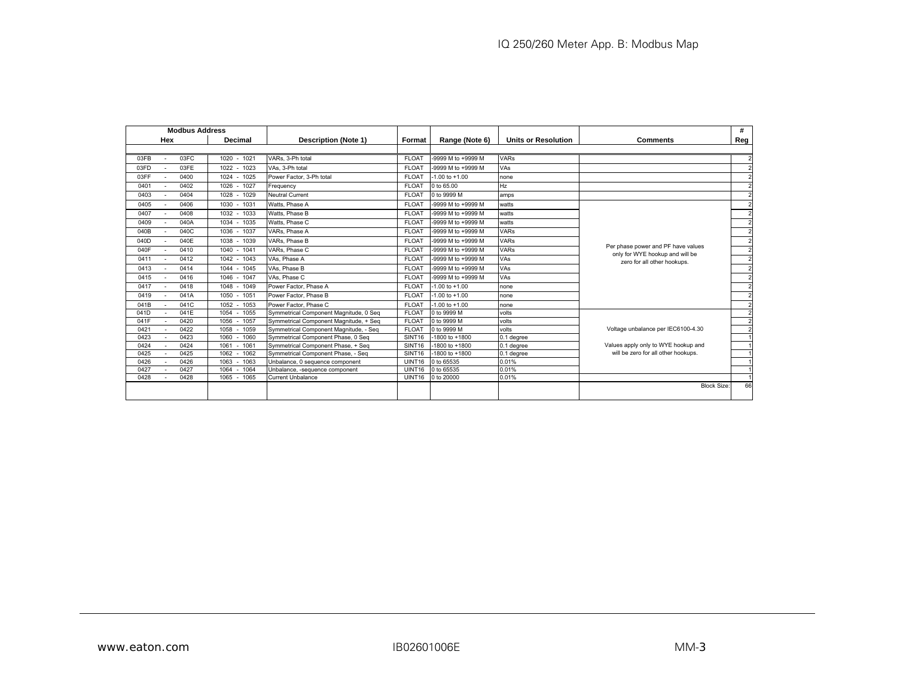| <b>Modbus Address</b> |                        |                                        |                    |                    |                            |                                                                       | #              |
|-----------------------|------------------------|----------------------------------------|--------------------|--------------------|----------------------------|-----------------------------------------------------------------------|----------------|
| Hex                   | Decimal                | <b>Description (Note 1)</b>            | Format             | Range (Note 6)     | <b>Units or Resolution</b> | <b>Comments</b>                                                       | Reg            |
|                       |                        |                                        |                    |                    |                            |                                                                       |                |
| 03FC<br>03FB          | 1020 - 1021            | VARs. 3-Ph total                       | <b>FLOAT</b>       | -9999 M to +9999 M | <b>VARs</b>                |                                                                       |                |
| 03FE<br>03FD          | 1023<br>$1022 -$       | VAs. 3-Ph total                        | <b>FLOAT</b>       | -9999 M to +9999 M | VAs                        |                                                                       |                |
| 0400<br>03FF          | 1024 - 1025            | Power Factor, 3-Ph total               | <b>FLOAT</b>       | $-1.00$ to $+1.00$ | none                       |                                                                       |                |
| 0402<br>0401          | 1026 - 1027            | Frequency                              | <b>FLOAT</b>       | 0 to 65.00         | Hz                         |                                                                       | $\sim$         |
| 0404<br>0403          | 1028<br>1029<br>$\sim$ | <b>Neutral Current</b>                 | <b>FLOAT</b>       | 0 to 9999 M        | amps                       |                                                                       |                |
| 0406<br>0405          | 1030 - 1031            | Watts, Phase A                         | <b>FLOAT</b>       | -9999 M to +9999 M | watts                      |                                                                       |                |
| 0408<br>0407          | $1032 -$<br>1033       | Watts, Phase B                         | <b>FLOAT</b>       | -9999 M to +9999 M | watts                      |                                                                       | $\overline{2}$ |
| 040A<br>0409          | 1035<br>1034<br>$\sim$ | Watts, Phase C                         | <b>FLOAT</b>       | -9999 M to +9999 M | watts                      |                                                                       | $\overline{2}$ |
| 040C<br>040B          | 1037<br>1036           | VARs. Phase A                          | <b>FLOAT</b>       | -9999 M to +9999 M | <b>VARs</b>                |                                                                       | $\overline{2}$ |
| 040E<br>040D          | 1039<br>1038<br>$\sim$ | VARs, Phase B                          | <b>FLOAT</b>       | -9999 M to +9999 M | <b>VARs</b>                |                                                                       | $\overline{2}$ |
| 040F<br>0410          | 1040<br>1041<br>$\sim$ | VARs, Phase C                          | <b>FLOAT</b>       | -9999 M to +9999 M | <b>VARs</b>                | Per phase power and PF have values<br>only for WYE hookup and will be | $\overline{2}$ |
| 0412<br>0411          | $1042 -$<br>1043       | VAs, Phase A                           | <b>FLOAT</b>       | -9999 M to +9999 M | VAs                        | zero for all other hookups.                                           | $\overline{a}$ |
| 0414<br>0413          | 1045<br>1044           | VAs. Phase B                           | <b>FLOAT</b>       | -9999 M to +9999 M | VAs                        |                                                                       | $\overline{2}$ |
| 0416<br>0415          | 1047<br>1046<br>$\sim$ | VAs. Phase C                           | <b>FLOAT</b>       | -9999 M to +9999 M | VAs                        |                                                                       | $\overline{2}$ |
| 0418<br>0417          | 1049<br>1048           | Power Factor, Phase A                  | <b>FLOAT</b>       | $-1.00$ to $+1.00$ | none                       |                                                                       | $\overline{2}$ |
| 041A<br>0419          | $1050 -$<br>1051       | Power Factor, Phase B                  | <b>FLOAT</b>       | $-1.00$ to $+1.00$ | none                       |                                                                       | $\overline{2}$ |
| 041C<br>041B          | $1052 -$<br>1053       | Power Factor, Phase C                  | <b>FLOAT</b>       | $-1.00$ to $+1.00$ | none                       |                                                                       | $\overline{2}$ |
| 041E<br>041D          | 1055<br>1054           | Symmetrical Component Magnitude, 0 Seq | <b>FLOAT</b>       | 0 to 9999 M        | volts                      |                                                                       |                |
| 0420<br>041F          | 1057<br>1056           | Symmetrical Component Magnitude, + Seq | <b>FLOAT</b>       | 0 to 9999 M        | volts                      |                                                                       | $\overline{2}$ |
| 0422<br>0421          | 1058<br>1059           | Symmetrical Component Magnitude, - Seg | <b>FLOAT</b>       | 0 to 9999 M        | volts                      | Voltage unbalance per IEC6100-4.30                                    | $\overline{2}$ |
| 0423<br>0423          | 1060<br>1060           | Symmetrical Component Phase, 0 Seg     | SINT <sub>16</sub> | -1800 to +1800     | 0.1 degree                 |                                                                       |                |
| 0424<br>0424          | 1061<br>1061           | Symmetrical Component Phase, + Seq     | SINT <sub>16</sub> | -1800 to +1800     | 0.1 degree                 | Values apply only to WYE hookup and                                   |                |
| 0425<br>0425          | 1062<br>1062           | Symmetrical Component Phase, - Seq     | SINT <sub>16</sub> | -1800 to +1800     | 0.1 degree                 | will be zero for all other hookups.                                   |                |
| 0426<br>0426          | 1063<br>1063           | Unbalance, 0 sequence component        | UINT <sub>16</sub> | 0 to 65535         | 0.01%                      |                                                                       |                |
| 0427<br>0427          | 1064<br>1064           | Unbalance, -sequence component         | UINT16             | 0 to 65535         | 0.01%                      |                                                                       |                |
| 0428<br>0428          | 1065<br>1065           | <b>Current Unbalance</b>               | UINT16             | 0 to 20000         | 0.01%                      |                                                                       |                |
|                       |                        |                                        |                    |                    |                            | <b>Block Size:</b>                                                    | 66             |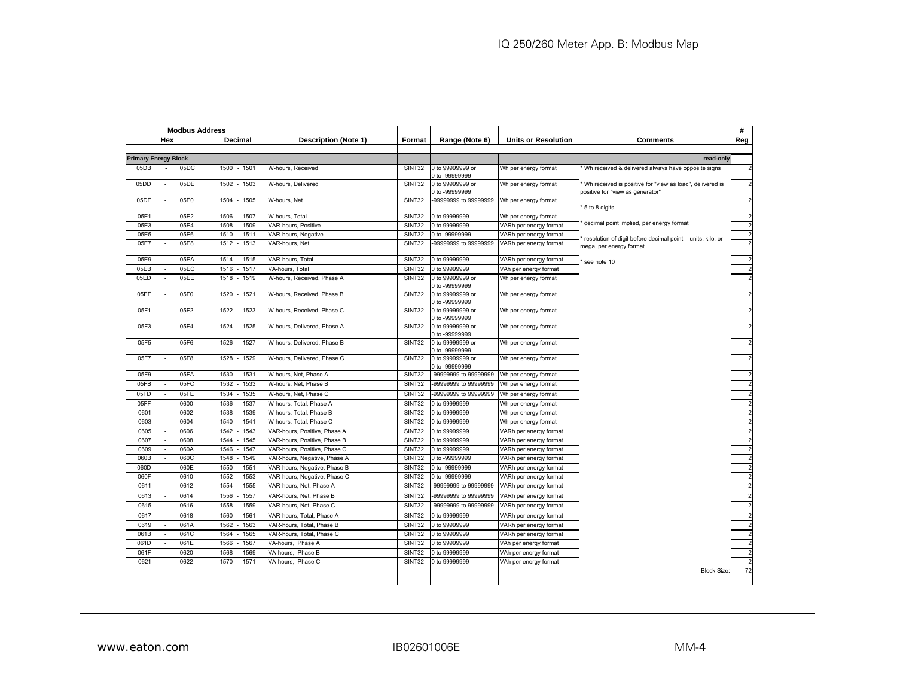| <b>Modbus Address</b>       |                          |      |                 |                              |               |                                    |                            | #                                                                                            |                |
|-----------------------------|--------------------------|------|-----------------|------------------------------|---------------|------------------------------------|----------------------------|----------------------------------------------------------------------------------------------|----------------|
|                             | Hex                      |      | Decimal         | Description (Note 1)         | Format        | Range (Note 6)                     | <b>Units or Resolution</b> | <b>Comments</b>                                                                              | Reg            |
|                             |                          |      |                 |                              |               |                                    |                            |                                                                                              |                |
| <b>Primary Energy Block</b> |                          |      |                 |                              |               |                                    |                            | read-only                                                                                    |                |
| 05DB                        |                          | 05DC | $-1501$<br>1500 | W-hours, Received            | SINT32        | 0 to 99999999 or<br>0 to -99999999 | Wh per energy format       | Wh received & delivered always have opposite signs                                           |                |
| 05DD                        | $\overline{\phantom{a}}$ | 05DE | 1502 - 1503     | W-hours, Delivered           | <b>SINT32</b> | 0 to 99999999 or<br>0 to -99999999 | Wh per energy format       | Wh received is positive for "view as load", delivered is<br>positive for "view as generator" |                |
| 05DF                        | $\sim$                   | 05E0 | 1504 - 1505     | W-hours, Net                 | SINT32        | -99999999 to 99999999              | Wh per energy format       | 5 to 8 digits                                                                                |                |
| 05E1                        | $\overline{\phantom{a}}$ | 05E2 | 1506<br>$-1507$ | W-hours, Total               | SINT32        | 0 to 99999999                      | Wh per energy format       |                                                                                              | $\overline{2}$ |
| 05E3                        | $\sim$                   | 05E4 | 1508<br>$-1509$ | VAR-hours, Positive          | SINT32        | 0 to 99999999                      | VARh per energy format     | decimal point implied, per energy format                                                     | $\overline{2}$ |
| 05E5                        | $\sim$                   | 05E6 | 1510<br>$-1511$ | VAR-hours, Negative          | SINT32        | 0 to -99999999                     | VARh per energy format     |                                                                                              | $\overline{2}$ |
| 05E7                        | ÷,                       | 05E8 | 1512 - 1513     | VAR-hours, Net               | SINT32        | 99999999 to 99999999               | VARh per energy format     | resolution of digit before decimal point = units, kilo, or<br>nega, per energy format        | $\mathcal{P}$  |
| 05E9                        | ÷.                       | 05EA | $-1515$<br>1514 | VAR-hours, Total             | SINT32        | 0 to 99999999                      | VARh per energy format     | see note 10                                                                                  |                |
| 05EB                        |                          | 05EC | $-1517$<br>1516 | VA-hours, Total              | SINT32        | 0 to 99999999                      | VAh per energy format      |                                                                                              |                |
| 05ED                        |                          | 05EE | $-1519$<br>1518 | W-hours, Received, Phase A   | SINT32        | 0 to 99999999 or<br>0 to -99999999 | Wh per energy format       |                                                                                              |                |
| 05EF                        | ÷,                       | 05F0 | 1520 - 1521     | W-hours, Received, Phase B   | <b>SINT32</b> | 0 to 99999999 or<br>0 to -99999999 | Wh per energy format       |                                                                                              |                |
| 05F1                        |                          | 05F2 | 1522 - 1523     | W-hours, Received, Phase C   | SINT32        | 0 to 99999999 or<br>0 to -99999999 | Wh per energy format       |                                                                                              |                |
| 05F3                        | $\overline{a}$           | 05F4 | 1524 - 1525     | W-hours, Delivered, Phase A  | SINT32        | 0 to 99999999 or<br>0 to -99999999 | Wh per energy format       |                                                                                              |                |
| 05F5                        |                          | 05F6 | 1526<br>$-1527$ | W-hours, Delivered, Phase B  | SINT32        | 0 to 99999999 or<br>0 to -99999999 | Wh per energy format       |                                                                                              |                |
| 05F7                        |                          | 05F8 | $-1529$<br>1528 | W-hours, Delivered, Phase C  | SINT32        | 0 to 99999999 or<br>0 to -99999999 | Wh per energy format       |                                                                                              |                |
| 05F9                        | $\sim$                   | 05FA | 1530<br>$-1531$ | W-hours, Net, Phase A        | <b>SINT32</b> | -99999999 to 99999999              | Wh per energy format       |                                                                                              |                |
| 05FB                        |                          | 05FC | $-1533$<br>1532 | W-hours, Net, Phase B        | SINT32        | -99999999 to 99999999              | Wh per energy format       |                                                                                              |                |
| 05FD                        | $\sim$                   | 05FE | $-1535$<br>1534 | W-hours, Net, Phase C        | SINT32        | -99999999 to 99999999              | Wh per energy format       |                                                                                              |                |
| 05FF                        |                          | 0600 | 1536<br>1537    | W-hours, Total, Phase A      | SINT32        | 0 to 99999999                      | Wh per energy format       |                                                                                              |                |
| 0601                        | $\sim$                   | 0602 | 1539<br>1538    | W-hours, Total, Phase B      | SINT32        | 0 to 99999999                      | Wh per energy format       |                                                                                              |                |
| 0603                        |                          | 0604 | 1540<br>1541    | W-hours, Total, Phase C      | SINT32        | 0 to 99999999                      | Wh per energy format       |                                                                                              |                |
| 0605                        | $\sim$                   | 0606 | 1542<br>1543    | VAR-hours, Positive, Phase A | SINT32        | 0 to 99999999                      | VARh per energy format     |                                                                                              |                |
| 0607                        |                          | 0608 | 1544<br>1545    | VAR-hours, Positive, Phase B | SINT32        | 0 to 99999999                      | VARh per energy format     |                                                                                              |                |
| 0609                        | $\sim$                   | 060A | 1546<br>1547    | /AR-hours, Positive, Phase C | SINT32        | 0 to 99999999                      | VARh per energy format     |                                                                                              |                |
| 060B                        |                          | 060C | 1548<br>1549    | VAR-hours, Negative, Phase A | SINT32        | 0 to -99999999                     | VARh per energy format     |                                                                                              |                |
| 060D                        | $\sim$                   | 060E | 1550<br>1551    | /AR-hours, Negative, Phase B | SINT32        | 0 to -99999999                     | VARh per energy format     |                                                                                              |                |
| 060F                        |                          | 0610 | 1553<br>1552    | VAR-hours, Negative, Phase C | SINT32        | 0 to -99999999                     | VARh per energy format     |                                                                                              |                |
| 0611                        | $\sim$                   | 0612 | 1555<br>1554    | VAR-hours, Net, Phase A      | SINT32        | 99999999 to 99999999               | VARh per energy format     |                                                                                              |                |
| 0613                        |                          | 0614 | 1556<br>1557    | VAR-hours, Net, Phase B      | SINT32        | 99999999 to 99999999               | VARh per energy format     |                                                                                              |                |
| 0615                        |                          | 0616 | $-1559$<br>1558 | VAR-hours, Net, Phase C      | SINT32        | 99999999 to 99999999               | VARh per energy format     |                                                                                              |                |
| 0617                        | $\sim$                   | 0618 | 1561<br>1560    | VAR-hours, Total, Phase A    | SINT32        | 0 to 99999999                      | VARh per energy format     |                                                                                              | $\overline{2}$ |
| 0619                        | ÷                        | 061A | 1563<br>1562    | VAR-hours, Total, Phase B    | SINT32        | 0 to 99999999                      | VARh per energy format     |                                                                                              | $\overline{2}$ |
| 061B                        | $\sim$                   | 061C | 1565<br>1564    | VAR-hours, Total, Phase C    | SINT32        | 0 to 99999999                      | VARh per energy format     |                                                                                              | $\overline{2}$ |
| 061D                        |                          | 061E | 1566<br>1567    | VA-hours, Phase A            | SINT32        | 0 to 99999999                      | VAh per energy format      |                                                                                              | $\overline{2}$ |
| 061F                        | $\overline{\phantom{a}}$ | 0620 | 1568<br>1569    | VA-hours, Phase B            | SINT32        | 0 to 99999999                      | VAh per energy format      |                                                                                              | $\overline{2}$ |
| 0621                        |                          | 0622 | $-1571$<br>1570 | VA-hours, Phase C            | SINT32        | 0 to 99999999                      | VAh per energy format      |                                                                                              | $\overline{2}$ |
|                             |                          |      |                 |                              |               |                                    |                            | <b>Block Size</b>                                                                            | 72             |
|                             |                          |      |                 |                              |               |                                    |                            |                                                                                              |                |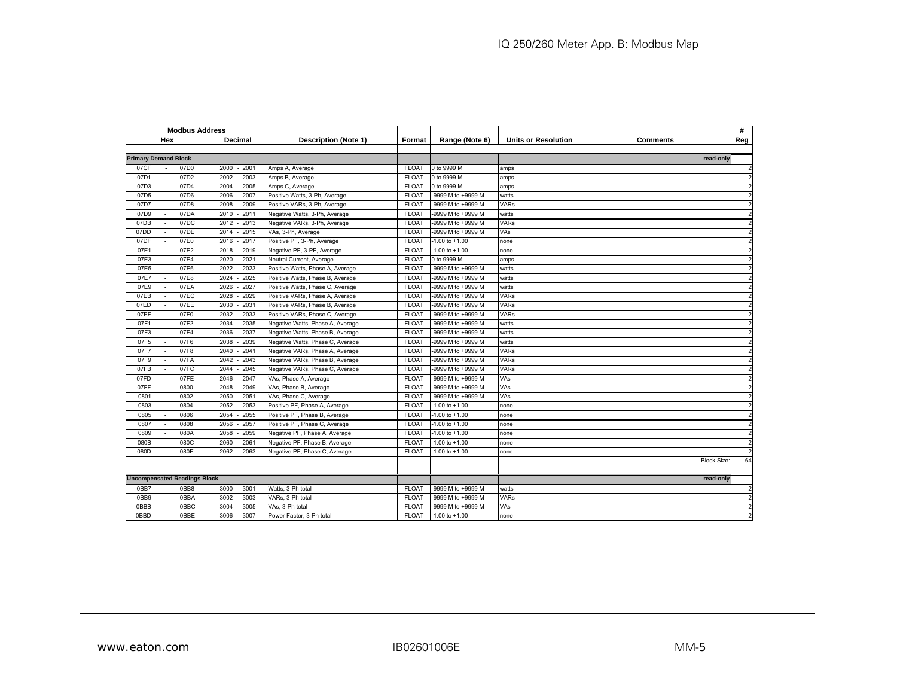| <b>Modbus Address</b>                    |                 |                                  |                   |                    |                            |                    | #              |
|------------------------------------------|-----------------|----------------------------------|-------------------|--------------------|----------------------------|--------------------|----------------|
| Hex                                      | Decimal         | <b>Description (Note 1)</b>      | Format            | Range (Note 6)     | <b>Units or Resolution</b> | Comments           | Reg            |
|                                          |                 |                                  |                   |                    |                            |                    |                |
| <b>Primary Demand Block</b>              |                 |                                  |                   |                    |                            | read-only          |                |
| 07D0<br>07CF                             | $-2001$<br>2000 | Amps A, Average                  | <b>FLOAT</b>      | 0 to 9999 M        | amps                       |                    | $\overline{2}$ |
| 07D1<br>07D2                             | 2003<br>2002    | Amps B, Average                  | FLOA <sup>®</sup> | 0 to 9999 M        | amps                       |                    |                |
| 07D3<br>07D4                             | 2004<br>2005    | Amps C, Average                  | <b>FLOAT</b>      | 0 to 9999 M        | amps                       |                    |                |
| 07D6<br>07D <sub>5</sub>                 | 2007<br>2006    | Positive Watts, 3-Ph, Average    | <b>FLOAT</b>      | -9999 M to +9999 M | watts                      |                    |                |
| 07D8<br>07D7                             | 2009<br>2008    | Positive VARs, 3-Ph, Average     | <b>FLOAT</b>      | -9999 M to +9999 M | <b>VARs</b>                |                    |                |
| 07D9<br>07DA                             | 2011<br>2010    | Negative Watts, 3-Ph, Average    | <b>FLOAT</b>      | -9999 M to +9999 M | watts                      |                    |                |
| 07DC<br>07DB                             | 2012<br>2013    | Negative VARs, 3-Ph, Average     | <b>FLOAT</b>      | -9999 M to +9999 M | <b>VARs</b>                |                    |                |
| 07DE<br>07DD                             | $-2015$<br>2014 | VAs, 3-Ph, Average               | <b>FLOAT</b>      | -9999 M to +9999 M | VAs                        |                    |                |
| 07E0<br>07DF                             | 2017<br>2016    | Positive PF, 3-Ph, Average       | <b>FLOAT</b>      | $-1.00$ to $+1.00$ | none                       |                    |                |
| 07E2<br>07E1<br>$\overline{\phantom{a}}$ | 2019<br>2018    | Negative PF, 3-PF, Average       | <b>FLOAT</b>      | $-1.00$ to $+1.00$ | none                       |                    | 2              |
| 07E4<br>07E3                             | 2021<br>2020    | Neutral Current, Average         | <b>FLOAT</b>      | 0 to 9999 M        | amps                       |                    | 2              |
| 07E5<br>07E6                             | 2023<br>2022    | Positive Watts, Phase A, Average | <b>FLOAT</b>      | -9999 M to +9999 M | watts                      |                    | $\overline{c}$ |
| 07E7<br>07E8                             | 2025<br>2024    | Positive Watts, Phase B, Average | <b>FLOAT</b>      | -9999 M to +9999 M | watts                      |                    | $\overline{c}$ |
| 07E9<br>07EA                             | 2026<br>2027    | Positive Watts, Phase C, Average | <b>FLOAT</b>      | -9999 M to +9999 M | watts                      |                    |                |
| 07EC<br>07EB                             | 2028<br>2029    | Positive VARs, Phase A, Average  | <b>FLOAT</b>      | -9999 M to +9999 M | <b>VARs</b>                |                    | $\overline{c}$ |
| 07ED<br>07EE                             | 2031<br>2030    | Positive VARs, Phase B, Average  | <b>FLOAT</b>      | -9999 M to +9999 M | <b>VARs</b>                |                    |                |
| 07EF<br>07F0                             | 2033<br>2032    | Positive VARs, Phase C, Average  | <b>FLOAT</b>      | -9999 M to +9999 M | <b>VARs</b>                |                    | 2              |
| 07F2<br>07F1                             | 2035<br>2034    | Negative Watts, Phase A, Average | <b>FLOAT</b>      | -9999 M to +9999 M | watts                      |                    |                |
| 07F4<br>07F3<br>$\sim$                   | 2037<br>2036    | Negative Watts, Phase B, Average | <b>FLOAT</b>      | -9999 M to +9999 M | watts                      |                    | $\overline{c}$ |
| 07F6<br>07F5                             | 2039<br>2038    | Negative Watts, Phase C, Average | <b>FLOAT</b>      | -9999 M to +9999 M | watts                      |                    | 2              |
| 07F8<br>07F7                             | 2041<br>2040    | Negative VARs, Phase A, Average  | <b>FLOAT</b>      | -9999 M to +9999 M | <b>VARs</b>                |                    |                |
| 07F9<br>07FA                             | 2043<br>2042    | Negative VARs, Phase B, Average  | <b>FLOAT</b>      | -9999 M to +9999 M | <b>VARs</b>                |                    |                |
| 07FB<br>07FC                             | 2045<br>2044    | Negative VARs, Phase C, Average  | <b>FLOAT</b>      | -9999 M to +9999 M | <b>VARs</b>                |                    |                |
| 07FE<br>07FD                             | 2047<br>2046    | VAs, Phase A, Average            | <b>FLOAT</b>      | -9999 M to +9999 M | VAs                        |                    | 2              |
| 07FF<br>0800                             | 2049<br>2048    | VAs, Phase B, Average            | <b>FLOAT</b>      | -9999 M to +9999 M | VAs                        |                    |                |
| 0802<br>0801                             | 2051<br>2050    | VAs, Phase C, Average            | <b>FLOAT</b>      | -9999 M to +9999 M | VAs                        |                    | 2              |
| 0803<br>0804                             | 2053<br>2052    | Positive PF, Phase A, Average    | <b>FLOAT</b>      | $-1.00$ to $+1.00$ | none                       |                    |                |
| 0806<br>0805                             | 2055<br>2054    | Positive PF, Phase B, Average    | <b>FLOAT</b>      | $-1.00$ to $+1.00$ | none                       |                    | 2              |
| 0808<br>0807                             | 2056<br>2057    | Positive PF, Phase C, Average    | <b>FLOAT</b>      | $-1.00$ to $+1.00$ | none                       |                    |                |
| 080A<br>0809                             | 2059<br>2058    | Negative PF, Phase A, Average    | <b>FLOAT</b>      | $-1.00$ to $+1.00$ | none                       |                    | $\overline{c}$ |
| 080C<br>080B                             | 2061<br>2060    | Negative PF, Phase B, Average    | <b>FLOAT</b>      | $-1.00$ to $+1.00$ | none                       |                    | 2              |
| 080D<br>080E<br>$\sim$                   | 2062<br>2063    | Negative PF, Phase C, Average    | <b>FLOAT</b>      | $-1.00$ to $+1.00$ | none                       |                    | $\overline{c}$ |
|                                          |                 |                                  |                   |                    |                            | <b>Block Size:</b> | 64             |
| <b>Uncompensated Readings Block</b>      |                 |                                  |                   |                    |                            | read-only          |                |
| 0BB7<br>0BB8<br>$\sim$                   | 3000<br>3001    | Watts, 3-Ph total                | <b>FLOAT</b>      | -9999 M to +9999 M | watts                      |                    | $\overline{2}$ |
| 0BB9<br>0BBA                             | 3003<br>3002    | VARs, 3-Ph total                 | <b>FLOAT</b>      | -9999 M to +9999 M | <b>VARs</b>                |                    | 2              |
| 0BBB<br>0BBC                             | 3005<br>3004    | VAs, 3-Ph total                  | <b>FLOAT</b>      | -9999 M to +9999 M | VAs                        |                    | $\overline{2}$ |
| 0BBE<br>0BBD                             | 3007<br>3006    | Power Factor, 3-Ph total         | <b>FLOAT</b>      | $-1.00$ to $+1.00$ | none                       |                    |                |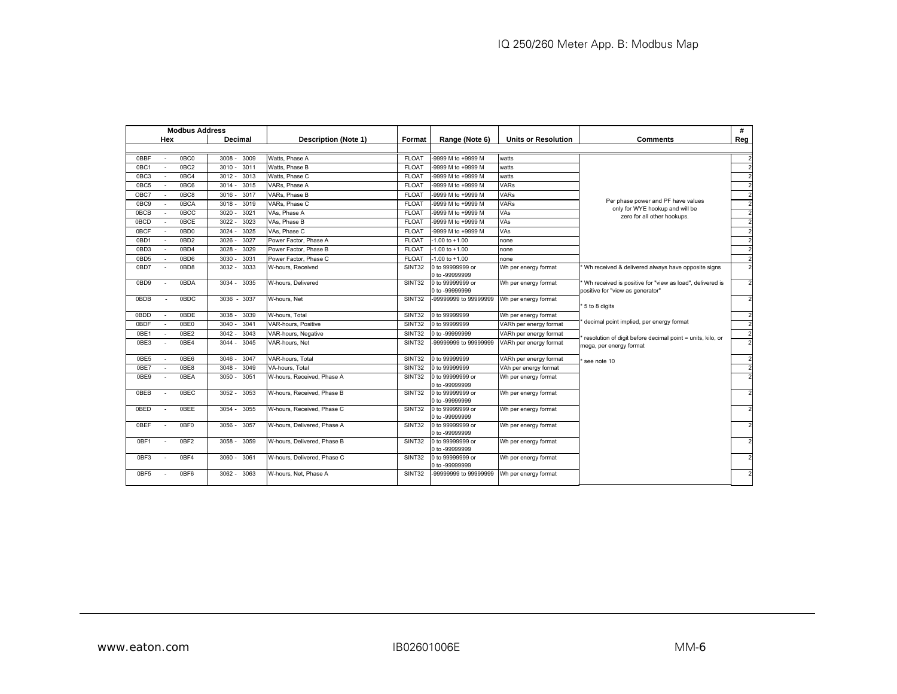|      | <b>Modbus Address</b> |                  |                  |                             |              |                                    |                            |                                                                                              | #              |
|------|-----------------------|------------------|------------------|-----------------------------|--------------|------------------------------------|----------------------------|----------------------------------------------------------------------------------------------|----------------|
|      | Hex                   |                  | Decimal          | <b>Description (Note 1)</b> | Format       | Range (Note 6)                     | <b>Units or Resolution</b> | Comments                                                                                     | Reg            |
|      |                       |                  |                  |                             |              |                                    |                            |                                                                                              |                |
| 0BBF |                       | 0BC <sub>0</sub> | $3008 -$<br>3009 | Watts, Phase A              | <b>FLOAT</b> | -9999 M to +9999 M                 | watts                      |                                                                                              |                |
| 0BC1 |                       | 0BC2             | 3011<br>$3010 -$ | Watts, Phase B              | <b>FLOAT</b> | -9999 M to +9999 M                 | watts                      |                                                                                              | $\mathcal{P}$  |
| 0BC3 |                       | 0BC4             | 3013<br>$3012 -$ | Watts, Phase C              | <b>FLOAT</b> | -9999 M to +9999 M                 | watts                      |                                                                                              | $\overline{2}$ |
| 0BC5 |                       | 0BC6             | 3015<br>$3014 -$ | VARs. Phase A               | <b>FLOAT</b> | 9999 M to +9999 M                  | <b>VARs</b>                |                                                                                              | $\overline{2}$ |
| OBC7 |                       | 0BC8             | $3016 -$<br>3017 | VARs. Phase B               | <b>FLOAT</b> | -9999 M to +9999 M                 | <b>VARs</b>                |                                                                                              | $\overline{2}$ |
| 0BC9 |                       | 0BCA             | 3018<br>3019     | VARs, Phase C               | <b>FLOAT</b> | -9999 M to +9999 M                 | <b>VARs</b>                | Per phase power and PF have values<br>only for WYE hookup and will be                        | $\overline{2}$ |
| 0BCB |                       | 0 <sub>BCC</sub> | 3020<br>3021     | VAs. Phase A                | <b>FLOAT</b> | -9999 M to +9999 M                 | VAs                        | zero for all other hookups.                                                                  | $\overline{2}$ |
| 0BCD |                       | <b>OBCE</b>      | $3022 -$<br>3023 | VAs. Phase B                | <b>FLOAT</b> | -9999 M to +9999 M                 | VAs                        |                                                                                              | $\overline{2}$ |
| 0BCF |                       | 0BD <sub>0</sub> | $3024 -$<br>3025 | VAs. Phase C                | <b>FLOAT</b> | -9999 M to +9999 M                 | VAs                        |                                                                                              | $\overline{2}$ |
| 0BD1 |                       | 0BD <sub>2</sub> | $3026 -$<br>3027 | Power Factor, Phase A       | <b>FLOAT</b> | $-1.00$ to $+1.00$                 | none                       |                                                                                              | $\overline{2}$ |
| 0BD3 |                       | 0BD4             | 3028<br>3029     | Power Factor, Phase B       | <b>FLOAT</b> | $-1.00$ to $+1.00$                 | none                       |                                                                                              | $\overline{2}$ |
| 0BD5 |                       | 0BD6             | 3031<br>3030     | Power Factor, Phase C       | <b>FLOAT</b> | $-1.00$ to $+1.00$                 | none                       |                                                                                              | $\overline{2}$ |
| 0BD7 |                       | 0BD8             | 3033<br>$3032 -$ | W-hours, Received           | SINT32       | 0 to 99999999 or<br>0 to -99999999 | Wh per energy format       | Wh received & delivered always have opposite signs                                           | $\overline{2}$ |
| 0BD9 |                       | 0BDA             | $3034 -$<br>3035 | W-hours, Delivered          | SINT32       | 0 to 99999999 or<br>0 to -99999999 | Wh per energy format       | Wh received is positive for "view as load", delivered is<br>positive for "view as generator" |                |
| 0BDB |                       | 0BDC             | 3036 - 3037      | W-hours, Net                | SINT32       | -99999999 to 99999999              | Wh per energy format       | 5 to 8 digits                                                                                | $\mathcal{P}$  |
| 0BDD |                       | 0BDE             | 3038<br>3039     | W-hours, Total              | SINT32       | 0 to 99999999                      | Wh per energy format       |                                                                                              | $\overline{2}$ |
| 0BDF | $\sim$                | 0BE0             | 3041<br>3040     | VAR-hours, Positive         | SINT32       | 0 to 99999999                      | VARh per energy format     | decimal point implied, per energy format                                                     | $\overline{2}$ |
| 0BE1 |                       | 0BE2             | 3042<br>3043     | VAR-hours, Negative         | SINT32       | 0 to -99999999                     | VARh per energy format     | resolution of digit before decimal point = units, kilo, or                                   | $\overline{2}$ |
| 0BE3 |                       | 0BE4             | $3044 -$<br>3045 | VAR-hours, Net              | SINT32       | -99999999 to 99999999              | VARh per energy format     | mega, per energy format                                                                      |                |
| 0BE5 |                       | 0BE6             | 3047<br>3046     | VAR-hours, Total            | SINT32       | 0 to 99999999                      | VARh per energy format     | see note 10                                                                                  | $\overline{2}$ |
| 0BE7 |                       | 0BE8             | 3048<br>3049     | VA-hours. Total             | SINT32       | 0 to 99999999                      | VAh per energy format      |                                                                                              | $\overline{2}$ |
| 0BE9 | $\sim$                | 0BFA             | $3050 -$<br>3051 | W-hours, Received, Phase A  | SINT32       | 0 to 99999999 or<br>0 to -99999999 | Wh per energy format       |                                                                                              | $\mathcal{P}$  |
| 0BEB |                       | 0BFC             | $3052 -$<br>3053 | W-hours, Received, Phase B  | SINT32       | 0 to 99999999 or<br>0 to -99999999 | Wh per energy format       |                                                                                              |                |
| 0BED |                       | 0BEE             | $3054 - 3055$    | W-hours, Received, Phase C  | SINT32       | 0 to 99999999 or<br>0 to -99999999 | Wh per energy format       |                                                                                              |                |
| 0BFF |                       | 0BF <sub>0</sub> | 3057<br>$3056 -$ | W-hours. Delivered. Phase A | SINT32       | 0 to 99999999 or<br>0 to -99999999 | Wh per energy format       |                                                                                              |                |
| 0BF1 |                       | 0BF2             | 3059<br>$3058 -$ | W-hours. Delivered. Phase B | SINT32       | 0 to 99999999 or<br>0 to -99999999 | Wh per energy format       |                                                                                              | $\overline{2}$ |
| 0BF3 |                       | 0BF4             | 3060 - 3061      | W-hours, Delivered, Phase C | SINT32       | 0 to 99999999 or<br>0 to -99999999 | Wh per energy format       |                                                                                              | $\mathcal{P}$  |
| 0BF5 |                       | 0BF6             | 3063<br>$3062 -$ | W-hours. Net. Phase A       | SINT32       | -99999999 to 99999999              | Wh per energy format       |                                                                                              | $\overline{2}$ |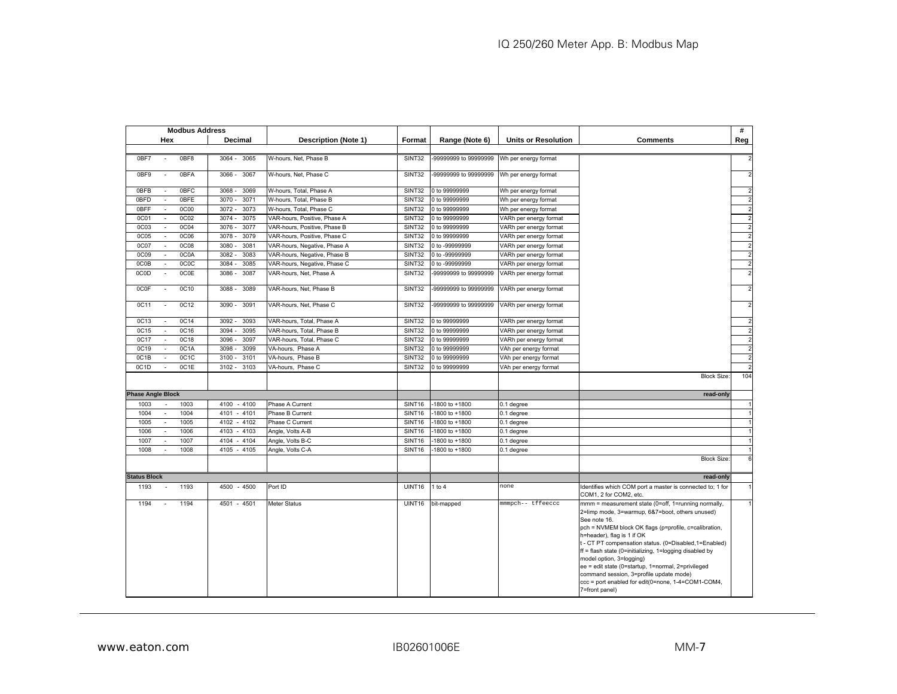|                     | <b>Modbus Address</b>                   |                  |                              |        |                       |                            |                                                                                                                                                                                                                                                                                                                                                                                                                                                                                                                                        | #                       |
|---------------------|-----------------------------------------|------------------|------------------------------|--------|-----------------------|----------------------------|----------------------------------------------------------------------------------------------------------------------------------------------------------------------------------------------------------------------------------------------------------------------------------------------------------------------------------------------------------------------------------------------------------------------------------------------------------------------------------------------------------------------------------------|-------------------------|
|                     | Hex                                     | Decimal          | <b>Description (Note 1)</b>  | Format | Range (Note 6)        | <b>Units or Resolution</b> | <b>Comments</b>                                                                                                                                                                                                                                                                                                                                                                                                                                                                                                                        | Reg                     |
|                     |                                         |                  |                              |        |                       |                            |                                                                                                                                                                                                                                                                                                                                                                                                                                                                                                                                        |                         |
| 0BF7                | 0BF8                                    | $3064 -$<br>3065 | W-hours, Net, Phase B        | SINT32 | -99999999 to 99999999 | Wh per energy format       |                                                                                                                                                                                                                                                                                                                                                                                                                                                                                                                                        |                         |
| 0BF9                | 0BFA<br>$\sim$                          | $3066 -$<br>3067 | W-hours, Net, Phase C        | SINT32 | -99999999 to 99999999 | Wh per energy format       |                                                                                                                                                                                                                                                                                                                                                                                                                                                                                                                                        |                         |
| 0BFB                | 0BFC                                    | 3068<br>3069     | W-hours, Total, Phase A      | SINT32 | 0 to 99999999         | Wh per energy format       |                                                                                                                                                                                                                                                                                                                                                                                                                                                                                                                                        |                         |
| 0BFD                | 0BFE<br>$\sim$                          | 3070<br>3071     | W-hours, Total, Phase B      | SINT32 | 0 to 99999999         | Wh per energy format       |                                                                                                                                                                                                                                                                                                                                                                                                                                                                                                                                        | $\overline{2}$          |
| 0BFF                | 0C00<br>$\sim$                          | $3072 -$<br>3073 | W-hours, Total, Phase C      | SINT32 | 0 to 99999999         | Wh per energy format       |                                                                                                                                                                                                                                                                                                                                                                                                                                                                                                                                        | $\overline{2}$          |
| 0C01                | 0C02<br>$\blacksquare$                  | $3074 -$<br>3075 | VAR-hours, Positive, Phase A | SINT32 | 0 to 99999999         | VARh per energy format     |                                                                                                                                                                                                                                                                                                                                                                                                                                                                                                                                        | $\overline{\mathbf{c}}$ |
| 0C <sub>03</sub>    | <b>0C04</b><br>$\overline{\phantom{a}}$ | $3076 -$<br>3077 | VAR-hours, Positive, Phase B | SINT32 | 0 to 99999999         | VARh per energy format     |                                                                                                                                                                                                                                                                                                                                                                                                                                                                                                                                        | $\overline{2}$          |
| <b>0C05</b>         | 0C06<br>$\mathcal{L}_{\mathcal{A}}$     | 3078<br>3079     | VAR-hours, Positive, Phase C | SINT32 | 0 to 99999999         | VARh per energy format     |                                                                                                                                                                                                                                                                                                                                                                                                                                                                                                                                        | $\overline{2}$          |
| 0C07                | <b>0C08</b><br>÷.                       | 3080<br>3081     | VAR-hours, Negative, Phase A | SINT32 | 0 to -99999999        | VARh per energy format     |                                                                                                                                                                                                                                                                                                                                                                                                                                                                                                                                        | $\overline{\mathbf{c}}$ |
| <b>0C09</b>         | 0C0A<br>$\overline{\phantom{a}}$        | 3082<br>3083     | VAR-hours, Negative, Phase B | SINT32 | 0 to -99999999        | VARh per energy format     |                                                                                                                                                                                                                                                                                                                                                                                                                                                                                                                                        | $\overline{2}$          |
| 0C0B                | 0C0C<br>÷.                              | 3084<br>3085     | VAR-hours, Negative, Phase C | SINT32 | 0 to -99999999        | VARh per energy format     |                                                                                                                                                                                                                                                                                                                                                                                                                                                                                                                                        | $\overline{2}$          |
| 0C0D                | 0C0E                                    | $3086 -$<br>3087 | VAR-hours, Net, Phase A      | SINT32 | -99999999 to 99999999 | VARh per energy format     |                                                                                                                                                                                                                                                                                                                                                                                                                                                                                                                                        |                         |
| 0C0F                | 0C10<br>L.                              | 3088<br>3089     | VAR-hours, Net, Phase B      | SINT32 | -99999999 to 99999999 | VARh per energy format     |                                                                                                                                                                                                                                                                                                                                                                                                                                                                                                                                        | $\overline{2}$          |
| 0C11                | 0C12                                    | 3091<br>3090     | VAR-hours, Net, Phase C      | SINT32 | -99999999 to 99999999 | VARh per energy format     |                                                                                                                                                                                                                                                                                                                                                                                                                                                                                                                                        | $\overline{2}$          |
| 0C13                | 0C14<br>$\sim$                          | 3092<br>3093     | VAR-hours, Total, Phase A    | SINT32 | 0 to 99999999         | VARh per energy format     |                                                                                                                                                                                                                                                                                                                                                                                                                                                                                                                                        |                         |
| 0C15                | 0C16<br>$\sim$                          | 3094<br>3095     | VAR-hours, Total, Phase B    | SINT32 | 0 to 99999999         | VARh per energy format     |                                                                                                                                                                                                                                                                                                                                                                                                                                                                                                                                        | $\overline{2}$          |
| 0C17                | 0C18<br>$\mathcal{L}_{\mathcal{A}}$     | 3096<br>3097     | VAR-hours, Total, Phase C    | SINT32 | 0 to 99999999         | VARh per energy format     |                                                                                                                                                                                                                                                                                                                                                                                                                                                                                                                                        | $\overline{2}$          |
| 0C19                | 0C1A<br>$\overline{\phantom{a}}$        | $3098 -$<br>3099 | VA-hours, Phase A            | SINT32 | 0 to 99999999         | VAh per energy format      |                                                                                                                                                                                                                                                                                                                                                                                                                                                                                                                                        | $\overline{2}$          |
| OC1B                | 0C1C<br>$\overline{\phantom{a}}$        | 3100.<br>3101    | VA-hours, Phase B            | SINT32 | 0 to 99999999         | VAh per energy format      |                                                                                                                                                                                                                                                                                                                                                                                                                                                                                                                                        | $\overline{2}$          |
| 0C1D                | 0C1E<br>$\sim$                          | $3102 -$<br>3103 | VA-hours, Phase C            | SINT32 | 0 to 99999999         | VAh per energy format      |                                                                                                                                                                                                                                                                                                                                                                                                                                                                                                                                        |                         |
|                     |                                         |                  |                              |        |                       |                            | <b>Block Size:</b>                                                                                                                                                                                                                                                                                                                                                                                                                                                                                                                     | 104                     |
|                     | <b>Phase Angle Block</b>                |                  |                              |        |                       |                            | read-only                                                                                                                                                                                                                                                                                                                                                                                                                                                                                                                              |                         |
| 1003                | 1003                                    | 4100<br>$-4100$  | Phase A Current              | SINT16 | -1800 to +1800        | 0.1 degree                 |                                                                                                                                                                                                                                                                                                                                                                                                                                                                                                                                        |                         |
| 1004                | 1004<br>$\sim$                          | 4101<br>$-4101$  | Phase B Current              | SINT16 | -1800 to +1800        | 0.1 degree                 |                                                                                                                                                                                                                                                                                                                                                                                                                                                                                                                                        |                         |
| 1005                | 1005<br>$\sim$                          | $-4102$<br>4102  | Phase C Current              | SINT16 | 1800 to +1800         | 0.1 degree                 |                                                                                                                                                                                                                                                                                                                                                                                                                                                                                                                                        |                         |
| 1006                | 1006<br>$\mathcal{L}_{\mathcal{A}}$     | $-4103$<br>4103  | Angle, Volts A-B             | SINT16 | 1800 to +1800         | 0.1 degree                 |                                                                                                                                                                                                                                                                                                                                                                                                                                                                                                                                        |                         |
| 1007                | 1007<br>$\blacksquare$                  | 4104<br>$-4104$  | Angle, Volts B-C             | SINT16 | -1800 to +1800        | 0.1 degree                 |                                                                                                                                                                                                                                                                                                                                                                                                                                                                                                                                        |                         |
| 1008                | 1008                                    | 4105 - 4105      | Angle, Volts C-A             | SINT16 | -1800 to +1800        | 0.1 degree                 |                                                                                                                                                                                                                                                                                                                                                                                                                                                                                                                                        |                         |
|                     |                                         |                  |                              |        |                       |                            | <b>Block Size:</b>                                                                                                                                                                                                                                                                                                                                                                                                                                                                                                                     | 6                       |
| <b>Status Block</b> |                                         |                  |                              |        |                       |                            | read-only                                                                                                                                                                                                                                                                                                                                                                                                                                                                                                                              |                         |
| 1193                | 1193                                    | $-4500$<br>4500  | Port ID                      | UINT16 | 1 to 4                | none                       | Identifies which COM port a master is connected to; 1 for<br>COM1, 2 for COM2, etc.                                                                                                                                                                                                                                                                                                                                                                                                                                                    |                         |
| 1194                | 1194<br>$\sim$                          | 4501 - 4501      | Meter Status                 | UINT16 | bit-mapped            | nmmpch-- tffeeccc          | mmm = measurement state (0=off, 1=running normally,<br>2=limp mode, 3=warmup, 6&7=boot, others unused)<br>See note 16.<br>pch = NVMEM block OK flags (p=profile, c=calibration,<br>h=header), flag is 1 if OK<br>t - CT PT compensation status. (0=Disabled,1=Enabled)<br>ff = flash state (0=initializing, 1=logging disabled by<br>model option, 3=logging)<br>ee = edit state (0=startup, 1=normal, 2=privileged<br>command session, 3=profile update mode)<br>ccc = port enabled for edit(0=none, 1-4=COM1-COM4,<br>7=front panel) |                         |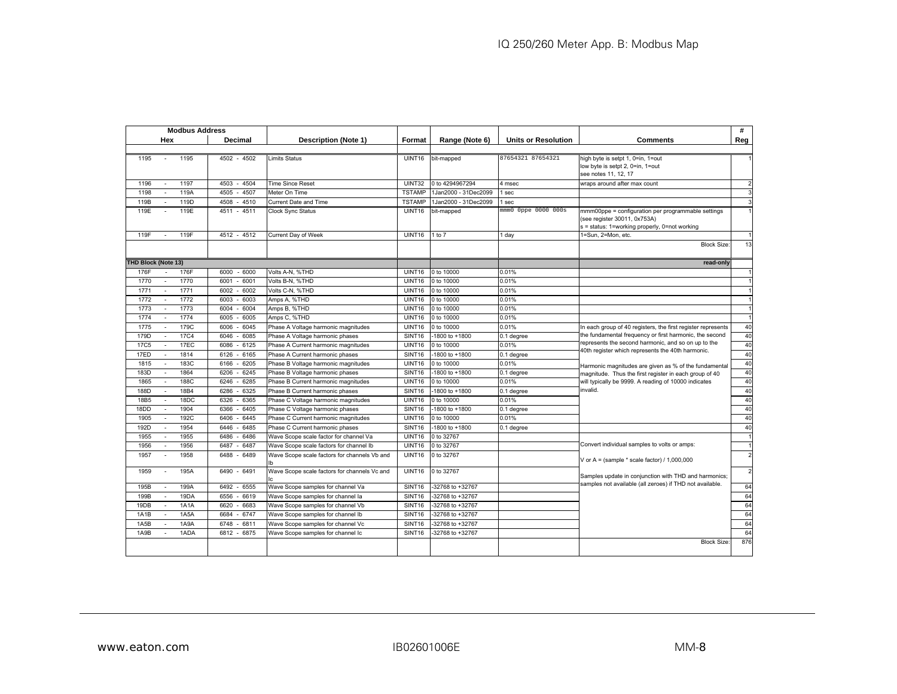| <b>Modbus Address</b>                    |                 |                                              |                                |                      |                            |                                                                                    | #              |
|------------------------------------------|-----------------|----------------------------------------------|--------------------------------|----------------------|----------------------------|------------------------------------------------------------------------------------|----------------|
| Hex                                      | Decimal         | Description (Note 1)                         | Format                         | Range (Note 6)       | <b>Units or Resolution</b> | <b>Comments</b>                                                                    | Reg            |
|                                          |                 |                                              |                                |                      |                            |                                                                                    |                |
| 1195<br>1195<br>$\sim$                   | $4502 - 4502$   | Limits Status                                | UINT16                         | bit-mapped           | 87654321 87654321          | high byte is setpt 1, 0=in, 1=out                                                  |                |
|                                          |                 |                                              |                                |                      |                            | low byte is setpt 2, 0=in, 1=out                                                   |                |
|                                          |                 |                                              |                                |                      |                            | see notes 11, 12, 17                                                               |                |
| 1196<br>1197                             | 4503<br>$-4504$ | <b>Time Since Reset</b>                      | UINT32                         | 0 to 4294967294      | 4 msec                     | wraps around after max count                                                       | $\overline{2}$ |
| 119A<br>1198<br>119D                     | 4505<br>$-4507$ | Meter On Time                                | <b>TSTAMP</b><br><b>TSTAMP</b> | 1Jan2000 - 31Dec2099 | 1 sec                      |                                                                                    |                |
| 119B                                     | 4508 - 4510     | Current Date and Time                        |                                | 1Jan2000 - 31Dec2099 | 1 sec                      |                                                                                    | 3              |
| 119E<br>119E                             | 4511 - 4511     | <b>Clock Sync Status</b>                     | UINT16                         | bit-mapped           | mmm0 Oppe 0000 000s        | mmm00ppe = configuration per programmable settings<br>(see register 30011, 0x753A) | $\mathbf{1}$   |
|                                          |                 |                                              |                                |                      |                            | s = status: 1=working properly, 0=not working                                      |                |
| 119F<br>119F                             | 4512 - 4512     | Current Day of Week                          | UINT16                         | $1$ to $7$           | I day                      | 1=Sun, 2=Mon, etc.                                                                 | $\mathbf{1}$   |
|                                          |                 |                                              |                                |                      |                            | <b>Block Size</b>                                                                  | 13             |
|                                          |                 |                                              |                                |                      |                            |                                                                                    |                |
| <b>THD Block (Note 13)</b>               |                 |                                              |                                |                      |                            | read-only                                                                          |                |
| 176F<br>176F                             | 6000<br>$-6000$ | Volts A-N, %THD                              | UINT16                         | 0 to 10000           | 0.01%                      |                                                                                    | $\overline{1}$ |
| 1770<br>1770                             | $-6001$<br>6001 | Volts B-N, %THD                              | UINT16                         | 0 to 10000           | 0.01%                      |                                                                                    | $\mathbf{1}$   |
| 1771<br>1771<br>٠                        | 6002<br>$-6002$ | Volts C-N, %THD                              | UINT16                         | 0 to 10000           | 0.01%                      |                                                                                    |                |
| 1772<br>1772<br>$\sim$                   | $-6003$<br>6003 | Amps A, %THD                                 | UINT16                         | 0 to 10000           | 0.01%                      |                                                                                    | $\mathbf{1}$   |
| 1773<br>1773                             | 6004<br>6004    | Amps B, %THD                                 | UINT16                         | 0 to 10000           | 0.01%                      |                                                                                    | 1              |
| 1774<br>1774<br>$\sim$                   | 6005<br>$-6005$ | Amps C, %THD                                 | UINT16                         | 0 to 10000           | 0.01%                      |                                                                                    | $\mathbf{1}$   |
| 1775<br>179C                             | 6045<br>6006    | Phase A Voltage harmonic magnitudes          | UINT16                         | 0 to 10000           | 0.01%                      | In each group of 40 registers, the first register represents                       | 40             |
| 179D<br>17 <sub>C4</sub>                 | 6046<br>6085    | Phase A Voltage harmonic phases              | SINT <sub>16</sub>             | -1800 to +1800       | 0.1 degree                 | the fundamental frequency or first harmonic, the second                            | 40             |
| 17EC<br><b>17C5</b><br>$\sim$            | $-6125$<br>6086 | Phase A Current harmonic magnitudes          | UINT16                         | 0 to 10000           | 0.01%                      | represents the second harmonic, and so on up to the                                | 40             |
| 17ED<br>1814<br>٠                        | 6126<br>$-6165$ | Phase A Current harmonic phases              | <b>SINT16</b>                  | -1800 to +1800       | 0.1 degree                 | 40th register which represents the 40th harmonic.                                  | 40             |
| 183C<br>1815                             | 6166<br>6205    | Phase B Voltage harmonic magnitudes          | <b>UINT16</b>                  | 0 to 10000           | 0.01%                      | Harmonic magnitudes are given as % of the fundamental                              | 40             |
| 1864<br>183D                             | 6245<br>6206    | Phase B Voltage harmonic phases              | SINT16                         | -1800 to +1800       | 0.1 degree                 | magnitude. Thus the first register in each group of 40                             | 40             |
| 188C<br>1865                             | 6285<br>6246    | Phase B Current harmonic magnitudes          | UINT16                         | 0 to 10000           | 0.01%                      | will typically be 9999. A reading of 10000 indicates                               | 40             |
| 18B4<br>188D                             | 6286<br>$-6325$ | Phase B Current harmonic phases              | <b>SINT16</b>                  | -1800 to +1800       | 0.1 degree                 | invalid.                                                                           | 40             |
| 18DC<br>18B5<br>$\sim$                   | $-6365$<br>6326 | Phase C Voltage harmonic magnitudes          | UINT16                         | 0 to 10000           | 0.01%                      |                                                                                    | 40             |
| 1904<br>18DD<br>$\overline{\phantom{a}}$ | 6366<br>6405    | Phase C Voltage harmonic phases              | <b>SINT16</b>                  | -1800 to +1800       | 0.1 degree                 |                                                                                    | 40             |
| 192C<br>1905                             | 6445<br>6406    | Phase C Current harmonic magnitudes          | UINT16                         | 0 to 10000           | 0.01%                      |                                                                                    | 40             |
| 192D<br>1954                             | $-6485$<br>6446 | Phase C Current harmonic phases              | SINT16                         | -1800 to +1800       | 0.1 degree                 |                                                                                    | 40             |
| 1955<br>1955                             | 6486<br>6486    | Wave Scope scale factor for channel Va       | UINT16                         | 0 to 32767           |                            |                                                                                    |                |
| 1956<br>1956<br>$\sim$                   | 6487<br>$-6487$ | Wave Scope scale factors for channel Ib      | UINT16                         | 0 to 32767           |                            | Convert individual samples to volts or amps:                                       | $\mathbf{1}$   |
| 1958<br>1957                             | 6488<br>$-6489$ | Wave Scope scale factors for channels Vb and | UINT16                         | 0 to 32767           |                            | V or A = (sample $*$ scale factor) / 1,000,000                                     | $\overline{2}$ |
| 195A<br>1959<br>$\sim$                   | $-6491$<br>6490 | Wave Scope scale factors for channels Vc and | UINT16                         | 0 to 32767           |                            | Samples update in conjunction with THD and harmonics;                              | $\overline{a}$ |
| 199A<br>195B                             | $-6555$<br>6492 | Wave Scope samples for channel Va            | SINT16                         | -32768 to +32767     |                            | samples not available (all zeroes) if THD not available.                           | 64             |
| 19DA<br>199B                             | 6556<br>$-6619$ | Wave Scope samples for channel la            | <b>SINT16</b>                  | -32768 to +32767     |                            |                                                                                    | 64             |
| 1A1A<br>19DB                             | $-6683$<br>6620 | Wave Scope samples for channel Vb            | SINT <sub>16</sub>             | -32768 to +32767     |                            |                                                                                    | 64             |
| 1A5A<br>1A1B<br>$\sim$                   | 6684<br>$-6747$ | Wave Scope samples for channel Ib            | <b>SINT16</b>                  | -32768 to +32767     |                            |                                                                                    | 64             |
| 1A9A<br>1A5B                             | 6811<br>6748    | Wave Scope samples for channel Vc            | SINT16                         | -32768 to +32767     |                            |                                                                                    | 64             |
| 1ADA<br>1A9B                             | 6812 - 6875     | Wave Scope samples for channel Ic            | SINT <sub>16</sub>             | -32768 to +32767     |                            |                                                                                    | 64             |
|                                          |                 |                                              |                                |                      |                            | <b>Block Size</b>                                                                  | 876            |
|                                          |                 |                                              |                                |                      |                            |                                                                                    |                |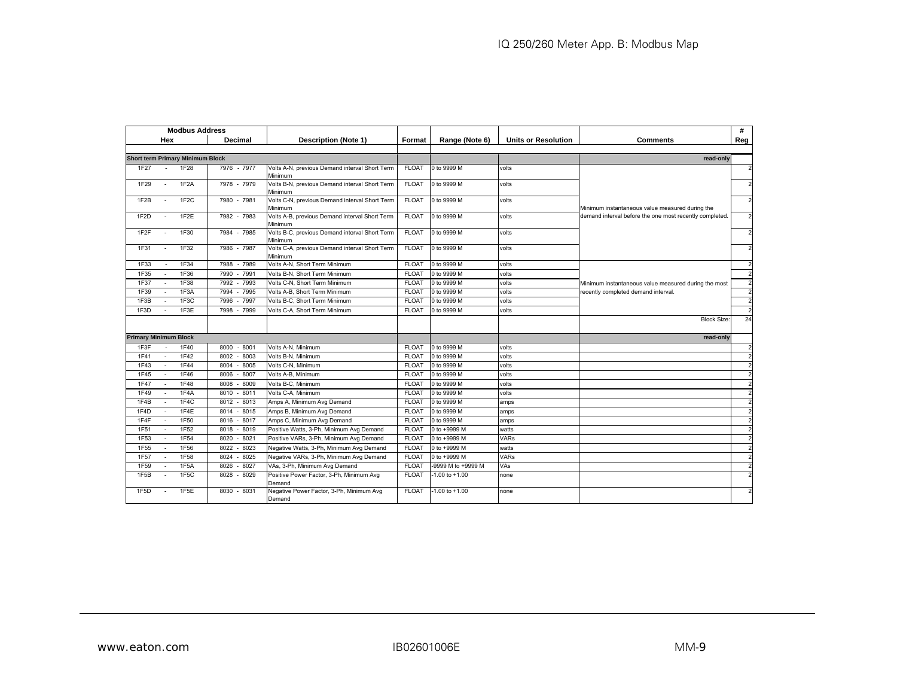|                              |                          | <b>Modbus Address</b>                   |                        |                                                           |              |                    |                            |                                                         | #              |
|------------------------------|--------------------------|-----------------------------------------|------------------------|-----------------------------------------------------------|--------------|--------------------|----------------------------|---------------------------------------------------------|----------------|
|                              | Hex                      |                                         | Decimal                | <b>Description (Note 1)</b>                               | Format       | Range (Note 6)     | <b>Units or Resolution</b> | <b>Comments</b>                                         | Reg            |
|                              |                          |                                         |                        |                                                           |              |                    |                            |                                                         |                |
|                              |                          | <b>Short term Primary Minimum Block</b> |                        |                                                           |              |                    |                            | read-only                                               |                |
| 1F27                         |                          | <b>1F28</b>                             | 7976 - 7977            | Volts A-N, previous Demand interval Short Term<br>Minimum | <b>FLOAT</b> | 0 to 9999 M        | volts                      |                                                         | $\overline{2}$ |
| 1F29                         | $\overline{\phantom{a}}$ | 1F <sub>2</sub> A                       | 7978 - 7979            | Volts B-N, previous Demand interval Short Term<br>Minimum | <b>FLOAT</b> | 0 to 9999 M        | volts                      |                                                         | $\overline{2}$ |
| 1F2B                         |                          | 1F <sub>2</sub> C                       | 7980 - 7981            | Volts C-N, previous Demand interval Short Term<br>Minimum | <b>FLOAT</b> | 0 to 9999 M        | volts                      | Minimum instantaneous value measured during the         | $\overline{2}$ |
| 1F <sub>2</sub> D            |                          | 1F <sub>2</sub> E                       | 7982 - 7983            | Volts A-B, previous Demand interval Short Term<br>Minimum | <b>FLOAT</b> | 0 to 9999 M        | volts                      | demand interval before the one most recently completed. | $\overline{2}$ |
| 1F <sub>2</sub> F            |                          | 1F30                                    | 7984 - 7985            | Volts B-C, previous Demand interval Short Term<br>Minimum | <b>FLOAT</b> | 0 to 9999 M        | volts                      |                                                         | $\overline{2}$ |
| <b>1F31</b>                  | $\sim$                   | 1F32                                    | 7986 - 7987            | Volts C-A, previous Demand interval Short Term<br>Minimum | <b>FLOAT</b> | 0 to 9999 M        | volts                      |                                                         | $\overline{2}$ |
| 1F33                         |                          | 1F34                                    | $-7989$<br>7988        | Volts A-N, Short Term Minimum                             | <b>FLOAT</b> | 0 to 9999 M        | volts                      |                                                         | $\overline{2}$ |
| 1F35                         |                          | 1F36                                    | $-7991$<br>7990        | Volts B-N. Short Term Minimum                             | <b>FLOAT</b> | 0 to 9999 M        | volts                      |                                                         | $\overline{2}$ |
| 1F37                         |                          | 1F38                                    | $-7993$<br>7992        | Volts C-N, Short Term Minimum                             | <b>FLOAT</b> | 0 to 9999 M        | volts                      | Minimum instantaneous value measured during the most    | $\overline{2}$ |
| 1F39                         |                          | 1F3A                                    | 7995<br>7994           | Volts A-B. Short Term Minimum                             | <b>FLOAT</b> | 0 to 9999 M        | volts                      | recently completed demand interval.                     | $\overline{2}$ |
| 1F3B                         |                          | 1F3C                                    | 7996<br>7997           | Volts B-C, Short Term Minimum                             | <b>FLOAT</b> | 0 to 9999 M        | volts                      |                                                         | $\overline{2}$ |
| 1F3D                         |                          | 1F3E                                    | 7998<br>$-7999$        | Volts C-A. Short Term Minimum                             | <b>FLOAT</b> | 0 to 9999 M        | volts                      |                                                         | $\overline{2}$ |
|                              |                          |                                         |                        |                                                           |              |                    |                            | <b>Block Size:</b>                                      | 24             |
| <b>Primary Minimum Block</b> |                          |                                         |                        |                                                           |              |                    |                            | read-only                                               |                |
| 1F3F                         |                          | 1F40                                    | $-8001$<br>8000        | Volts A-N, Minimum                                        | <b>FLOAT</b> | 0 to 9999 M        | volts                      |                                                         | $\overline{2}$ |
| 1F41                         | ÷                        | 1F42                                    | 8003<br>8002           | Volts B-N, Minimum                                        | <b>FLOAT</b> | 0 to 9999 M        | volts                      |                                                         |                |
| 1F43                         |                          | 1F44                                    | 8004<br>$-8005$        | Volts C-N, Minimum                                        | <b>FLOAT</b> | 0 to 9999 M        | volts                      |                                                         | $\overline{2}$ |
| 1F45                         |                          | 1F46                                    | 8007<br>8006           | Volts A-B, Minimum                                        | <b>FLOAT</b> | 0 to 9999 M        | volts                      |                                                         | $\overline{2}$ |
| 1F47                         |                          | 1F48                                    | $-8009$<br>8008        | Volts B-C, Minimum                                        | <b>FLOAT</b> | 0 to 9999 M        | volts                      |                                                         | $\overline{2}$ |
| 1F49                         |                          | 1F4A                                    | 8011<br>8010<br>$\sim$ | Volts C-A. Minimum                                        | <b>FLOAT</b> | 0 to 9999 M        | volts                      |                                                         | $\overline{2}$ |
| 1F4B                         | ÷                        | 1F4C                                    | $-8013$<br>8012        | Amps A, Minimum Avg Demand                                | <b>FLOAT</b> | 0 to 9999 M        | amps                       |                                                         |                |
| 1F4D                         |                          | 1F4E                                    | 8014<br>8015           | Amps B, Minimum Avg Demand                                | <b>FLOAT</b> | 0 to 9999 M        | amps                       |                                                         |                |
| 1F4F                         |                          | 1F50                                    | 8016<br>8017           | Amps C, Minimum Avg Demand                                | <b>FLOAT</b> | 0 to 9999 M        | amps                       |                                                         | $\overline{2}$ |
| 1F51                         |                          | 1F52                                    | $-8019$<br>8018        | Positive Watts, 3-Ph, Minimum Avg Demand                  | <b>FLOAT</b> | 0 to +9999 M       | watts                      |                                                         | $\overline{2}$ |
| 1F53                         |                          | 1F54                                    | $-8021$<br>8020        | Positive VARs, 3-Ph, Minimum Avg Demand                   | <b>FLOAT</b> | 0 to +9999 M       | <b>VARs</b>                |                                                         | $\overline{2}$ |
| 1F55                         |                          | 1F56                                    | 8023<br>8022           | Negative Watts, 3-Ph, Minimum Avg Demand                  | <b>FLOAT</b> | 0 to +9999 M       | watts                      |                                                         | $\overline{2}$ |
| 1F57                         |                          | 1F58                                    | 8024<br>8025           | Negative VARs, 3-Ph, Minimum Avg Demand                   | <b>FLOAT</b> | 0 to +9999 M       | <b>VARs</b>                |                                                         |                |
| 1F59                         |                          | 1F <sub>5</sub> A                       | 8027<br>8026           | VAs, 3-Ph, Minimum Avg Demand                             | <b>FLOAT</b> | -9999 M to +9999 M | VAs                        |                                                         | $\overline{2}$ |
| 1F5B                         |                          | 1F5C                                    | 8028 - 8029            | Positive Power Factor, 3-Ph, Minimum Avg<br>Demand        | <b>FLOAT</b> | $-1.00$ to $+1.00$ | none                       |                                                         | $\overline{2}$ |
| 1F5D                         |                          | 1F5E                                    | 8030 - 8031            | Negative Power Factor, 3-Ph, Minimum Avg<br>Demand        | <b>FLOAT</b> | $-1.00$ to $+1.00$ | none                       |                                                         | $\mathcal{P}$  |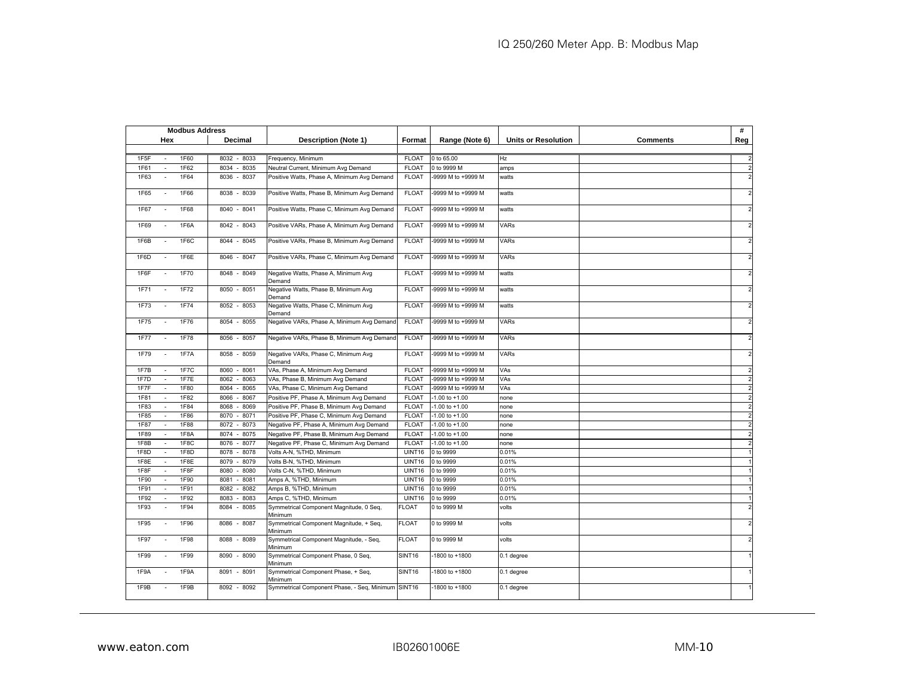| <b>Modbus Address</b>                       |                 |                                                    |                    |                    |                            |                 | #              |
|---------------------------------------------|-----------------|----------------------------------------------------|--------------------|--------------------|----------------------------|-----------------|----------------|
| Hex                                         | Decimal         | <b>Description (Note 1)</b>                        | Format             | Range (Note 6)     | <b>Units or Resolution</b> | <b>Comments</b> | Reg            |
|                                             |                 |                                                    |                    |                    |                            |                 |                |
| 1F5F<br>1F60<br>$\blacksquare$              | 8032 - 8033     | Frequency, Minimum                                 | <b>FLOAT</b>       | 0 to 65.00         | Hz                         |                 |                |
| 1F62<br>1F61<br>$\sim$                      | 8034<br>$-8035$ | Neutral Current, Minimum Avg Demand                | <b>FLOAT</b>       | 0 to 9999 M        | amps                       |                 | $\overline{2}$ |
| 1F63<br>1F64<br>$\sim$                      | 8036<br>$-8037$ | Positive Watts, Phase A, Minimum Avg Demand        | <b>FLOAT</b>       | 9999 M to +9999 M  | watts                      |                 |                |
| 1F65<br>1F66<br>$\overline{\phantom{a}}$    | 8038 - 8039     | Positive Watts, Phase B, Minimum Avg Demand        | <b>FLOAT</b>       | 9999 M to +9999 M  | watts                      |                 | $\overline{2}$ |
| 1F67<br>1F68<br>$\sim$                      | $8040 - 8041$   | Positive Watts, Phase C, Minimum Avg Demand        | <b>FLOAT</b>       | -9999 M to +9999 M | watts                      |                 | $\overline{2}$ |
| 1F6A<br>1F69<br>$\sim$                      | 8042 - 8043     | Positive VARs, Phase A, Minimum Avg Demand         | <b>FLOAT</b>       | 9999 M to +9999 M  | VARs                       |                 | $\overline{2}$ |
| 1F6C<br>1F6B<br>$\sim$                      | 8044 - 8045     | Positive VARs, Phase B, Minimum Avg Demand         | <b>FLOAT</b>       | -9999 M to +9999 M | <b>VARs</b>                |                 | $\overline{2}$ |
| 1F6D<br>1F6E                                | 8046 - 8047     | Positive VARs, Phase C, Minimum Avg Demand         | <b>FLOAT</b>       | -9999 M to +9999 M | VARs                       |                 | $\overline{2}$ |
| 1F6F<br>1F70                                | 8048 - 8049     | Negative Watts, Phase A, Minimum Avg<br>Demand     | <b>FLOAT</b>       | -9999 M to +9999 M | watts                      |                 | $\overline{c}$ |
| 1F72<br>1F71                                | 8050 - 8051     | Negative Watts, Phase B, Minimum Avg<br>Demand     | <b>FLOAT</b>       | -9999 M to +9999 M | watts                      |                 | $\overline{2}$ |
| 1F74<br>1F73                                | 8052 - 8053     | Negative Watts, Phase C, Minimum Avg<br>Demand     | <b>FLOAT</b>       | -9999 M to +9999 M | watts                      |                 | $\overline{c}$ |
| 1F76<br>1F75                                | 8054 - 8055     | Negative VARs, Phase A, Minimum Avg Demand         | <b>FLOAT</b>       | -9999 M to +9999 M | VARs                       |                 |                |
| 1F78<br><b>1F77</b>                         | 8056 - 8057     | Negative VARs, Phase B, Minimum Avg Demand         | <b>FLOAT</b>       | 9999 M to +9999 M  | <b>VARs</b>                |                 | $\overline{2}$ |
| 1F79<br>1F7A<br>$\sim$                      | 8058 - 8059     | Negative VARs, Phase C, Minimum Avg<br>Demand      | <b>FLOAT</b>       | -9999 M to +9999 M | <b>VARs</b>                |                 |                |
| 1F7B<br>1F7C                                | $-8061$<br>8060 | VAs, Phase A, Minimum Avg Demand                   | <b>FLOAT</b>       | -9999 M to +9999 M | VAs                        |                 | $\overline{2}$ |
| 1F7E<br>1F7D<br>$\sim$                      | $-8063$<br>8062 | VAs, Phase B, Minimum Avg Demand                   | <b>FLOAT</b>       | -9999 M to +9999 M | VAs                        |                 | $\overline{2}$ |
| 1F7F<br>1F80                                | 8064<br>8065    | VAs, Phase C, Minimum Avg Demand                   | <b>FLOAT</b>       | -9999 M to +9999 M | VAs                        |                 | $\overline{2}$ |
| 1F81<br>1F82<br>$\mathcal{L}_{\mathcal{A}}$ | 8066<br>8067    | Positive PF, Phase A, Minimum Avg Demand           | <b>FLOAT</b>       | $-1.00$ to $+1.00$ | none                       |                 | $\overline{2}$ |
| 1F83<br>1F84<br>۰.                          | 8069<br>8068    | Positive PF, Phase B, Minimum Avg Demand           | <b>FLOAT</b>       | $-1.00$ to $+1.00$ | none                       |                 | $\overline{2}$ |
| 1F85<br>1F86<br>$\overline{\phantom{a}}$    | 8070<br>$-8071$ | Positive PF, Phase C, Minimum Avg Demand           | <b>FLOAT</b>       | $-1.00$ to $+1.00$ | none                       |                 | $\overline{2}$ |
| 1F87<br>1F88                                | 8072<br>8073    | Negative PF, Phase A, Minimum Avg Demand           | <b>FLOAT</b>       | $-1.00$ to $+1.00$ | none                       |                 | $\overline{2}$ |
| 1F89<br>1F8A                                | 8074<br>8075    | Negative PF, Phase B, Minimum Avg Demand           | <b>FLOAT</b>       | $-1.00$ to $+1.00$ | none                       |                 | $\overline{c}$ |
| 1F8C<br>1F8B<br>÷.                          | 8077<br>8076    | Negative PF, Phase C, Minimum Avg Demand           | <b>FLOAT</b>       | $-1.00$ to $+1.00$ | none                       |                 | $\overline{2}$ |
| 1F8D<br>1F8D<br>$\overline{a}$              | 8078<br>8078    | Volts A-N, %THD, Minimum                           | UINT16             | 0 to 9999          | 0.01%                      |                 |                |
| 1F8E<br>1F8E<br>$\sim$                      | 8079<br>8079    | Volts B-N, %THD, Minimum                           | UINT16             | 0 to 9999          | 0.01%                      |                 |                |
| 1F8F<br>1F8F<br>$\sim$                      | 8080<br>8080    | Volts C-N, %THD, Minimum                           | UINT16             | 0 to 9999          | 0.01%                      |                 |                |
| 1F90<br>1F90<br>$\blacksquare$              | 8081<br>8081    | Amps A, %THD, Minimum                              | UINT16             | 0 to 9999          | 0.01%                      |                 |                |
| 1F91<br>1F91<br>$\overline{\phantom{a}}$    | 8082<br>8082    | Amps B, %THD, Minimum                              | UINT16             | 0 to 9999          | 0.01%                      |                 |                |
| 1F92<br>1F92<br>$\sim$                      | 8083<br>8083    | Amps C, %THD, Minimum                              | UINT16             | 0 to 9999          | 0.01%                      |                 |                |
| 1F93<br>1F94<br>$\sim$                      | $-8085$<br>8084 | Symmetrical Component Magnitude, 0 Seq,<br>Minimum | <b>FLOAT</b>       | 0 to 9999 M        | volts                      |                 | $\overline{c}$ |
| 1F95<br>1F96<br>$\sim$                      | $-8087$<br>8086 | Symmetrical Component Magnitude, + Seg,<br>Minimum | <b>FLOAT</b>       | 0 to 9999 M        | volts                      |                 | $\overline{c}$ |
| 1F97<br>1F98                                | 8088 - 8089     | Symmetrical Component Magnitude, - Seq,<br>Minimum | <b>FLOAT</b>       | 0 to 9999 M        | volts                      |                 | $\overline{2}$ |
| 1F99<br>1F99                                | 8090 - 8090     | Symmetrical Component Phase, 0 Seq,<br>Minimum     | SINT <sub>16</sub> | 1800 to +1800      | 0.1 degree                 |                 |                |
| 1F9A<br>1F9A                                | $-8091$<br>8091 | Symmetrical Component Phase, + Seq,<br>Minimum     | SINT <sub>16</sub> | 1800 to +1800      | 0.1 degree                 |                 |                |
| 1F9B<br>1F9B                                | 8092 - 8092     | Symmetrical Component Phase, - Seq, Minimum SINT16 |                    | 1800 to +1800      | 0.1 degree                 |                 |                |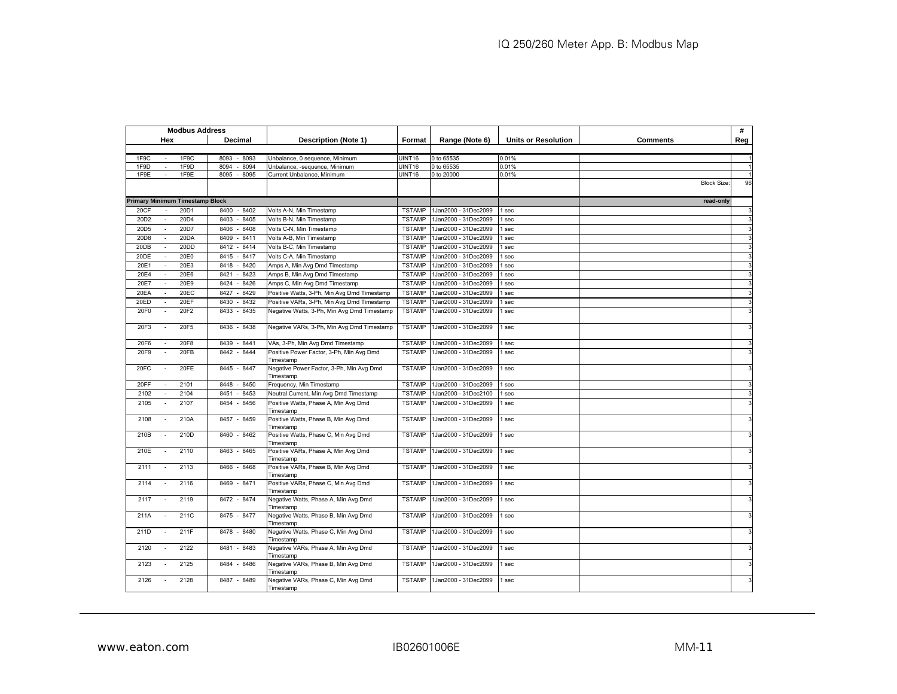| <b>Modbus Address</b>                                |                 |                                                       |               |                      |                            |                    | #   |
|------------------------------------------------------|-----------------|-------------------------------------------------------|---------------|----------------------|----------------------------|--------------------|-----|
| Hex                                                  | Decimal         | <b>Description (Note 1)</b>                           | Format        | Range (Note 6)       | <b>Units or Resolution</b> | <b>Comments</b>    | Reg |
|                                                      |                 |                                                       |               |                      |                            |                    |     |
| 1F9C<br>1F9C<br>$\sim$                               | 8093 - 8093     | Unbalance, 0 sequence, Minimum                        | UINT16        | 0 to 65535           | 0.01%                      |                    |     |
| 1F9D<br>1F9D<br>÷.                                   | 8094<br>8094    | Unbalance, -sequence, Minimum                         | UINT16        | 0 to 65535           | 0.01%                      |                    |     |
| 1F9E<br>1F9E<br>$\sim$                               | 8095<br>8095    | Current Unbalance, Minimum                            | UINT16        | 0 to 20000           | 0.01%                      |                    |     |
|                                                      |                 |                                                       |               |                      |                            | <b>Block Size:</b> | 96  |
|                                                      |                 |                                                       |               |                      |                            |                    |     |
| <b>Primary Minimum Timestamp Block</b>               |                 |                                                       |               |                      |                            | read-only          |     |
| 20CF<br>20D1<br>÷                                    | 8400<br>$-8402$ | Volts A-N, Min Timestamp                              | <b>TSTAMP</b> | 1Jan2000 - 31Dec2099 | sec                        |                    | 3   |
| 20D4<br>20D <sub>2</sub><br>$\overline{\phantom{a}}$ | 8403<br>8405    | Volts B-N, Min Timestamp                              | <b>TSTAMP</b> | 1Jan2000 - 31Dec2099 | sec                        |                    | 3   |
| 20D5<br>20D7<br>$\sim$                               | 8406<br>8408    | Volts C-N, Min Timestamp                              | <b>TSTAMP</b> | 1Jan2000 - 31Dec2099 | sec                        |                    | 3   |
| 20DA<br>20D8                                         | 8409<br>8411    | Volts A-B, Min Timestamp                              | <b>TSTAMP</b> | 1Jan2000 - 31Dec2099 | sec                        |                    | 3   |
| 20DD<br>20DB<br>$\sim$                               | 8412<br>$-8414$ | Volts B-C, Min Timestamp                              | <b>TSTAMP</b> | 1Jan2000 - 31Dec2099 | sec                        |                    | 3   |
| 20E0<br>20DE                                         | $-8417$<br>8415 | Volts C-A, Min Timestamp                              | <b>TSTAMP</b> | 1Jan2000 - 31Dec2099 | sec                        |                    | ā   |
| 20E1<br>20E3                                         | 8418<br>$-8420$ | Amps A, Min Avg Dmd Timestamp                         | <b>TSTAMP</b> | 1Jan2000 - 31Dec2099 | sec                        |                    | 3   |
| 20E6<br>20E4<br>÷,                                   | 8421<br>$-8423$ | Amps B, Min Avg Dmd Timestamp                         | <b>TSTAMP</b> | 1Jan2000 - 31Dec2099 | sec                        |                    | 3   |
| 20E7<br>20E9<br>÷,                                   | 8424<br>8426    | Amps C, Min Avg Dmd Timestamp                         | <b>TSTAMP</b> | 1Jan2000 - 31Dec2099 | sec                        |                    | 3   |
| 20 <sub>EC</sub><br>20EA                             | 8427<br>$-8429$ |                                                       | <b>TSTAMP</b> | 1Jan2000 - 31Dec2099 |                            |                    | 3   |
|                                                      |                 | Positive Watts, 3-Ph, Min Avg Dmd Timestamp           |               |                      | sec                        |                    |     |
| 20EF<br>20ED                                         | 8430<br>8432    | Positive VARs, 3-Ph, Min Avg Dmd Timestamp            | <b>TSTAMP</b> | 1Jan2000 - 31Dec2099 | sec                        |                    | 3   |
| 20F2<br>20F0                                         | $-8435$<br>8433 | Negative Watts, 3-Ph, Min Avg Dmd Timestamp           | <b>TSTAMP</b> | 1Jan2000 - 31Dec2099 | sec                        |                    |     |
| 20F3<br>20F5                                         | 8436<br>$-8438$ | Negative VARs, 3-Ph, Min Avg Dmd Timestamp            | <b>TSTAMP</b> | 1Jan2000 - 31Dec2099 | sec                        |                    |     |
| 20F6<br>20F8                                         | 8439<br>$-8441$ | VAs, 3-Ph, Min Avg Dmd Timestamp                      | <b>TSTAMP</b> | 1Jan2000 - 31Dec2099 | sec                        |                    | 3   |
| 20F9<br>20FB                                         | 8442<br>$-8444$ | Positive Power Factor, 3-Ph, Min Avg Dmd<br>Timestamp | <b>TSTAMP</b> | 1Jan2000 - 31Dec2099 | sec                        |                    |     |
| 20FE<br>20FC<br>$\sim$                               | 8445 - 8447     | Negative Power Factor, 3-Ph, Min Avg Dmd<br>Timestamp | <b>TSTAMP</b> | 1Jan2000 - 31Dec2099 | sec                        |                    | 3   |
| 20FF<br>2101<br>$\overline{a}$                       | 8448<br>$-8450$ | Frequency, Min Timestamp                              | <b>TSTAMP</b> | 1Jan2000 - 31Dec2099 | sec                        |                    | 3   |
| 2104<br>2102                                         | $-8453$<br>8451 | Neutral Current, Min Avg Dmd Timestamp                | <b>TSTAMP</b> | 1Jan2000 - 31Dec2100 | sec                        |                    | 3   |
| 2105<br>2107                                         | 8454<br>$-8456$ | Positive Watts, Phase A, Min Avg Dmd<br>Timestamp     | <b>TSTAMP</b> | 1Jan2000 - 31Dec2099 | sec                        |                    | 3   |
| 210A<br>2108<br>$\overline{a}$                       | 8457 - 8459     | Positive Watts, Phase B, Min Avg Dmd                  | <b>TSTAMP</b> | 1Jan2000 - 31Dec2099 | I sec                      |                    | 3   |
| 210B<br>210D                                         | 8460 - 8462     | Timestamp<br>Positive Watts, Phase C, Min Avg Dmd     | <b>TSTAMP</b> | 1Jan2000 - 31Dec2099 | sec                        |                    | 3   |
|                                                      |                 | Timestamp                                             |               |                      |                            |                    |     |
| 2110<br>210E<br>$\overline{a}$                       | 8463<br>$-8465$ | Positive VARs, Phase A, Min Avg Dmd                   | <b>TSTAMP</b> | 1Jan2000 - 31Dec2099 | sec                        |                    | 3   |
|                                                      |                 | Timestamp                                             |               |                      |                            |                    |     |
| 2111<br>2113                                         | 8466<br>$-8468$ | Positive VARs, Phase B, Min Avg Dmd                   | <b>TSTAMP</b> | 1Jan2000 - 31Dec2099 | I sec                      |                    | 3   |
|                                                      |                 | Timestamp                                             |               |                      |                            |                    |     |
| 2114<br>2116                                         | 8469 - 8471     | Positive VARs, Phase C, Min Avg Dmd<br>Timestamp      | <b>TSTAMP</b> | 1Jan2000 - 31Dec2099 | sec                        |                    |     |
| 2119<br>2117<br>$\sim$                               | 8472 - 8474     | Negative Watts, Phase A, Min Avg Dmd<br>Timestamp     | <b>TSTAMP</b> | 1Jan2000 - 31Dec2099 | sec                        |                    | 3   |
| 211A<br>211C<br>÷.                                   | 8475 - 8477     | Negative Watts, Phase B, Min Avg Dmd                  | <b>TSTAMP</b> | 1Jan2000 - 31Dec2099 | sec                        |                    | 3   |
|                                                      |                 | Timestamp                                             |               |                      |                            |                    |     |
| 211F<br>211D<br>÷                                    | 8478 - 8480     | Negative Watts, Phase C, Min Avg Dmd<br>Timestamp     | <b>TSTAMP</b> | 1Jan2000 - 31Dec2099 | sec                        |                    | 3   |
| 2122<br>2120<br>$\sim$                               | 8481 - 8483     | Negative VARs, Phase A, Min Avg Dmd<br>Timestamp      | <b>TSTAMP</b> | 1Jan2000 - 31Dec2099 | sec                        |                    | 3   |
| 2125<br>2123                                         | 8484 - 8486     | Negative VARs, Phase B, Min Avg Dmd                   | <b>TSTAMP</b> | 1Jan2000 - 31Dec2099 | I sec                      |                    |     |
|                                                      |                 | Timestamp                                             |               |                      |                            |                    |     |
| 2128<br>2126                                         | 8487 - 8489     | Negative VARs, Phase C, Min Avg Dmd<br>Timestamp      | <b>TSTAMP</b> | 1Jan2000 - 31Dec2099 | sec                        |                    |     |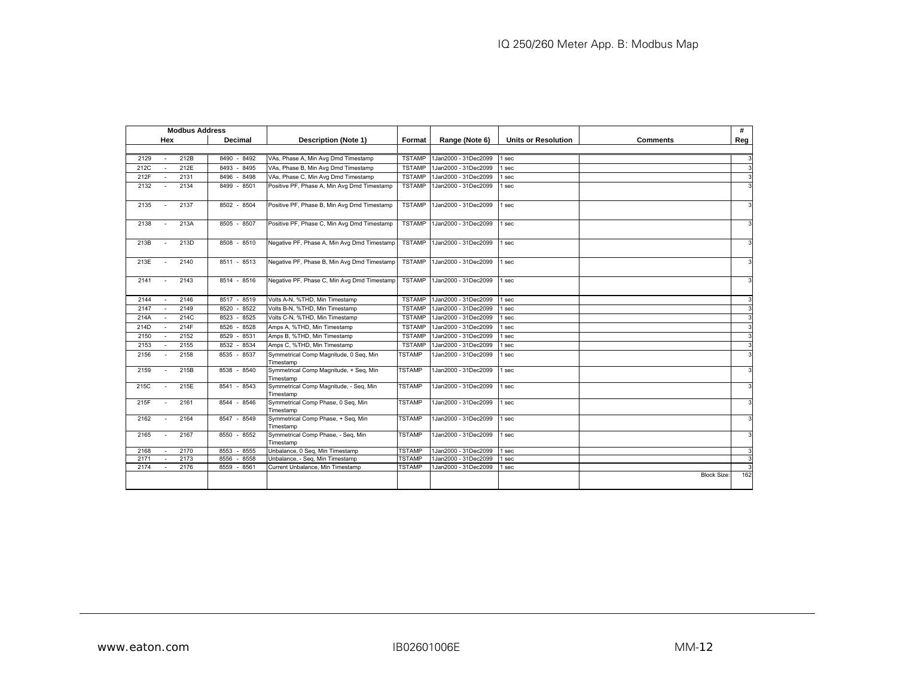| <b>Modbus Address</b>  |                 |                                                     |               |                      |                            |                    | #   |
|------------------------|-----------------|-----------------------------------------------------|---------------|----------------------|----------------------------|--------------------|-----|
| Hex                    | <b>Decimal</b>  | <b>Description (Note 1)</b>                         | Format        | Range (Note 6)       | <b>Units or Resolution</b> | Comments           | Reg |
|                        |                 |                                                     |               |                      |                            |                    |     |
| 212B<br>2129           | 8490<br>$-8492$ | VAs, Phase A, Min Avg Dmd Timestamp                 | <b>TSTAMP</b> | 1Jan2000 - 31Dec2099 | 1 sec                      |                    |     |
| 212E<br>212C           | 8493<br>8495    | VAs, Phase B, Min Avg Dmd Timestamp                 | <b>TSTAMP</b> | 1Jan2000 - 31Dec2099 | 1 sec                      |                    | 3   |
| 212F<br>2131           | 8496<br>$-8498$ | VAs, Phase C, Min Avg Dmd Timestamp                 | <b>TSTAMP</b> | 1Jan2000 - 31Dec2099 | 1 sec                      |                    |     |
| 2132<br>2134           | 8499 - 8501     | Positive PF, Phase A, Min Avg Dmd Timestamp         | <b>TSTAMP</b> | 1Jan2000 - 31Dec2099 | 1 sec                      |                    |     |
| 2137<br>2135           | 8502 - 8504     | Positive PF, Phase B, Min Avg Dmd Timestamp         | <b>TSTAMP</b> | 1Jan2000 - 31Dec2099 | 1 sec                      |                    |     |
| 2138<br>213A<br>$\sim$ | 8505 - 8507     | Positive PF, Phase C, Min Avg Dmd Timestamp         | <b>TSTAMP</b> | 1Jan2000 - 31Dec2099 | 1 sec                      |                    |     |
| 213B<br>213D           | 8508 - 8510     | Negative PF, Phase A, Min Avg Dmd Timestamp         | <b>TSTAMP</b> | 1Jan2000 - 31Dec2099 | 1 sec                      |                    |     |
| 213E<br>2140           | 8511 - 8513     | Negative PF, Phase B, Min Avg Dmd Timestamp         | <b>TSTAMP</b> | 1Jan2000 - 31Dec2099 | 1 sec                      |                    |     |
| 2141<br>2143           | 8514 - 8516     | Negative PF, Phase C, Min Avg Dmd Timestamp         | <b>TSTAMP</b> | 1Jan2000 - 31Dec2099 | 1 sec                      |                    | 3   |
| 2144<br>2146           | 8517 - 8519     | Volts A-N, %THD, Min Timestamp                      | <b>TSTAMP</b> | 1Jan2000 - 31Dec2099 | 1 sec                      |                    | 3   |
| 2147<br>2149<br>$\sim$ | 8520<br>8522    | Volts B-N, %THD, Min Timestamp                      | <b>TSTAMP</b> | 1Jan2000 - 31Dec2099 | 1 sec                      |                    | 3   |
| 214C<br>214A           | 8523<br>$-8525$ | Volts C-N, %THD, Min Timestamp                      | <b>TSTAMP</b> | 1Jan2000 - 31Dec2099 | 1 sec                      |                    |     |
| 214F<br>214D           | 8526<br>$-8528$ | Amps A, %THD, Min Timestamp                         | <b>TSTAMP</b> | 1Jan2000 - 31Dec2099 | 1 sec                      |                    | 3   |
| 2152<br>2150           | 8529<br>$-8531$ | Amps B, %THD, Min Timestamp                         | <b>TSTAMP</b> | 1Jan2000 - 31Dec2099 | 1 sec                      |                    |     |
| 2155<br>2153           | 8532 - 8534     | Amps C, %THD, Min Timestamp                         | <b>TSTAMP</b> | 1Jan2000 - 31Dec2099 | 1 sec                      |                    |     |
| 2158<br>2156           | 8535 - 8537     | Symmetrical Comp Magnitude, 0 Seg, Min<br>Timestamp | TSTAMP        | 1Jan2000 - 31Dec2099 | 1 sec                      |                    |     |
| 2159<br>215B           | 8538 - 8540     | Symmetrical Comp Magnitude, + Seg, Min<br>Timestamp | <b>TSTAMP</b> | 1Jan2000 - 31Dec2099 | 1 sec                      |                    | 3   |
| 215E<br>215C           | 8541 - 8543     | Symmetrical Comp Magnitude, - Seg, Min<br>Timestamp | <b>TSTAMP</b> | 1Jan2000 - 31Dec2099 | 1 sec                      |                    | 3   |
| 215F<br>2161           | 8544 - 8546     | Symmetrical Comp Phase, 0 Seq, Min<br>Timestamp     | <b>TSTAMP</b> | 1Jan2000 - 31Dec2099 | 1 sec                      |                    |     |
| 2162<br>2164           | 8547 - 8549     | Symmetrical Comp Phase, + Seq, Min<br>Timestamp     | <b>TSTAMP</b> | 1Jan2000 - 31Dec2099 | 1 sec                      |                    |     |
| 2165<br>2167<br>$\sim$ | 8550 - 8552     | Symmetrical Comp Phase, - Seq, Min<br>Timestamp     | <b>TSTAMP</b> | 1Jan2000 - 31Dec2099 | 1 sec                      |                    | 3   |
| 2170<br>2168           | 8553<br>$-8555$ | Unbalance, 0 Seq, Min Timestamp                     | <b>TSTAMP</b> | 1Jan2000 - 31Dec2099 | 1 sec                      |                    | 3   |
| 2173<br>2171<br>$\sim$ | 8558<br>8556    | Unbalance, - Seq, Min Timestamp                     | <b>TSTAMP</b> | 1Jan2000 - 31Dec2099 | 1 sec                      |                    | 3   |
| 2174<br>2176           | 8559 - 8561     | Current Unbalance, Min Timestamp                    | TSTAMP        | 1Jan2000 - 31Dec2099 | 1 sec                      | <b>Block Size:</b> | 162 |
|                        |                 |                                                     |               |                      |                            |                    |     |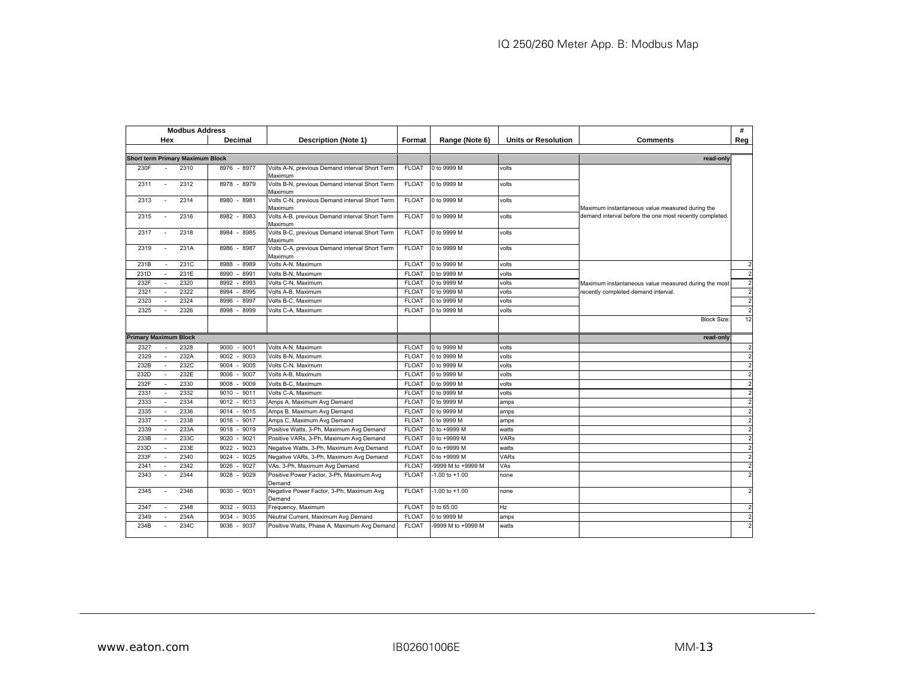| <b>Modbus Address</b>                    |                              |                                                           |                              |                            |                            |                                                                                             | #              |
|------------------------------------------|------------------------------|-----------------------------------------------------------|------------------------------|----------------------------|----------------------------|---------------------------------------------------------------------------------------------|----------------|
| Hex                                      | Decimal                      | <b>Description (Note 1)</b>                               | Format                       | Range (Note 6)             | <b>Units or Resolution</b> | <b>Comments</b>                                                                             | Reg            |
|                                          |                              |                                                           |                              |                            |                            |                                                                                             |                |
| <b>Short term Primary Maximum Block</b>  |                              |                                                           |                              |                            |                            | read-only                                                                                   |                |
| 2310<br>230F                             | 8976 - 8977                  | Volts A-N, previous Demand interval Short Term            | <b>FLOAT</b>                 | 0 to 9999 M                | volts                      |                                                                                             |                |
|                                          |                              | Maximum                                                   |                              |                            |                            |                                                                                             |                |
| 2312<br>2311                             | $-8979$<br>8978              | Volts B-N, previous Demand interval Short Term            | <b>FLOAT</b>                 | 0 to 9999 M                | volts                      |                                                                                             |                |
| 2313<br>2314<br>$\overline{\phantom{a}}$ | 8980 - 8981                  | Maximum<br>Volts C-N, previous Demand interval Short Term | <b>FLOAT</b>                 | 0 to 9999 M                | volts                      |                                                                                             |                |
|                                          |                              | Maximum                                                   |                              |                            |                            | Maximum instantaneous value measured during the                                             |                |
| 2316<br>2315                             | 8982 - 8983                  | Volts A-B, previous Demand interval Short Term            | <b>FLOAT</b>                 | 0 to 9999 M                | volts                      | demand interval before the one most recently completed.                                     |                |
|                                          |                              | Maximum                                                   |                              |                            |                            |                                                                                             |                |
| 2317<br>2318<br>$\sim$                   | 8984 - 8985                  | Volts B-C, previous Demand interval Short Term            | <b>FLOAT</b>                 | 0 to 9999 M                | volts                      |                                                                                             |                |
|                                          |                              | Maximum                                                   |                              |                            |                            |                                                                                             |                |
| 231A<br>2319<br>$\overline{\phantom{a}}$ | $-8987$<br>8986              | Volts C-A, previous Demand interval Short Term            | <b>FLOAT</b>                 | 0 to 9999 M                | volts                      |                                                                                             |                |
| 231C<br>231B                             | $-8989$<br>8988              | Maximum<br>Volts A-N, Maximum                             | <b>FLOAT</b>                 | 0 to 9999 M                | volts                      |                                                                                             |                |
| 231E<br>231D<br>$\mathbf{r}$             | 8991<br>8990                 | Volts B-N, Maximum                                        | <b>FLOAT</b>                 | 0 to 9999 M                | volts                      |                                                                                             |                |
| 2320                                     |                              |                                                           |                              |                            |                            |                                                                                             | $\overline{2}$ |
| 232F<br>2322<br>2321                     | 8992<br>8993<br>8994<br>8995 | Volts C-N, Maximum<br>Volts A-B, Maximum                  | <b>FLOAT</b><br><b>FLOAT</b> | 0 to 9999 M<br>0 to 9999 M | volts<br>volts             | Maximum instantaneous value measured during the most<br>recently completed demand interval. |                |
| 2324<br>2323                             | 8996                         |                                                           | <b>FLOAT</b>                 | 0 to 9999 M                |                            |                                                                                             | $\overline{2}$ |
| $\sim$<br>2326                           | 8997                         | Volts B-C, Maximum                                        |                              |                            | volts                      |                                                                                             |                |
| 2325                                     | 8998<br>$-8999$              | Volts C-A, Maximum                                        | <b>FLOAT</b>                 | 0 to 9999 M                | volts                      |                                                                                             | $\overline{2}$ |
|                                          |                              |                                                           |                              |                            |                            | <b>Block Size:</b>                                                                          | 12             |
| <b>Primary Maximum Block</b>             |                              |                                                           |                              |                            |                            |                                                                                             |                |
|                                          |                              |                                                           |                              |                            |                            | read-only                                                                                   |                |
| 2328<br>2327                             | $-9001$<br>9000              | Volts A-N, Maximum                                        | <b>FLOAT</b>                 | 0 to 9999 M                | volts                      |                                                                                             | $\overline{2}$ |
| 2329<br>232A<br>$\overline{a}$           | 9003<br>9002                 | Volts B-N, Maximum                                        | <b>FLOAT</b>                 | 0 to 9999 M                | volts                      |                                                                                             | $\overline{2}$ |
| 232C<br>232B                             | 9005<br>9004                 | Volts C-N, Maximum                                        | <b>FLOAT</b>                 | 0 to 9999 M                | volts                      |                                                                                             |                |
| 232E<br>232D                             | 9006<br>9007                 | Volts A-B, Maximum                                        | <b>FLOAT</b>                 | 0 to 9999 M                | volts                      |                                                                                             |                |
| 2330<br>232F<br>÷                        | 9008<br>9009                 | Volts B-C, Maximum                                        | <b>FLOAT</b>                 | 0 to 9999 M                | volts                      |                                                                                             |                |
| 2332<br>2331                             | $-9011$<br>9010              | Volts C-A. Maximum                                        | <b>FLOAT</b>                 | 0 to 9999 M                | volts                      |                                                                                             | $\overline{c}$ |
| 2334<br>2333                             | 9012<br>$-9013$              | Amps A, Maximum Avg Demand                                | <b>FLOAT</b>                 | 0 to 9999 M                | amps                       |                                                                                             |                |
| 2336<br>2335<br>$\sim$                   | 9014<br>9015                 | Amps B, Maximum Avg Demand                                | <b>FLOAT</b>                 | 0 to 9999 M                | amps                       |                                                                                             | $\overline{2}$ |
| 2338<br>2337                             | 9017<br>9016                 | Amps C, Maximum Avg Demand                                | <b>FLOAT</b>                 | 0 to 9999 M                | amps                       |                                                                                             | $\overline{2}$ |
| 233A<br>2339                             | 9019<br>9018                 | Positive Watts, 3-Ph, Maximum Avg Demand                  | <b>FLOAT</b>                 | 0 to +9999 M               | watts                      |                                                                                             |                |
| 233C<br>233B<br>$\sim$                   | 9020<br>9021                 | Positive VARs, 3-Ph, Maximum Avg Demand                   | <b>FLOAT</b>                 | 0 to +9999 M               | <b>VARs</b>                |                                                                                             | 2              |
| 233E<br>233D                             | 9023<br>9022                 | Negative Watts, 3-Ph, Maximum Avg Demand                  | <b>FLOAT</b>                 | 0 to +9999 M               | watts                      |                                                                                             | $\overline{2}$ |
| 2340<br>233F                             | 9025<br>9024                 | Negative VARs, 3-Ph, Maximum Avg Demand                   | <b>FLOAT</b>                 | 0 to +9999 M               | VARs                       |                                                                                             |                |
| 2342<br>2341<br>$\sim$                   | 9027<br>9026                 | VAs, 3-Ph, Maximum Avg Demand                             | <b>FLOAT</b>                 | -9999 M to +9999 M         | VAs                        |                                                                                             | $\overline{c}$ |
| 2344<br>2343                             | 9028<br>9029                 | Positive Power Factor, 3-Ph, Maximum Avg<br>Demand        | <b>FLOAT</b>                 | $-1.00$ to $+1.00$         | none                       |                                                                                             |                |
| 2346<br>2345                             | $-9031$<br>9030              | Negative Power Factor, 3-Ph, Maximum Avg<br>Demand        | <b>FLOAT</b>                 | $-1.00$ to $+1.00$         | none                       |                                                                                             |                |
| 2348<br>2347                             | $-9033$<br>9032              | Frequency, Maximum                                        | <b>FLOAT</b>                 | 0 to 65.00                 | Hz                         |                                                                                             | $\overline{2}$ |
| 234A<br>2349                             | 9034<br>9035                 | Neutral Current, Maximum Avg Demand                       | <b>FLOAT</b>                 | 0 to 9999 M                | amps                       |                                                                                             | $\overline{2}$ |
| 234C<br>234B                             | 9036<br>9037<br>$\sim$       | Positive Watts, Phase A, Maximum Avg Demand               | <b>FLOAT</b>                 | -9999 M to +9999 M         | watts                      |                                                                                             |                |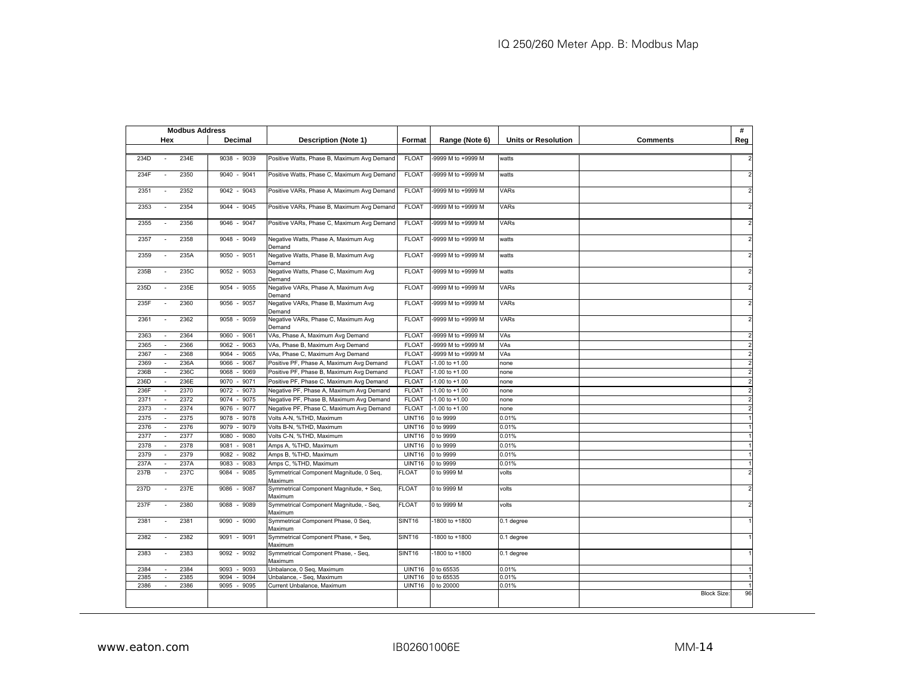|                                          | <b>Modbus Address</b> |                                                    |                    |                    |                            |                   | #              |
|------------------------------------------|-----------------------|----------------------------------------------------|--------------------|--------------------|----------------------------|-------------------|----------------|
| Hex                                      | Decimal               | <b>Description (Note 1)</b>                        | Format             | Range (Note 6)     | <b>Units or Resolution</b> | <b>Comments</b>   | Reg            |
|                                          |                       |                                                    |                    |                    |                            |                   |                |
| 234D<br>234E                             | 9038 - 9039           | Positive Watts, Phase B, Maximum Avg Demand        | <b>FLOAT</b>       | -9999 M to +9999 M | watts                      |                   |                |
| 2350<br>234F                             | $9040 - 9041$         | Positive Watts, Phase C, Maximum Avg Demand        | <b>FLOAT</b>       | -9999 M to +9999 M | watts                      |                   | $\overline{2}$ |
| 2352<br>2351<br>$\sim$                   | $9042 - 9043$         | Positive VARs, Phase A, Maximum Avg Demand         | <b>FLOAT</b>       | -9999 M to +9999 M | <b>VARs</b>                |                   | $\overline{2}$ |
| 2353<br>2354<br>$\sim$                   | $-9045$<br>9044       | Positive VARs, Phase B, Maximum Avg Demand         | <b>FLOAT</b>       | 9999 M to +9999 M  | <b>VARs</b>                |                   | $\overline{2}$ |
| 2355<br>2356<br>$\sim$                   | 9046 - 9047           | Positive VARs, Phase C, Maximum Avg Demand         | <b>FLOAT</b>       | -9999 M to +9999 M | <b>VARs</b>                |                   | $\overline{2}$ |
| 2357<br>2358<br>$\sim$                   | $-9049$<br>9048       | Negative Watts, Phase A, Maximum Avg<br>Demand     | <b>FLOAT</b>       | 9999 M to +9999 M  | watts                      |                   | $\overline{2}$ |
| 2359<br>235A<br>$\sim$                   | 9050 - 9051           | Negative Watts, Phase B, Maximum Avg<br>Demand     | <b>FLOAT</b>       | -9999 M to +9999 M | watts                      |                   | $\overline{2}$ |
| 235B<br>235C<br>÷.                       | 9052 - 9053           | Negative Watts, Phase C, Maximum Avg<br>Demand     | <b>FLOAT</b>       | -9999 M to +9999 M | watts                      |                   | $\overline{2}$ |
| 235D<br>235E<br>$\sim$                   | $-9055$<br>9054       | Negative VARs, Phase A, Maximum Avg<br>Demand      | <b>FLOAT</b>       | 9999 M to +9999 M  | <b>VARs</b>                |                   | $\overline{2}$ |
| 235F<br>2360<br>$\sim$                   | $9056 - 9057$         | Negative VARs, Phase B, Maximum Avg<br>Demand      | <b>FLOAT</b>       | 9999 M to +9999 M  | VARs                       |                   | $\overline{2}$ |
| 2361<br>2362<br>$\sim$                   | 9058<br>$-9059$       | Negative VARs, Phase C, Maximum Avg<br>Demand      | <b>FLOAT</b>       | -9999 M to +9999 M | <b>VARs</b>                |                   | $\overline{2}$ |
| 2364<br>2363<br>$\overline{\phantom{a}}$ | 9060<br>9061          | VAs, Phase A, Maximum Avg Demand                   | <b>FLOAT</b>       | -9999 M to +9999 M | VAs                        |                   | $\overline{2}$ |
| 2365<br>2366                             | 9062<br>9063          | VAs, Phase B, Maximum Avg Demand                   | <b>FLOAT</b>       | -9999 M to +9999 M | VAs                        |                   |                |
| 2368<br>2367<br>$\sim$                   | 9064<br>9065          | VAs, Phase C, Maximum Avg Demand                   | <b>FLOAT</b>       | -9999 M to +9999 M | VAs                        |                   | $\overline{2}$ |
| 2369<br>236A<br>$\sim$                   | 9066<br>9067          | Positive PF, Phase A, Maximum Avg Demand           | <b>FLOAT</b>       | $-1.00$ to $+1.00$ | none                       |                   | $\overline{2}$ |
| 236C<br>236B<br>$\sim$                   | 9069<br>9068          | Positive PF, Phase B, Maximum Avg Demand           | <b>FLOAT</b>       | $-1.00$ to $+1.00$ | none                       |                   | $\overline{2}$ |
| 236E<br>236D<br>$\sim$                   | 9070<br>9071          | Positive PF, Phase C, Maximum Avg Demand           | <b>FLOAT</b>       | $-1.00$ to $+1.00$ | none                       |                   | $\overline{2}$ |
| 2370<br>236F                             | 9073<br>9072          | Negative PF, Phase A, Maximum Avg Demand           | <b>FLOAT</b>       | $-1.00$ to $+1.00$ | none                       |                   | $\overline{2}$ |
| 2372<br>2371                             | 9074<br>9075          | Negative PF, Phase B, Maximum Avg Demand           | <b>FLOAT</b>       | $-1.00$ to $+1.00$ | none                       |                   | $\overline{2}$ |
| 2373<br>2374<br>$\sim$                   | 9076<br>9077          | Negative PF, Phase C, Maximum Avg Demand           | <b>FLOAT</b>       | $-1.00$ to $+1.00$ | none                       |                   |                |
| 2375<br>2375<br>$\sim$                   | 9078<br>9078          | Volts A-N, %THD, Maximum                           | UINT16             | 0 to 9999          | 0.01%                      |                   |                |
| 2376<br>2376                             | 9079<br>9079          | Volts B-N, %THD, Maximum                           | UINT16             | 0 to 9999          | 0.01%                      |                   |                |
| 2377<br>2377                             | 9080<br>9080          | Volts C-N, %THD, Maximum                           | UINT16             | 0 to 9999          | 0.01%                      |                   |                |
| 2378<br>2378<br>$\overline{\phantom{a}}$ | 9081<br>9081          | Amps A, %THD, Maximum                              | <b>UINT16</b>      | 0 to 9999          | 0.01%                      |                   |                |
| 2379<br>2379                             | 9082<br>9082          | Amps B, %THD, Maximum                              | UINT16             | 0 to 9999          | 0.01%                      |                   |                |
| 237A<br>237A                             | 9083<br>9083          | Amps C, %THD, Maximum                              | UINT16             | 0 to 9999          | 0.01%                      |                   |                |
| 237B<br>237C<br>$\sim$                   | 9084<br>9085          | Symmetrical Component Magnitude, 0 Seg,<br>Maximum | FLOAT              | 0 to 9999 M        | volts                      |                   | $\overline{2}$ |
| 237D<br>237E<br>$\sim$                   | 9086<br>9087          | Symmetrical Component Magnitude, + Seq,<br>Maximum | <b>FLOAT</b>       | 0 to 9999 M        | volts                      |                   | $\overline{2}$ |
| 237F<br>2380<br>$\sim$                   | 9089<br>9088          | Symmetrical Component Magnitude, - Seg,<br>Maximum | <b>FLOAT</b>       | 0 to 9999 M        | volts                      |                   | $\overline{2}$ |
| 2381<br>2381                             | 9090<br>9090          | Symmetrical Component Phase, 0 Seq,<br>Maximum     | SINT <sub>16</sub> | -1800 to +1800     | 0.1 degree                 |                   |                |
| 2382<br>2382<br>$\sim$                   | $9091 - 9091$         | Symmetrical Component Phase, + Seq,<br>Maximum     | SINT <sub>16</sub> | 1800 to +1800      | 0.1 degree                 |                   |                |
| 2383<br>2383<br>$\sim$                   | $9092 - 9092$         | Symmetrical Component Phase, - Seq,<br>Maximum     | SINT <sub>16</sub> | -1800 to +1800     | 0.1 degree                 |                   |                |
| 2384<br>2384<br>$\sim$                   | 9093<br>9093          | Unbalance, 0 Seq, Maximum                          | <b>UINT16</b>      | 0 to 65535         | 0.01%                      |                   |                |
| 2385<br>2385                             | $-9094$<br>9094       | Unbalance, - Seq, Maximum                          | UINT16             | 0 to 65535         | 0.01%                      |                   |                |
| 2386<br>2386                             | 9095 -<br>9095        | Current Unbalance, Maximum                         | <b>UINT16</b>      | 0 to 20000         | 0.01%                      | <b>Block Size</b> | 96             |
|                                          |                       |                                                    |                    |                    |                            |                   |                |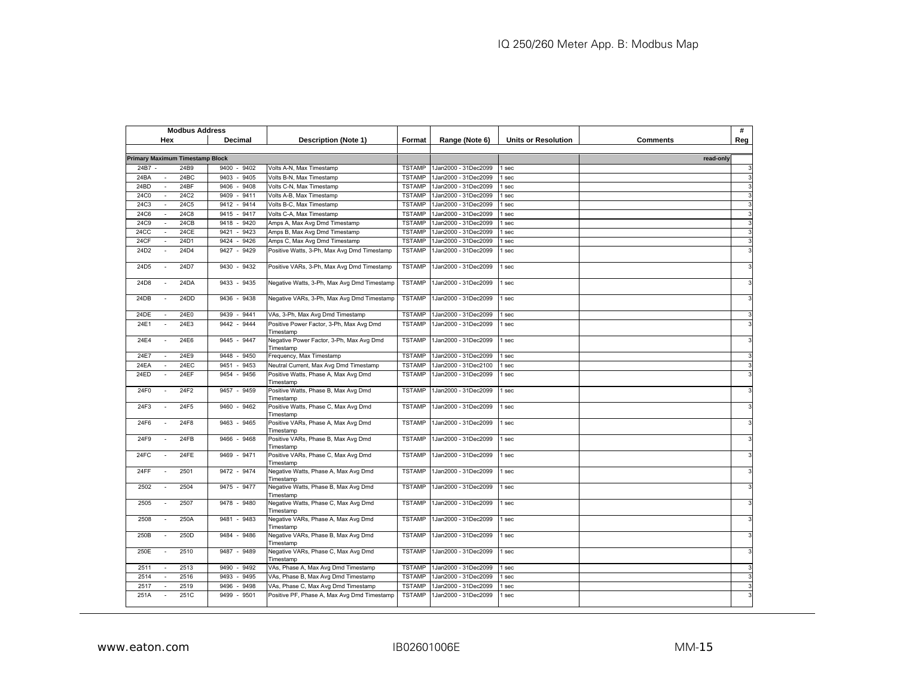| <b>Modbus Address</b>                       |                 |                                                       |               |                      |                            |                 | #            |
|---------------------------------------------|-----------------|-------------------------------------------------------|---------------|----------------------|----------------------------|-----------------|--------------|
| Hex                                         | Decimal         | <b>Description (Note 1)</b>                           | Format        | Range (Note 6)       | <b>Units or Resolution</b> | <b>Comments</b> | Reg          |
|                                             |                 |                                                       |               |                      |                            |                 |              |
| <b>Primary Maximum Timestamp Block</b>      |                 |                                                       |               |                      |                            | read-only       |              |
| 24B7 -<br>24B9                              | 9400<br>9402    | Volts A-N, Max Timestamp                              | <b>TSTAMP</b> | 1Jan2000 - 31Dec2099 | sec                        |                 | 3            |
| 24BC<br>24BA                                | 9405<br>9403    | Volts B-N, Max Timestamp                              | <b>TSTAMP</b> | 1Jan2000 - 31Dec2099 | sec                        |                 | 3            |
| 24BD<br>24BF<br>$\mathcal{L}_{\mathcal{A}}$ | 9406<br>$-9408$ | Volts C-N, Max Timestamp                              | <b>TSTAMP</b> | 1Jan2000 - 31Dec2099 | sec                        |                 | 3            |
| 24C2<br>24C0                                | 9411<br>9409    | Volts A-B, Max Timestamp                              | <b>TSTAMP</b> | 1Jan2000 - 31Dec2099 | sec                        |                 | 3            |
| 24C3<br>24C5<br>$\overline{a}$              | $-9414$<br>9412 | Volts B-C, Max Timestamp                              | <b>TSTAMP</b> | 1Jan2000 - 31Dec2099 | sec                        |                 | 3            |
| 24C8<br>24C6<br>$\sim$                      | 9415<br>$-9417$ | Volts C-A, Max Timestamp                              | <b>TSTAMP</b> | 1Jan2000 - 31Dec2099 | sec                        |                 | 3            |
| 24CB<br>24C9<br>$\sim$                      | 9418<br>9420    | Amps A, Max Avg Dmd Timestamp                         | <b>TSTAMP</b> | 1Jan2000 - 31Dec2099 | sec                        |                 | 3            |
| 24CC<br><b>24CE</b><br>÷.                   | 9421<br>9423    | Amps B, Max Avg Dmd Timestamp                         | <b>TSTAMP</b> | 1Jan2000 - 31Dec2099 | sec                        |                 | 3            |
| 24CF<br>24D1                                | 9426<br>9424    | Amps C, Max Avg Dmd Timestamp                         | <b>TSTAMP</b> | 1Jan2000 - 31Dec2099 | sec                        |                 | 3            |
| 24D2<br>24D4                                | 9427<br>9429    | Positive Watts, 3-Ph, Max Avg Dmd Timestamp           | <b>TSTAMP</b> | 1Jan2000 - 31Dec2099 | sec                        |                 | 3            |
|                                             |                 |                                                       |               |                      |                            |                 |              |
| 24D7<br>24D5<br>$\overline{\phantom{a}}$    | 9430<br>$-9432$ | Positive VARs, 3-Ph, Max Avg Dmd Timestamp            | <b>TSTAMP</b> | 1Jan2000 - 31Dec2099 | sec                        |                 | 3            |
| 24D8<br>24DA                                | 9433<br>$-9435$ | Negative Watts, 3-Ph, Max Avg Dmd Timestamp           | <b>TSTAMP</b> | 1Jan2000 - 31Dec2099 | sec                        |                 | 3            |
| 24DB<br>24DD                                | 9436<br>$-9438$ | Negative VARs, 3-Ph, Max Avg Dmd Timestamp            | <b>TSTAMP</b> | 1Jan2000 - 31Dec2099 | sec                        |                 | 3            |
| 24DE<br>24E0                                | 9439<br>9441    | VAs, 3-Ph, Max Avg Dmd Timestamp                      | <b>TSTAMP</b> | 1Jan2000 - 31Dec2099 | sec                        |                 | 3            |
| 24E3<br>24E1                                | 9442<br>$-9444$ | Positive Power Factor, 3-Ph, Max Avg Dmd              | <b>TSTAMP</b> | 1Jan2000 - 31Dec2099 | sec                        |                 | 3            |
| 24E6<br>24E4<br>$\sim$                      | 9445 - 9447     | Timestamp<br>Negative Power Factor, 3-Ph, Max Avg Dmd | <b>TSTAMP</b> | 1Jan2000 - 31Dec2099 | I sec                      |                 | 3            |
| 24E9<br>24E7<br>$\sim$                      | 9448<br>$-9450$ | Timestamp<br>Frequency, Max Timestamp                 | <b>TSTAMP</b> | 1Jan2000 - 31Dec2099 | sec                        |                 | 3            |
| 24EC<br>24EA<br>$\sim$                      | 9451<br>9453    | Neutral Current, Max Avg Dmd Timestamp                | <b>TSTAMP</b> | 1Jan2000 - 31Dec2100 | sec                        |                 | 3            |
| 24EF<br>24ED                                | 9454<br>$-9456$ | Positive Watts, Phase A, Max Avg Dmd                  | <b>TSTAMP</b> | 1Jan2000 - 31Dec2099 | sec                        |                 | 3            |
|                                             |                 | Timestamp                                             |               |                      |                            |                 |              |
| 24F2<br>24F0<br>$\sim$                      | 9457 - 9459     | Positive Watts, Phase B, Max Avg Dmd<br>Timestamp     | <b>TSTAMP</b> | 1Jan2000 - 31Dec2099 | sec                        |                 | 3            |
| 24F5<br>24F3                                | 9460<br>$-9462$ | Positive Watts, Phase C, Max Avg Dmd<br>Timestamp     | <b>TSTAMP</b> | 1Jan2000 - 31Dec2099 | I sec                      |                 | 3            |
| 24F8<br>24F6<br>$\sim$                      | 9463 - 9465     | Positive VARs, Phase A, Max Avg Dmd<br>Timestamp      | <b>TSTAMP</b> | 1Jan2000 - 31Dec2099 | sec                        |                 | 3            |
| 24FB<br>24F9                                | 9466<br>$-9468$ | Positive VARs, Phase B, Max Avg Dmd<br>Timestamp      | <b>TSTAMP</b> | 1Jan2000 - 31Dec2099 | I sec                      |                 | 3            |
| 24FE<br>24FC                                | 9469 - 9471     | Positive VARs, Phase C, Max Avg Dmd<br>Timestamp      | <b>TSTAMP</b> | 1Jan2000 - 31Dec2099 | sec                        |                 | 3            |
| 24FF<br>2501                                | 9472 - 9474     | Negative Watts, Phase A, Max Avg Dmd                  | <b>TSTAMP</b> | 1Jan2000 - 31Dec2099 | sec                        |                 | 3            |
| 2504<br>2502<br>$\sim$                      | 9475 - 9477     | Timestamp<br>Negative Watts, Phase B, Max Avg Dmd     | <b>TSTAMP</b> | 1Jan2000 - 31Dec2099 | sec                        |                 | 3            |
|                                             |                 | Timestamp                                             |               |                      |                            |                 |              |
| 2507<br>2505                                | 9478<br>$-9480$ | Negative Watts, Phase C, Max Avg Dmd<br>Timestamp     | <b>TSTAMP</b> | 1Jan2000 - 31Dec2099 | sec                        |                 | 3            |
| 2508<br>250A                                | 9481 - 9483     | Negative VARs, Phase A, Max Avg Dmd<br>Timestamp      | <b>TSTAMP</b> | 1Jan2000 - 31Dec2099 | I sec                      |                 | $\mathbf{3}$ |
| 250D<br>250B                                | 9484 - 9486     | Negative VARs, Phase B, Max Avg Dmd<br>Timestamp      | <b>TSTAMP</b> | 1Jan2000 - 31Dec2099 | I sec                      |                 | 3            |
| 2510<br>250E<br>$\sim$                      | 9487 - 9489     | Negative VARs, Phase C, Max Avg Dmd<br>Timestamp      | <b>TSTAMP</b> | 1Jan2000 - 31Dec2099 | sec                        |                 | 3            |
| 2513<br>2511<br>$\sim$                      | 9490<br>9492    | VAs, Phase A, Max Avg Dmd Timestamp                   | <b>TSTAMP</b> | 1Jan2000 - 31Dec2099 | sec                        |                 | 3            |
| 2514<br>2516                                | 9495<br>9493    | VAs, Phase B, Max Avg Dmd Timestamp                   | <b>TSTAMP</b> | 1Jan2000 - 31Dec2099 | sec                        |                 | 3            |
| 2517<br>2519                                | 9496<br>9498    | VAs, Phase C, Max Avg Dmd Timestamp                   | <b>TSTAMP</b> | 1Jan2000 - 31Dec2099 | sec                        |                 | 3            |
| 251A<br>251C                                | $-9501$<br>9499 | Positive PF, Phase A, Max Avg Dmd Timestamp           | <b>TSTAMP</b> | 1Jan2000 - 31Dec2099 | sec                        |                 | 3            |
|                                             |                 |                                                       |               |                      |                            |                 |              |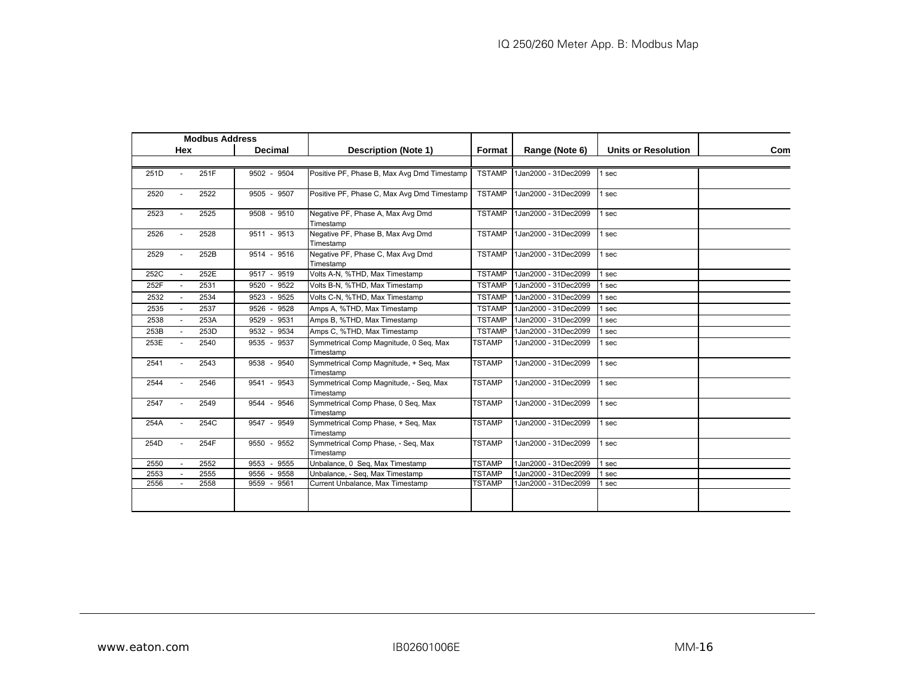|      |            | <b>Modbus Address</b> |                        |                                                     |               |                      |                            |            |
|------|------------|-----------------------|------------------------|-----------------------------------------------------|---------------|----------------------|----------------------------|------------|
|      | <b>Hex</b> |                       | <b>Decimal</b>         | <b>Description (Note 1)</b>                         | Format        | Range (Note 6)       | <b>Units or Resolution</b> | <b>Com</b> |
|      |            |                       |                        |                                                     |               |                      |                            |            |
| 251D |            | 251F                  | 9502 - 9504            | Positive PF, Phase B, Max Avg Dmd Timestamp         | <b>TSTAMP</b> | 1Jan2000 - 31Dec2099 | 1 sec                      |            |
| 2520 |            | 2522                  | 9505 - 9507            | Positive PF, Phase C, Max Avg Dmd Timestamp         | <b>TSTAMP</b> | 1Jan2000 - 31Dec2099 | 1 sec                      |            |
| 2523 |            | 2525                  | 9508 - 9510            | Negative PF, Phase A, Max Avg Dmd<br>Timestamp      | <b>TSTAMP</b> | 1Jan2000 - 31Dec2099 | l sec                      |            |
| 2526 |            | 2528                  | 9511 - 9513            | Negative PF, Phase B, Max Avg Dmd<br>Timestamp      | <b>TSTAMP</b> | 1Jan2000 - 31Dec2099 | 1 sec                      |            |
| 2529 |            | 252B                  | 9514 - 9516            | Negative PF, Phase C, Max Avg Dmd<br>Timestamp      | <b>TSTAMP</b> | 1Jan2000 - 31Dec2099 | 1 sec                      |            |
| 252C |            | 252E                  | 9517 - 9519            | Volts A-N, %THD, Max Timestamp                      | <b>TSTAMP</b> | 1Jan2000 - 31Dec2099 | 1 sec                      |            |
| 252F |            | 2531                  | 9520 - 9522            | Volts B-N, %THD, Max Timestamp                      | <b>TSTAMP</b> | 1Jan2000 - 31Dec2099 | 1 sec                      |            |
| 2532 |            | 2534                  | 9523 - 9525            | Volts C-N, %THD, Max Timestamp                      | <b>TSTAMP</b> | 1Jan2000 - 31Dec2099 | 1 sec                      |            |
| 2535 |            | 2537                  | $9526 -$<br>9528       | Amps A, %THD, Max Timestamp                         | <b>TSTAMP</b> | 1Jan2000 - 31Dec2099 | 1 sec                      |            |
| 2538 |            | 253A                  | 9529 -<br>9531         | Amps B, %THD, Max Timestamp                         | <b>TSTAMP</b> | 1Jan2000 - 31Dec2099 | 1 sec                      |            |
| 253B |            | 253D                  | 9532 - 9534            | Amps C, %THD, Max Timestamp                         | <b>TSTAMP</b> | 1Jan2000 - 31Dec2099 | l sec                      |            |
| 253E |            | 2540                  | 9535 - 9537            | Symmetrical Comp Magnitude, 0 Seg, Max<br>Timestamp | <b>TSTAMP</b> | 1Jan2000 - 31Dec2099 | l sec                      |            |
| 2541 |            | 2543                  | 9538 - 9540            | Symmetrical Comp Magnitude, + Seq, Max<br>Timestamp | <b>TSTAMP</b> | 1Jan2000 - 31Dec2099 | 1 sec                      |            |
| 2544 |            | 2546                  | 9541 - 9543            | Symmetrical Comp Magnitude, - Seg, Max<br>Timestamp | <b>TSTAMP</b> | 1Jan2000 - 31Dec2099 | sec                        |            |
| 2547 |            | 2549                  | 9544 - 9546            | Symmetrical Comp Phase, 0 Seq, Max<br>Timestamp     | <b>TSTAMP</b> | 1Jan2000 - 31Dec2099 | 1 sec                      |            |
| 254A |            | 254C                  | 9547 - 9549            | Symmetrical Comp Phase, + Seq, Max<br>Timestamp     | <b>TSTAMP</b> | 1Jan2000 - 31Dec2099 | l sec                      |            |
| 254D |            | 254F                  | 9550 - 9552            | Symmetrical Comp Phase, - Seq, Max<br>Timestamp     | <b>TSTAMP</b> | 1Jan2000 - 31Dec2099 | l sec                      |            |
| 2550 |            | 2552                  | 9555<br>9553<br>$\sim$ | Unbalance, 0 Seg, Max Timestamp                     | <b>TSTAMP</b> | 1Jan2000 - 31Dec2099 | sec                        |            |
| 2553 |            | 2555                  | 9558<br>9556<br>$\sim$ | Unbalance, - Seg, Max Timestamp                     | <b>TSTAMP</b> | 1Jan2000 - 31Dec2099 | sec                        |            |
| 2556 |            | 2558                  | 9559 - 9561            | Current Unbalance, Max Timestamp                    | <b>TSTAMP</b> | 1Jan2000 - 31Dec2099 | sec                        |            |
|      |            |                       |                        |                                                     |               |                      |                            |            |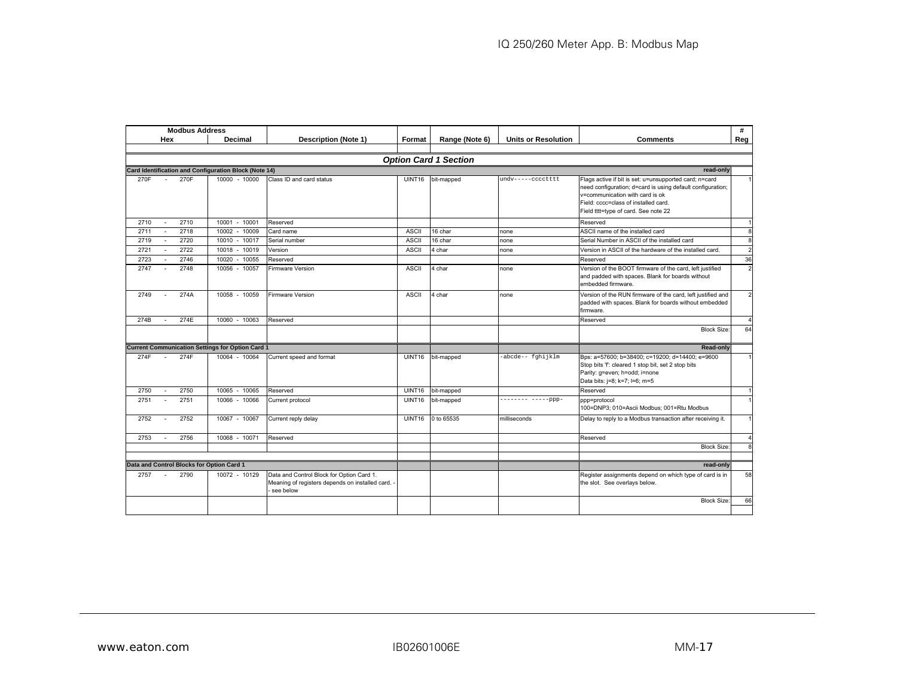|      |        | <b>Modbus Address</b> |                                                         |                                                                                                             |               |                              |                            |                                                                                                                                                                                                                                         | #                      |
|------|--------|-----------------------|---------------------------------------------------------|-------------------------------------------------------------------------------------------------------------|---------------|------------------------------|----------------------------|-----------------------------------------------------------------------------------------------------------------------------------------------------------------------------------------------------------------------------------------|------------------------|
|      | Hex    |                       | Decimal                                                 | <b>Description (Note 1)</b>                                                                                 | Format        | Range (Note 6)               | <b>Units or Resolution</b> | <b>Comments</b>                                                                                                                                                                                                                         | Reg                    |
|      |        |                       |                                                         |                                                                                                             |               |                              |                            |                                                                                                                                                                                                                                         |                        |
|      |        |                       |                                                         |                                                                                                             |               | <b>Option Card 1 Section</b> |                            |                                                                                                                                                                                                                                         |                        |
|      |        |                       | Card Identification and Configuration Block (Note 14)   |                                                                                                             |               |                              |                            | read-only                                                                                                                                                                                                                               |                        |
| 270F |        | 270F                  | 10000 - 10000                                           | Class ID and card status                                                                                    | <b>UINT16</b> | bit-mapped                   | undv-----cccctttt          | Flags active if bit is set: u=unsupported card; n=card<br>need configuration; d=card is using default configuration;<br>v=communication with card is ok<br>Field: cccc=class of installed card.<br>Field tttt=type of card. See note 22 |                        |
| 2710 |        | 2710                  | 10001<br>$-10001$                                       | Reserved                                                                                                    |               |                              |                            | Reserved                                                                                                                                                                                                                                |                        |
| 2711 |        | 2718                  | 10002<br>$-10009$                                       | Card name                                                                                                   | <b>ASCII</b>  | 16 char                      | none                       | ASCII name of the installed card                                                                                                                                                                                                        | $\mathbf{a}$           |
| 2719 |        | 2720                  | 10010<br>$-10017$                                       | Serial number                                                                                               | <b>ASCII</b>  | 16 char                      | none                       | Serial Number in ASCII of the installed card                                                                                                                                                                                            | 8                      |
| 2721 |        | 2722                  | 10018 - 10019                                           | Version                                                                                                     | <b>ASCII</b>  | 4 char                       | none                       | Version in ASCII of the hardware of the installed card.                                                                                                                                                                                 | $\overline{2}$         |
| 2723 |        | 2746                  | $-10055$<br>10020                                       | Reserved                                                                                                    |               |                              |                            | Reserved                                                                                                                                                                                                                                | 36                     |
| 2747 | $\sim$ | 2748                  | 10056 - 10057                                           | <b>Firmware Version</b>                                                                                     | <b>ASCII</b>  | 4 char                       | none                       | Version of the BOOT firmware of the card, left justified<br>and padded with spaces. Blank for boards without<br>embedded firmware.                                                                                                      | $\overline{2}$         |
| 2749 |        | 274A                  | 10058 - 10059                                           | <b>Firmware Version</b>                                                                                     | <b>ASCII</b>  | 4 char                       | none                       | Version of the RUN firmware of the card, left justified and<br>padded with spaces. Blank for boards without embedded<br>firmware.                                                                                                       | $\overline{2}$         |
| 274B | $\sim$ | 274E                  | 10060 - 10063                                           | Reserved                                                                                                    |               |                              |                            | Reserved                                                                                                                                                                                                                                | $\boldsymbol{\Lambda}$ |
|      |        |                       |                                                         |                                                                                                             |               |                              |                            | <b>Block Size:</b>                                                                                                                                                                                                                      | 64                     |
|      |        |                       | <b>Current Communication Settings for Option Card 1</b> |                                                                                                             |               |                              |                            | Read-only                                                                                                                                                                                                                               |                        |
| 274F |        | 274F                  | 10064 - 10064                                           | Current speed and format                                                                                    | UINT16        | bit-mapped                   | -abcde-- fghijklm          | Bps: a=57600; b=38400; c=19200; d=14400; e=9600<br>Stop bits 'f: cleared 1 stop bit, set 2 stop bits<br>Parity: g=even; h=odd; i=none<br>Data bits: j=8; k=7; l=6; m=5                                                                  |                        |
| 2750 |        | 2750                  | 10065 - 10065                                           | Reserved                                                                                                    | <b>UINT16</b> | bit-mapped                   |                            | Reserved                                                                                                                                                                                                                                | $\overline{1}$         |
| 2751 |        | 2751                  | 10066 - 10066                                           | Current protocol                                                                                            | <b>UINT16</b> | bit-mapped                   | $------ - --- -ppp -$      | ppp=protocol<br>100=DNP3; 010=Ascii Modbus; 001=Rtu Modbus                                                                                                                                                                              |                        |
| 2752 | $\sim$ | 2752                  | 10067 - 10067                                           | Current reply delay                                                                                         | UINT16        | 0 to 65535                   | milliseconds               | Delay to reply to a Modbus transaction after receiving it.                                                                                                                                                                              |                        |
| 2753 |        | 2756                  | 10068 - 10071                                           | Reserved                                                                                                    |               |                              |                            | Reserved                                                                                                                                                                                                                                |                        |
|      |        |                       |                                                         |                                                                                                             |               |                              |                            | <b>Block Size:</b>                                                                                                                                                                                                                      | $\mathbf{a}$           |
|      |        |                       |                                                         |                                                                                                             |               |                              |                            |                                                                                                                                                                                                                                         |                        |
|      |        |                       | Data and Control Blocks for Option Card 1               |                                                                                                             |               |                              |                            | read-only                                                                                                                                                                                                                               |                        |
| 2757 | $\sim$ | 2790                  | 10072 - 10129                                           | Data and Control Block for Option Card 1.<br>Meaning of registers depends on installed card. -<br>see below |               |                              |                            | Register assignments depend on which type of card is in<br>the slot. See overlays below.                                                                                                                                                | 58                     |
|      |        |                       |                                                         |                                                                                                             |               |                              |                            | <b>Block Size:</b>                                                                                                                                                                                                                      | 66                     |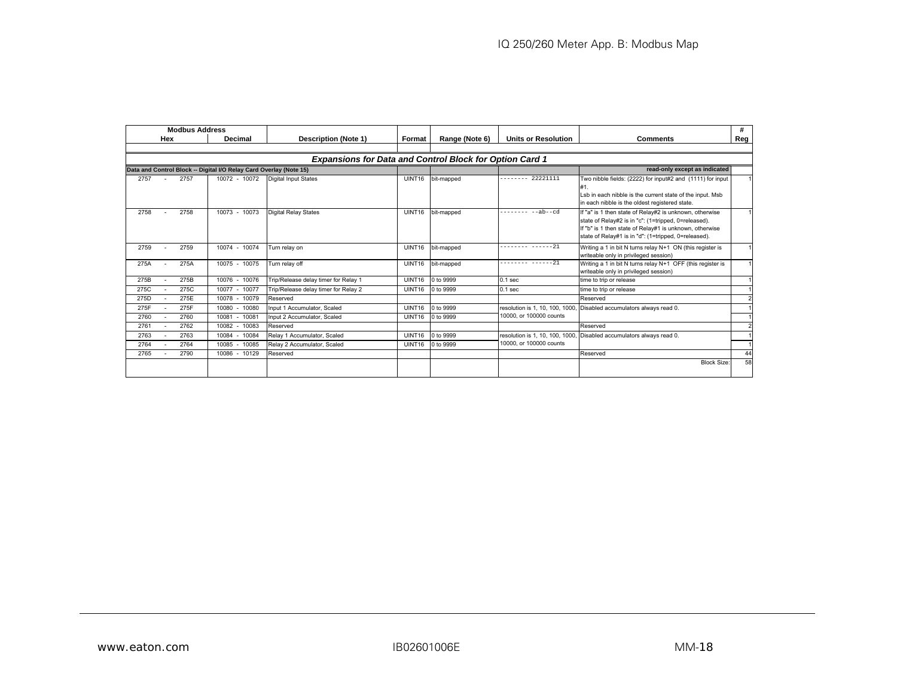|                                                                    | <b>Modbus Address</b> |                                                                |               |                |                                 |                                                                                                                                                                                                                                   | #             |
|--------------------------------------------------------------------|-----------------------|----------------------------------------------------------------|---------------|----------------|---------------------------------|-----------------------------------------------------------------------------------------------------------------------------------------------------------------------------------------------------------------------------------|---------------|
| Hex                                                                | Decimal               | <b>Description (Note 1)</b>                                    | Format        | Range (Note 6) | <b>Units or Resolution</b>      | <b>Comments</b>                                                                                                                                                                                                                   | Reg l         |
|                                                                    |                       |                                                                |               |                |                                 |                                                                                                                                                                                                                                   |               |
|                                                                    |                       | <b>Expansions for Data and Control Block for Option Card 1</b> |               |                |                                 |                                                                                                                                                                                                                                   |               |
| Data and Control Block -- Digital I/O Relay Card Overlay (Note 15) |                       |                                                                |               |                |                                 | read-only except as indicated                                                                                                                                                                                                     |               |
| 2757<br>2757<br>$\sim$                                             | 10072 - 10072         | <b>Digital Input States</b>                                    | UINT16        | bit-mapped     | $----- 22221111$                | Two nibble fields: (2222) for input#2 and (1111) for input<br>#1.<br>Lsb in each nibble is the current state of the input. Msb<br>in each nibble is the oldest registered state.                                                  |               |
| 2758<br>2758                                                       | 10073 - 10073         | <b>Digital Relay States</b>                                    | UINT16        | bit-mapped     | $--ab--cd$<br>.                 | If "a" is 1 then state of Relay#2 is unknown, otherwise<br>state of Relay#2 is in "c": (1=tripped, 0=released).<br>f "b" is 1 then state of Relay#1 is unknown, otherwise<br>state of Relay#1 is in "d": (1=tripped, 0=released). |               |
| 2759<br>2759                                                       | 10074 - 10074         | Turn relay on                                                  | <b>UINT16</b> | bit-mapped     | $------ 21$                     | Writing a 1 in bit N turns relay N+1 ON (this register is<br>writeable only in privileged session)                                                                                                                                |               |
| 275A<br>275A                                                       | 10075 - 10075         | Turn relav off                                                 | UINT16        | bit-mapped     | -------- ------21               | Writing a 1 in bit N turns relay N+1 OFF (this register is<br>writeable only in privileged session)                                                                                                                               |               |
| 275B<br>275B                                                       | 10076 - 10076         | Trip/Release delay timer for Relay 1                           | UINT16        | 0 to 9999      | 0.1 <sub>sec</sub>              | time to trip or release                                                                                                                                                                                                           |               |
| 275C<br>275C                                                       | 10077 - 10077         | Trip/Release delay timer for Relay 2                           | UINT16        | 0 to 9999      | 0.1 <sub>sec</sub>              | time to trip or release                                                                                                                                                                                                           |               |
| 275E<br>275D                                                       | 10078 - 10079         | Reserved                                                       |               |                |                                 | Reserved                                                                                                                                                                                                                          |               |
| 275F<br>275F                                                       | 10080 - 10080         | Input 1 Accumulator, Scaled                                    | UINT16        | 0 to 9999      | resolution is 1, 10, 100, 1000. | Disabled accumulators always read 0.                                                                                                                                                                                              |               |
| 2760<br>2760                                                       | 10081 - 10081         | Input 2 Accumulator, Scaled                                    | UINT16        | 0 to 9999      | 10000, or 100000 counts         |                                                                                                                                                                                                                                   |               |
| 2762<br>2761                                                       | 10082 - 10083         | Reserved                                                       |               |                |                                 | Reserved                                                                                                                                                                                                                          | $\mathcal{P}$ |
| 2763<br>2763                                                       | 10084 - 10084         | Relay 1 Accumulator, Scaled                                    | UINT16        | 0 to 9999      | resolution is 1, 10, 100, 1000, | Disabled accumulators always read 0.                                                                                                                                                                                              |               |
| 2764<br>2764                                                       | 10085 - 10085         | Relay 2 Accumulator, Scaled                                    | UINT16        | 0 to 9999      | 10000, or 100000 counts         |                                                                                                                                                                                                                                   |               |
| 2765<br>2790                                                       | 10086 - 10129         | Reserved                                                       |               |                |                                 | Reserved                                                                                                                                                                                                                          | 44            |
|                                                                    |                       |                                                                |               |                |                                 | <b>Block Size</b>                                                                                                                                                                                                                 | 58            |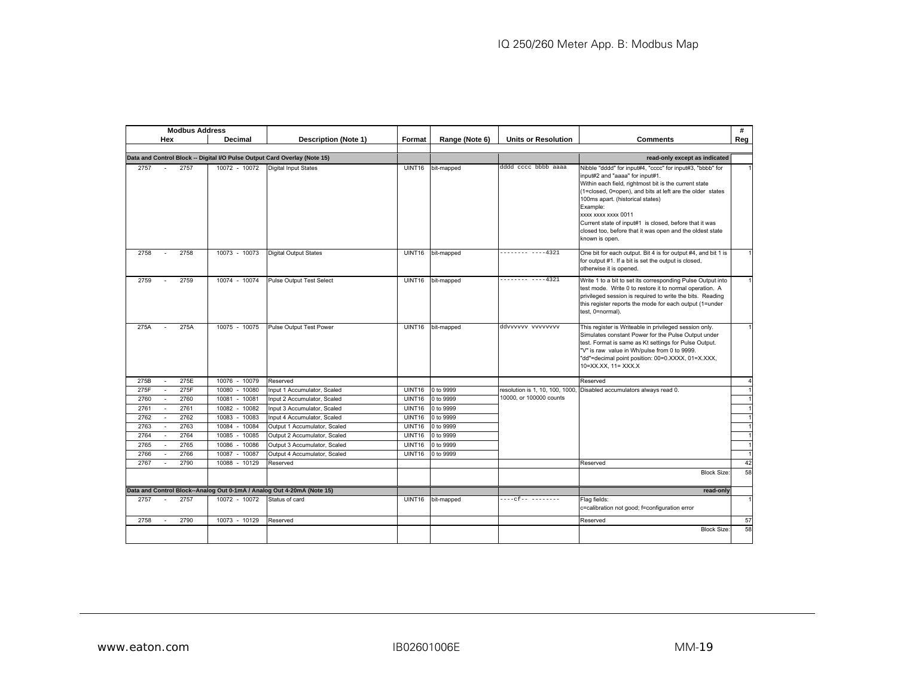|      | <b>Modbus Address</b> |                   |                                                                           |               |                |                            |                                                                                                                                                                                                                                                                                                                                                                                                                                   | #              |
|------|-----------------------|-------------------|---------------------------------------------------------------------------|---------------|----------------|----------------------------|-----------------------------------------------------------------------------------------------------------------------------------------------------------------------------------------------------------------------------------------------------------------------------------------------------------------------------------------------------------------------------------------------------------------------------------|----------------|
|      | Hex                   | Decimal           | <b>Description (Note 1)</b>                                               | Format        | Range (Note 6) | <b>Units or Resolution</b> | <b>Comments</b>                                                                                                                                                                                                                                                                                                                                                                                                                   | Reg            |
|      |                       |                   |                                                                           |               |                |                            |                                                                                                                                                                                                                                                                                                                                                                                                                                   |                |
|      |                       |                   | Data and Control Block -- Digital I/O Pulse Output Card Overlay (Note 15) |               |                |                            | read-only except as indicated                                                                                                                                                                                                                                                                                                                                                                                                     |                |
| 2757 | 2757                  | 10072 - 10072     | <b>Digital Input States</b>                                               | UINT16        | bit-mapped     | dddd cccc bbbb aaaa        | Nibble "dddd" for input#4, "cccc" for input#3, "bbbb" for<br>input#2 and "aaaa" for input#1.<br>Within each field, rightmost bit is the current state<br>(1=closed, 0=open), and bits at left are the older states<br>100ms apart. (historical states)<br>Example:<br>xxxx xxxx xxxx 0011<br>Current state of input#1 is closed, before that it was<br>closed too, before that it was open and the oldest state<br>known is open. |                |
| 2758 | 2758                  | 10073 - 10073     | <b>Digital Output States</b>                                              | <b>UINT16</b> | bit-mapped     | $------ 4321$              | One bit for each output. Bit 4 is for output #4, and bit 1 is<br>for output #1. If a bit is set the output is closed,<br>otherwise it is opened.                                                                                                                                                                                                                                                                                  |                |
| 2759 | 2759                  | 10074 - 10074     | <b>Pulse Output Test Select</b>                                           | <b>UINT16</b> | bit-mapped     | $------ 4321$              | Write 1 to a bit to set its corresponding Pulse Output into<br>test mode. Write 0 to restore it to normal operation. A<br>privileged session is required to write the bits. Reading<br>this register reports the mode for each output (1=under<br>test, 0=normal).                                                                                                                                                                |                |
| 275A | 275A                  | 10075 - 10075     | Pulse Output Test Power                                                   | <b>UINT16</b> | bit-mapped     | ddvvvvvv vvvvvvvv          | This register is Writeable in privileged session only.<br>Simulates constant Power for the Pulse Output under<br>test. Format is same as Kt settings for Pulse Output.<br>"V" is raw value in Wh/pulse from 0 to 9999.<br>"dd"=decimal point position: 00=0.XXXX, 01=X.XXX,<br>10=XX.XX, 11= XXX.X                                                                                                                                |                |
| 275B | 275E<br>$\sim$        | 10076 - 10079     | Reserved                                                                  |               |                |                            | Reserved                                                                                                                                                                                                                                                                                                                                                                                                                          | $\overline{4}$ |
| 275F | 275F                  | 10080 - 10080     | Input 1 Accumulator, Scaled                                               | UINT16        | 0 to 9999      |                            | resolution is 1, 10, 100, 1000, Disabled accumulators always read 0.                                                                                                                                                                                                                                                                                                                                                              |                |
| 2760 | 2760                  | $-10081$<br>10081 | Input 2 Accumulator, Scaled                                               | <b>UINT16</b> | 0 to 9999      | 10000, or 100000 counts    |                                                                                                                                                                                                                                                                                                                                                                                                                                   |                |
| 2761 | 2761<br>$\mathcal{L}$ | 10082<br>$-10082$ | Input 3 Accumulator, Scaled                                               | <b>UINT16</b> | 0 to 9999      |                            |                                                                                                                                                                                                                                                                                                                                                                                                                                   |                |
| 2762 | 2762                  | 10083 - 10083     | Input 4 Accumulator, Scaled                                               | <b>UINT16</b> | 0 to 9999      |                            |                                                                                                                                                                                                                                                                                                                                                                                                                                   |                |
| 2763 | 2763<br>$\sim$        | 10084<br>$-10084$ | Output 1 Accumulator, Scaled                                              | UINT16        | 0 to 9999      |                            |                                                                                                                                                                                                                                                                                                                                                                                                                                   |                |
| 2764 | 2764                  | 10085<br>$-10085$ | Output 2 Accumulator, Scaled                                              | <b>UINT16</b> | 0 to 9999      |                            |                                                                                                                                                                                                                                                                                                                                                                                                                                   |                |
| 2765 | 2765<br>$\sim$        | 10086<br>$-10086$ | Output 3 Accumulator, Scaled                                              | UINT16        | 0 to 9999      |                            |                                                                                                                                                                                                                                                                                                                                                                                                                                   |                |
| 2766 | 2766                  | 10087<br>$-10087$ | Output 4 Accumulator, Scaled                                              | <b>UINT16</b> | 0 to 9999      |                            |                                                                                                                                                                                                                                                                                                                                                                                                                                   |                |
| 2767 | 2790                  | 10088 - 10129     | Reserved                                                                  |               |                |                            | Reserved                                                                                                                                                                                                                                                                                                                                                                                                                          | 42             |
|      |                       |                   |                                                                           |               |                |                            | <b>Block Size:</b>                                                                                                                                                                                                                                                                                                                                                                                                                | 58             |
|      |                       |                   | Data and Control Block--Analog Out 0-1mA / Analog Out 4-20mA (Note 15)    |               |                |                            | read-only                                                                                                                                                                                                                                                                                                                                                                                                                         |                |
| 2757 | 2757                  | 10072 - 10072     | Status of card                                                            | UINT16        | bit-mapped     |                            | Flag fields:<br>c=calibration not good; f=configuration error                                                                                                                                                                                                                                                                                                                                                                     |                |
| 2758 | 2790<br>$\sim$        | 10073 - 10129     | Reserved                                                                  |               |                |                            | Reserved                                                                                                                                                                                                                                                                                                                                                                                                                          | 57             |
|      |                       |                   |                                                                           |               |                |                            | <b>Block Size:</b>                                                                                                                                                                                                                                                                                                                                                                                                                | 58             |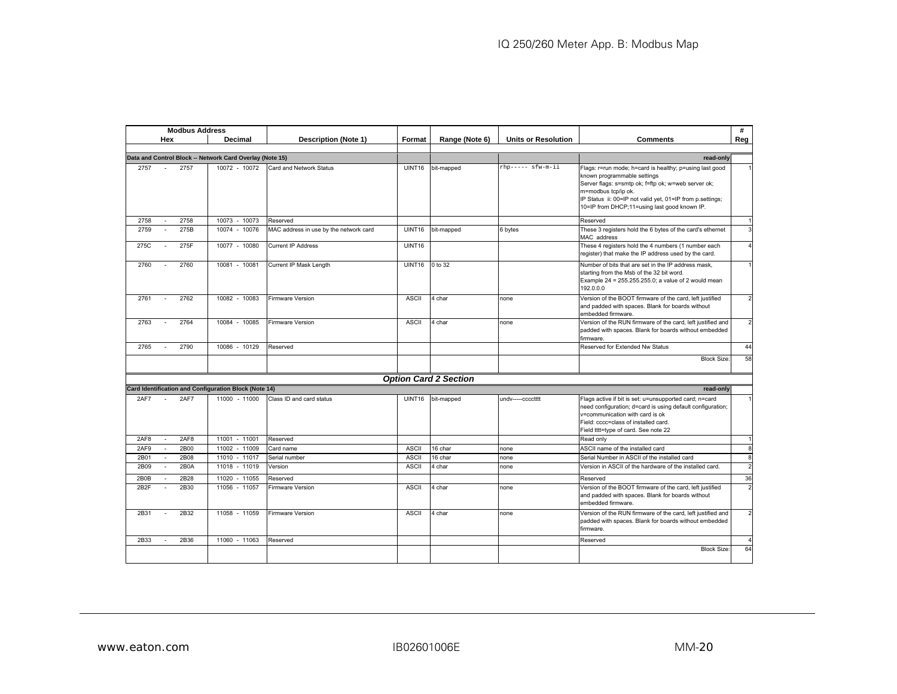| <b>Modbus Address</b>                                    |                   |                                        |              |                              |                            |                                                                                                                                                                                                                                                                                   | #   |
|----------------------------------------------------------|-------------------|----------------------------------------|--------------|------------------------------|----------------------------|-----------------------------------------------------------------------------------------------------------------------------------------------------------------------------------------------------------------------------------------------------------------------------------|-----|
| Hex                                                      | Decimal           | Description (Note 1)                   | Format       | Range (Note 6)               | <b>Units or Resolution</b> | <b>Comments</b>                                                                                                                                                                                                                                                                   | Reg |
|                                                          |                   |                                        |              |                              |                            |                                                                                                                                                                                                                                                                                   |     |
| Data and Control Block -- Network Card Overlay (Note 15) |                   |                                        |              |                              |                            | read-only                                                                                                                                                                                                                                                                         |     |
| 2757<br>2757<br>$\sim$                                   | 10072 - 10072     | Card and Network Status                | UINT16       | bit-mapped                   | rhp----- sfw-m-ii          | Flags: r=run mode; h=card is healthy; p=using last good<br>known programmable settings<br>Server flags: s=smtp ok; f=ftp ok; w=web server ok;<br>m=modbus tcp/ip ok.<br>IP Status ii: 00=IP not valid yet, 01=IP from p.settings;<br>10=IP from DHCP;11=using last good known IP. |     |
| 2758<br>2758<br>$\sim$                                   | 10073 - 10073     | Reserved                               |              |                              |                            | Reserved                                                                                                                                                                                                                                                                          |     |
| 275B<br>2759<br>$\mathbf{r}$                             | 10074 - 10076     | MAC address in use by the network card | UINT16       | bit-mapped                   | 6 bytes                    | These 3 registers hold the 6 bytes of the card's ethernet<br>MAC address                                                                                                                                                                                                          |     |
| 275F<br>275C                                             | 10077 - 10080     | <b>Current IP Address</b>              | UINT16       |                              |                            | These 4 registers hold the 4 numbers (1 number each<br>register) that make the IP address used by the card.                                                                                                                                                                       |     |
| 2760<br>2760<br>÷                                        | 10081 - 10081     | Current IP Mask Length                 | UINT16       | 0 to 32                      |                            | Number of bits that are set in the IP address mask,<br>starting from the Msb of the 32 bit word.<br>Example 24 = 255.255.255.0; a value of 2 would mean<br>192.0.0.0                                                                                                              |     |
| 2761<br>2762<br>$\overline{a}$                           | 10082 - 10083     | Firmware Version                       | <b>ASCII</b> | 4 char                       | none                       | Version of the BOOT firmware of the card, left justified<br>and padded with spaces. Blank for boards without<br>embedded firmware.                                                                                                                                                |     |
| 2764<br>2763<br>÷                                        | 10084 - 10085     | Firmware Version                       | <b>ASCII</b> | 4 char                       | none                       | Version of the RUN firmware of the card, left justified and<br>padded with spaces. Blank for boards without embedded<br>firmware.                                                                                                                                                 |     |
| 2790<br>2765<br>$\sim$                                   | 10086 - 10129     | Reserved                               |              |                              |                            | Reserved for Extended Nw Status                                                                                                                                                                                                                                                   | 44  |
|                                                          |                   |                                        |              |                              |                            | <b>Block Size:</b>                                                                                                                                                                                                                                                                | 58  |
|                                                          |                   |                                        |              | <b>Option Card 2 Section</b> |                            |                                                                                                                                                                                                                                                                                   |     |
| Card Identification and Configuration Block (Note 14)    |                   |                                        |              |                              |                            | read-only                                                                                                                                                                                                                                                                         |     |
| 2AF7<br>2AF7                                             | 11000 - 11000     | Class ID and card status               | UINT16       | bit-mapped                   | undv-----cccctttt          | Flags active if bit is set: u=unsupported card; n=card<br>need configuration; d=card is using default configuration;<br>v=communication with card is ok<br>Field: cccc=class of installed card.<br>Field tttt=type of card. See note 22                                           |     |
| 2AF8<br>2AF8<br>÷.                                       | 11001 - 11001     | Reserved                               |              |                              |                            | Read only                                                                                                                                                                                                                                                                         |     |
| 2B00<br>2AF9<br>$\sim$                                   | 11002 - 11009     | Card name                              | <b>ASCII</b> | 16 char                      | none                       | ASCII name of the installed card                                                                                                                                                                                                                                                  |     |
| 2B01<br>2B08<br>$\sim$                                   | 11010 - 11017     | Serial number                          | <b>ASCII</b> | 16 char                      | none                       | Serial Number in ASCII of the installed card                                                                                                                                                                                                                                      |     |
| 2B0A<br>2B09<br>$\mathbf{r}$                             | 11018 - 11019     | Version                                | <b>ASCII</b> | 4 char                       | none                       | Version in ASCII of the hardware of the installed card.                                                                                                                                                                                                                           |     |
| 2B28<br>2B0B                                             | 11020<br>$-11055$ | Reserved                               |              |                              |                            | Reserved                                                                                                                                                                                                                                                                          | 36  |
| 2B2F<br>2B30<br>$\sim$                                   | 11056 - 11057     | Firmware Version                       | <b>ASCII</b> | 4 char                       | none                       | Version of the BOOT firmware of the card, left justified<br>and padded with spaces. Blank for boards without<br>embedded firmware.                                                                                                                                                |     |
| 2B32<br>2B31<br>$\overline{a}$                           | 11058 - 11059     | <b>Firmware Version</b>                | <b>ASCII</b> | 4 char                       | none                       | Version of the RUN firmware of the card, left justified and<br>padded with spaces. Blank for boards without embedded<br>firmware.                                                                                                                                                 |     |
| 2B33<br>2B36                                             | 11060 - 11063     | Reserved                               |              |                              |                            | Reserved                                                                                                                                                                                                                                                                          |     |
|                                                          |                   |                                        |              |                              |                            | <b>Block Size:</b>                                                                                                                                                                                                                                                                | 64  |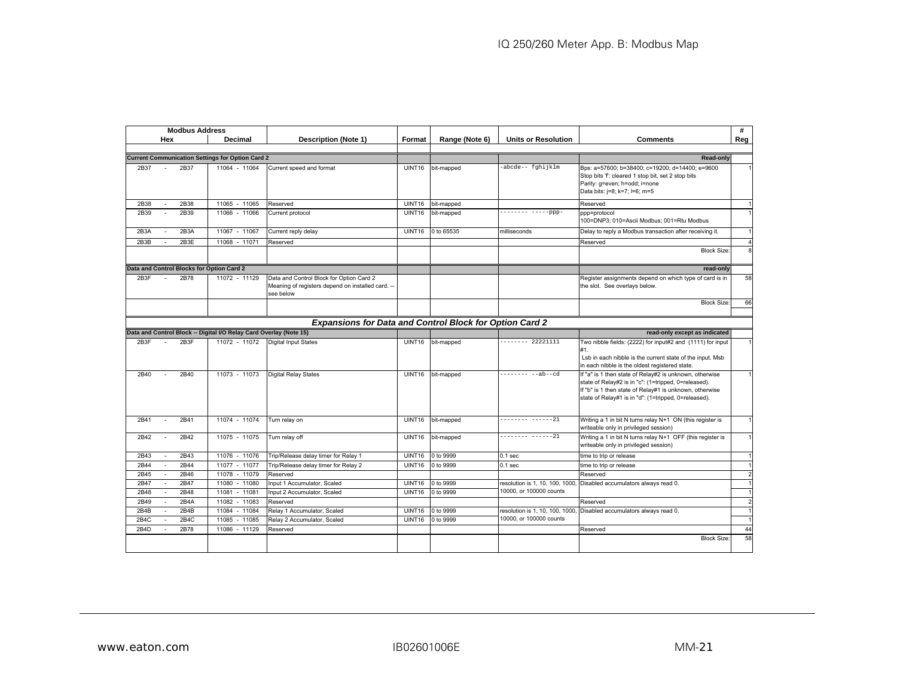|              | <b>Modbus Address</b>                     |                                                                    |                                                                                                            |               |                |                                                            |                                                                                                                                                                                                                                   | #                   |
|--------------|-------------------------------------------|--------------------------------------------------------------------|------------------------------------------------------------------------------------------------------------|---------------|----------------|------------------------------------------------------------|-----------------------------------------------------------------------------------------------------------------------------------------------------------------------------------------------------------------------------------|---------------------|
|              | Hex                                       | Decimal                                                            | <b>Description (Note 1)</b>                                                                                | Format        | Range (Note 6) | <b>Units or Resolution</b>                                 | <b>Comments</b>                                                                                                                                                                                                                   | Reg                 |
|              |                                           |                                                                    |                                                                                                            |               |                |                                                            |                                                                                                                                                                                                                                   |                     |
|              |                                           | <b>Current Communication Settings for Option Card 2</b>            |                                                                                                            |               |                |                                                            | <b>Read-only</b>                                                                                                                                                                                                                  |                     |
| 2B37         | 2B37                                      | 11064 - 11064                                                      | Current speed and format                                                                                   | <b>UINT16</b> | bit-mapped     | -abcde-- fqhijklm                                          | Bps: a=57600; b=38400; c=19200; d=14400; e=9600<br>Stop bits 'f: cleared 1 stop bit, set 2 stop bits<br>Parity: g=even; h=odd; i=none<br>Data bits: j=8; k=7; l=6; m=5                                                            | $\mathbf{1}$        |
| 2B38         | 2B38                                      | 11065 - 11065                                                      | Reserved                                                                                                   | UINT16        | bit-mapped     |                                                            | Reserved                                                                                                                                                                                                                          | $\mathbf{1}$        |
| 2B39         | 2B39                                      | 11066 - 11066                                                      | Current protocol                                                                                           | <b>UINT16</b> | bit-mapped     | -------- -----ppp-                                         | ppp=protocol<br>100=DNP3; 010=Ascii Modbus; 001=Rtu Modbus                                                                                                                                                                        |                     |
| 2B3A         | 2B3A                                      | 11067 - 11067                                                      | Current reply delay                                                                                        | UINT16        | 0 to 65535     | milliseconds                                               | Delay to reply a Modbus transaction after receiving it.                                                                                                                                                                           |                     |
| 2B3B         | 2B3E                                      | 11068 - 11071                                                      | Reserved                                                                                                   |               |                |                                                            | Reserved                                                                                                                                                                                                                          |                     |
|              |                                           |                                                                    |                                                                                                            |               |                |                                                            | <b>Block Size</b>                                                                                                                                                                                                                 | 8                   |
|              | Data and Control Blocks for Option Card 2 |                                                                    |                                                                                                            |               |                |                                                            | read-only                                                                                                                                                                                                                         |                     |
| 2B3F         | 2B78                                      | 11072 - 11129                                                      | Data and Control Block for Option Card 2<br>Meaning of registers depend on installed card. --<br>see below |               |                |                                                            | Register assignments depend on which type of card is in<br>the slot. See overlays below.                                                                                                                                          | 58                  |
|              |                                           |                                                                    |                                                                                                            |               |                |                                                            | <b>Block Size</b>                                                                                                                                                                                                                 | 66                  |
|              |                                           |                                                                    |                                                                                                            |               |                |                                                            |                                                                                                                                                                                                                                   |                     |
|              |                                           |                                                                    | <b>Expansions for Data and Control Block for Option Card 2</b>                                             |               |                |                                                            |                                                                                                                                                                                                                                   |                     |
|              |                                           | Data and Control Block -- Digital I/O Relay Card Overlay (Note 15) |                                                                                                            |               |                |                                                            | read-only except as indicated                                                                                                                                                                                                     |                     |
| 2B3F         | 2B3F                                      | 11072 - 11072                                                      | Digital Input States                                                                                       | <b>UINT16</b> | bit-mapped     | $----- 22221111$                                           | Two nibble fields: (2222) for input#2 and (1111) for input<br>#1.<br>Lsb in each nibble is the current state of the input. Msb<br>in each nibble is the oldest registered state.                                                  |                     |
| 2B40         | 2B40                                      | 11073 - 11073                                                      | Digital Relay States                                                                                       | UINT16        | bit-mapped     | -------- --ab--cd                                          | f "a" is 1 then state of Relay#2 is unknown, otherwise<br>state of Relay#2 is in "c": (1=tripped, 0=released).<br>If "b" is 1 then state of Relay#1 is unknown, otherwise<br>state of Relay#1 is in "d": (1=tripped, 0=released). |                     |
| 2B41         | 2B41                                      | 11074 - 11074                                                      | Turn relay on                                                                                              | <b>UINT16</b> | bit-mapped     | -------- ------21                                          | Writing a 1 in bit N turns relay N+1 ON (this register is<br>writeable only in privileged session)                                                                                                                                |                     |
| 2B42         | 2B42                                      | 11075 - 11075                                                      | Turn relay off                                                                                             | <b>UINT16</b> | bit-mapped     | -------- ------21                                          | Writing a 1 in bit N turns relay N+1 OFF (this register is<br>writeable only in privileged session)                                                                                                                               | $\mathbf{1}$        |
| 2B43         | 2B43<br>$\sim$                            | 11076 - 11076                                                      | Trip/Release delay timer for Relay 1                                                                       | UINT16        | 0 to 9999      | 0.1 <sub>sec</sub>                                         | time to trip or release                                                                                                                                                                                                           | $\mathbf{1}$        |
| 2B44         | 2B44<br>$\sim$                            | 11077 - 11077                                                      | Trip/Release delay timer for Relay 2                                                                       | UINT16        | 0 to 9999      | 0.1 <sub>sec</sub>                                         | time to trip or release                                                                                                                                                                                                           |                     |
| 2B45         | 2B46                                      | 11078 - 11079                                                      | Reserved                                                                                                   |               |                |                                                            | Reserved                                                                                                                                                                                                                          | $\overline{2}$      |
| 2B47         | 2B47                                      | 11080 - 11080                                                      | Input 1 Accumulator, Scaled                                                                                | UINT16        | 0 to 9999      | resolution is 1, 10, 100, 1000,                            | Disabled accumulators always read 0.                                                                                                                                                                                              |                     |
| 2B48         | 2B48<br>$\sim$                            | 11081 - 11081                                                      | Input 2 Accumulator, Scaled                                                                                | UINT16        | 0 to 9999      | 10000, or 100000 counts                                    |                                                                                                                                                                                                                                   | $\mathbf{1}$        |
| 2B49         | 2B4A                                      | 11082 - 11083                                                      | Reserved                                                                                                   |               |                |                                                            | Reserved                                                                                                                                                                                                                          | $\overline{2}$      |
| 2B4B         | 2B4B<br>2B4C                              | 11084 - 11084                                                      | Relay 1 Accumulator, Scaled                                                                                | UINT16        | 0 to 9999      | resolution is 1, 10, 100, 1000,<br>10000, or 100000 counts | Disabled accumulators always read 0.                                                                                                                                                                                              | 1<br>$\overline{1}$ |
| 2B4C<br>2B4D | 2B78                                      | 11085<br>$-11085$<br>11086<br>$-11129$                             | Relay 2 Accumulator, Scaled<br>Reserved                                                                    | UINT16        | 0 to 9999      |                                                            | Reserved                                                                                                                                                                                                                          | 44                  |
|              |                                           |                                                                    |                                                                                                            |               |                |                                                            | <b>Block Size</b>                                                                                                                                                                                                                 | 58                  |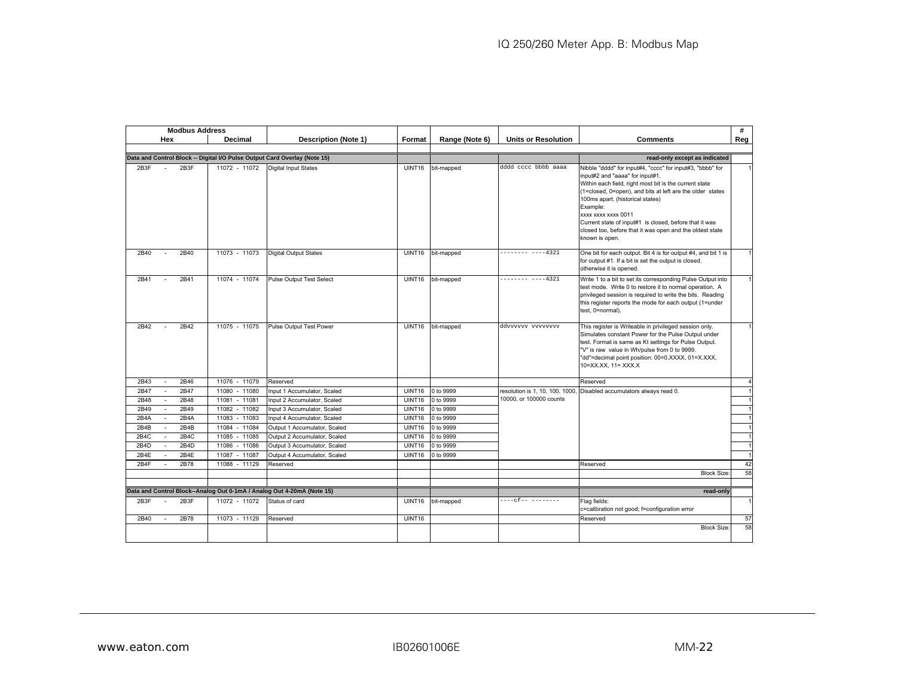|      | <b>Modbus Address</b> |                   |                                                                           |               |                |                            |                                                                                                                                                                                                                                                                                                                                                                                                                                    | #              |
|------|-----------------------|-------------------|---------------------------------------------------------------------------|---------------|----------------|----------------------------|------------------------------------------------------------------------------------------------------------------------------------------------------------------------------------------------------------------------------------------------------------------------------------------------------------------------------------------------------------------------------------------------------------------------------------|----------------|
|      | Hex                   | Decimal           | <b>Description (Note 1)</b>                                               | Format        | Range (Note 6) | <b>Units or Resolution</b> | <b>Comments</b>                                                                                                                                                                                                                                                                                                                                                                                                                    | Reg            |
|      |                       |                   |                                                                           |               |                |                            |                                                                                                                                                                                                                                                                                                                                                                                                                                    |                |
|      |                       |                   | Data and Control Block -- Digital I/O Pulse Output Card Overlay (Note 15) |               |                |                            | read-only except as indicated                                                                                                                                                                                                                                                                                                                                                                                                      |                |
| 2B3F | 2B3F                  | 11072 - 11072     | <b>Digital Input States</b>                                               | <b>UINT16</b> | bit-mapped     | dddd cccc bbbb aaaa        | Nibble "dddd" for input#4, "cccc" for input#3, "bbbb" for<br>input#2 and "aaaa" for input#1.<br>Within each field, right most bit is the current state<br>(1=closed, 0=open), and bits at left are the older states<br>100ms apart. (historical states)<br>Example:<br>xxxx xxxx xxxx 0011<br>Current state of input#1 is closed, before that it was<br>closed too, before that it was open and the oldest state<br>known is open. |                |
| 2B40 | 2B40                  | 11073 - 11073     | <b>Digital Output States</b>                                              | UINT16        | bit-mapped     | -------- ----4321          | One bit for each output. Bit 4 is for output #4, and bit 1 is<br>for output #1. If a bit is set the output is closed,<br>otherwise it is opened.                                                                                                                                                                                                                                                                                   |                |
| 2B41 | 2B41                  | 11074 - 11074     | <b>Pulse Output Test Select</b>                                           | <b>UINT16</b> | bit-mapped     | $---------4321$            | Write 1 to a bit to set its corresponding Pulse Output into<br>test mode. Write 0 to restore it to normal operation. A<br>privileged session is required to write the bits. Reading<br>this register reports the mode for each output (1=under<br>test, 0=normal).                                                                                                                                                                 |                |
| 2B42 | 2B42                  | 11075 - 11075     | Pulse Output Test Power                                                   | <b>UINT16</b> | bit-mapped     | ddvvvvvv vvvvvvvv          | This register is Writeable in privileged session only.<br>Simulates constant Power for the Pulse Output under<br>test. Format is same as Kt settings for Pulse Output.<br>"V" is raw value in Wh/pulse from 0 to 9999.<br>"dd"=decimal point position: 00=0.XXXX, 01=X.XXX,<br>10=XX.XX, 11= XXX.X                                                                                                                                 |                |
| 2B43 | 2B46                  | 11076 - 11079     | Reserved                                                                  |               |                |                            | Reserved                                                                                                                                                                                                                                                                                                                                                                                                                           | $\overline{A}$ |
| 2B47 | 2B47<br>$\sim$        | 11080 - 11080     | Input 1 Accumulator, Scaled                                               | UINT16        | 0 to 9999      |                            | resolution is 1, 10, 100, 1000, Disabled accumulators always read 0.                                                                                                                                                                                                                                                                                                                                                               |                |
| 2B48 | 2B48                  | 11081 - 11081     | Input 2 Accumulator, Scaled                                               | <b>UINT16</b> | 0 to 9999      | 10000, or 100000 counts    |                                                                                                                                                                                                                                                                                                                                                                                                                                    |                |
| 2B49 | 2B49                  | 11082 - 11082     | Input 3 Accumulator, Scaled                                               | <b>UINT16</b> | 0 to 9999      |                            |                                                                                                                                                                                                                                                                                                                                                                                                                                    |                |
| 2B4A | 2B4A<br>$\sim$        | 11083<br>$-11083$ | Input 4 Accumulator, Scaled                                               | <b>UINT16</b> | 0 to 9999      |                            |                                                                                                                                                                                                                                                                                                                                                                                                                                    |                |
| 2B4B | 2B4B                  | 11084 - 11084     | Output 1 Accumulator, Scaled                                              | <b>UINT16</b> | 0 to 9999      |                            |                                                                                                                                                                                                                                                                                                                                                                                                                                    |                |
| 2B4C | 2B4C                  | $-11085$<br>11085 | Output 2 Accumulator, Scaled                                              | UINT16        | 0 to 9999      |                            |                                                                                                                                                                                                                                                                                                                                                                                                                                    |                |
| 2B4D | 2B4D                  | 11086<br>$-11086$ | Output 3 Accumulator, Scaled                                              | <b>UINT16</b> | 0 to 9999      |                            |                                                                                                                                                                                                                                                                                                                                                                                                                                    |                |
| 2B4E | 2B4E                  | 11087 - 11087     | Output 4 Accumulator, Scaled                                              | <b>UINT16</b> | 0 to 9999      |                            |                                                                                                                                                                                                                                                                                                                                                                                                                                    | $\overline{1}$ |
| 2B4F | 2B78                  | 11088 - 11129     | Reserved                                                                  |               |                |                            | Reserved                                                                                                                                                                                                                                                                                                                                                                                                                           | 42             |
|      |                       |                   |                                                                           |               |                |                            | <b>Block Size:</b>                                                                                                                                                                                                                                                                                                                                                                                                                 | 58             |
|      |                       |                   |                                                                           |               |                |                            |                                                                                                                                                                                                                                                                                                                                                                                                                                    |                |
|      |                       |                   | Data and Control Block--Analog Out 0-1mA / Analog Out 4-20mA (Note 15)    |               |                |                            | read-only                                                                                                                                                                                                                                                                                                                                                                                                                          |                |
| 2B3F | 2B3F                  | 11072 - 11072     | Status of card                                                            | <b>UINT16</b> | bit-mapped     |                            | Flag fields:<br>c=calibration not good; f=configuration error                                                                                                                                                                                                                                                                                                                                                                      |                |
| 2B40 | 2B78<br>$\sim$        | 11073 - 11129     | Reserved                                                                  | <b>UINT16</b> |                |                            | Reserved                                                                                                                                                                                                                                                                                                                                                                                                                           | 57             |
|      |                       |                   |                                                                           |               |                |                            | <b>Block Size:</b>                                                                                                                                                                                                                                                                                                                                                                                                                 | 58             |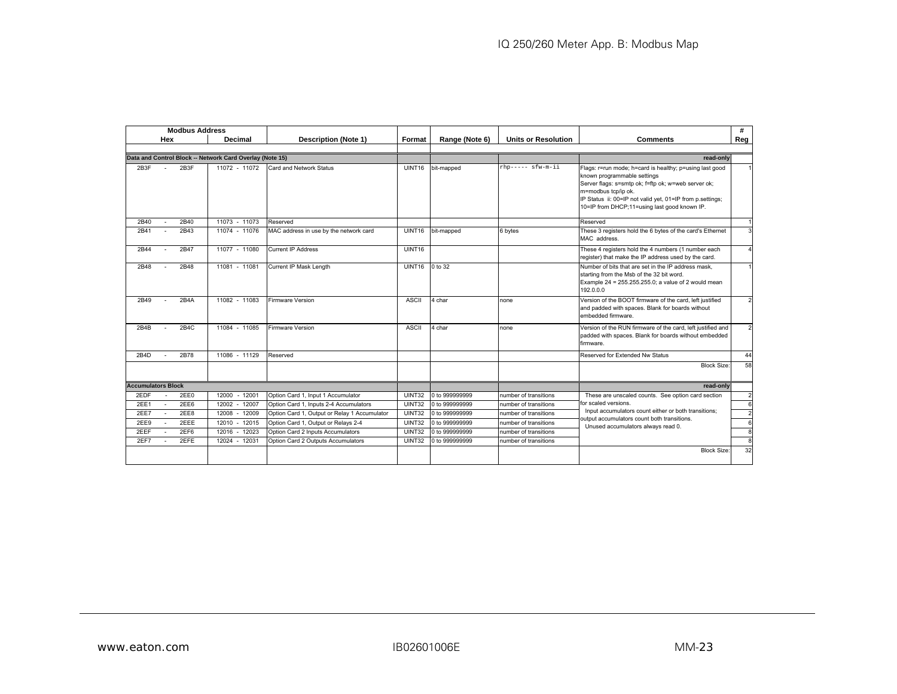|                           |     | <b>Modbus Address</b> |                                                          |                                              |               |                |                            |                                                                                                                                                                                                                                                                                   | #              |
|---------------------------|-----|-----------------------|----------------------------------------------------------|----------------------------------------------|---------------|----------------|----------------------------|-----------------------------------------------------------------------------------------------------------------------------------------------------------------------------------------------------------------------------------------------------------------------------------|----------------|
|                           | Hex |                       | Decimal                                                  | <b>Description (Note 1)</b>                  | Format        | Range (Note 6) | <b>Units or Resolution</b> | <b>Comments</b>                                                                                                                                                                                                                                                                   | Reg            |
|                           |     |                       |                                                          |                                              |               |                |                            |                                                                                                                                                                                                                                                                                   |                |
|                           |     |                       | Data and Control Block -- Network Card Overlay (Note 15) |                                              |               |                |                            | read-only                                                                                                                                                                                                                                                                         |                |
| 2B3F                      | ÷   | 2B3F                  | 11072 - 11072                                            | Card and Network Status                      | UINT16        | bit-mapped     | rhp----- sfw-m-ii          | Flags: r=run mode; h=card is healthy; p=using last good<br>known programmable settings<br>Server flags: s=smtp ok; f=ftp ok; w=web server ok;<br>m=modbus tcp/ip ok.<br>IP Status ii: 00=IP not valid yet, 01=IP from p.settings;<br>10=IP from DHCP;11=using last good known IP. |                |
| 2B40                      |     | 2B40                  | 11073 - 11073                                            | Reserved                                     |               |                |                            | Reserved                                                                                                                                                                                                                                                                          |                |
| 2B41                      |     | 2B43                  | 11074 - 11076                                            | MAC address in use by the network card       | <b>UINT16</b> | bit-mapped     | 6 bytes                    | These 3 registers hold the 6 bytes of the card's Ethernet<br>MAC address.                                                                                                                                                                                                         |                |
| 2B44                      |     | 2B47                  | 11077 - 11080                                            | <b>Current IP Address</b>                    | UINT16        |                |                            | These 4 registers hold the 4 numbers (1 number each<br>register) that make the IP address used by the card.                                                                                                                                                                       | $\overline{4}$ |
| 2B48                      |     | 2B48                  | 11081 - 11081                                            | Current IP Mask Length                       | UINT16        | 0 to 32        |                            | Number of bits that are set in the IP address mask.<br>starting from the Msb of the 32 bit word.<br>Example 24 = 255.255.255.0; a value of 2 would mean<br>192.0.0.0                                                                                                              |                |
| 2B49                      |     | 2B4A                  | 11082 - 11083                                            | <b>Firmware Version</b>                      | <b>ASCII</b>  | 4 char         | none                       | Version of the BOOT firmware of the card, left justified<br>and padded with spaces. Blank for boards without<br>embedded firmware.                                                                                                                                                | $\mathcal{P}$  |
| 2B4B                      |     | 2B4C                  | 11084 - 11085                                            | <b>Firmware Version</b>                      | <b>ASCII</b>  | 4 char         | none                       | Version of the RUN firmware of the card, left justified and<br>padded with spaces. Blank for boards without embedded<br>firmware.                                                                                                                                                 | $\overline{2}$ |
| 2B4D                      |     | 2B78                  | 11086 - 11129                                            | Reserved                                     |               |                |                            | Reserved for Extended Nw Status                                                                                                                                                                                                                                                   | 44             |
|                           |     |                       |                                                          |                                              |               |                |                            | <b>Block Size:</b>                                                                                                                                                                                                                                                                | 58             |
| <b>Accumulators Block</b> |     |                       |                                                          |                                              |               |                |                            | read-only                                                                                                                                                                                                                                                                         |                |
| 2EDF                      |     | 2EE0                  | $12000 - 12001$                                          | Option Card 1, Input 1 Accumulator           | UINT32        | 0 to 999999999 | number of transitions      | These are unscaled counts. See option card section                                                                                                                                                                                                                                | $\overline{2}$ |
| 2EE1                      |     | 2EE6                  | 12002<br>$-12007$                                        | Option Card 1, Inputs 2-4 Accumulators       | UINT32        | 0 to 999999999 | number of transitions      | for scaled versions.<br>Input accumulators count either or both transitions;                                                                                                                                                                                                      | 6              |
| 2EE7                      |     | 2EE8                  | $-12009$<br>12008                                        | Option Card 1, Output or Relay 1 Accumulator | UINT32        | 0 to 999999999 | number of transitions      | output accumulators count both transitions.                                                                                                                                                                                                                                       | $\overline{2}$ |
| 2EE9                      |     | 2EEE                  | 12010 - 12015                                            | Option Card 1, Output or Relays 2-4          | UINT32        | 0 to 999999999 | number of transitions      | Unused accumulators always read 0.                                                                                                                                                                                                                                                | 6              |
| 2EEF                      |     | 2EF6                  | $-12023$<br>12016                                        | Option Card 2 Inputs Accumulators            | UINT32        | 0 to 999999999 | number of transitions      |                                                                                                                                                                                                                                                                                   | 8              |
| 2EF7                      |     | 2EFE                  | 12024 - 12031                                            | Option Card 2 Outputs Accumulators           | UINT32        | 0 to 999999999 | number of transitions      |                                                                                                                                                                                                                                                                                   | 8              |
|                           |     |                       |                                                          |                                              |               |                |                            | <b>Block Size:</b>                                                                                                                                                                                                                                                                | 32             |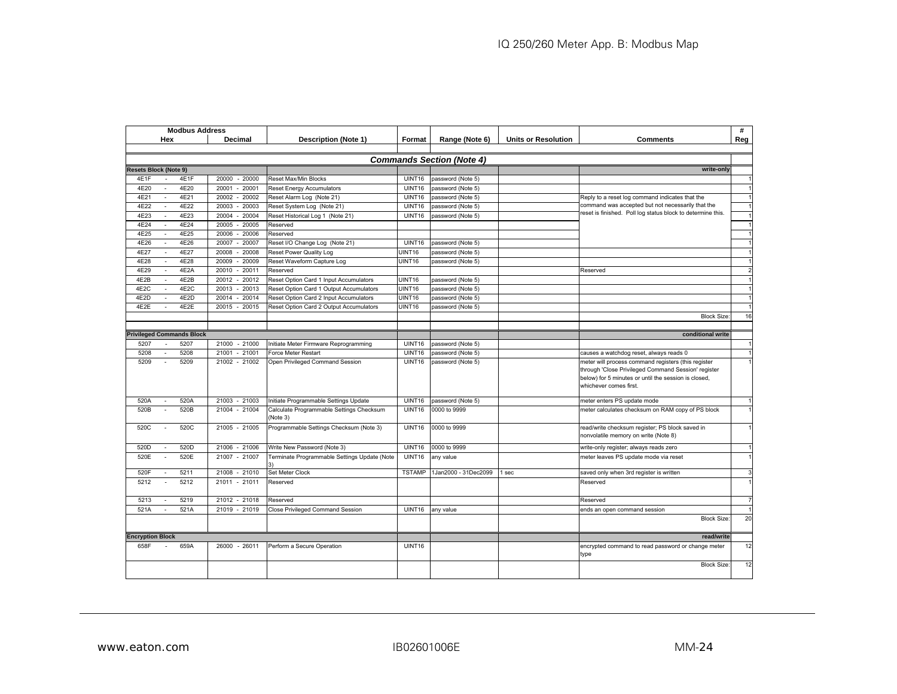| <b>Modbus Address</b>                    |                   |                                                      |                    |                                  |                            |                                                                                                                                                                                              | #              |
|------------------------------------------|-------------------|------------------------------------------------------|--------------------|----------------------------------|----------------------------|----------------------------------------------------------------------------------------------------------------------------------------------------------------------------------------------|----------------|
| Hex                                      | <b>Decimal</b>    | <b>Description (Note 1)</b>                          | Format             | Range (Note 6)                   | <b>Units or Resolution</b> | <b>Comments</b>                                                                                                                                                                              | Reg            |
|                                          |                   |                                                      |                    |                                  |                            |                                                                                                                                                                                              |                |
|                                          |                   |                                                      |                    | <b>Commands Section (Note 4)</b> |                            |                                                                                                                                                                                              |                |
| <b>Resets Block (Note 9)</b>             |                   |                                                      |                    |                                  |                            | write-only                                                                                                                                                                                   |                |
| 4E1F<br>4E1F                             | 20000<br>$-20000$ | Reset Max/Min Blocks                                 | UINT16             | password (Note 5)                |                            |                                                                                                                                                                                              |                |
| 4E20<br>4E20<br>$\overline{\phantom{a}}$ | 20001<br>$-20001$ | <b>Reset Energy Accumulators</b>                     | UINT16             | password (Note 5)                |                            |                                                                                                                                                                                              |                |
| 4E21<br>4E21                             | 20002<br>$-20002$ | Reset Alarm Log (Note 21)                            | UINT16             | password (Note 5)                |                            | Reply to a reset log command indicates that the                                                                                                                                              |                |
| 4E22<br>4E22                             | 20003<br>20003    | Reset System Log (Note 21)                           | UINT16             | password (Note 5)                |                            | command was accepted but not necessarily that the                                                                                                                                            |                |
| 4E23<br>4E23                             | $-20004$<br>20004 | Reset Historical Log 1 (Note 21)                     | UINT16             | password (Note 5)                |                            | reset is finished. Poll log status block to determine this.                                                                                                                                  |                |
| 4E24<br>4E24                             | 20005<br>20005    | Reserved                                             |                    |                                  |                            |                                                                                                                                                                                              |                |
| 4F25<br>4F25                             | $-20006$<br>20006 | Reserved                                             |                    |                                  |                            |                                                                                                                                                                                              |                |
| 4E26<br>4E26                             | $-20007$<br>20007 | Reset I/O Change Log (Note 21)                       | UINT16             | password (Note 5)                |                            |                                                                                                                                                                                              |                |
| 4F27<br>4E27                             | 20008<br>20008    | Reset Power Quality Log                              | UINT16             | password (Note 5)                |                            |                                                                                                                                                                                              |                |
| 4E28<br>4E28                             | $-20009$<br>20009 | Reset Waveform Capture Log                           | UINT16             | password (Note 5)                |                            |                                                                                                                                                                                              |                |
| 4E2A<br>4E29                             | $-20011$<br>20010 | Reserved                                             |                    |                                  |                            | Reserved                                                                                                                                                                                     | $\overline{2}$ |
| 4E2B<br>4E2B                             | $-20012$<br>20012 | Reset Option Card 1 Input Accumulators               | UINT16             | password (Note 5)                |                            |                                                                                                                                                                                              |                |
| 4E2C<br>4E2C                             | $-20013$<br>20013 | Reset Option Card 1 Output Accumulators              | UINT16             | password (Note 5)                |                            |                                                                                                                                                                                              |                |
| 4E2D<br>4E2D                             | $-20014$<br>20014 | Reset Option Card 2 Input Accumulators               | UINT <sub>16</sub> | password (Note 5)                |                            |                                                                                                                                                                                              |                |
| 4E2E<br>4E2E                             | $-20015$<br>20015 | Reset Option Card 2 Output Accumulators              | <b>UINT16</b>      | password (Note 5)                |                            |                                                                                                                                                                                              |                |
|                                          |                   |                                                      |                    |                                  |                            | <b>Block Size</b>                                                                                                                                                                            | 16             |
|                                          |                   |                                                      |                    |                                  |                            |                                                                                                                                                                                              |                |
| <b>Privileged Commands Block</b>         |                   |                                                      |                    |                                  |                            | conditional write                                                                                                                                                                            |                |
| 5207<br>5207                             | 21000 - 21000     | Initiate Meter Firmware Reprogramming                | UINT16             | password (Note 5)                |                            |                                                                                                                                                                                              |                |
| 5208<br>5208<br>$\sim$                   | 21001<br>$-21001$ | Force Meter Restart                                  | UINT16             | password (Note 5)                |                            | causes a watchdog reset, always reads 0                                                                                                                                                      |                |
| 5209<br>5209                             | 21002 - 21002     | Open Privileged Command Session                      | UINT16             | password (Note 5)                |                            | meter will process command registers (this register<br>through 'Close Privileged Command Session' register<br>below) for 5 minutes or until the session is closed,<br>whichever comes first. |                |
| 520A<br>520A                             | 21003 - 21003     | Initiate Programmable Settings Update                | UINT16             | password (Note 5)                |                            | meter enters PS update mode                                                                                                                                                                  |                |
| 520B<br>520B                             | 21004<br>$-21004$ | Calculate Programmable Settings Checksum<br>(Note 3) | UINT16             | 0000 to 9999                     |                            | meter calculates checksum on RAM copy of PS block                                                                                                                                            |                |
| 520C<br>520C                             | 21005 - 21005     | Programmable Settings Checksum (Note 3)              | UINT16             | 0000 to 9999                     |                            | read/write checksum register; PS block saved in<br>nonvolatile memory on write (Note 8)                                                                                                      |                |
| 520D<br>520D                             | 21006 - 21006     | Write New Password (Note 3)                          | UINT16             | 0000 to 9999                     |                            | write-only register; always reads zero                                                                                                                                                       |                |
| 520E<br>520E                             | 21007 - 21007     | Terminate Programmable Settings Update (Note<br>3١   | UINT16             | any value                        |                            | meter leaves PS update mode via reset                                                                                                                                                        |                |
| 520F<br>5211                             | 21008 - 21010     | Set Meter Clock                                      | <b>TSTAMP</b>      | 1Jan2000 - 31Dec2099             | sec                        | saved only when 3rd register is written                                                                                                                                                      | 3              |
| 5212<br>5212                             | 21011 - 21011     | Reserved                                             |                    |                                  |                            | Reserved                                                                                                                                                                                     |                |
| 5219<br>5213                             | 21012 - 21018     | Reserved                                             |                    |                                  |                            | Reserved                                                                                                                                                                                     |                |
| 521A<br>521A                             | 21019 - 21019     | Close Privileged Command Session                     | UINT16             | any value                        |                            | ends an open command session                                                                                                                                                                 |                |
|                                          |                   |                                                      |                    |                                  |                            | <b>Block Size</b>                                                                                                                                                                            | 20             |
| <b>Encryption Block</b>                  |                   |                                                      |                    |                                  |                            | read/write                                                                                                                                                                                   |                |
| 658F<br>659A<br>$\sim$                   | 26000 - 26011     | Perform a Secure Operation                           | UINT16             |                                  |                            | encrypted command to read password or change meter<br>type                                                                                                                                   | 12             |
|                                          |                   |                                                      |                    |                                  |                            | <b>Block Size:</b>                                                                                                                                                                           | 12             |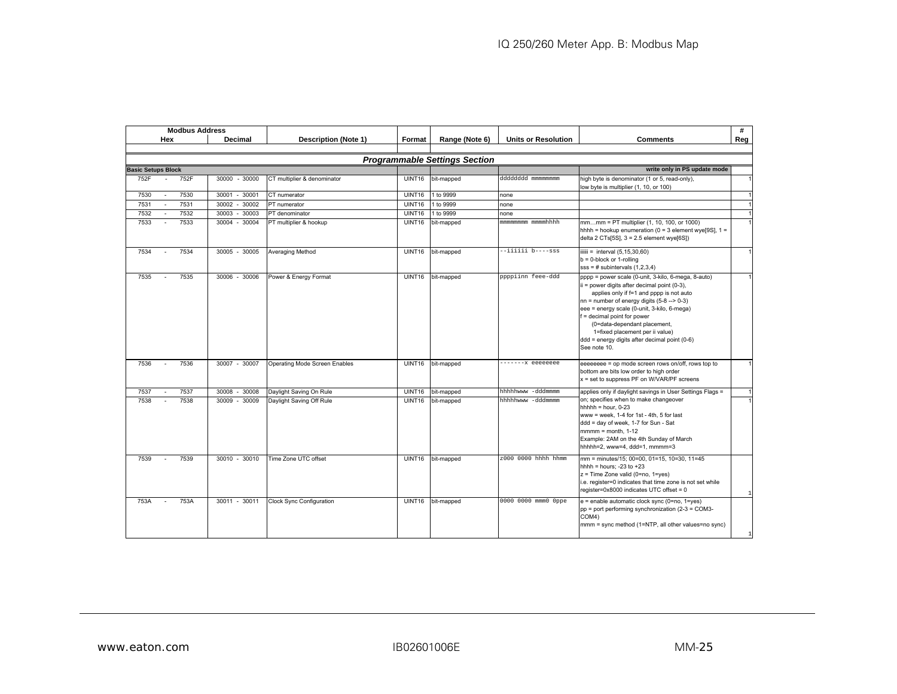|      | <b>Modbus Address</b>     |                    |                               |               |                                      |                            |                                                                                                                                                                                                                                                                                                                                                                                                                   | #              |
|------|---------------------------|--------------------|-------------------------------|---------------|--------------------------------------|----------------------------|-------------------------------------------------------------------------------------------------------------------------------------------------------------------------------------------------------------------------------------------------------------------------------------------------------------------------------------------------------------------------------------------------------------------|----------------|
|      | Hex                       | Decimal            | <b>Description (Note 1)</b>   | Format        | Range (Note 6)                       | <b>Units or Resolution</b> | <b>Comments</b>                                                                                                                                                                                                                                                                                                                                                                                                   | Reg            |
|      |                           |                    |                               |               |                                      |                            |                                                                                                                                                                                                                                                                                                                                                                                                                   |                |
|      |                           |                    |                               |               | <b>Programmable Settings Section</b> |                            |                                                                                                                                                                                                                                                                                                                                                                                                                   |                |
|      | <b>Basic Setups Block</b> |                    |                               |               |                                      |                            | write only in PS update mode                                                                                                                                                                                                                                                                                                                                                                                      |                |
| 752F | 752F                      | 30000 - 30000      | CT multiplier & denominator   | UINT16        | bit-mapped                           | ddddddd mmmmmmm            | high byte is denominator (1 or 5, read-only),<br>low byte is multiplier (1, 10, or 100)                                                                                                                                                                                                                                                                                                                           | $\mathbf{1}$   |
| 7530 | 7530<br>$\sim$            | 30001<br>$-30001$  | CT numerator                  | UINT16        | 1 to 9999                            | none                       |                                                                                                                                                                                                                                                                                                                                                                                                                   | $\mathbf{1}$   |
| 7531 | 7531                      | 30002 - 30002      | PT numerator                  | UINT16        | 1 to 9999                            | none                       |                                                                                                                                                                                                                                                                                                                                                                                                                   | $\mathbf{1}$   |
| 7532 | 7532                      | $-30003$<br>30003  | PT denominator                | UINT16        | 1 to 9999                            | none                       |                                                                                                                                                                                                                                                                                                                                                                                                                   | $\mathbf{1}$   |
| 7533 | 7533                      | 30004 - 30004      | PT multiplier & hookup        | UINT16        | bit-mapped                           | տատատատ ատատհիիի           | mmmm = PT multiplier (1, 10, 100, or 1000)<br>hhhh = hookup enumeration ( $0 = 3$ element wye[9S], $1 =$<br>delta 2 CTs[5S], $3 = 2.5$ element wye[6S])                                                                                                                                                                                                                                                           | $\mathbf{1}$   |
| 7534 | 7534                      | 30005 - 30005      | Averaging Method              | UINT16        | bit-mapped                           | --iiiiii b----sss          | iiiiii = interval $(5, 15, 30, 60)$<br>$b = 0$ -block or 1-rolling<br>$sss = #$ subintervals $(1,2,3,4)$                                                                                                                                                                                                                                                                                                          | $\overline{1}$ |
| 7535 | 7535                      | 30006 - 30006      | Power & Energy Format         | UINT16        | bit-mapped                           | ppppiinn feee-ddd          | pppp = power scale (0-unit, 3-kilo, 6-mega, 8-auto)<br>ii = power digits after decimal point (0-3),<br>applies only if f=1 and pppp is not auto<br>$nn = number of energy digits (5-8 --> 0-3)$<br>eee = energy scale (0-unit, 3-kilo, 6-mega)<br>f = decimal point for power<br>(0=data-dependant placement,<br>1=fixed placement per ii value)<br>ddd = energy digits after decimal point (0-6)<br>See note 10. | $\mathbf{1}$   |
| 7536 | 7536                      | 30007 - 30007      | Operating Mode Screen Enables | UINT16        | bit-mapped                           | ------- reeeeeee           | eeeeeeee = op mode screen rows on/off, rows top to<br>bottom are bits low order to high order<br>x = set to suppress PF on W/VAR/PF screens                                                                                                                                                                                                                                                                       | $\mathbf{1}$   |
| 7537 | 7537                      | 30008<br>$30008 -$ | Daylight Saving On Rule       | UINT16        | bit-mapped                           | hhhhhwww -dddmmmm          | applies only if daylight savings in User Settings Flags =                                                                                                                                                                                                                                                                                                                                                         | $\mathbf{1}$   |
| 7538 | 7538                      | 30009 - 30009      | Daylight Saving Off Rule      | UINT16        | bit-mapped                           | hhhhhwww -dddmmmm          | on; specifies when to make changeover<br>$hhhh = hour. 0-23$<br>www = week, $1-4$ for $1st - 4th$ , $5$ for last<br>ddd = day of week, 1-7 for Sun - Sat<br>$mmm = month, 1-12$<br>Example: 2AM on the 4th Sunday of March<br>hhhhh=2, www=4, ddd=1, mmmm=3                                                                                                                                                       | $\overline{1}$ |
| 7539 | 7539                      | 30010 - 30010      | Time Zone UTC offset          | UINT16        | bit-mapped                           | z000 0000 hhhh hhmm        | mm = minutes/15; 00=00, 01=15, 10=30, 11=45<br>hhhh = hours; -23 to +23<br>z = Time Zone valid (0=no, 1=yes)<br>i.e. register=0 indicates that time zone is not set while<br>register=0x8000 indicates UTC offset = 0                                                                                                                                                                                             | $\mathbf{1}$   |
| 753A | 753A                      | 30011 - 30011      | Clock Sync Configuration      | <b>UINT16</b> | bit-mapped                           | 0000 0000 mmm0 0ppe        | e = enable automatic clock sync (0=no, 1=yes)<br>pp = port performing synchronization (2-3 = COM3-<br>COM4)<br>mmm = sync method (1=NTP, all other values=no sync)                                                                                                                                                                                                                                                | $\mathbf{1}$   |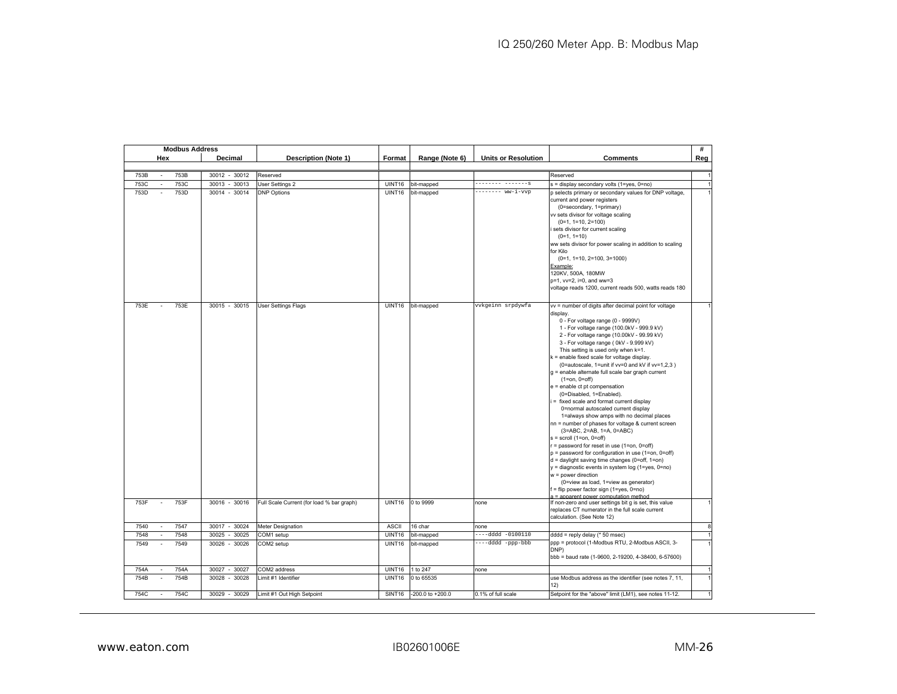| Hex<br>Decimal<br><b>Description (Note 1)</b><br>Format<br>Range (Note 6)<br><b>Units or Resolution</b><br><b>Comments</b><br>753B<br>753B<br>30012 - 30012<br>Reserved<br>Reserved<br>753C<br>753C<br>30013 - 30013<br><b>User Settings 2</b><br>UINT16<br>bit-mapped<br>-------- -------s<br>s = display secondary volts (1=yes, 0=no)<br>753D<br>------- ww-i-vvp<br>753D<br>30014 - 30014<br><b>DNP Options</b><br>UINT16<br>bit-mapped<br>p selects primary or secondary values for DNP voltage,<br>$\sim$<br>current and power registers<br>(0=secondary, 1=primary)<br>vv sets divisor for voltage scaling<br>$(0=1, 1=10, 2=100)$<br>sets divisor for current scaling<br>$(0=1, 1=10)$<br>ww sets divisor for power scaling in addition to scaling<br>for Kilo<br>$(0=1, 1=10, 2=100, 3=1000)$<br>Example:<br>120KV, 500A, 180MW<br>p=1, vv=2, i=0, and ww=3<br>voltage reads 1200, current reads 500, watts reads 180<br>753E<br>753E<br>30015 - 30015<br>UINT16<br>bit-mapped<br>vvkgeinn srpdywfa<br><b>User Settings Flags</b><br>vv = number of digits after decimal point for voltage<br>display.<br>0 - For voltage range (0 - 9999V)<br>1 - For voltage range (100.0kV - 999.9 kV)<br>2 - For voltage range (10.00kV - 99.99 kV)<br>3 - For voltage range ( 0kV - 9.999 kV)<br>This setting is used only when k=1.<br>k = enable fixed scale for voltage display.<br>(0=autoscale, 1=unit if vv=0 and kV if vv=1,2,3)<br>g = enable alternate full scale bar graph current<br>$(1 = on, 0 = off)$<br>e = enable ct pt compensation<br>(0=Disabled, 1=Enabled).<br>= fixed scale and format current display<br>0=normal autoscaled current display<br>1=always show amps with no decimal places<br>nn = number of phases for voltage & current screen<br>(3=ABC, 2=AB, 1=A, 0=ABC)<br>$s =$ scroll (1=on, 0=off)<br>r = password for reset in use (1=on, 0=off)<br>p = password for configuration in use (1=on, 0=off)<br>$d =$ daylight saving time changes (0=off, 1=on)<br>y = diagnostic events in system log (1=yes, 0=no)<br>$w = power$ direction<br>(0=view as load, 1=view as generator)<br>= flip power factor sign (1=yes, 0=no)<br>a = apparent power computation method<br>753F<br>753F<br>30016 - 30016<br>UINT16<br>0 to 9999<br>Full Scale Current (for load % bar graph)<br>none<br>If non-zero and user settings bit g is set, this value<br>$\sim$<br>replaces CT numerator in the full scale current<br>calculation. (See Note 12)<br>7540<br>7547<br>30017 - 30024<br><b>ASCII</b><br>Meter Designation<br>16 char<br>none<br>7548<br>7548<br>30025<br>UINT16<br>$---ddd - 0100110$<br>30025<br>COM1 setup<br>bit-mapped<br>$ddd$ = reply delay ( $*$ 50 msec)<br>$\sim$<br>ppp = protocol (1-Modbus RTU, 2-Modbus ASCII, 3-<br>----dddd -ppp-bbb<br>7549<br>7549<br>30026 - 30026<br>COM2 setup<br>UINT16<br>bit-mapped<br>$\sim$<br>DNP)<br>bbb = baud rate (1-9600, 2-19200, 4-38400, 6-57600)<br>754A<br>754A<br>30027<br>30027<br>COM2 address<br>UINT16<br>1 to 247<br>none<br>754B<br>754B<br>30028<br>30028<br>UINT16<br>0 to 65535<br>Limit #1 Identifier<br>use Modbus address as the identifier (see notes 7, 11,<br>$\sim$<br>12)<br>754C<br>754C<br>30029 - 30029<br>SINT16<br>-200.0 to +200.0<br>0.1% of full scale<br>Setpoint for the "above" limit (LM1), see notes 11-12.<br>Limit #1 Out High Setpoint<br>$\sim$ | <b>Modbus Address</b> |  |  |  | #              |
|--------------------------------------------------------------------------------------------------------------------------------------------------------------------------------------------------------------------------------------------------------------------------------------------------------------------------------------------------------------------------------------------------------------------------------------------------------------------------------------------------------------------------------------------------------------------------------------------------------------------------------------------------------------------------------------------------------------------------------------------------------------------------------------------------------------------------------------------------------------------------------------------------------------------------------------------------------------------------------------------------------------------------------------------------------------------------------------------------------------------------------------------------------------------------------------------------------------------------------------------------------------------------------------------------------------------------------------------------------------------------------------------------------------------------------------------------------------------------------------------------------------------------------------------------------------------------------------------------------------------------------------------------------------------------------------------------------------------------------------------------------------------------------------------------------------------------------------------------------------------------------------------------------------------------------------------------------------------------------------------------------------------------------------------------------------------------------------------------------------------------------------------------------------------------------------------------------------------------------------------------------------------------------------------------------------------------------------------------------------------------------------------------------------------------------------------------------------------------------------------------------------------------------------------------------------------------------------------------------------------------------------------------------------------------------------------------------------------------------------------------------------------------------------------------------------------------------------------------------------------------------------------------------------------------------------------------------------------------------------------------------------------------------------------------------------------------------------------------------------------------------------------------------------------------------------------------------------------------------------------------------------------------------------------------------------------------------------------------------------------------|-----------------------|--|--|--|----------------|
|                                                                                                                                                                                                                                                                                                                                                                                                                                                                                                                                                                                                                                                                                                                                                                                                                                                                                                                                                                                                                                                                                                                                                                                                                                                                                                                                                                                                                                                                                                                                                                                                                                                                                                                                                                                                                                                                                                                                                                                                                                                                                                                                                                                                                                                                                                                                                                                                                                                                                                                                                                                                                                                                                                                                                                                                                                                                                                                                                                                                                                                                                                                                                                                                                                                                                                                                                                          |                       |  |  |  | Reg            |
|                                                                                                                                                                                                                                                                                                                                                                                                                                                                                                                                                                                                                                                                                                                                                                                                                                                                                                                                                                                                                                                                                                                                                                                                                                                                                                                                                                                                                                                                                                                                                                                                                                                                                                                                                                                                                                                                                                                                                                                                                                                                                                                                                                                                                                                                                                                                                                                                                                                                                                                                                                                                                                                                                                                                                                                                                                                                                                                                                                                                                                                                                                                                                                                                                                                                                                                                                                          |                       |  |  |  |                |
|                                                                                                                                                                                                                                                                                                                                                                                                                                                                                                                                                                                                                                                                                                                                                                                                                                                                                                                                                                                                                                                                                                                                                                                                                                                                                                                                                                                                                                                                                                                                                                                                                                                                                                                                                                                                                                                                                                                                                                                                                                                                                                                                                                                                                                                                                                                                                                                                                                                                                                                                                                                                                                                                                                                                                                                                                                                                                                                                                                                                                                                                                                                                                                                                                                                                                                                                                                          |                       |  |  |  |                |
|                                                                                                                                                                                                                                                                                                                                                                                                                                                                                                                                                                                                                                                                                                                                                                                                                                                                                                                                                                                                                                                                                                                                                                                                                                                                                                                                                                                                                                                                                                                                                                                                                                                                                                                                                                                                                                                                                                                                                                                                                                                                                                                                                                                                                                                                                                                                                                                                                                                                                                                                                                                                                                                                                                                                                                                                                                                                                                                                                                                                                                                                                                                                                                                                                                                                                                                                                                          |                       |  |  |  | $\overline{1}$ |
|                                                                                                                                                                                                                                                                                                                                                                                                                                                                                                                                                                                                                                                                                                                                                                                                                                                                                                                                                                                                                                                                                                                                                                                                                                                                                                                                                                                                                                                                                                                                                                                                                                                                                                                                                                                                                                                                                                                                                                                                                                                                                                                                                                                                                                                                                                                                                                                                                                                                                                                                                                                                                                                                                                                                                                                                                                                                                                                                                                                                                                                                                                                                                                                                                                                                                                                                                                          |                       |  |  |  |                |
|                                                                                                                                                                                                                                                                                                                                                                                                                                                                                                                                                                                                                                                                                                                                                                                                                                                                                                                                                                                                                                                                                                                                                                                                                                                                                                                                                                                                                                                                                                                                                                                                                                                                                                                                                                                                                                                                                                                                                                                                                                                                                                                                                                                                                                                                                                                                                                                                                                                                                                                                                                                                                                                                                                                                                                                                                                                                                                                                                                                                                                                                                                                                                                                                                                                                                                                                                                          |                       |  |  |  |                |
|                                                                                                                                                                                                                                                                                                                                                                                                                                                                                                                                                                                                                                                                                                                                                                                                                                                                                                                                                                                                                                                                                                                                                                                                                                                                                                                                                                                                                                                                                                                                                                                                                                                                                                                                                                                                                                                                                                                                                                                                                                                                                                                                                                                                                                                                                                                                                                                                                                                                                                                                                                                                                                                                                                                                                                                                                                                                                                                                                                                                                                                                                                                                                                                                                                                                                                                                                                          |                       |  |  |  | $\overline{1}$ |
|                                                                                                                                                                                                                                                                                                                                                                                                                                                                                                                                                                                                                                                                                                                                                                                                                                                                                                                                                                                                                                                                                                                                                                                                                                                                                                                                                                                                                                                                                                                                                                                                                                                                                                                                                                                                                                                                                                                                                                                                                                                                                                                                                                                                                                                                                                                                                                                                                                                                                                                                                                                                                                                                                                                                                                                                                                                                                                                                                                                                                                                                                                                                                                                                                                                                                                                                                                          |                       |  |  |  | ε              |
|                                                                                                                                                                                                                                                                                                                                                                                                                                                                                                                                                                                                                                                                                                                                                                                                                                                                                                                                                                                                                                                                                                                                                                                                                                                                                                                                                                                                                                                                                                                                                                                                                                                                                                                                                                                                                                                                                                                                                                                                                                                                                                                                                                                                                                                                                                                                                                                                                                                                                                                                                                                                                                                                                                                                                                                                                                                                                                                                                                                                                                                                                                                                                                                                                                                                                                                                                                          |                       |  |  |  |                |
|                                                                                                                                                                                                                                                                                                                                                                                                                                                                                                                                                                                                                                                                                                                                                                                                                                                                                                                                                                                                                                                                                                                                                                                                                                                                                                                                                                                                                                                                                                                                                                                                                                                                                                                                                                                                                                                                                                                                                                                                                                                                                                                                                                                                                                                                                                                                                                                                                                                                                                                                                                                                                                                                                                                                                                                                                                                                                                                                                                                                                                                                                                                                                                                                                                                                                                                                                                          |                       |  |  |  |                |
|                                                                                                                                                                                                                                                                                                                                                                                                                                                                                                                                                                                                                                                                                                                                                                                                                                                                                                                                                                                                                                                                                                                                                                                                                                                                                                                                                                                                                                                                                                                                                                                                                                                                                                                                                                                                                                                                                                                                                                                                                                                                                                                                                                                                                                                                                                                                                                                                                                                                                                                                                                                                                                                                                                                                                                                                                                                                                                                                                                                                                                                                                                                                                                                                                                                                                                                                                                          |                       |  |  |  | $\mathbf{1}$   |
|                                                                                                                                                                                                                                                                                                                                                                                                                                                                                                                                                                                                                                                                                                                                                                                                                                                                                                                                                                                                                                                                                                                                                                                                                                                                                                                                                                                                                                                                                                                                                                                                                                                                                                                                                                                                                                                                                                                                                                                                                                                                                                                                                                                                                                                                                                                                                                                                                                                                                                                                                                                                                                                                                                                                                                                                                                                                                                                                                                                                                                                                                                                                                                                                                                                                                                                                                                          |                       |  |  |  | $\overline{1}$ |
|                                                                                                                                                                                                                                                                                                                                                                                                                                                                                                                                                                                                                                                                                                                                                                                                                                                                                                                                                                                                                                                                                                                                                                                                                                                                                                                                                                                                                                                                                                                                                                                                                                                                                                                                                                                                                                                                                                                                                                                                                                                                                                                                                                                                                                                                                                                                                                                                                                                                                                                                                                                                                                                                                                                                                                                                                                                                                                                                                                                                                                                                                                                                                                                                                                                                                                                                                                          |                       |  |  |  |                |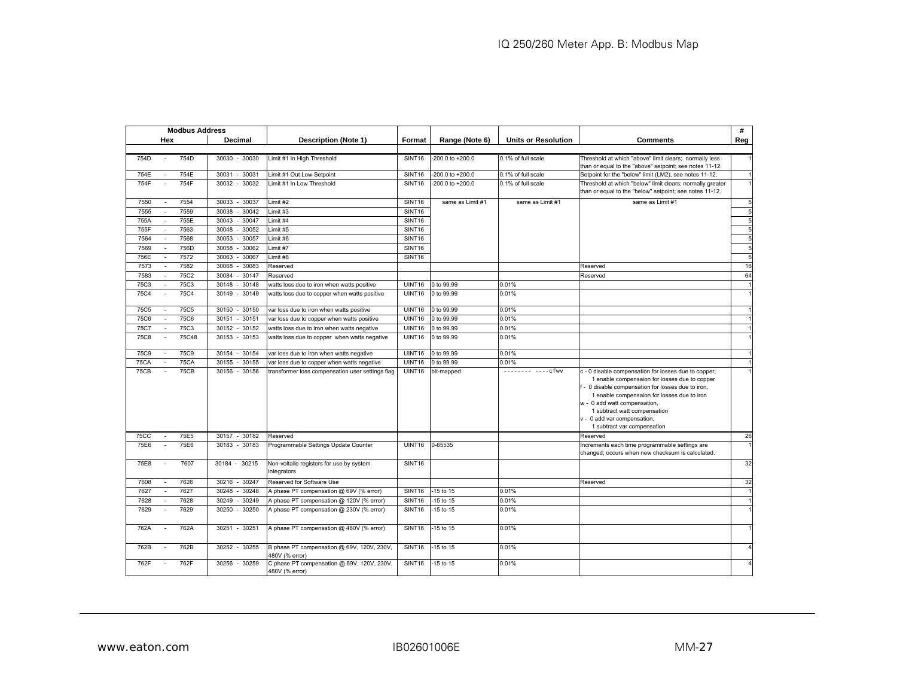|             |                          | <b>Modbus Address</b> |                    |                                                              |                    |                  |                            |                                                                                                                                                                                                                                                                                                                                          | #              |
|-------------|--------------------------|-----------------------|--------------------|--------------------------------------------------------------|--------------------|------------------|----------------------------|------------------------------------------------------------------------------------------------------------------------------------------------------------------------------------------------------------------------------------------------------------------------------------------------------------------------------------------|----------------|
|             | Hex                      |                       | Decimal            | <b>Description (Note 1)</b>                                  | Format             | Range (Note 6)   | <b>Units or Resolution</b> | <b>Comments</b>                                                                                                                                                                                                                                                                                                                          | Reg            |
|             |                          |                       |                    |                                                              |                    |                  |                            |                                                                                                                                                                                                                                                                                                                                          |                |
| 754D        |                          | 754D                  | 30030 - 30030      | Limit #1 In High Threshold                                   | SINT <sub>16</sub> | -200.0 to +200.0 | 0.1% of full scale         | Threshold at which "above" limit clears; normally less<br>than or equal to the "above" setpoint; see notes 11-12.                                                                                                                                                                                                                        |                |
| 754E        |                          | 754E                  | 30031<br>$-30031$  | Limit #1 Out Low Setpoint                                    | SINT <sub>16</sub> | -200.0 to +200.0 | 0.1% of full scale         | Setpoint for the "below" limit (LM2), see notes 11-12.                                                                                                                                                                                                                                                                                   |                |
| 754F        | $\mathbf{r}$             | 754F                  | 30032 - 30032      | Limit #1 In Low Threshold                                    | SINT <sub>16</sub> | -200.0 to +200.0 | 0.1% of full scale         | Threshold at which "below" limit clears; normally greater<br>than or equal to the "below" setpoint; see notes 11-12.                                                                                                                                                                                                                     | $\overline{1}$ |
| 7550        | $\sim$                   | 7554                  | 30033 - 30037      | Limit #2                                                     | SINT <sub>16</sub> | same as Limit #1 | same as Limit #1           | same as Limit #1                                                                                                                                                                                                                                                                                                                         | 5              |
| 7555        | $\sim$                   | 7559                  | 30038 - 30042      | imit #3                                                      | SINT16             |                  |                            |                                                                                                                                                                                                                                                                                                                                          | 5              |
| 755A        | $\sim$                   | 755E                  | 30043<br>$-30047$  | imit#4                                                       | SINT <sub>16</sub> |                  |                            |                                                                                                                                                                                                                                                                                                                                          | 5              |
| 755F        |                          | 7563                  | 30048 -<br>30052   | Limit #5                                                     | SINT16             |                  |                            |                                                                                                                                                                                                                                                                                                                                          | 5              |
| 7564        | $\sim$                   | 7568                  | 30053<br>30057     | Limit #6                                                     | SINT16             |                  |                            |                                                                                                                                                                                                                                                                                                                                          | 5              |
| 7569        |                          | 756D                  | 30058<br>30062     | Limit #7                                                     | SINT <sub>16</sub> |                  |                            |                                                                                                                                                                                                                                                                                                                                          | 5              |
| 756E        | $\overline{\phantom{a}}$ | 7572                  | 30063<br>30067     | Limit #8                                                     | <b>SINT16</b>      |                  |                            |                                                                                                                                                                                                                                                                                                                                          | 5              |
| 7573        |                          | 7582                  | 30068<br>30083     | Reserved                                                     |                    |                  |                            | Reserved                                                                                                                                                                                                                                                                                                                                 | 16             |
| 7583        | $\sim$                   | 75C2                  | 30084<br>30147     | Reserved                                                     |                    |                  |                            | Reserved                                                                                                                                                                                                                                                                                                                                 | 64             |
| 75C3        |                          | <b>75C3</b>           | 30148<br>30148     | watts loss due to iron when watts positive                   | UINT16             | 0 to 99.99       | 0.01%                      |                                                                                                                                                                                                                                                                                                                                          | $\overline{1}$ |
| <b>75C4</b> |                          | 75C4                  | 30149<br>$30149 -$ | watts loss due to copper when watts positive                 | UINT16             | 0 to 99.99       | 0.01%                      |                                                                                                                                                                                                                                                                                                                                          |                |
| 75C5        |                          | 75C5                  | $-30150$<br>30150  | var loss due to iron when watts positive                     | UINT16             | 0 to 99.99       | 0.01%                      |                                                                                                                                                                                                                                                                                                                                          |                |
| <b>75C6</b> |                          | 75C6                  | $-30151$<br>30151  | var loss due to copper when watts positive                   | UINT16             | 0 to 99.99       | 0.01%                      |                                                                                                                                                                                                                                                                                                                                          | $\overline{1}$ |
| 75C7        | $\sim$                   | 75C3                  | 30152 - 30152      | watts loss due to iron when watts negative                   | UINT16             | 0 to 99.99       | 0.01%                      |                                                                                                                                                                                                                                                                                                                                          |                |
| <b>75C8</b> | $\sim$                   | 75C48                 | 30153 - 30153      | watts loss due to copper when watts negative                 | UINT16             | 0 to 99.99       | 0.01%                      |                                                                                                                                                                                                                                                                                                                                          |                |
| <b>75C9</b> |                          | <b>75C9</b>           | 30154<br>30154     | var loss due to iron when watts negative                     | UINT16             | 0 to 99.99       | 0.01%                      |                                                                                                                                                                                                                                                                                                                                          | $\overline{1}$ |
| <b>75CA</b> |                          | <b>75CA</b>           | 30155<br>$30155 -$ | var loss due to copper when watts negative                   | <b>UINT16</b>      | 0 to 99.99       | 0.01%                      |                                                                                                                                                                                                                                                                                                                                          | $\overline{1}$ |
| <b>75CB</b> |                          | 75CB                  | 30156 - 30156      | transformer loss compensation user settings flag             | UINT16             | bit-mapped       | $--------$ cfwv            | c - 0 disable compensation for losses due to copper,<br>1 enable compensaion for losses due to copper<br>f - 0 disable compensation for losses due to iron,<br>1 enable compensaion for losses due to iron<br>w - 0 add watt compensation,<br>1 subtract watt compensation<br>v - 0 add var compensation,<br>1 subtract var compensation |                |
| 75CC        |                          | 75E5                  | 30157 - 30182      | Reserved                                                     |                    |                  |                            | Reserved                                                                                                                                                                                                                                                                                                                                 | 26             |
| 75E6        |                          | 75E6                  | 30183 - 30183      | Programmable Settings Update Counter                         | UINT16             | 0-65535          |                            | Increments each time programmable settings are<br>changed; occurs when new checksum is calculated.                                                                                                                                                                                                                                       | $\overline{1}$ |
| 75E8        | $\sim$                   | 7607                  | 30184 - 30215      | Non-voltaile registers for use by system<br>integrators      | SINT16             |                  |                            |                                                                                                                                                                                                                                                                                                                                          | 32             |
| 7608        |                          | 7626                  | 30216 - 30247      | Reserved for Software Use                                    |                    |                  |                            | Reserved                                                                                                                                                                                                                                                                                                                                 | 32             |
| 7627        | $\overline{\phantom{a}}$ | 7627                  | 30248<br>30248     | A phase PT compensation @ 69V (% error)                      | SINT <sub>16</sub> | -15 to 15        | 0.01%                      |                                                                                                                                                                                                                                                                                                                                          | $\overline{1}$ |
| 7628        |                          | 7628                  | 30249<br>30249     | A phase PT compensation @ 120V (% error)                     | SINT <sub>16</sub> | -15 to 15        | 0.01%                      |                                                                                                                                                                                                                                                                                                                                          | $\overline{1}$ |
| 7629        |                          | 7629                  | $30250 -$<br>30250 | A phase PT compensation @ 230V (% error)                     | SINT16             | $-15$ to $15$    | 0.01%                      |                                                                                                                                                                                                                                                                                                                                          | $\overline{1}$ |
| 762A        |                          | 762A                  | 30251 - 30251      | A phase PT compensation @ 480V (% error)                     | SINT16             | -15 to 15        | 0.01%                      |                                                                                                                                                                                                                                                                                                                                          |                |
| 762B        |                          | 762B                  | 30252 - 30255      | B phase PT compensation @ 69V, 120V, 230V,<br>480V (% error) | SINT <sub>16</sub> | -15 to 15        | 0.01%                      |                                                                                                                                                                                                                                                                                                                                          | $\overline{a}$ |
| 762F        |                          | 762F                  | 30256 - 30259      | C phase PT compensation @ 69V, 120V, 230V,<br>480V (% error) | SINT <sub>16</sub> | -15 to 15        | 0.01%                      |                                                                                                                                                                                                                                                                                                                                          |                |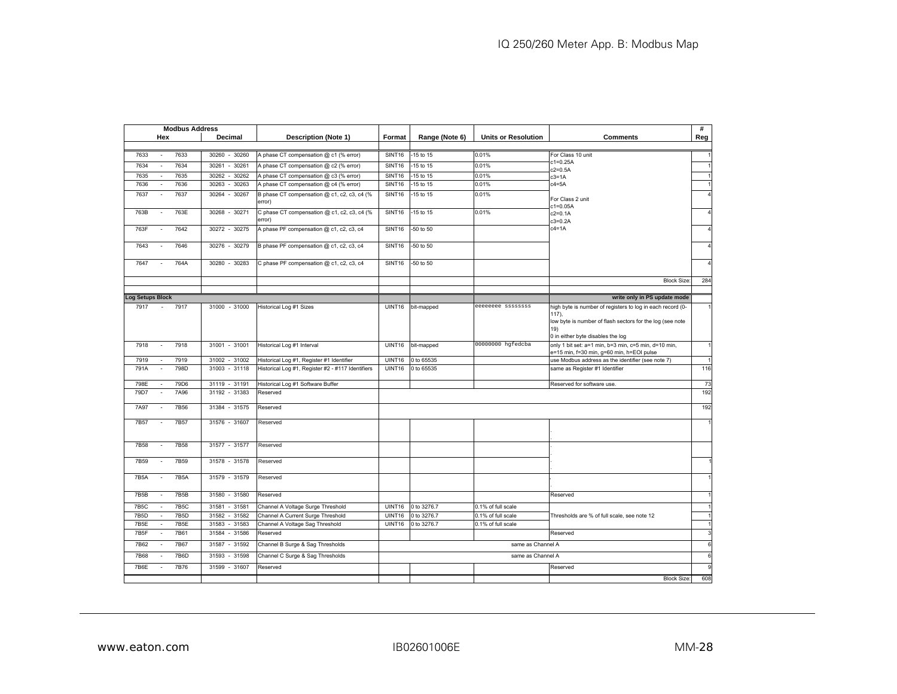|                         | <b>Modbus Address</b>         |                             |                                                   |               |                |                            |                                                                                                   | #   |
|-------------------------|-------------------------------|-----------------------------|---------------------------------------------------|---------------|----------------|----------------------------|---------------------------------------------------------------------------------------------------|-----|
|                         | Hex                           | Decimal                     | <b>Description (Note 1)</b>                       | Format        | Range (Note 6) | <b>Units or Resolution</b> | <b>Comments</b>                                                                                   | Reg |
|                         |                               |                             |                                                   |               |                |                            |                                                                                                   |     |
| 7633                    | 7633<br>$\sim$                | 30260 - 30260               | A phase CT compensation @ c1 (% error)            | <b>SINT16</b> | -15 to 15      | 0.01%                      | For Class 10 unit                                                                                 |     |
| 7634                    | 7634<br>÷,                    | 30261<br>30261              | A phase CT compensation @ c2 (% error)            | <b>SINT16</b> | -15 to 15      | 0.01%                      | $c1 = 0.25A$<br>$c2 = 0.5A$                                                                       |     |
| 7635                    | 7635<br>$\sim$                | $-30262$<br>30262           | A phase CT compensation @ c3 (% error)            | <b>SINT16</b> | 15 to 15       | 0.01%                      | $c3=1A$                                                                                           |     |
| 7636                    | 7636<br>$\sim$                | 30263<br>30263              | A phase CT compensation @ c4 (% error)            | <b>SINT16</b> | 15 to 15       | 0.01%                      | $c4 = 5A$                                                                                         |     |
| 7637                    | 7637<br>÷.                    | 30267<br>30264<br>÷.        | B phase CT compensation @ c1, c2, c3, c4 (%       | <b>SINT16</b> | 15 to 15       | 0.01%                      | For Class 2 unit                                                                                  |     |
|                         |                               |                             | error)                                            |               |                |                            | $c1 = 0.05A$                                                                                      |     |
| 763B                    | 763E<br>$\sim$                | 30268 - 30271               | C phase CT compensation @ c1, c2, c3, c4 (%       | <b>SINT16</b> | -15 to 15      | 0.01%                      | c2=0.1A                                                                                           |     |
|                         |                               |                             | error)                                            |               |                |                            | $c3 = 0.2A$<br>$c4=1A$                                                                            |     |
| 763F                    | 7642<br>÷,                    | 30272 - 30275               | A phase PF compensation @ c1, c2, c3, c4          | <b>SINT16</b> | -50 to 50      |                            |                                                                                                   |     |
| 7643                    | 7646                          | 30276<br>$-30279$           | B phase PF compensation @ c1, c2, c3, c4          | <b>SINT16</b> | $-50$ to $50$  |                            |                                                                                                   |     |
|                         |                               |                             |                                                   |               |                |                            |                                                                                                   |     |
| 7647                    | 764A<br>$\sim$                | 30280<br>30283<br>$\bar{a}$ | C phase PF compensation @ c1, c2, c3, c4          | SINT16        | -50 to 50      |                            |                                                                                                   |     |
|                         |                               |                             |                                                   |               |                |                            |                                                                                                   |     |
|                         |                               |                             |                                                   |               |                |                            | <b>Block Size:</b>                                                                                | 284 |
|                         |                               |                             |                                                   |               |                |                            |                                                                                                   |     |
| <b>Log Setups Block</b> |                               |                             |                                                   |               |                |                            | write only in PS update mode                                                                      |     |
| 7917                    | 7917                          | 31000 - 31000               | Historical Log #1 Sizes                           | UINT16        | bit-mapped     | eeeeeeee ssssssss          | high byte is number of registers to log in each record (0-<br>$117$ ),                            |     |
|                         |                               |                             |                                                   |               |                |                            | low byte is number of flash sectors for the log (see note                                         |     |
|                         |                               |                             |                                                   |               |                |                            | 19)                                                                                               |     |
|                         |                               |                             |                                                   |               |                |                            | 0 in either byte disables the log                                                                 |     |
| 7918                    | 7918<br>$\sim$                | 31001 - 31001               | Historical Log #1 Interval                        | <b>UINT16</b> | bit-mapped     | 00000000 hgfedcba          | only 1 bit set: a=1 min, b=3 min, c=5 min, d=10 min,<br>e=15 min, f=30 min, g=60 min, h=EOI pulse |     |
| 7919                    | 7919                          | 31002 - 31002               | Historical Log #1, Register #1 Identifier         | <b>UINT16</b> | 0 to 65535     |                            | use Modbus address as the identifier (see note 7)                                                 |     |
| 791A                    | 798D<br>$\sim$                | 31003 - 31118               | Historical Log #1, Register #2 - #117 Identifiers | <b>UINT16</b> | 0 to 65535     |                            | same as Register #1 Identifier                                                                    | 116 |
|                         |                               |                             |                                                   |               |                |                            |                                                                                                   |     |
| 798E                    | 79D6                          | 31119 - 31191               | Historical Log #1 Software Buffer                 |               |                |                            | Reserved for software use                                                                         | 73  |
| 79D7                    | 7A96<br>÷.                    | 31192 - 31383               | Reserved                                          |               |                |                            |                                                                                                   | 192 |
| 7A97                    | 7B56                          | 31384 - 31575               | Reserved                                          |               |                |                            |                                                                                                   | 192 |
|                         |                               |                             |                                                   |               |                |                            |                                                                                                   |     |
| 7B57                    | 7B57<br>$\sim$                | 31576 - 31607               | Reserved                                          |               |                |                            |                                                                                                   |     |
|                         |                               |                             |                                                   |               |                |                            |                                                                                                   |     |
| 7B58                    | 7B58                          | 31577 - 31577               | Reserved                                          |               |                |                            |                                                                                                   |     |
|                         |                               |                             |                                                   |               |                |                            |                                                                                                   |     |
| 7B59                    | 7B59<br>$\sim$                | 31578 - 31578               | Reserved                                          |               |                |                            |                                                                                                   |     |
| 7B5A                    | <b>7B5A</b>                   | 31579 - 31579               | Reserved                                          |               |                |                            |                                                                                                   |     |
|                         |                               |                             |                                                   |               |                |                            |                                                                                                   |     |
| 7B5B                    | <b>7B5B</b><br>$\sim$         | 31580 - 31580               | Reserved                                          |               |                |                            | Reserved                                                                                          |     |
| <b>7B5C</b>             | <b>7B5C</b>                   | 31581 - 31581               | Channel A Voltage Surge Threshold                 | <b>UINT16</b> | 0 to 3276.7    | 0.1% of full scale         |                                                                                                   |     |
| 7B5D                    | <b>7B5D</b><br>$\sim$         | $-31582$<br>31582           | Channel A Current Surge Threshold                 | <b>UINT16</b> | 0 to 3276.7    | 0.1% of full scale         | Thresholds are % of full scale, see note 12                                                       |     |
| 7B5E                    | <b>7B5E</b><br>$\overline{a}$ | 31583<br>31583              | Channel A Voltage Sag Threshold                   | <b>UINT16</b> | 0 to 3276.7    | 0.1% of full scale         |                                                                                                   |     |
| 7B5F                    | <b>7B61</b>                   | 31584 - 31586               | Reserved                                          |               |                |                            | Reserved                                                                                          | 3   |
| 7B62                    | 7B67                          | 31587 - 31592               | Channel B Surge & Sag Thresholds                  |               |                | same as Channel A          |                                                                                                   | 6   |
|                         |                               |                             |                                                   |               |                |                            |                                                                                                   |     |
| <b>7B68</b>             | <b>7B6D</b>                   | 31593<br>$-31598$           | Channel C Surge & Sag Thresholds                  |               |                | same as Channel A          |                                                                                                   | 6   |
| 7B6E                    | 7B76                          | 31599 - 31607               | Reserved                                          |               |                |                            | Reserved                                                                                          | q   |
|                         |                               |                             |                                                   |               |                |                            | <b>Block Size:</b>                                                                                | 608 |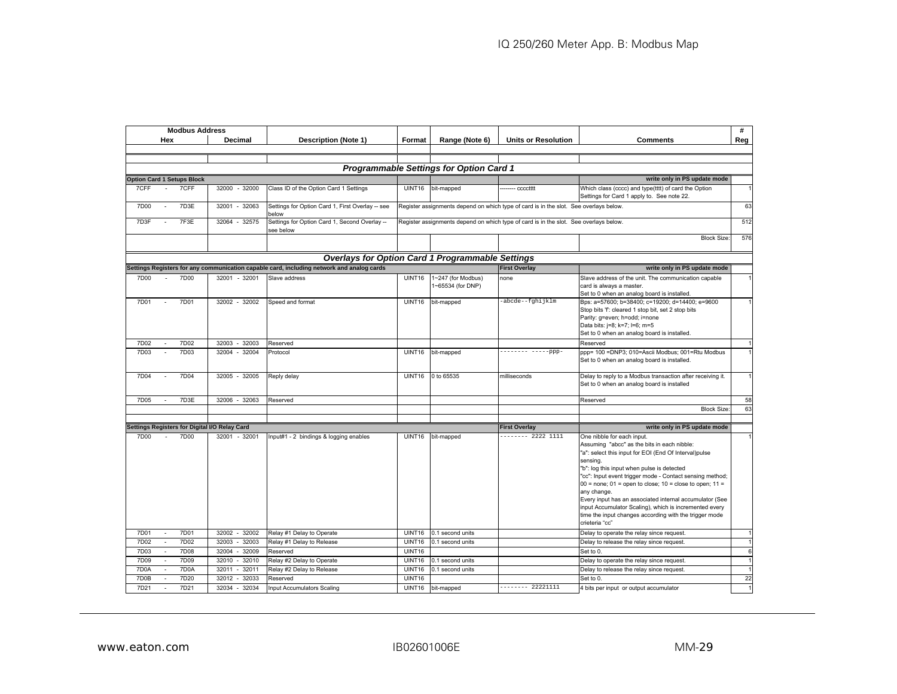|                   |                             | <b>Modbus Address</b>             |                                               |                                                                                           |               |                                                |                                                                                       |                                                                                                                                                                                                                                                                                                                                                                                                                                                                                                                                             | #              |
|-------------------|-----------------------------|-----------------------------------|-----------------------------------------------|-------------------------------------------------------------------------------------------|---------------|------------------------------------------------|---------------------------------------------------------------------------------------|---------------------------------------------------------------------------------------------------------------------------------------------------------------------------------------------------------------------------------------------------------------------------------------------------------------------------------------------------------------------------------------------------------------------------------------------------------------------------------------------------------------------------------------------|----------------|
|                   | Hex                         |                                   | Decimal                                       | <b>Description (Note 1)</b>                                                               | Format        | Range (Note 6)                                 | <b>Units or Resolution</b>                                                            | <b>Comments</b>                                                                                                                                                                                                                                                                                                                                                                                                                                                                                                                             | Reg            |
|                   |                             |                                   |                                               |                                                                                           |               |                                                |                                                                                       |                                                                                                                                                                                                                                                                                                                                                                                                                                                                                                                                             |                |
|                   |                             |                                   |                                               |                                                                                           |               |                                                |                                                                                       |                                                                                                                                                                                                                                                                                                                                                                                                                                                                                                                                             |                |
|                   |                             |                                   |                                               |                                                                                           |               | <b>Programmable Settings for Option Card 1</b> |                                                                                       |                                                                                                                                                                                                                                                                                                                                                                                                                                                                                                                                             |                |
|                   |                             | <b>Option Card 1 Setups Block</b> |                                               |                                                                                           |               |                                                |                                                                                       | write only in PS update mode                                                                                                                                                                                                                                                                                                                                                                                                                                                                                                                |                |
| 7CFF              |                             | 7CFF                              | 32000 - 32000                                 | Class ID of the Option Card 1 Settings                                                    | UINT16        | bit-mapped                                     | ------ cccctttt                                                                       | Which class (cccc) and type(tttt) of card the Option<br>Settings for Card 1 apply to. See note 22.                                                                                                                                                                                                                                                                                                                                                                                                                                          |                |
| 7D00              |                             | 7D3E                              | 32001<br>32063                                | Settings for Option Card 1, First Overlay -- see<br>below                                 |               |                                                | Register assignments depend on which type of card is in the slot. See overlays below. |                                                                                                                                                                                                                                                                                                                                                                                                                                                                                                                                             | 63             |
| 7D3F              |                             | 7F3E                              | 32064 - 32575                                 | Settings for Option Card 1, Second Overlay -<br>see below                                 |               |                                                | Register assignments depend on which type of card is in the slot. See overlays below. |                                                                                                                                                                                                                                                                                                                                                                                                                                                                                                                                             | 512            |
|                   |                             |                                   |                                               |                                                                                           |               |                                                |                                                                                       | <b>Block Size:</b>                                                                                                                                                                                                                                                                                                                                                                                                                                                                                                                          | 576            |
|                   |                             |                                   |                                               | <b>Overlays for Option Card 1 Programmable Settings</b>                                   |               |                                                |                                                                                       |                                                                                                                                                                                                                                                                                                                                                                                                                                                                                                                                             |                |
|                   |                             |                                   |                                               | Settings Registers for any communication capable card, including network and analog cards |               |                                                | <b>First Overlay</b>                                                                  | write only in PS update mode                                                                                                                                                                                                                                                                                                                                                                                                                                                                                                                |                |
| 7D <sub>00</sub>  |                             | 7D00                              | 32001 - 32001                                 | Slave address                                                                             | <b>UINT16</b> | 1~247 (for Modbus)<br>1~65534 (for DNP)        | none                                                                                  | Slave address of the unit. The communication capable<br>card is always a master.<br>Set to 0 when an analog board is installed.                                                                                                                                                                                                                                                                                                                                                                                                             |                |
| 7D01              |                             | 7D01                              | 32002 - 32002                                 | Speed and format                                                                          | UINT16        | bit-mapped                                     | -abcde--fghijklm                                                                      | Bps: a=57600; b=38400; c=19200; d=14400; e=9600<br>Stop bits 'f: cleared 1 stop bit, set 2 stop bits<br>Parity: g=even; h=odd; i=none<br>Data bits: j=8; k=7; l=6; m=5<br>Set to 0 when an analog board is installed.                                                                                                                                                                                                                                                                                                                       |                |
| 7D02              |                             | 7D02                              | 32003<br>32003                                | Reserved                                                                                  |               |                                                |                                                                                       | Reserved                                                                                                                                                                                                                                                                                                                                                                                                                                                                                                                                    |                |
| 7D03              |                             | 7D03                              | 32004<br>32004                                | Protocol                                                                                  | <b>UINT16</b> | bit-mapped                                     | -------- -----ppp-                                                                    | ppp= 100 =DNP3; 010=Ascii Modbus; 001=Rtu Modbus<br>Set to 0 when an analog board is installed.                                                                                                                                                                                                                                                                                                                                                                                                                                             |                |
| 7D04              |                             | 7D04                              | 32005 - 32005                                 | Reply delay                                                                               | UINT16        | 0 to 65535                                     | milliseconds                                                                          | Delay to reply to a Modbus transaction after receiving it.<br>Set to 0 when an analog board is installed                                                                                                                                                                                                                                                                                                                                                                                                                                    |                |
| 7D05              |                             | 7D3E                              | 32006 - 32063                                 | Reserved                                                                                  |               |                                                |                                                                                       | Reserved                                                                                                                                                                                                                                                                                                                                                                                                                                                                                                                                    | 58             |
|                   |                             |                                   |                                               |                                                                                           |               |                                                |                                                                                       | <b>Block Size</b>                                                                                                                                                                                                                                                                                                                                                                                                                                                                                                                           | 63             |
|                   |                             |                                   |                                               |                                                                                           |               |                                                |                                                                                       |                                                                                                                                                                                                                                                                                                                                                                                                                                                                                                                                             |                |
|                   |                             |                                   | Settings Registers for Digital I/O Relay Card |                                                                                           |               |                                                | <b>First Overlay</b>                                                                  | write only in PS update mode                                                                                                                                                                                                                                                                                                                                                                                                                                                                                                                |                |
| 7D00              |                             | 7D00                              | 32001 - 32001                                 | Input#1 - 2 bindings & logging enables                                                    | <b>UINT16</b> | bit-mapped                                     | -------- 2222 1111                                                                    | One nibble for each input.<br>Assuming "abcc" as the bits in each nibble:<br>"a": select this input for EOI (End Of Interval)pulse<br>sensing.<br>"b": log this input when pulse is detected<br>"cc": Input event trigger mode - Contact sensing method;<br>$00$ = none; $01$ = open to close; $10$ = close to open; $11$ =<br>any change.<br>Every input has an associated internal accumulator (See<br>input Accumulator Scaling), which is incremented every<br>time the input changes according with the trigger mode<br>crieteria "cc" |                |
| 7D01              | ٠                           | 7D01                              | 32002 -<br>32002                              | Relay #1 Delay to Operate                                                                 | UINT16        | 0.1 second units                               |                                                                                       | Delay to operate the relay since request.                                                                                                                                                                                                                                                                                                                                                                                                                                                                                                   | $\overline{1}$ |
| 7D02              | $\blacksquare$              | 7D02                              | 32003<br>32003                                | Relay #1 Delay to Release                                                                 | <b>UINT16</b> | 0.1 second units                               |                                                                                       | Delay to release the relay since request.                                                                                                                                                                                                                                                                                                                                                                                                                                                                                                   | $\overline{1}$ |
| <b>7D03</b>       | $\sim$                      | 7D08                              | 32004<br>32009                                | Reserved                                                                                  | UINT16        |                                                |                                                                                       | Set to 0.                                                                                                                                                                                                                                                                                                                                                                                                                                                                                                                                   | 6              |
| 7D09              | $\mathcal{L}_{\mathcal{A}}$ | 7D09                              | 32010<br>32010<br>$\sim$                      | Relay #2 Delay to Operate                                                                 | UINT16        | 0.1 second units                               |                                                                                       | Delay to operate the relay since request.                                                                                                                                                                                                                                                                                                                                                                                                                                                                                                   | $\overline{1}$ |
| 7D <sub>0</sub> A |                             | 7D <sub>0</sub> A                 | 32011<br>32011<br>$\sim$                      | Relay #2 Delay to Release                                                                 | <b>UINT16</b> | 0.1 second units                               |                                                                                       | Delay to release the relay since request.                                                                                                                                                                                                                                                                                                                                                                                                                                                                                                   |                |
| 7D0B              |                             | 7D20                              | 32012<br>32033                                | Reserved                                                                                  | <b>UINT16</b> |                                                |                                                                                       | Set to 0.                                                                                                                                                                                                                                                                                                                                                                                                                                                                                                                                   | 22             |
| 7D21              |                             | 7D21                              | 32034<br>32034<br>$\sim$                      | Input Accumulators Scaling                                                                | <b>UINT16</b> | bit-mapped                                     | $----- 22221111$                                                                      | 4 bits per input or output accumulator                                                                                                                                                                                                                                                                                                                                                                                                                                                                                                      |                |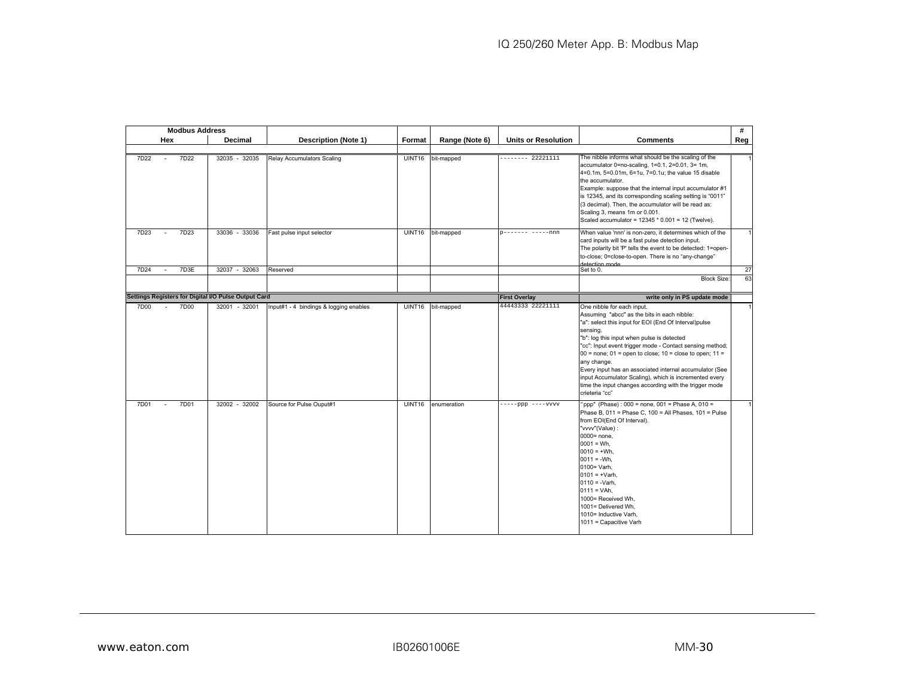|                                                      | <b>Modbus Address</b> |                                        |               |                |                            |                                                                                                                                                                                                                                                                                                                                                                                                                                                                                                                                             | #              |
|------------------------------------------------------|-----------------------|----------------------------------------|---------------|----------------|----------------------------|---------------------------------------------------------------------------------------------------------------------------------------------------------------------------------------------------------------------------------------------------------------------------------------------------------------------------------------------------------------------------------------------------------------------------------------------------------------------------------------------------------------------------------------------|----------------|
| Hex                                                  | Decimal               | <b>Description (Note 1)</b>            | Format        | Range (Note 6) | <b>Units or Resolution</b> | <b>Comments</b>                                                                                                                                                                                                                                                                                                                                                                                                                                                                                                                             | Reg            |
|                                                      |                       |                                        |               |                |                            |                                                                                                                                                                                                                                                                                                                                                                                                                                                                                                                                             |                |
| 7D22<br>7D22                                         | 32035 - 32035         | <b>Relay Accumulators Scaling</b>      | <b>UINT16</b> | bit-mapped     | -------- 22221111          | The nibble informs what should be the scaling of the<br>accumulator 0=no-scaling, 1=0.1, 2=0.01, 3= 1m,<br>4=0.1m, 5=0.01m, 6=1u, 7=0.1u; the value 15 disable<br>the accumulator.<br>Example: suppose that the internal input accumulator #1<br>is 12345, and its corresponding scaling setting is "0011"<br>(3 decimal). Then, the accumulator will be read as:<br>Scaling 3, means 1m or 0.001.<br>Scaled accumulator = 12345 * 0.001 = 12 (Twelve).                                                                                     |                |
| 7D23<br>7D23                                         | 33036 - 33036         | Fast pulse input selector              | UINT16        | bit-mapped     | p------- -----nnn          | When value 'nnn' is non-zero, it determines which of the<br>card inputs will be a fast pulse detection input.<br>The polarity bit 'P' tells the event to be detected: 1=open-<br>to-close; 0=close-to-open. There is no "any-change"<br>detection mode                                                                                                                                                                                                                                                                                      |                |
| 7D3E<br>7D24                                         | 32037<br>$-32063$     | Reserved                               |               |                |                            | Set to 0.                                                                                                                                                                                                                                                                                                                                                                                                                                                                                                                                   | 27             |
|                                                      |                       |                                        |               |                |                            | <b>Block Size:</b>                                                                                                                                                                                                                                                                                                                                                                                                                                                                                                                          | 63             |
| Settings Registers for Digital I/O Pulse Output Card |                       |                                        |               |                | <b>First Overlay</b>       | write only in PS update mode                                                                                                                                                                                                                                                                                                                                                                                                                                                                                                                |                |
| 7D00<br>7D00<br>$\sim$                               | 32001 - 32001         | Input#1 - 4 bindings & logging enables | UINT16        | bit-mapped     | 44443333 22221111          | One nibble for each input.<br>Assuming "abcc" as the bits in each nibble:<br>"a": select this input for EOI (End Of Interval)pulse<br>sensing.<br>"b": log this input when pulse is detected<br>"cc": Input event trigger mode - Contact sensing method;<br>$00 =$ none; $01 =$ open to close; $10 =$ close to open; $11 =$<br>any change.<br>Every input has an associated internal accumulator (See<br>input Accumulator Scaling), which is incremented every<br>time the input changes according with the trigger mode<br>crieteria "cc" | $\overline{1}$ |
| 7D01<br>7D01<br>$\sim$                               | 32002 - 32002         | Source for Pulse Ouput#1               | <b>UINT16</b> | enumeration    | $---ppp$ ----vvvv          | "ppp" (Phase): 000 = none, 001 = Phase A, 010 =<br>Phase B, 011 = Phase C, 100 = All Phases, 101 = Pulse<br>from EOI(End Of Interval).<br>"vvvv"(Value) :<br>$0000 = none.$<br>$0001 = Wh.$<br>$0010 = +Wh$ ,<br>$0011 = -Wh.$<br>0100= Varh,<br>$0101 = +Varh$ ,<br>$0110 = -Varh$ .<br>$0111 = VAh$ ,<br>1000= Received Wh,<br>1001= Delivered Wh,<br>1010= Inductive Varh,<br>1011 = Capacitive Varh                                                                                                                                     | 1              |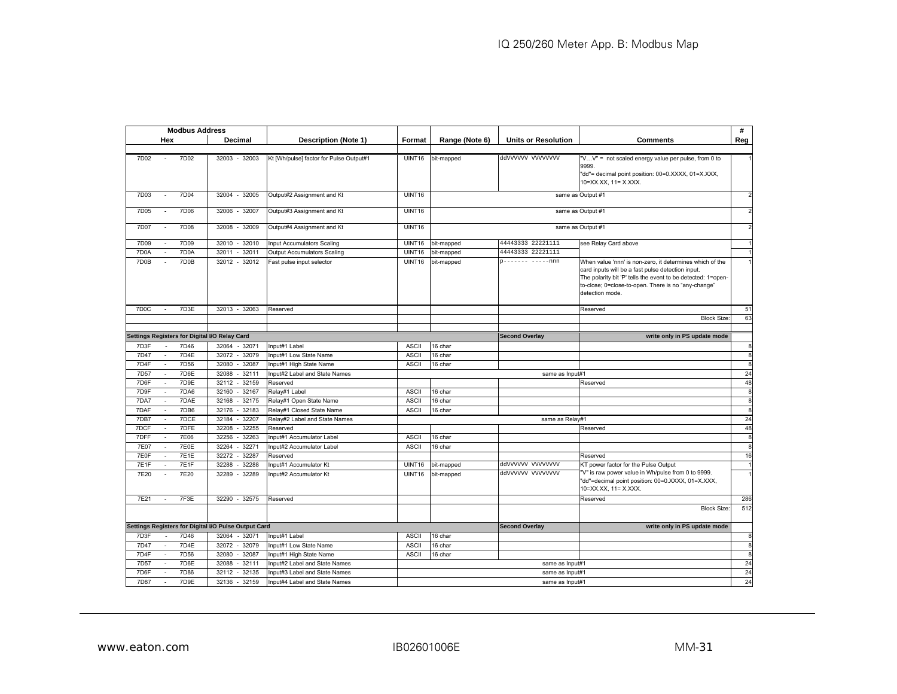|                                                      | <b>Modbus Address</b> |                                         |                    |                |                            |                                                                                                                                                                                                                                                         | #              |
|------------------------------------------------------|-----------------------|-----------------------------------------|--------------------|----------------|----------------------------|---------------------------------------------------------------------------------------------------------------------------------------------------------------------------------------------------------------------------------------------------------|----------------|
| Hex                                                  | Decimal               | Description (Note 1)                    | Format             | Range (Note 6) | <b>Units or Resolution</b> | <b>Comments</b>                                                                                                                                                                                                                                         | Reg            |
|                                                      |                       |                                         |                    |                |                            |                                                                                                                                                                                                                                                         |                |
| 7D02<br>7D02                                         | 32003 - 32003         | Kt [Wh/pulse] factor for Pulse Output#1 | <b>UINT16</b>      | bit-mapped     | ddyyyyyy yyyyyyyy          | "VV" = not scaled energy value per pulse, from 0 to<br>9999.<br>"dd"= decimal point position: 00=0.XXXX, 01=X.XXX,<br>10=XX.XX, 11= X.XXX.                                                                                                              |                |
| 7D03<br>7D04                                         | 32004 - 32005         | Output#2 Assignment and Kt              | UINT16             |                |                            | same as Output #1                                                                                                                                                                                                                                       | $\overline{2}$ |
| 7D06<br>7D05<br>$\sim$                               | 32006 - 32007         | Output#3 Assignment and Kt              | UINT16             |                |                            | same as Output #1                                                                                                                                                                                                                                       | $\overline{2}$ |
| 7D07<br>7D08                                         | 32008<br>32009        | Output#4 Assignment and Kt              | UINT16             |                |                            | same as Output #1                                                                                                                                                                                                                                       | $\mathcal{P}$  |
| 7D09<br>7D09                                         | $-32010$<br>32010     | nput Accumulators Scaling               | UINT16             | bit-mapped     | 44443333 22221111          | see Relay Card above                                                                                                                                                                                                                                    |                |
| 7D0A<br>7D0A                                         | 32011<br>32011        | Output Accumulators Scaling             | <b>UINT16</b>      | bit-mapped     | 44443333 22221111          |                                                                                                                                                                                                                                                         |                |
| 7D0B<br>7D0B                                         | 32012 - 32012         | Fast pulse input selector               | <b>UINT16</b>      | bit-mapped     | 0------- -----nnn          | When value 'nnn' is non-zero, it determines which of the<br>card inputs will be a fast pulse detection input.<br>The polarity bit 'P' tells the event to be detected: 1=open-<br>to-close; 0=close-to-open. There is no "any-change"<br>detection mode. |                |
| 7D <sub>0</sub> C<br>7D3E<br>$\sim$                  | 32013 - 32063         | Reserved                                |                    |                |                            | Reserved                                                                                                                                                                                                                                                | 51             |
|                                                      |                       |                                         |                    |                |                            | <b>Block Size</b>                                                                                                                                                                                                                                       | 63             |
|                                                      |                       |                                         |                    |                |                            |                                                                                                                                                                                                                                                         |                |
| Settings Registers for Digital I/O Relay Card        |                       |                                         |                    |                | <b>Second Overlay</b>      | write only in PS update mode                                                                                                                                                                                                                            |                |
| 7D46<br>7D3F                                         | 32064<br>$-32071$     | Input#1 Label                           | <b>ASCII</b>       | 16 char        |                            |                                                                                                                                                                                                                                                         | 8              |
| 7D <sub>4</sub> E<br>7D47                            | 32072 - 32079         | Input#1 Low State Name                  | <b>ASCII</b>       | 16 char        |                            |                                                                                                                                                                                                                                                         | œ              |
| 7D4F<br>7D56<br>$\sim$                               | 32087<br>32080        | Input#1 High State Name                 | <b>ASCII</b>       | 16 char        |                            |                                                                                                                                                                                                                                                         | 8              |
| 7D6E<br>7D <sub>57</sub>                             | 32088<br>32111        | Input#2 Label and State Names           |                    |                | same as Input#1            |                                                                                                                                                                                                                                                         | 24             |
| 7D6F<br>7D9E<br>$\sim$                               | 32112<br>$-32159$     | Reserved                                |                    |                |                            | Reserved                                                                                                                                                                                                                                                | 48             |
| 7DA6<br>7D <sub>9F</sub>                             | 32167<br>32160        | Relay#1 Label                           | <b>ASCII</b>       | 16 char        |                            |                                                                                                                                                                                                                                                         | 8              |
| 7DA7<br>7DAE<br>$\sim$                               | 32168<br>32175        | Relay#1 Open State Name                 | <b>ASCII</b>       | 16 char        |                            |                                                                                                                                                                                                                                                         | 8              |
| 7DB6<br>7DAF                                         | $-32183$<br>32176     | Relay#1 Closed State Name               | <b>ASCII</b>       | 16 char        |                            |                                                                                                                                                                                                                                                         | 8              |
| 7DCE<br>7DB7<br>$\mathbf{r}$                         | 32184<br>32207        | Relay#2 Label and State Names           |                    |                | same as Relav#1            |                                                                                                                                                                                                                                                         | 24             |
| 7DFE<br>7DCF                                         | $-32255$<br>32208     | Reserved                                |                    |                |                            | Reserved                                                                                                                                                                                                                                                | 48             |
| <b>7E06</b><br>7DFF                                  | 32256<br>32263        | nput#1 Accumulator Label                | <b>ASCII</b>       | 16 char        |                            |                                                                                                                                                                                                                                                         | 8              |
| <b>7E07</b><br>7E0E                                  | 32264<br>32271        | nput#2 Accumulator Label                | <b>ASCII</b>       | 16 char        |                            |                                                                                                                                                                                                                                                         | œ              |
| 7E0F<br><b>7E1E</b>                                  | 32272<br>32287        | Reserved                                |                    |                |                            | Reserved                                                                                                                                                                                                                                                | 16             |
| 7E1F<br>7E <sub>1</sub> F                            | 32288<br>32288        | nput#1 Accumulator Kt                   | UINT <sub>16</sub> | bit-mapped     | ddyyyyyy yyyyyyyy          | KT power factor for the Pulse Output                                                                                                                                                                                                                    |                |
| 7E20<br>7E20                                         | 32289<br>32289        | nput#2 Accumulator Kt                   | UINT16             | bit-mapped     | ddyyyyyy yyyyyyyy          | "V" is raw power value in Wh/pulse from 0 to 9999.<br>"dd"=decimal point position: 00=0.XXXX, 01=X.XXX,<br>10=XX.XX. 11= X.XXX.                                                                                                                         |                |
| 7F3E<br>7E21                                         | 32290<br>$-32575$     | Reserved                                |                    |                |                            | Reserved                                                                                                                                                                                                                                                | 286            |
|                                                      |                       |                                         |                    |                |                            | <b>Block Size</b>                                                                                                                                                                                                                                       | 512            |
| Settings Registers for Digital I/O Pulse Output Card |                       |                                         |                    |                | <b>Second Overlay</b>      | write only in PS update mode                                                                                                                                                                                                                            |                |
| 7D46<br>7D3F                                         | 32064<br>$-32071$     | nput#1 Label                            | <b>ASCII</b>       | 16 char        |                            |                                                                                                                                                                                                                                                         | 8              |
| 7D4E<br>7D47                                         | $-32079$<br>32072     | nput#1 Low State Name                   | <b>ASCII</b>       | 16 char        |                            |                                                                                                                                                                                                                                                         | 8              |
| 7D4F<br>7D <sub>56</sub>                             | 32080<br>32087        | nput#1 High State Name                  | <b>ASCII</b>       | 16 char        |                            |                                                                                                                                                                                                                                                         | 8              |
| 7D <sub>57</sub><br>7D6E                             | 32088<br>32111        | nput#2 Label and State Names            |                    |                | same as Input#1            |                                                                                                                                                                                                                                                         | 24             |
| 7D6F<br>7D86                                         | $-32135$<br>32112     | nput#3 Label and State Names            | same as Input#1    |                |                            |                                                                                                                                                                                                                                                         | 24             |
| 7D87<br>7D9E<br>$\overline{a}$                       | $-32159$<br>32136     | nput#4 Label and State Names            | same as Input#1    |                |                            |                                                                                                                                                                                                                                                         |                |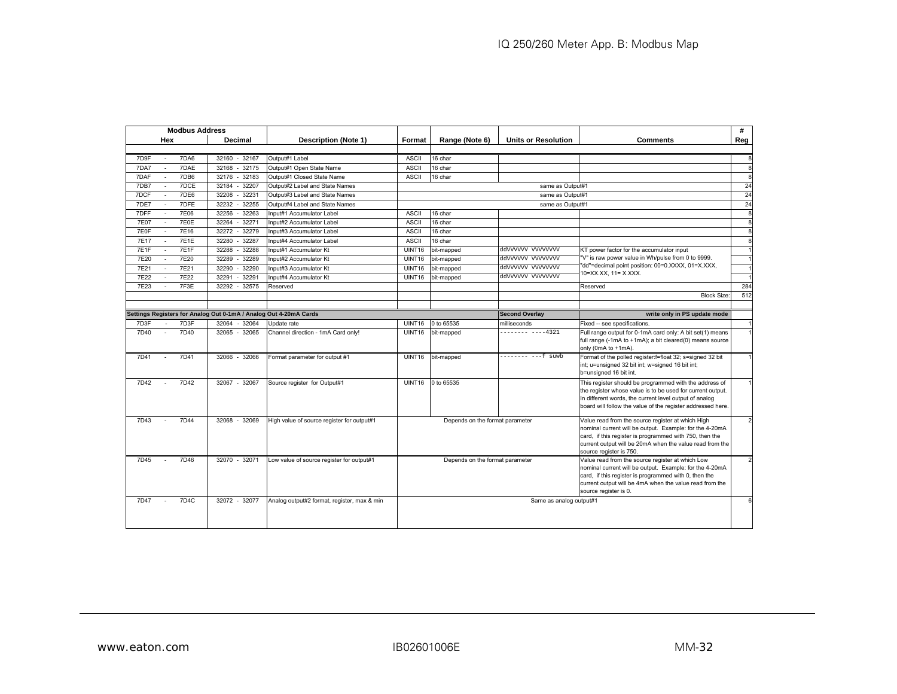|             | <b>Modbus Address</b> |                   |                                                                   |                                             |                                                         |                                 |                            |                                                                                                              | #              |
|-------------|-----------------------|-------------------|-------------------------------------------------------------------|---------------------------------------------|---------------------------------------------------------|---------------------------------|----------------------------|--------------------------------------------------------------------------------------------------------------|----------------|
|             | Hex                   |                   | Decimal                                                           | <b>Description (Note 1)</b>                 | Format                                                  | Range (Note 6)                  | <b>Units or Resolution</b> | <b>Comments</b>                                                                                              | Reg            |
|             |                       |                   |                                                                   |                                             |                                                         |                                 |                            |                                                                                                              |                |
| 7D9F        |                       | 7DA6              | 32160 - 32167                                                     | Output#1 Label                              | <b>ASCII</b>                                            | 16 char                         |                            |                                                                                                              | 8              |
| 7DA7        |                       | 7DAE              | 32168<br>32175                                                    | Output#1 Open State Name                    | <b>ASCII</b>                                            | 16 char                         |                            |                                                                                                              | 8              |
| 7DAF        |                       | 7DB6              | 32176<br>$-32183$                                                 | Output#1 Closed State Name                  | <b>ASCII</b>                                            | 16 char                         |                            |                                                                                                              | 8              |
| 7DB7        |                       | 7DCE              | 32184<br>32207<br>$\sim$                                          | Output#2 Label and State Names              |                                                         |                                 | same as Output#1           |                                                                                                              | 24             |
| 7DCF        |                       | 7DE6              | 32208<br>$-32231$                                                 | Output#3 Label and State Names              |                                                         |                                 | same as Output#1           |                                                                                                              | 24             |
| 7DE7        | $\sim$                | 7DFE              | 32232<br>32255                                                    | Output#4 Label and State Names              |                                                         |                                 | same as Output#1           |                                                                                                              | 24             |
| 7DFF        |                       | 7E06              | 32256<br>32263                                                    | Input#1 Accumulator Label                   | <b>ASCII</b>                                            | 16 char                         |                            |                                                                                                              | 8              |
| <b>7E07</b> |                       | 7E0E              | 32271<br>32264                                                    | Input#2 Accumulator Label                   | <b>ASCII</b>                                            | 16 char                         |                            |                                                                                                              | 8              |
| 7E0F        | ÷.                    | 7E16              | 32272<br>32279                                                    | Input#3 Accumulator Label                   | <b>ASCII</b>                                            | 16 char                         |                            |                                                                                                              | 8              |
| <b>7E17</b> |                       | <b>7E1E</b>       | 32280<br>32287                                                    | Input#4 Accumulator Label                   | <b>ASCII</b>                                            | 16 char                         |                            |                                                                                                              | 8              |
| 7E1F        |                       | 7E1F              | 32288<br>$-32288$                                                 | Input#1 Accumulator Kt                      | <b>UINT16</b>                                           | bit-mapped                      | ddvvvvvv vvvvvvvv          | KT power factor for the accumulator input                                                                    |                |
| 7E20        |                       | 7E20              | 32289<br>32289                                                    | Input#2 Accumulator Kt                      | UINT16                                                  | bit-mapped                      | ddvvvvvv vvvvvvvv          | 'V" is raw power value in Wh/pulse from 0 to 9999.                                                           |                |
| 7E21        |                       | 7E21              | 32290<br>32290                                                    | Input#3 Accumulator Kt                      | <b>UINT16</b>                                           | bit-mapped                      | ddyyyyyy yyyyyyy           | dd"=decimal point position: 00=0.XXXX, 01=X.XXX,<br>10=XX.XX. 11= X.XXX.                                     |                |
| 7E22        |                       | 7E22              | 32291<br>32291                                                    | Input#4 Accumulator Kt                      | <b>UINT16</b>                                           | bit-mapped                      | ddvvvvvv vvvvvvvv          |                                                                                                              |                |
| 7E23        |                       | 7F3E              | 32292<br>$-32575$                                                 | Reserved                                    |                                                         |                                 |                            | Reserved                                                                                                     | 284            |
|             |                       |                   |                                                                   |                                             |                                                         |                                 |                            | <b>Block Size</b>                                                                                            | 512            |
|             |                       |                   |                                                                   |                                             |                                                         |                                 |                            |                                                                                                              |                |
|             |                       |                   | Settings Registers for Analog Out 0-1mA / Analog Out 4-20mA Cards |                                             |                                                         |                                 | <b>Second Overlay</b>      | write only in PS update mode                                                                                 |                |
| 7D3F        |                       | 7D3F              | 32064<br>$-32064$                                                 | Update rate                                 | UINT16                                                  | 0 to 65535                      | milliseconds               | Fixed -- see specifications.                                                                                 |                |
| 7D40        |                       | 7D40              | 32065 - 32065                                                     | Channel direction - 1mA Card only!          | UINT16                                                  | bit-mapped                      | -------- ----4321          | Full range output for 0-1mA card only: A bit set(1) means                                                    |                |
|             |                       |                   |                                                                   |                                             |                                                         |                                 |                            | full range (-1mA to +1mA); a bit cleared(0) means source                                                     |                |
| 7D41        |                       | 7D41              | 32066 - 32066                                                     | Format parameter for output #1              | UINT16                                                  | bit-mapped                      | -------- ---f suwb         | only (0mA to +1mA).<br>Format of the polled register:f=float 32; s=signed 32 bit                             |                |
|             |                       |                   |                                                                   |                                             |                                                         |                                 |                            | int; u=unsigned 32 bit int; w=signed 16 bit int;                                                             |                |
|             |                       |                   |                                                                   |                                             |                                                         |                                 |                            | b=unsigned 16 bit int.                                                                                       |                |
| 7D42        |                       | 7D42              | 32067 - 32067                                                     | Source register for Output#1                | UINT16                                                  | 0 to 65535                      |                            | This register should be programmed with the address of                                                       |                |
|             |                       |                   |                                                                   |                                             |                                                         |                                 |                            | the register whose value is to be used for current output.                                                   |                |
|             |                       |                   |                                                                   |                                             |                                                         |                                 |                            | In different words, the current level output of analog                                                       |                |
|             |                       |                   |                                                                   |                                             |                                                         |                                 |                            | board will follow the value of the register addressed here.                                                  |                |
| 7D43        |                       | 7D44              | 32068 - 32069                                                     |                                             |                                                         |                                 |                            |                                                                                                              | $\overline{a}$ |
|             |                       |                   |                                                                   | High value of source register for output#1  |                                                         | Depends on the format parameter |                            | Value read from the source register at which High<br>nominal current will be output. Example: for the 4-20mA |                |
|             |                       |                   |                                                                   |                                             |                                                         |                                 |                            | card, if this register is programmed with 750, then the                                                      |                |
|             |                       |                   |                                                                   |                                             |                                                         |                                 |                            | current output will be 20mA when the value read from the                                                     |                |
|             |                       |                   |                                                                   |                                             |                                                         |                                 |                            | source register is 750.                                                                                      |                |
| 7D45        |                       | 7D46              | 32070 - 32071                                                     | Low value of source register for output#1   |                                                         | Depends on the format parameter |                            | Value read from the source register at which Low                                                             |                |
|             |                       |                   |                                                                   |                                             |                                                         |                                 |                            | nominal current will be output. Example: for the 4-20mA                                                      |                |
|             |                       |                   |                                                                   |                                             | card, if this register is programmed with 0, then the   |                                 |                            |                                                                                                              |                |
|             |                       |                   |                                                                   |                                             | current output will be 4mA when the value read from the |                                 |                            |                                                                                                              |                |
| 7D47        |                       | 7D <sub>4</sub> C | 32072 - 32077                                                     | Analog output#2 format, register, max & min | source register is 0.                                   |                                 |                            | 6                                                                                                            |                |
|             |                       |                   |                                                                   |                                             | Same as analog output#1                                 |                                 |                            |                                                                                                              |                |
|             |                       |                   |                                                                   |                                             |                                                         |                                 |                            |                                                                                                              |                |
|             |                       |                   |                                                                   |                                             |                                                         |                                 |                            |                                                                                                              |                |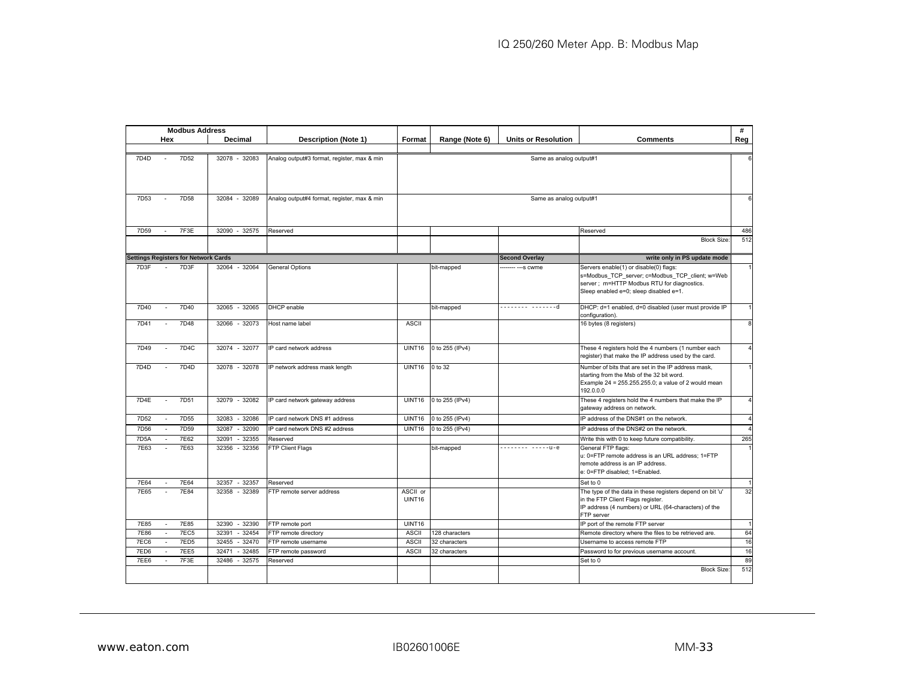| Reg<br>Hex<br>Decimal<br><b>Description (Note 1)</b><br>Range (Note 6)<br><b>Units or Resolution</b><br><b>Comments</b><br>Format<br>7D4D<br>7D <sub>52</sub><br>32078 - 32083<br>Analog output#3 format, register, max & min<br>Same as analog output#1<br>6<br>7D <sub>58</sub><br>7D <sub>53</sub><br>32084 - 32089<br>Analog output#4 format, register, max & min<br>Same as analog output#1<br>6<br>$\sim$<br>7F3E<br>7D59<br>32090<br>$-32575$<br>486<br>Reserved<br>Reserved<br>512<br><b>Block Size</b><br><b>Settings Registers for Network Cards</b><br>write only in PS update mode<br><b>Second Overlay</b><br>32064 - 32064<br>7D3F<br>7D3F<br><b>General Options</b><br>Servers enable(1) or disable(0) flags:<br>$\mathbf{1}$<br>$\sim$ $-$<br>bit-mapped<br>---- --- s cwme<br>s=Modbus_TCP_server; c=Modbus_TCP_client; w=Web<br>server ; m=HTTP Modbus RTU for diagnostics.<br>Sleep enabled e=0; sleep disabled e=1.<br>7D40<br>------- -------d<br>7D40<br>32065 - 32065<br>DHCP enable<br>DHCP: d=1 enabled, d=0 disabled (user must provide IP<br>bit-mapped<br>configuration).<br>7D48<br>7D41<br>32066<br>$-32073$<br><b>ASCII</b><br>16 bytes (8 registers)<br>Host name label<br>7D <sub>4</sub> C<br>0 to 255 (IPv4)<br>7D49<br>32074 - 32077<br>IP card network address<br><b>UINT16</b><br>These 4 registers hold the 4 numbers (1 number each<br>register) that make the IP address used by the card.<br>7D4D<br>7D4D<br>32078 - 32078<br>IP network address mask length<br><b>UINT16</b><br>0 to 32<br>Number of bits that are set in the IP address mask,<br>starting from the Msb of the 32 bit word.<br>Example 24 = 255.255.255.0; a value of 2 would mean<br>192.0.0.0<br>7D4E<br>7D <sub>51</sub><br>32079 - 32082<br><b>UINT16</b><br>0 to 255 (IPv4)<br>These 4 registers hold the 4 numbers that make the IP<br>IP card network gateway address<br>$\sim$<br>gateway address on network.<br>7D <sub>55</sub><br>7D <sub>52</sub><br>32083<br>$-32086$<br>IP card network DNS #1 address<br>UINT16<br>0 to 255 (IPv4)<br>IP address of the DNS#1 on the network.<br>$\sim$<br>7D <sub>59</sub><br><b>7D56</b><br>$-32090$<br>IP card network DNS #2 address<br>0 to 255 (IPv4)<br>32087<br><b>UINT16</b><br>IP address of the DNS#2 on the network.<br>7E62<br>7D <sub>5</sub> A<br>32091<br>$-32355$<br>Write this with 0 to keep future compatibility.<br>Reserved<br>------- -----u-e<br>7E63<br>7E63<br>32356<br>$-32356$<br>General FTP flags:<br>FTP Client Flags<br>bit-mapped<br>u: 0=FTP remote address is an URL address; 1=FTP<br>remote address is an IP address.<br>e: 0=FTP disabled; 1=Enabled.<br><b>7E64</b><br>$-32357$<br>7E64<br>32357<br>Set to 0<br>Reserved<br>7E65<br>7E84<br>32358 - 32389<br>FTP remote server address<br>ASCII or<br>The type of the data in these registers depend on bit 'u'<br>UINT16<br>in the FTP Client Flags register.<br>IP address (4 numbers) or URL (64-characters) of the<br>FTP server<br>7E85<br>7E85<br>32390<br>$-32390$<br><b>UINT16</b><br>IP port of the remote FTP server<br>FTP remote port<br>7E86<br>7EC5<br>$-32454$<br>32391<br>FTP remote directory<br><b>ASCII</b><br>128 characters<br>Remote directory where the files to be retrieved are.<br>7ED <sub>5</sub><br>7EC6<br>32455<br>$-32470$<br><b>ASCII</b><br>FTP remote username<br>32 characters<br>Username to access remote FTP<br>7ED6<br><b>7EE5</b><br>32471<br>$-32485$<br><b>ASCII</b><br>FTP remote password<br>32 characters<br>Password to for previous username account.<br>7F3E<br>7EE6<br>32486<br>$-32575$<br>Reserved<br>Set to 0<br><b>Block Size</b> | <b>Modbus Address</b> |  |  |  | # |
|------------------------------------------------------------------------------------------------------------------------------------------------------------------------------------------------------------------------------------------------------------------------------------------------------------------------------------------------------------------------------------------------------------------------------------------------------------------------------------------------------------------------------------------------------------------------------------------------------------------------------------------------------------------------------------------------------------------------------------------------------------------------------------------------------------------------------------------------------------------------------------------------------------------------------------------------------------------------------------------------------------------------------------------------------------------------------------------------------------------------------------------------------------------------------------------------------------------------------------------------------------------------------------------------------------------------------------------------------------------------------------------------------------------------------------------------------------------------------------------------------------------------------------------------------------------------------------------------------------------------------------------------------------------------------------------------------------------------------------------------------------------------------------------------------------------------------------------------------------------------------------------------------------------------------------------------------------------------------------------------------------------------------------------------------------------------------------------------------------------------------------------------------------------------------------------------------------------------------------------------------------------------------------------------------------------------------------------------------------------------------------------------------------------------------------------------------------------------------------------------------------------------------------------------------------------------------------------------------------------------------------------------------------------------------------------------------------------------------------------------------------------------------------------------------------------------------------------------------------------------------------------------------------------------------------------------------------------------------------------------------------------------------------------------------------------------------------------------------------------------------------------------------------------------------------------------------------------------------------------------------------------------------------------------------------------------------------------------------------------------------------------------------------------------------------------------------------------------------------------------------------------------------------------------------------------------------------------------------------------------------------------|-----------------------|--|--|--|---|
|                                                                                                                                                                                                                                                                                                                                                                                                                                                                                                                                                                                                                                                                                                                                                                                                                                                                                                                                                                                                                                                                                                                                                                                                                                                                                                                                                                                                                                                                                                                                                                                                                                                                                                                                                                                                                                                                                                                                                                                                                                                                                                                                                                                                                                                                                                                                                                                                                                                                                                                                                                                                                                                                                                                                                                                                                                                                                                                                                                                                                                                                                                                                                                                                                                                                                                                                                                                                                                                                                                                                                                                                                                          |                       |  |  |  |   |
|                                                                                                                                                                                                                                                                                                                                                                                                                                                                                                                                                                                                                                                                                                                                                                                                                                                                                                                                                                                                                                                                                                                                                                                                                                                                                                                                                                                                                                                                                                                                                                                                                                                                                                                                                                                                                                                                                                                                                                                                                                                                                                                                                                                                                                                                                                                                                                                                                                                                                                                                                                                                                                                                                                                                                                                                                                                                                                                                                                                                                                                                                                                                                                                                                                                                                                                                                                                                                                                                                                                                                                                                                                          |                       |  |  |  |   |
|                                                                                                                                                                                                                                                                                                                                                                                                                                                                                                                                                                                                                                                                                                                                                                                                                                                                                                                                                                                                                                                                                                                                                                                                                                                                                                                                                                                                                                                                                                                                                                                                                                                                                                                                                                                                                                                                                                                                                                                                                                                                                                                                                                                                                                                                                                                                                                                                                                                                                                                                                                                                                                                                                                                                                                                                                                                                                                                                                                                                                                                                                                                                                                                                                                                                                                                                                                                                                                                                                                                                                                                                                                          |                       |  |  |  |   |
|                                                                                                                                                                                                                                                                                                                                                                                                                                                                                                                                                                                                                                                                                                                                                                                                                                                                                                                                                                                                                                                                                                                                                                                                                                                                                                                                                                                                                                                                                                                                                                                                                                                                                                                                                                                                                                                                                                                                                                                                                                                                                                                                                                                                                                                                                                                                                                                                                                                                                                                                                                                                                                                                                                                                                                                                                                                                                                                                                                                                                                                                                                                                                                                                                                                                                                                                                                                                                                                                                                                                                                                                                                          |                       |  |  |  |   |
|                                                                                                                                                                                                                                                                                                                                                                                                                                                                                                                                                                                                                                                                                                                                                                                                                                                                                                                                                                                                                                                                                                                                                                                                                                                                                                                                                                                                                                                                                                                                                                                                                                                                                                                                                                                                                                                                                                                                                                                                                                                                                                                                                                                                                                                                                                                                                                                                                                                                                                                                                                                                                                                                                                                                                                                                                                                                                                                                                                                                                                                                                                                                                                                                                                                                                                                                                                                                                                                                                                                                                                                                                                          |                       |  |  |  |   |
|                                                                                                                                                                                                                                                                                                                                                                                                                                                                                                                                                                                                                                                                                                                                                                                                                                                                                                                                                                                                                                                                                                                                                                                                                                                                                                                                                                                                                                                                                                                                                                                                                                                                                                                                                                                                                                                                                                                                                                                                                                                                                                                                                                                                                                                                                                                                                                                                                                                                                                                                                                                                                                                                                                                                                                                                                                                                                                                                                                                                                                                                                                                                                                                                                                                                                                                                                                                                                                                                                                                                                                                                                                          |                       |  |  |  |   |
|                                                                                                                                                                                                                                                                                                                                                                                                                                                                                                                                                                                                                                                                                                                                                                                                                                                                                                                                                                                                                                                                                                                                                                                                                                                                                                                                                                                                                                                                                                                                                                                                                                                                                                                                                                                                                                                                                                                                                                                                                                                                                                                                                                                                                                                                                                                                                                                                                                                                                                                                                                                                                                                                                                                                                                                                                                                                                                                                                                                                                                                                                                                                                                                                                                                                                                                                                                                                                                                                                                                                                                                                                                          |                       |  |  |  |   |
|                                                                                                                                                                                                                                                                                                                                                                                                                                                                                                                                                                                                                                                                                                                                                                                                                                                                                                                                                                                                                                                                                                                                                                                                                                                                                                                                                                                                                                                                                                                                                                                                                                                                                                                                                                                                                                                                                                                                                                                                                                                                                                                                                                                                                                                                                                                                                                                                                                                                                                                                                                                                                                                                                                                                                                                                                                                                                                                                                                                                                                                                                                                                                                                                                                                                                                                                                                                                                                                                                                                                                                                                                                          |                       |  |  |  |   |
|                                                                                                                                                                                                                                                                                                                                                                                                                                                                                                                                                                                                                                                                                                                                                                                                                                                                                                                                                                                                                                                                                                                                                                                                                                                                                                                                                                                                                                                                                                                                                                                                                                                                                                                                                                                                                                                                                                                                                                                                                                                                                                                                                                                                                                                                                                                                                                                                                                                                                                                                                                                                                                                                                                                                                                                                                                                                                                                                                                                                                                                                                                                                                                                                                                                                                                                                                                                                                                                                                                                                                                                                                                          |                       |  |  |  |   |
|                                                                                                                                                                                                                                                                                                                                                                                                                                                                                                                                                                                                                                                                                                                                                                                                                                                                                                                                                                                                                                                                                                                                                                                                                                                                                                                                                                                                                                                                                                                                                                                                                                                                                                                                                                                                                                                                                                                                                                                                                                                                                                                                                                                                                                                                                                                                                                                                                                                                                                                                                                                                                                                                                                                                                                                                                                                                                                                                                                                                                                                                                                                                                                                                                                                                                                                                                                                                                                                                                                                                                                                                                                          |                       |  |  |  |   |
|                                                                                                                                                                                                                                                                                                                                                                                                                                                                                                                                                                                                                                                                                                                                                                                                                                                                                                                                                                                                                                                                                                                                                                                                                                                                                                                                                                                                                                                                                                                                                                                                                                                                                                                                                                                                                                                                                                                                                                                                                                                                                                                                                                                                                                                                                                                                                                                                                                                                                                                                                                                                                                                                                                                                                                                                                                                                                                                                                                                                                                                                                                                                                                                                                                                                                                                                                                                                                                                                                                                                                                                                                                          |                       |  |  |  |   |
|                                                                                                                                                                                                                                                                                                                                                                                                                                                                                                                                                                                                                                                                                                                                                                                                                                                                                                                                                                                                                                                                                                                                                                                                                                                                                                                                                                                                                                                                                                                                                                                                                                                                                                                                                                                                                                                                                                                                                                                                                                                                                                                                                                                                                                                                                                                                                                                                                                                                                                                                                                                                                                                                                                                                                                                                                                                                                                                                                                                                                                                                                                                                                                                                                                                                                                                                                                                                                                                                                                                                                                                                                                          |                       |  |  |  |   |
|                                                                                                                                                                                                                                                                                                                                                                                                                                                                                                                                                                                                                                                                                                                                                                                                                                                                                                                                                                                                                                                                                                                                                                                                                                                                                                                                                                                                                                                                                                                                                                                                                                                                                                                                                                                                                                                                                                                                                                                                                                                                                                                                                                                                                                                                                                                                                                                                                                                                                                                                                                                                                                                                                                                                                                                                                                                                                                                                                                                                                                                                                                                                                                                                                                                                                                                                                                                                                                                                                                                                                                                                                                          |                       |  |  |  |   |
| $\mathbf{1}$<br>8<br>$\overline{4}$<br>$\mathbf{1}$<br>$\overline{4}$<br>$\overline{4}$<br>$\overline{4}$<br>265<br>$\mathbf{1}$<br>$\mathbf{1}$<br>32<br>$\overline{1}$<br>64<br>16<br>16<br>89<br>512                                                                                                                                                                                                                                                                                                                                                                                                                                                                                                                                                                                                                                                                                                                                                                                                                                                                                                                                                                                                                                                                                                                                                                                                                                                                                                                                                                                                                                                                                                                                                                                                                                                                                                                                                                                                                                                                                                                                                                                                                                                                                                                                                                                                                                                                                                                                                                                                                                                                                                                                                                                                                                                                                                                                                                                                                                                                                                                                                                                                                                                                                                                                                                                                                                                                                                                                                                                                                                  |                       |  |  |  |   |
|                                                                                                                                                                                                                                                                                                                                                                                                                                                                                                                                                                                                                                                                                                                                                                                                                                                                                                                                                                                                                                                                                                                                                                                                                                                                                                                                                                                                                                                                                                                                                                                                                                                                                                                                                                                                                                                                                                                                                                                                                                                                                                                                                                                                                                                                                                                                                                                                                                                                                                                                                                                                                                                                                                                                                                                                                                                                                                                                                                                                                                                                                                                                                                                                                                                                                                                                                                                                                                                                                                                                                                                                                                          |                       |  |  |  |   |
|                                                                                                                                                                                                                                                                                                                                                                                                                                                                                                                                                                                                                                                                                                                                                                                                                                                                                                                                                                                                                                                                                                                                                                                                                                                                                                                                                                                                                                                                                                                                                                                                                                                                                                                                                                                                                                                                                                                                                                                                                                                                                                                                                                                                                                                                                                                                                                                                                                                                                                                                                                                                                                                                                                                                                                                                                                                                                                                                                                                                                                                                                                                                                                                                                                                                                                                                                                                                                                                                                                                                                                                                                                          |                       |  |  |  |   |
|                                                                                                                                                                                                                                                                                                                                                                                                                                                                                                                                                                                                                                                                                                                                                                                                                                                                                                                                                                                                                                                                                                                                                                                                                                                                                                                                                                                                                                                                                                                                                                                                                                                                                                                                                                                                                                                                                                                                                                                                                                                                                                                                                                                                                                                                                                                                                                                                                                                                                                                                                                                                                                                                                                                                                                                                                                                                                                                                                                                                                                                                                                                                                                                                                                                                                                                                                                                                                                                                                                                                                                                                                                          |                       |  |  |  |   |
|                                                                                                                                                                                                                                                                                                                                                                                                                                                                                                                                                                                                                                                                                                                                                                                                                                                                                                                                                                                                                                                                                                                                                                                                                                                                                                                                                                                                                                                                                                                                                                                                                                                                                                                                                                                                                                                                                                                                                                                                                                                                                                                                                                                                                                                                                                                                                                                                                                                                                                                                                                                                                                                                                                                                                                                                                                                                                                                                                                                                                                                                                                                                                                                                                                                                                                                                                                                                                                                                                                                                                                                                                                          |                       |  |  |  |   |
|                                                                                                                                                                                                                                                                                                                                                                                                                                                                                                                                                                                                                                                                                                                                                                                                                                                                                                                                                                                                                                                                                                                                                                                                                                                                                                                                                                                                                                                                                                                                                                                                                                                                                                                                                                                                                                                                                                                                                                                                                                                                                                                                                                                                                                                                                                                                                                                                                                                                                                                                                                                                                                                                                                                                                                                                                                                                                                                                                                                                                                                                                                                                                                                                                                                                                                                                                                                                                                                                                                                                                                                                                                          |                       |  |  |  |   |
|                                                                                                                                                                                                                                                                                                                                                                                                                                                                                                                                                                                                                                                                                                                                                                                                                                                                                                                                                                                                                                                                                                                                                                                                                                                                                                                                                                                                                                                                                                                                                                                                                                                                                                                                                                                                                                                                                                                                                                                                                                                                                                                                                                                                                                                                                                                                                                                                                                                                                                                                                                                                                                                                                                                                                                                                                                                                                                                                                                                                                                                                                                                                                                                                                                                                                                                                                                                                                                                                                                                                                                                                                                          |                       |  |  |  |   |
|                                                                                                                                                                                                                                                                                                                                                                                                                                                                                                                                                                                                                                                                                                                                                                                                                                                                                                                                                                                                                                                                                                                                                                                                                                                                                                                                                                                                                                                                                                                                                                                                                                                                                                                                                                                                                                                                                                                                                                                                                                                                                                                                                                                                                                                                                                                                                                                                                                                                                                                                                                                                                                                                                                                                                                                                                                                                                                                                                                                                                                                                                                                                                                                                                                                                                                                                                                                                                                                                                                                                                                                                                                          |                       |  |  |  |   |
|                                                                                                                                                                                                                                                                                                                                                                                                                                                                                                                                                                                                                                                                                                                                                                                                                                                                                                                                                                                                                                                                                                                                                                                                                                                                                                                                                                                                                                                                                                                                                                                                                                                                                                                                                                                                                                                                                                                                                                                                                                                                                                                                                                                                                                                                                                                                                                                                                                                                                                                                                                                                                                                                                                                                                                                                                                                                                                                                                                                                                                                                                                                                                                                                                                                                                                                                                                                                                                                                                                                                                                                                                                          |                       |  |  |  |   |
|                                                                                                                                                                                                                                                                                                                                                                                                                                                                                                                                                                                                                                                                                                                                                                                                                                                                                                                                                                                                                                                                                                                                                                                                                                                                                                                                                                                                                                                                                                                                                                                                                                                                                                                                                                                                                                                                                                                                                                                                                                                                                                                                                                                                                                                                                                                                                                                                                                                                                                                                                                                                                                                                                                                                                                                                                                                                                                                                                                                                                                                                                                                                                                                                                                                                                                                                                                                                                                                                                                                                                                                                                                          |                       |  |  |  |   |
|                                                                                                                                                                                                                                                                                                                                                                                                                                                                                                                                                                                                                                                                                                                                                                                                                                                                                                                                                                                                                                                                                                                                                                                                                                                                                                                                                                                                                                                                                                                                                                                                                                                                                                                                                                                                                                                                                                                                                                                                                                                                                                                                                                                                                                                                                                                                                                                                                                                                                                                                                                                                                                                                                                                                                                                                                                                                                                                                                                                                                                                                                                                                                                                                                                                                                                                                                                                                                                                                                                                                                                                                                                          |                       |  |  |  |   |
|                                                                                                                                                                                                                                                                                                                                                                                                                                                                                                                                                                                                                                                                                                                                                                                                                                                                                                                                                                                                                                                                                                                                                                                                                                                                                                                                                                                                                                                                                                                                                                                                                                                                                                                                                                                                                                                                                                                                                                                                                                                                                                                                                                                                                                                                                                                                                                                                                                                                                                                                                                                                                                                                                                                                                                                                                                                                                                                                                                                                                                                                                                                                                                                                                                                                                                                                                                                                                                                                                                                                                                                                                                          |                       |  |  |  |   |
|                                                                                                                                                                                                                                                                                                                                                                                                                                                                                                                                                                                                                                                                                                                                                                                                                                                                                                                                                                                                                                                                                                                                                                                                                                                                                                                                                                                                                                                                                                                                                                                                                                                                                                                                                                                                                                                                                                                                                                                                                                                                                                                                                                                                                                                                                                                                                                                                                                                                                                                                                                                                                                                                                                                                                                                                                                                                                                                                                                                                                                                                                                                                                                                                                                                                                                                                                                                                                                                                                                                                                                                                                                          |                       |  |  |  |   |
|                                                                                                                                                                                                                                                                                                                                                                                                                                                                                                                                                                                                                                                                                                                                                                                                                                                                                                                                                                                                                                                                                                                                                                                                                                                                                                                                                                                                                                                                                                                                                                                                                                                                                                                                                                                                                                                                                                                                                                                                                                                                                                                                                                                                                                                                                                                                                                                                                                                                                                                                                                                                                                                                                                                                                                                                                                                                                                                                                                                                                                                                                                                                                                                                                                                                                                                                                                                                                                                                                                                                                                                                                                          |                       |  |  |  |   |
|                                                                                                                                                                                                                                                                                                                                                                                                                                                                                                                                                                                                                                                                                                                                                                                                                                                                                                                                                                                                                                                                                                                                                                                                                                                                                                                                                                                                                                                                                                                                                                                                                                                                                                                                                                                                                                                                                                                                                                                                                                                                                                                                                                                                                                                                                                                                                                                                                                                                                                                                                                                                                                                                                                                                                                                                                                                                                                                                                                                                                                                                                                                                                                                                                                                                                                                                                                                                                                                                                                                                                                                                                                          |                       |  |  |  |   |
|                                                                                                                                                                                                                                                                                                                                                                                                                                                                                                                                                                                                                                                                                                                                                                                                                                                                                                                                                                                                                                                                                                                                                                                                                                                                                                                                                                                                                                                                                                                                                                                                                                                                                                                                                                                                                                                                                                                                                                                                                                                                                                                                                                                                                                                                                                                                                                                                                                                                                                                                                                                                                                                                                                                                                                                                                                                                                                                                                                                                                                                                                                                                                                                                                                                                                                                                                                                                                                                                                                                                                                                                                                          |                       |  |  |  |   |
|                                                                                                                                                                                                                                                                                                                                                                                                                                                                                                                                                                                                                                                                                                                                                                                                                                                                                                                                                                                                                                                                                                                                                                                                                                                                                                                                                                                                                                                                                                                                                                                                                                                                                                                                                                                                                                                                                                                                                                                                                                                                                                                                                                                                                                                                                                                                                                                                                                                                                                                                                                                                                                                                                                                                                                                                                                                                                                                                                                                                                                                                                                                                                                                                                                                                                                                                                                                                                                                                                                                                                                                                                                          |                       |  |  |  |   |
|                                                                                                                                                                                                                                                                                                                                                                                                                                                                                                                                                                                                                                                                                                                                                                                                                                                                                                                                                                                                                                                                                                                                                                                                                                                                                                                                                                                                                                                                                                                                                                                                                                                                                                                                                                                                                                                                                                                                                                                                                                                                                                                                                                                                                                                                                                                                                                                                                                                                                                                                                                                                                                                                                                                                                                                                                                                                                                                                                                                                                                                                                                                                                                                                                                                                                                                                                                                                                                                                                                                                                                                                                                          |                       |  |  |  |   |
|                                                                                                                                                                                                                                                                                                                                                                                                                                                                                                                                                                                                                                                                                                                                                                                                                                                                                                                                                                                                                                                                                                                                                                                                                                                                                                                                                                                                                                                                                                                                                                                                                                                                                                                                                                                                                                                                                                                                                                                                                                                                                                                                                                                                                                                                                                                                                                                                                                                                                                                                                                                                                                                                                                                                                                                                                                                                                                                                                                                                                                                                                                                                                                                                                                                                                                                                                                                                                                                                                                                                                                                                                                          |                       |  |  |  |   |
|                                                                                                                                                                                                                                                                                                                                                                                                                                                                                                                                                                                                                                                                                                                                                                                                                                                                                                                                                                                                                                                                                                                                                                                                                                                                                                                                                                                                                                                                                                                                                                                                                                                                                                                                                                                                                                                                                                                                                                                                                                                                                                                                                                                                                                                                                                                                                                                                                                                                                                                                                                                                                                                                                                                                                                                                                                                                                                                                                                                                                                                                                                                                                                                                                                                                                                                                                                                                                                                                                                                                                                                                                                          |                       |  |  |  |   |
|                                                                                                                                                                                                                                                                                                                                                                                                                                                                                                                                                                                                                                                                                                                                                                                                                                                                                                                                                                                                                                                                                                                                                                                                                                                                                                                                                                                                                                                                                                                                                                                                                                                                                                                                                                                                                                                                                                                                                                                                                                                                                                                                                                                                                                                                                                                                                                                                                                                                                                                                                                                                                                                                                                                                                                                                                                                                                                                                                                                                                                                                                                                                                                                                                                                                                                                                                                                                                                                                                                                                                                                                                                          |                       |  |  |  |   |
|                                                                                                                                                                                                                                                                                                                                                                                                                                                                                                                                                                                                                                                                                                                                                                                                                                                                                                                                                                                                                                                                                                                                                                                                                                                                                                                                                                                                                                                                                                                                                                                                                                                                                                                                                                                                                                                                                                                                                                                                                                                                                                                                                                                                                                                                                                                                                                                                                                                                                                                                                                                                                                                                                                                                                                                                                                                                                                                                                                                                                                                                                                                                                                                                                                                                                                                                                                                                                                                                                                                                                                                                                                          |                       |  |  |  |   |
|                                                                                                                                                                                                                                                                                                                                                                                                                                                                                                                                                                                                                                                                                                                                                                                                                                                                                                                                                                                                                                                                                                                                                                                                                                                                                                                                                                                                                                                                                                                                                                                                                                                                                                                                                                                                                                                                                                                                                                                                                                                                                                                                                                                                                                                                                                                                                                                                                                                                                                                                                                                                                                                                                                                                                                                                                                                                                                                                                                                                                                                                                                                                                                                                                                                                                                                                                                                                                                                                                                                                                                                                                                          |                       |  |  |  |   |
|                                                                                                                                                                                                                                                                                                                                                                                                                                                                                                                                                                                                                                                                                                                                                                                                                                                                                                                                                                                                                                                                                                                                                                                                                                                                                                                                                                                                                                                                                                                                                                                                                                                                                                                                                                                                                                                                                                                                                                                                                                                                                                                                                                                                                                                                                                                                                                                                                                                                                                                                                                                                                                                                                                                                                                                                                                                                                                                                                                                                                                                                                                                                                                                                                                                                                                                                                                                                                                                                                                                                                                                                                                          |                       |  |  |  |   |
|                                                                                                                                                                                                                                                                                                                                                                                                                                                                                                                                                                                                                                                                                                                                                                                                                                                                                                                                                                                                                                                                                                                                                                                                                                                                                                                                                                                                                                                                                                                                                                                                                                                                                                                                                                                                                                                                                                                                                                                                                                                                                                                                                                                                                                                                                                                                                                                                                                                                                                                                                                                                                                                                                                                                                                                                                                                                                                                                                                                                                                                                                                                                                                                                                                                                                                                                                                                                                                                                                                                                                                                                                                          |                       |  |  |  |   |
|                                                                                                                                                                                                                                                                                                                                                                                                                                                                                                                                                                                                                                                                                                                                                                                                                                                                                                                                                                                                                                                                                                                                                                                                                                                                                                                                                                                                                                                                                                                                                                                                                                                                                                                                                                                                                                                                                                                                                                                                                                                                                                                                                                                                                                                                                                                                                                                                                                                                                                                                                                                                                                                                                                                                                                                                                                                                                                                                                                                                                                                                                                                                                                                                                                                                                                                                                                                                                                                                                                                                                                                                                                          |                       |  |  |  |   |
|                                                                                                                                                                                                                                                                                                                                                                                                                                                                                                                                                                                                                                                                                                                                                                                                                                                                                                                                                                                                                                                                                                                                                                                                                                                                                                                                                                                                                                                                                                                                                                                                                                                                                                                                                                                                                                                                                                                                                                                                                                                                                                                                                                                                                                                                                                                                                                                                                                                                                                                                                                                                                                                                                                                                                                                                                                                                                                                                                                                                                                                                                                                                                                                                                                                                                                                                                                                                                                                                                                                                                                                                                                          |                       |  |  |  |   |
|                                                                                                                                                                                                                                                                                                                                                                                                                                                                                                                                                                                                                                                                                                                                                                                                                                                                                                                                                                                                                                                                                                                                                                                                                                                                                                                                                                                                                                                                                                                                                                                                                                                                                                                                                                                                                                                                                                                                                                                                                                                                                                                                                                                                                                                                                                                                                                                                                                                                                                                                                                                                                                                                                                                                                                                                                                                                                                                                                                                                                                                                                                                                                                                                                                                                                                                                                                                                                                                                                                                                                                                                                                          |                       |  |  |  |   |
|                                                                                                                                                                                                                                                                                                                                                                                                                                                                                                                                                                                                                                                                                                                                                                                                                                                                                                                                                                                                                                                                                                                                                                                                                                                                                                                                                                                                                                                                                                                                                                                                                                                                                                                                                                                                                                                                                                                                                                                                                                                                                                                                                                                                                                                                                                                                                                                                                                                                                                                                                                                                                                                                                                                                                                                                                                                                                                                                                                                                                                                                                                                                                                                                                                                                                                                                                                                                                                                                                                                                                                                                                                          |                       |  |  |  |   |
|                                                                                                                                                                                                                                                                                                                                                                                                                                                                                                                                                                                                                                                                                                                                                                                                                                                                                                                                                                                                                                                                                                                                                                                                                                                                                                                                                                                                                                                                                                                                                                                                                                                                                                                                                                                                                                                                                                                                                                                                                                                                                                                                                                                                                                                                                                                                                                                                                                                                                                                                                                                                                                                                                                                                                                                                                                                                                                                                                                                                                                                                                                                                                                                                                                                                                                                                                                                                                                                                                                                                                                                                                                          |                       |  |  |  |   |
|                                                                                                                                                                                                                                                                                                                                                                                                                                                                                                                                                                                                                                                                                                                                                                                                                                                                                                                                                                                                                                                                                                                                                                                                                                                                                                                                                                                                                                                                                                                                                                                                                                                                                                                                                                                                                                                                                                                                                                                                                                                                                                                                                                                                                                                                                                                                                                                                                                                                                                                                                                                                                                                                                                                                                                                                                                                                                                                                                                                                                                                                                                                                                                                                                                                                                                                                                                                                                                                                                                                                                                                                                                          |                       |  |  |  |   |
|                                                                                                                                                                                                                                                                                                                                                                                                                                                                                                                                                                                                                                                                                                                                                                                                                                                                                                                                                                                                                                                                                                                                                                                                                                                                                                                                                                                                                                                                                                                                                                                                                                                                                                                                                                                                                                                                                                                                                                                                                                                                                                                                                                                                                                                                                                                                                                                                                                                                                                                                                                                                                                                                                                                                                                                                                                                                                                                                                                                                                                                                                                                                                                                                                                                                                                                                                                                                                                                                                                                                                                                                                                          |                       |  |  |  |   |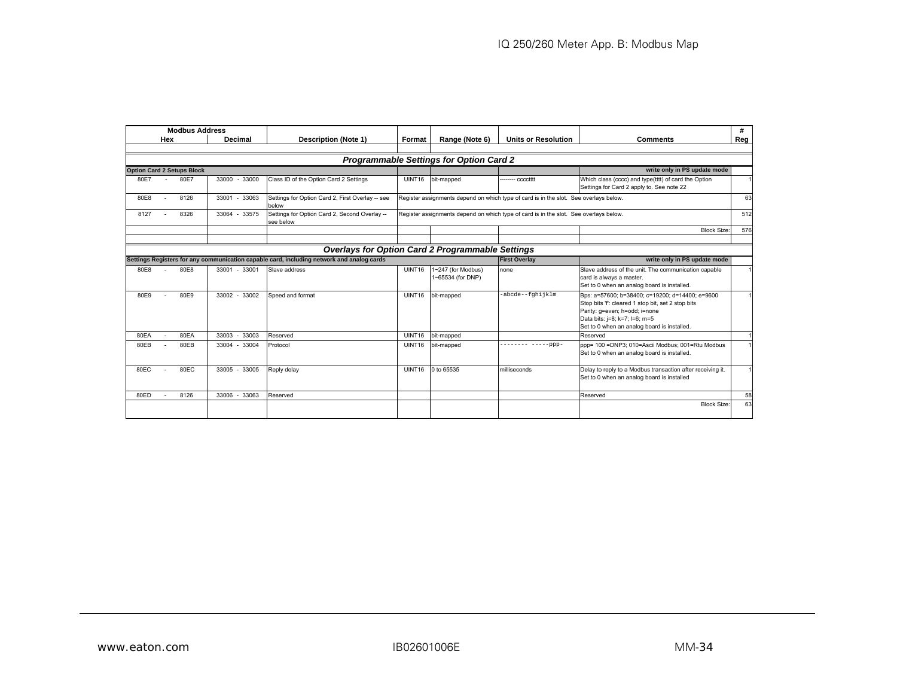|      |     | <b>Modbus Address</b>             |                    |                                                                                           |                                                                                       |                                                |                                                                                       |                                                                                                                                                                                                                       | #              |
|------|-----|-----------------------------------|--------------------|-------------------------------------------------------------------------------------------|---------------------------------------------------------------------------------------|------------------------------------------------|---------------------------------------------------------------------------------------|-----------------------------------------------------------------------------------------------------------------------------------------------------------------------------------------------------------------------|----------------|
|      | Hex |                                   | Decimal            | <b>Description (Note 1)</b>                                                               | Format                                                                                | Range (Note 6)                                 | <b>Units or Resolution</b>                                                            | <b>Comments</b>                                                                                                                                                                                                       | Reg            |
|      |     |                                   |                    |                                                                                           |                                                                                       |                                                |                                                                                       |                                                                                                                                                                                                                       |                |
|      |     |                                   |                    |                                                                                           |                                                                                       | <b>Programmable Settings for Option Card 2</b> |                                                                                       |                                                                                                                                                                                                                       |                |
|      |     | <b>Option Card 2 Setups Block</b> |                    |                                                                                           |                                                                                       |                                                |                                                                                       | write only in PS update mode                                                                                                                                                                                          |                |
| 80E7 |     | 80E7                              | 33000 - 33000      | Class ID of the Option Card 2 Settings                                                    | UINT16                                                                                | bit-mapped                                     | - cccctttt                                                                            | Which class (cccc) and type(tttt) of card the Option<br>Settings for Card 2 apply to. See note 22                                                                                                                     |                |
| 80E8 |     | 8126                              | 33001 - 33063      | Settings for Option Card 2, First Overlay -- see<br>below                                 | Register assignments depend on which type of card is in the slot. See overlays below. |                                                |                                                                                       |                                                                                                                                                                                                                       | 63             |
| 8127 |     | 8326                              | 33064 - 33575      | Settings for Option Card 2, Second Overlay --<br>see below                                |                                                                                       |                                                | Register assignments depend on which type of card is in the slot. See overlays below. |                                                                                                                                                                                                                       | 512            |
|      |     |                                   |                    |                                                                                           |                                                                                       |                                                |                                                                                       | <b>Block Size</b>                                                                                                                                                                                                     | 576            |
|      |     |                                   |                    |                                                                                           |                                                                                       |                                                |                                                                                       |                                                                                                                                                                                                                       |                |
|      |     |                                   |                    | <b>Overlays for Option Card 2 Programmable Settings</b>                                   |                                                                                       |                                                |                                                                                       |                                                                                                                                                                                                                       |                |
|      |     |                                   |                    | Settings Registers for any communication capable card, including network and analog cards |                                                                                       |                                                | <b>First Overlav</b>                                                                  | write only in PS update mode                                                                                                                                                                                          |                |
| 80E8 |     | 80E8                              | 33001 - 33001      | Slave address                                                                             | UINT16                                                                                | 1~247 (for Modbus)<br>1~65534 (for DNP)        | none                                                                                  | Slave address of the unit. The communication capable<br>card is always a master.<br>Set to 0 when an analog board is installed.                                                                                       |                |
| 80E9 |     | 80E9                              | 33002 - 33002      | Speed and format                                                                          | UINT16                                                                                | bit-mapped                                     | -abcde--fqhijklm                                                                      | Bps: a=57600; b=38400; c=19200; d=14400; e=9600<br>Stop bits 'f: cleared 1 stop bit, set 2 stop bits<br>Parity: g=even; h=odd; i=none<br>Data bits: j=8; k=7; l=6; m=5<br>Set to 0 when an analog board is installed. | $\overline{1}$ |
| 80EA |     | 80EA                              | 33003<br>33003     | Reserved                                                                                  | UINT16                                                                                | bit-mapped                                     |                                                                                       | Reserved                                                                                                                                                                                                              | $\overline{1}$ |
| 80EB |     | 80EB                              | 33004<br>$33004 -$ | Protocol                                                                                  | UINT16                                                                                | bit-mapped                                     | $---ppp-$                                                                             | ppp= 100 =DNP3; 010=Ascii Modbus; 001=Rtu Modbus<br>Set to 0 when an analog board is installed.                                                                                                                       |                |
| 80EC |     | 80EC                              | 33005 - 33005      | Reply delay                                                                               | UINT16                                                                                | 0 to 65535                                     | milliseconds                                                                          | Delay to reply to a Modbus transaction after receiving it.<br>Set to 0 when an analog board is installed                                                                                                              | $\mathbf{1}$   |
| 80ED |     | 8126                              | 33006 - 33063      | Reserved                                                                                  |                                                                                       |                                                |                                                                                       | Reserved                                                                                                                                                                                                              | 58             |
|      |     |                                   |                    |                                                                                           |                                                                                       |                                                |                                                                                       | <b>Block Size:</b>                                                                                                                                                                                                    | 63             |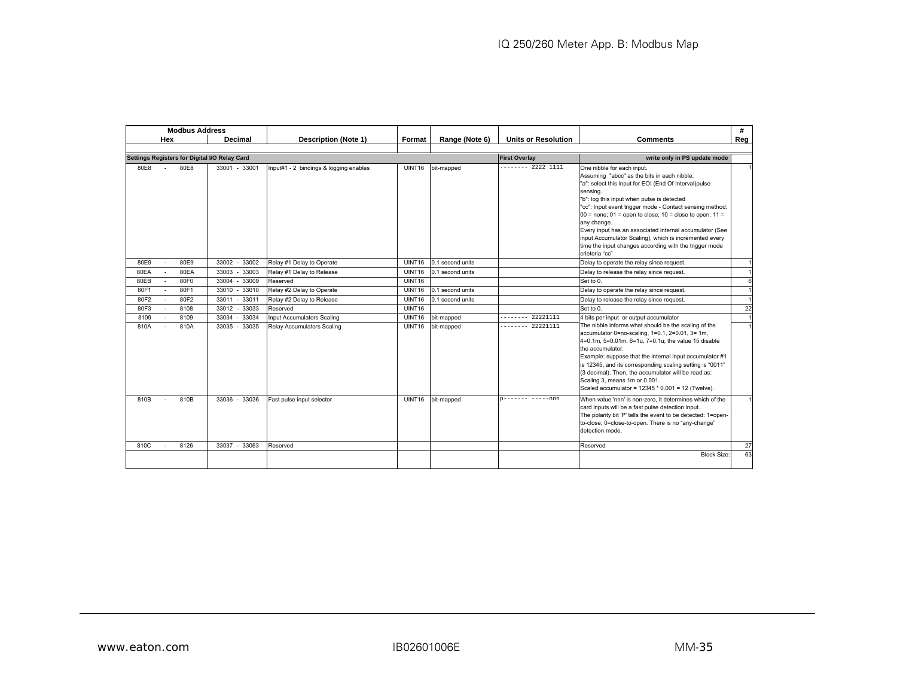|      | <b>Modbus Address</b>                         |                     |                                        |        |                  |                            |                                                                                                                                                                                                                                                                                                                                                                                                                                                                                                                                             | #   |
|------|-----------------------------------------------|---------------------|----------------------------------------|--------|------------------|----------------------------|---------------------------------------------------------------------------------------------------------------------------------------------------------------------------------------------------------------------------------------------------------------------------------------------------------------------------------------------------------------------------------------------------------------------------------------------------------------------------------------------------------------------------------------------|-----|
|      | Hex                                           | Decimal             | <b>Description (Note 1)</b>            | Format | Range (Note 6)   | <b>Units or Resolution</b> | <b>Comments</b>                                                                                                                                                                                                                                                                                                                                                                                                                                                                                                                             | Reg |
|      |                                               |                     |                                        |        |                  |                            |                                                                                                                                                                                                                                                                                                                                                                                                                                                                                                                                             |     |
|      | Settings Registers for Digital I/O Relay Card |                     |                                        |        |                  | <b>First Overlay</b>       | write only in PS update mode                                                                                                                                                                                                                                                                                                                                                                                                                                                                                                                |     |
| 80E8 | 80E8                                          | 33001 - 33001       | Input#1 - 2 bindings & logging enables | UINT16 | bit-mapped       | $-----22221111$            | One nibble for each input.<br>Assuming "abcc" as the bits in each nibble:<br>"a": select this input for EOI (End Of Interval)pulse<br>sensing.<br>"b": log this input when pulse is detected<br>"cc": Input event trigger mode - Contact sensing method;<br>$00$ = none; $01$ = open to close; $10$ = close to open; $11$ =<br>any change.<br>Every input has an associated internal accumulator (See<br>input Accumulator Scaling), which is incremented every<br>time the input changes according with the trigger mode<br>crieteria "cc" |     |
| 80E9 | 80E9                                          | 33002 - 33002       | Relay #1 Delay to Operate              | UINT16 | 0.1 second units |                            | Delay to operate the relay since request.                                                                                                                                                                                                                                                                                                                                                                                                                                                                                                   |     |
| 80EA | 80EA                                          | 33003<br>$-33003$   | Relay #1 Delay to Release              | UINT16 | 0.1 second units |                            | Delay to release the relay since request.                                                                                                                                                                                                                                                                                                                                                                                                                                                                                                   |     |
| 80EB | 80F0                                          | 33004<br>33009<br>۰ | Reserved                               | UINT16 |                  |                            | Set to 0.                                                                                                                                                                                                                                                                                                                                                                                                                                                                                                                                   |     |
| 80F1 | 80F1                                          | 33010<br>$-33010$   | Relay #2 Delay to Operate              | UINT16 | 0.1 second units |                            | Delay to operate the relay since request.                                                                                                                                                                                                                                                                                                                                                                                                                                                                                                   |     |
| 80F2 | 80F2                                          | 33011<br>$-33011$   | Relay #2 Delay to Release              | UINT16 | 0.1 second units |                            | Delay to release the relay since request.                                                                                                                                                                                                                                                                                                                                                                                                                                                                                                   |     |
| 80F3 | 8108                                          | 33012 - 33033       | Reserved                               | UINT16 |                  |                            | Set to 0.                                                                                                                                                                                                                                                                                                                                                                                                                                                                                                                                   | 22  |
| 8109 | 8109                                          | $-33034$<br>33034   | Input Accumulators Scaling             | UINT16 | bit-mapped       | 22221111                   | 4 bits per input or output accumulator                                                                                                                                                                                                                                                                                                                                                                                                                                                                                                      |     |
| 810A | 810A                                          | 33035 - 33035       | Relav Accumulators Scaling             | UINT16 | bit-mapped       | 22221111                   | The nibble informs what should be the scaling of the<br>accumulator 0=no-scaling, 1=0.1, 2=0.01, 3= 1m,<br>4=0.1m, 5=0.01m, 6=1u, 7=0.1u; the value 15 disable<br>the accumulator.<br>Example: suppose that the internal input accumulator #1<br>is 12345, and its corresponding scaling setting is "0011"<br>(3 decimal). Then, the accumulator will be read as:<br>Scaling 3, means 1m or 0.001.<br>Scaled accumulator = 12345 * 0.001 = 12 (Twelve).                                                                                     |     |
| 810B | 810B                                          | 33036 - 33036       | Fast pulse input selector              | UINT16 | bit-mapped       | $---nnn$                   | When value 'nnn' is non-zero, it determines which of the<br>card inputs will be a fast pulse detection input.<br>The polarity bit 'P' tells the event to be detected: 1=open-<br>to-close; 0=close-to-open. There is no "any-change"<br>detection mode.                                                                                                                                                                                                                                                                                     |     |
| 810C | 8126                                          | 33037 - 33063       | Reserved                               |        |                  |                            | Reserved                                                                                                                                                                                                                                                                                                                                                                                                                                                                                                                                    | 27  |
|      |                                               |                     |                                        |        |                  |                            | <b>Block Size:</b>                                                                                                                                                                                                                                                                                                                                                                                                                                                                                                                          | 63  |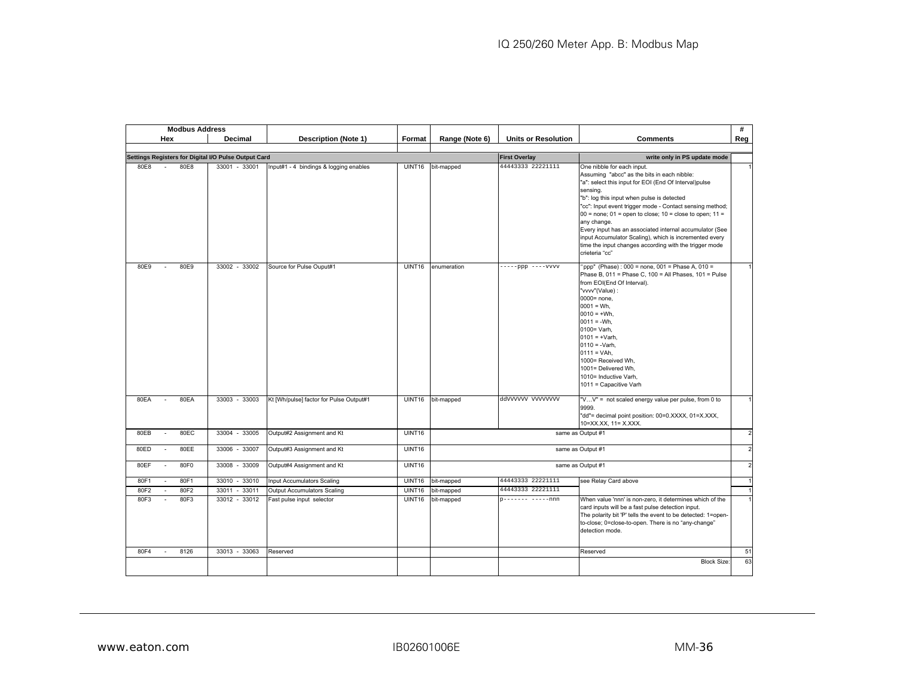|      | <b>Modbus Address</b> |                                                      |                                         |                    |                |                            |                                                                                                                                                                                                                                                                                                                                                                                                                                                                                                                                             | #              |
|------|-----------------------|------------------------------------------------------|-----------------------------------------|--------------------|----------------|----------------------------|---------------------------------------------------------------------------------------------------------------------------------------------------------------------------------------------------------------------------------------------------------------------------------------------------------------------------------------------------------------------------------------------------------------------------------------------------------------------------------------------------------------------------------------------|----------------|
|      | Hex                   | Decimal                                              | <b>Description (Note 1)</b>             | Format             | Range (Note 6) | <b>Units or Resolution</b> | <b>Comments</b>                                                                                                                                                                                                                                                                                                                                                                                                                                                                                                                             | Reg            |
|      |                       |                                                      |                                         |                    |                |                            |                                                                                                                                                                                                                                                                                                                                                                                                                                                                                                                                             |                |
|      |                       | Settings Registers for Digital I/O Pulse Output Card |                                         |                    |                | <b>First Overlay</b>       | write only in PS update mode                                                                                                                                                                                                                                                                                                                                                                                                                                                                                                                |                |
| 80E8 | 80E8                  | 33001 - 33001                                        | Input#1 - 4 bindings & logging enables  | UINT <sub>16</sub> | bit-mapped     | 44443333 22221111          | One nibble for each input.<br>Assuming "abcc" as the bits in each nibble:<br>"a": select this input for EOI (End Of Interval)pulse<br>sensing.<br>"b": log this input when pulse is detected<br>"cc": Input event trigger mode - Contact sensing method;<br>$00$ = none; $01$ = open to close; $10$ = close to open; $11$ =<br>any change.<br>Every input has an associated internal accumulator (See<br>input Accumulator Scaling), which is incremented every<br>time the input changes according with the trigger mode<br>crieteria "cc" |                |
| 80E9 | 80E9<br>$\sim$        | 33002 - 33002                                        | Source for Pulse Ouput#1                | UINT16             | enumeration    | $---ppp$ ----vvvv          | 'ppp" (Phase): 000 = none, 001 = Phase A, 010 =<br>Phase B, 011 = Phase C, 100 = All Phases, 101 = Pulse<br>from EOI(End Of Interval).<br>"vvvv"(Value):<br>0000= none,<br>$0001 = Wh.$<br>$0010 = +Wh$ ,<br>$0011 = -Wh.$<br>0100= Varh,<br>$0101 = +Varh$ ,<br>$0110 = -Varh$ ,<br>$0111 = VAh.$<br>1000= Received Wh,<br>1001= Delivered Wh,<br>1010= Inductive Varh,<br>1011 = Capacitive Varh                                                                                                                                          |                |
| 80EA | 80EA                  | 33003 - 33003                                        | Kt [Wh/pulse] factor for Pulse Output#1 | <b>UINT16</b>      | bit-mapped     | ddvvvvvv vvvvvvvv          | "V V" = not scaled energy value per pulse, from 0 to<br>9999.<br>"dd"= decimal point position: 00=0.XXXX, 01=X.XXX,<br>10=XX.XX, 11= X.XXX.                                                                                                                                                                                                                                                                                                                                                                                                 |                |
| 80EB | 80EC                  | 33004 - 33005                                        | Output#2 Assignment and Kt              | <b>UINT16</b>      |                |                            | same as Output #1                                                                                                                                                                                                                                                                                                                                                                                                                                                                                                                           | $\overline{2}$ |
| 80ED | 80EE<br>$\sim$        | 33006 - 33007                                        | Output#3 Assignment and Kt              | UINT16             |                |                            | same as Output #1                                                                                                                                                                                                                                                                                                                                                                                                                                                                                                                           |                |
| 80EF | 80F0<br>$\sim$        | 33009<br>33008 -                                     | Output#4 Assignment and Kt              | UINT16             |                |                            | same as Output #1                                                                                                                                                                                                                                                                                                                                                                                                                                                                                                                           |                |
| 80F1 | 80F1                  | 33010 - 33010                                        | Input Accumulators Scaling              | UINT <sub>16</sub> | bit-mapped     | 44443333 22221111          | see Relay Card above                                                                                                                                                                                                                                                                                                                                                                                                                                                                                                                        |                |
| 80F2 | 80F2                  | 33011<br>$-33011$                                    | <b>Output Accumulators Scaling</b>      | <b>UINT16</b>      | bit-mapped     | 44443333 22221111          |                                                                                                                                                                                                                                                                                                                                                                                                                                                                                                                                             |                |
| 80F3 | 80F3                  | 33012 - 33012                                        | Fast pulse input selector               | <b>UINT16</b>      | bit-mapped     | p------- -----nnn          | When value 'nnn' is non-zero, it determines which of the<br>card inputs will be a fast pulse detection input.<br>The polarity bit 'P' tells the event to be detected: 1=open-<br>to-close; 0=close-to-open. There is no "any-change"<br>detection mode.                                                                                                                                                                                                                                                                                     |                |
| 80F4 | 8126                  | 33013 - 33063                                        | Reserved                                |                    |                |                            | Reserved                                                                                                                                                                                                                                                                                                                                                                                                                                                                                                                                    | 51             |
|      |                       |                                                      |                                         |                    |                |                            | <b>Block Size</b>                                                                                                                                                                                                                                                                                                                                                                                                                                                                                                                           | 63             |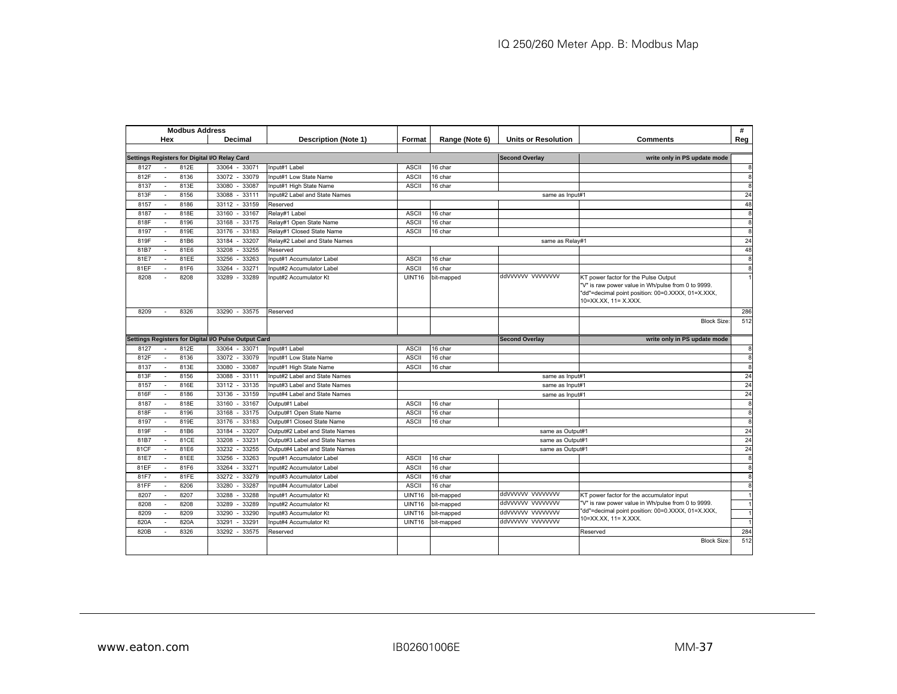|      |                | <b>Modbus Address</b> |                                                      |                                |               |                |                            |                                                                                                                                                                         | #            |
|------|----------------|-----------------------|------------------------------------------------------|--------------------------------|---------------|----------------|----------------------------|-------------------------------------------------------------------------------------------------------------------------------------------------------------------------|--------------|
|      | Hex            |                       | Decimal                                              | <b>Description (Note 1)</b>    | Format        | Range (Note 6) | <b>Units or Resolution</b> | <b>Comments</b>                                                                                                                                                         | Reg          |
|      |                |                       |                                                      |                                |               |                |                            |                                                                                                                                                                         |              |
|      |                |                       | Settings Registers for Digital I/O Relay Card        |                                |               |                | <b>Second Overlay</b>      | write only in PS update mode                                                                                                                                            |              |
| 8127 |                | 812E                  | 33064<br>$-33071$                                    | Input#1 Label                  | <b>ASCII</b>  | 16 char        |                            |                                                                                                                                                                         | $\mathbf{a}$ |
| 812F | $\sim$         | 8136                  | 33072 - 33079                                        | Input#1 Low State Name         | <b>ASCII</b>  | 16 char        |                            |                                                                                                                                                                         | 8            |
| 8137 | $\mathbf{r}$   | 813E                  | 33080<br>33087                                       | Input#1 High State Name        | <b>ASCII</b>  | 16 char        |                            |                                                                                                                                                                         | 8            |
| 813F |                | 8156                  | 33111<br>33088<br>$\sim$                             | Input#2 Label and State Names  |               |                | same as Input#1            |                                                                                                                                                                         | 24           |
| 8157 |                | 8186                  | 33112 - 33159                                        | Reserved                       |               |                |                            |                                                                                                                                                                         | 48           |
| 8187 | $\sim$         | 818E                  | 33160 - 33167                                        | Relay#1 Label                  | <b>ASCII</b>  | 16 char        |                            |                                                                                                                                                                         | 8            |
| 818F | $\sim$         | 8196                  | 33168 - 33175                                        | Relay#1 Open State Name        | <b>ASCII</b>  | 16 char        |                            |                                                                                                                                                                         | 8            |
| 8197 | $\sim$         | 819E                  | 33176 - 33183                                        | Relav#1 Closed State Name      | <b>ASCII</b>  | 16 char        |                            |                                                                                                                                                                         | 8            |
| 819F |                | 81B6                  | 33184<br>33207                                       | Relay#2 Label and State Names  |               |                | same as Relav#1            |                                                                                                                                                                         | 24           |
| 81B7 | $\sim$         | 81E6                  | 33255<br>33208                                       | Reserved                       |               |                |                            |                                                                                                                                                                         | 48           |
| 81E7 |                | 81EE                  | 33256<br>33263                                       | Input#1 Accumulator Label      | <b>ASCII</b>  | 16 char        |                            |                                                                                                                                                                         | 8            |
| 81EF |                | 81F6                  | 33271<br>33264                                       | Input#2 Accumulator Label      | <b>ASCII</b>  | 16 char        |                            |                                                                                                                                                                         | 8            |
| 8208 |                | 8208                  | 33289<br>33289                                       | Input#2 Accumulator Kt         | <b>UINT16</b> | bit-mapped     | ddyyyyyy yyyyyyy           | KT power factor for the Pulse Output<br>"V" is raw power value in Wh/pulse from 0 to 9999.<br>"dd"=decimal point position: 00=0.XXXX, 01=X.XXX,<br>10=XX.XX, 11= X.XXX. |              |
| 8209 | $\sim$         | 8326                  | $-33575$<br>33290                                    | Reserved                       |               |                |                            |                                                                                                                                                                         | 286          |
|      |                |                       |                                                      |                                |               |                |                            | <b>Block Size:</b>                                                                                                                                                      | 512          |
|      |                |                       | Settings Registers for Digital I/O Pulse Output Card |                                |               |                | <b>Second Overlay</b>      | write only in PS update mode                                                                                                                                            |              |
| 8127 |                | 812E                  | 33064 - 33071                                        | Input#1 Label                  | <b>ASCII</b>  | 16 char        |                            |                                                                                                                                                                         | 8            |
| 812F | $\sim$         | 8136                  | 33072 - 33079                                        | Input#1 Low State Name         | <b>ASCII</b>  | 16 char        |                            |                                                                                                                                                                         | 8            |
| 8137 |                | 813E                  | 33080 - 33087                                        | Input#1 High State Name        | <b>ASCII</b>  | 16 char        |                            |                                                                                                                                                                         | 8            |
| 813F | $\blacksquare$ | 8156                  | 33088<br>33111                                       | Input#2 Label and State Names  |               |                | same as Input#1            |                                                                                                                                                                         | 24           |
| 8157 | $\sim$         | 816E                  | 33112 - 33135                                        | Input#3 Label and State Names  |               |                | same as Input#1            |                                                                                                                                                                         | 24           |
| 816F |                | 8186                  | $-33159$<br>33136                                    | Input#4 Label and State Names  |               |                | same as Input#1            |                                                                                                                                                                         | 24           |
| 8187 | $\sim$         | 818E                  | 33160<br>$-33167$                                    | Output#1 Label                 | <b>ASCII</b>  | 16 char        |                            |                                                                                                                                                                         | 8            |
| 818F | $\sim$         | 8196                  | 33168 - 33175                                        | Output#1 Open State Name       | <b>ASCII</b>  | 16 char        |                            |                                                                                                                                                                         | 8            |
| 8197 | $\sim$         | 819E                  | 33176<br>33183                                       | Output#1 Closed State Name     | <b>ASCII</b>  | 16 char        |                            |                                                                                                                                                                         | 8            |
| 819F | $\sim$         | 81B6                  | 33184<br>33207                                       | Output#2 Label and State Names |               |                | same as Output#1           |                                                                                                                                                                         | 24           |
| 81B7 |                | 81CE                  | 33208<br>33231                                       | Output#3 Label and State Names |               |                | same as Output#1           |                                                                                                                                                                         | 24           |
| 81CF | $\sim$         | 81E6                  | 33232<br>33255                                       | Output#4 Label and State Names |               |                | same as Output#1           |                                                                                                                                                                         | 24           |
| 81E7 | $\sim$         | 81EE                  | 33263<br>33256                                       | Input#1 Accumulator Label      | <b>ASCII</b>  | 16 char        |                            |                                                                                                                                                                         | 8            |
| 81EF | $\mathbf{r}$   | 81F6                  | 33264<br>33271                                       | Input#2 Accumulator Label      | <b>ASCII</b>  | 16 char        |                            |                                                                                                                                                                         | 8            |
| 81F7 |                | 81FE                  | 33279<br>33272                                       | Input#3 Accumulator Label      | <b>ASCII</b>  | 16 char        |                            |                                                                                                                                                                         | 8            |
| 81FF |                | 8206                  | 33280<br>33287                                       | Input#4 Accumulator Label      | <b>ASCII</b>  | 16 char        |                            |                                                                                                                                                                         | 8            |
| 8207 |                | 8207                  | 33288<br>33288                                       | Input#1 Accumulator Kt         | <b>UINT16</b> | bit-mapped     | ddvvvvvv vvvvvvvv          | KT power factor for the accumulator input                                                                                                                               |              |
| 8208 | $\sim$         | 8208                  | 33289<br>33289                                       | Input#2 Accumulator Kt         | <b>UINT16</b> | bit-mapped     | ddvvvvvv vvvvvvvv          | "V" is raw power value in Wh/pulse from 0 to 9999.                                                                                                                      |              |
| 8209 | $\sim$         | 8209                  | 33290<br>33290                                       | Input#3 Accumulator Kt         | <b>UINT16</b> | bit-mapped     | ddvvvvvv vvvvvvvv          | 'dd"=decimal point position: 00=0.XXXX, 01=X.XXX,<br>10=XX.XX. 11= X.XXX.                                                                                               |              |
| 820A |                | 820A                  | 33291<br>33291                                       | Input#4 Accumulator Kt         | <b>UINT16</b> | bit-mapped     | ddvvvvvv vvvvvvvv          |                                                                                                                                                                         |              |
| 820B |                | 8326                  | 33575<br>33292<br>$\sim$                             | Reserved                       |               |                |                            | Reserved                                                                                                                                                                | 284          |
|      |                |                       |                                                      |                                |               |                |                            | <b>Block Size</b>                                                                                                                                                       | 512          |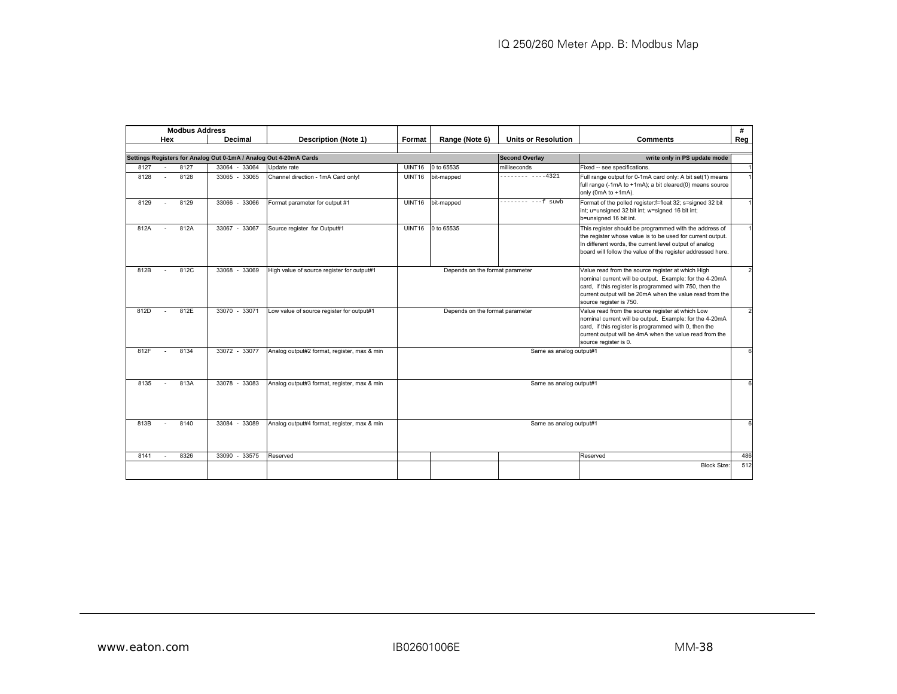|      | <b>Modbus Address</b> |                                                                   |                                             |                                 |                                 |                            |                                                                                                                                                                                                                                                                | #             |
|------|-----------------------|-------------------------------------------------------------------|---------------------------------------------|---------------------------------|---------------------------------|----------------------------|----------------------------------------------------------------------------------------------------------------------------------------------------------------------------------------------------------------------------------------------------------------|---------------|
|      | Hex                   | Decimal                                                           | <b>Description (Note 1)</b>                 | Format                          | Range (Note 6)                  | <b>Units or Resolution</b> | <b>Comments</b>                                                                                                                                                                                                                                                | Reg           |
|      |                       |                                                                   |                                             |                                 |                                 |                            |                                                                                                                                                                                                                                                                |               |
|      |                       | Settings Registers for Analog Out 0-1mA / Analog Out 4-20mA Cards |                                             |                                 |                                 | <b>Second Overlay</b>      | write only in PS update mode                                                                                                                                                                                                                                   |               |
| 8127 | 8127                  | 33064 - 33064                                                     | Update rate                                 | UINT16                          | 0 to 65535                      | milliseconds               | Fixed -- see specifications.                                                                                                                                                                                                                                   |               |
| 8128 | 8128<br>$\sim$        | 33065 - 33065                                                     | Channel direction - 1mA Card only!          | UINT <sub>16</sub>              | bit-mapped                      | -------- ----4321          | Full range output for 0-1mA card only: A bit set(1) means<br>full range (-1mA to +1mA); a bit cleared(0) means source<br>only (0mA to +1mA).                                                                                                                   |               |
| 8129 | 8129                  | 33066 - 33066                                                     | Format parameter for output #1              | <b>UINT16</b>                   | bit-mapped                      | $---f$ suwb<br>--------    | Format of the polled register: f=float 32; s=signed 32 bit<br>int; u=unsigned 32 bit int; w=signed 16 bit int;<br>b=unsigned 16 bit int.                                                                                                                       |               |
| 812A | 812A                  | 33067 - 33067                                                     | Source register for Output#1                | UINT16                          | 0 to 65535                      |                            | This register should be programmed with the address of<br>the register whose value is to be used for current output.<br>In different words, the current level output of analog<br>board will follow the value of the register addressed here.                  |               |
| 812B | 812C                  | 33068 - 33069                                                     | High value of source register for output#1  | Depends on the format parameter |                                 |                            | Value read from the source register at which High<br>nominal current will be output. Example: for the 4-20mA<br>card, if this register is programmed with 750, then the<br>current output will be 20mA when the value read from the<br>source register is 750. |               |
| 812D | 812E                  | 33070 - 33071                                                     | Low value of source register for output#1   |                                 | Depends on the format parameter |                            | Value read from the source register at which Low<br>nominal current will be output. Example: for the 4-20mA<br>card, if this register is programmed with 0, then the<br>current output will be 4mA when the value read from the<br>source register is 0.       | $\mathcal{P}$ |
| 812F | 8134                  | 33072 - 33077                                                     | Analog output#2 format, register, max & min |                                 |                                 | Same as analog output#1    |                                                                                                                                                                                                                                                                | 6             |
| 8135 | 813A                  | 33078 - 33083                                                     | Analog output#3 format, register, max & min | Same as analog output#1         |                                 |                            |                                                                                                                                                                                                                                                                |               |
| 813B | 8140                  | 33084 - 33089                                                     | Analog output#4 format, register, max & min | Same as analog output#1         |                                 |                            |                                                                                                                                                                                                                                                                |               |
| 8141 | 8326                  | 33090 - 33575                                                     | Reserved                                    |                                 |                                 |                            | Reserved                                                                                                                                                                                                                                                       | 486           |
|      |                       |                                                                   |                                             |                                 |                                 |                            | <b>Block Size:</b>                                                                                                                                                                                                                                             | 512           |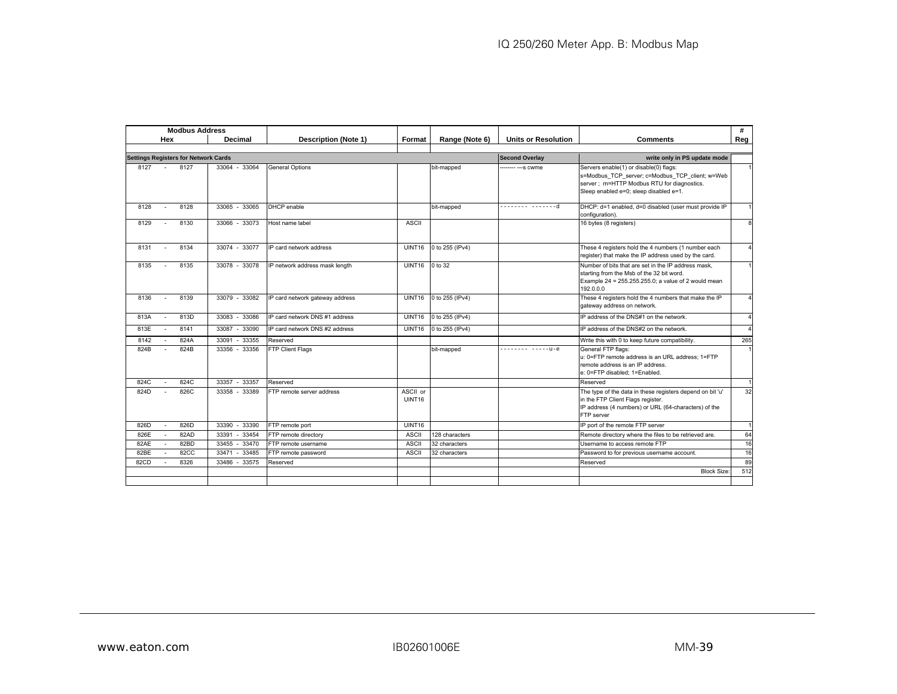|      | <b>Modbus Address</b>                       |                   |                                 |                    |                 |                            |                                                                                                                                                                                    | #              |
|------|---------------------------------------------|-------------------|---------------------------------|--------------------|-----------------|----------------------------|------------------------------------------------------------------------------------------------------------------------------------------------------------------------------------|----------------|
|      | Hex                                         | Decimal           | <b>Description (Note 1)</b>     | Format             | Range (Note 6)  | <b>Units or Resolution</b> | Comments                                                                                                                                                                           | Reg            |
|      |                                             |                   |                                 |                    |                 |                            |                                                                                                                                                                                    |                |
|      | <b>Settings Registers for Network Cards</b> |                   |                                 |                    |                 | <b>Second Overlay</b>      | write only in PS update mode                                                                                                                                                       |                |
| 8127 | 8127                                        | 33064 - 33064     | <b>General Options</b>          |                    | bit-mapped      | ------ --- s cwme          | Servers enable(1) or disable(0) flags:<br>s=Modbus TCP server; c=Modbus TCP client; w=Web<br>server ; m=HTTP Modbus RTU for diagnostics.<br>Sleep enabled e=0; sleep disabled e=1. |                |
| 8128 | 8128<br>$\sim$                              | 33065 - 33065     | DHCP enable                     |                    | bit-mapped      | -------- --------d         | DHCP: d=1 enabled, d=0 disabled (user must provide IP<br>configuration).                                                                                                           | $\mathbf{1}$   |
| 8129 | 8130                                        | 33066 - 33073     | Host name label                 | <b>ASCII</b>       |                 |                            | 16 bytes (8 registers)                                                                                                                                                             | 8              |
| 8131 | 8134<br>$\sim$                              | 33074 - 33077     | IP card network address         | UINT16             | 0 to 255 (IPv4) |                            | These 4 registers hold the 4 numbers (1 number each<br>register) that make the IP address used by the card.                                                                        | $\Delta$       |
| 8135 | 8135                                        | 33078 - 33078     | IP network address mask length  | UINT16             | 0 to 32         |                            | Number of bits that are set in the IP address mask.<br>starting from the Msb of the 32 bit word.<br>Example 24 = 255.255.255.0; a value of 2 would mean<br>192.0.0.0               | $\mathbf{1}$   |
| 8136 | 8139<br>$\sim$                              | 33079 - 33082     | IP card network gateway address | UINT16             | 0 to 255 (IPv4) |                            | These 4 registers hold the 4 numbers that make the IP<br>gateway address on network.                                                                                               | $\overline{4}$ |
| 813A | 813D<br>$\sim$                              | 33083 - 33086     | IP card network DNS #1 address  | UINT16             | 0 to 255 (IPv4) |                            | IP address of the DNS#1 on the network.                                                                                                                                            | $\overline{4}$ |
| 813E | 8141<br>$\sim$                              | 33087 - 33090     | IP card network DNS #2 address  | UINT16             | 0 to 255 (IPv4) |                            | IP address of the DNS#2 on the network.                                                                                                                                            | $\Delta$       |
| 8142 | 824A                                        | 33091<br>33355    | Reserved                        |                    |                 |                            | Write this with 0 to keep future compatibility.                                                                                                                                    | 265            |
| 824B | 824B                                        | 33356 - 33356     | FTP Client Flags                |                    | bit-mapped      | $------ - --- - 1 - e$     | General FTP flags:<br>u: 0=FTP remote address is an URL address: 1=FTP<br>remote address is an IP address.<br>e: 0=FTP disabled: 1=Enabled.                                        | $\mathbf{1}$   |
| 824C | 824C                                        | $-33357$<br>33357 | Reserved                        |                    |                 |                            | Reserved                                                                                                                                                                           |                |
| 824D | 826C                                        | 33358 - 33389     | FTP remote server address       | ASCII or<br>UINT16 |                 |                            | The type of the data in these registers depend on bit 'u'<br>in the FTP Client Flags register.<br>IP address (4 numbers) or URL (64-characters) of the<br>FTP server               | 32             |
| 826D | 826D                                        | 33390<br>$-33390$ | FTP remote port                 | UINT16             |                 |                            | IP port of the remote FTP server                                                                                                                                                   | 1              |
| 826E | 82AD                                        | 33391<br>$-33454$ | FTP remote directory            | <b>ASCII</b>       | 128 characters  |                            | Remote directory where the files to be retrieved are.                                                                                                                              | 64             |
| 82AE | 82BD                                        | 33455 - 33470     | FTP remote username             | <b>ASCII</b>       | 32 characters   |                            | Username to access remote FTP                                                                                                                                                      | 16             |
| 82BE | 82CC                                        | $-33485$<br>33471 | FTP remote password             | <b>ASCII</b>       | 32 characters   |                            | Password to for previous username account.                                                                                                                                         | 16             |
| 82CD | 8326                                        | $-33575$<br>33486 | Reserved                        |                    |                 |                            | Reserved                                                                                                                                                                           | 89             |
|      |                                             |                   |                                 |                    |                 |                            | <b>Block Size</b>                                                                                                                                                                  | 512            |
|      |                                             |                   |                                 |                    |                 |                            |                                                                                                                                                                                    |                |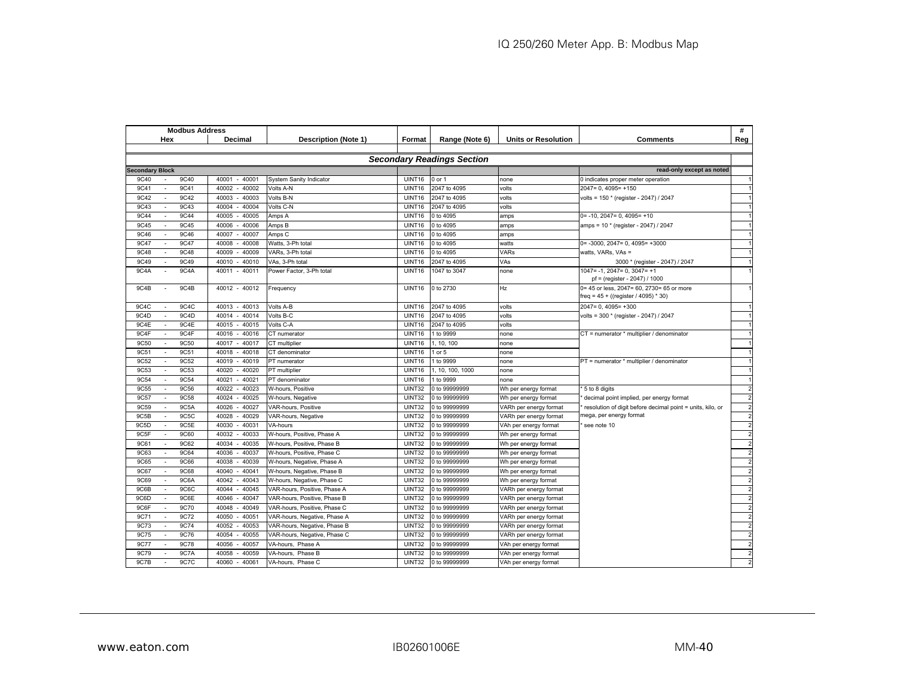|                        | #<br><b>Modbus Address</b>        |             |                   |                                |               |                  |                            |                                                            |                |
|------------------------|-----------------------------------|-------------|-------------------|--------------------------------|---------------|------------------|----------------------------|------------------------------------------------------------|----------------|
|                        | Hex                               |             | Decimal           | Description (Note 1)           | Format        | Range (Note 6)   | <b>Units or Resolution</b> | <b>Comments</b>                                            | Reg            |
|                        |                                   |             |                   |                                |               |                  |                            |                                                            |                |
|                        | <b>Secondary Readings Section</b> |             |                   |                                |               |                  |                            |                                                            |                |
| <b>Secondary Block</b> |                                   |             |                   |                                |               |                  |                            | read-only except as noted                                  |                |
| 9C40                   |                                   | 9C40        | 40001<br>$-40001$ | <b>System Sanity Indicator</b> | UINT16        | 0 or 1           | none                       | 0 indicates proper meter operation                         |                |
| 9C41                   |                                   | 9C41        | 40002<br>$-40002$ | Volts A-N                      | UINT16        | 2047 to 4095     | olts                       | $2047 = 0.4095 = +150$                                     |                |
| 9C42                   | $\sim$                            | 9C42        | 40003<br>$-40003$ | Volts B-N                      | UINT16        | 2047 to 4095     | volts                      | volts = 150 * (register - 2047) / 2047                     |                |
| 9C43                   |                                   | 9C43        | $-40004$<br>40004 | Volts C-N                      | <b>UINT16</b> | 2047 to 4095     | volts                      |                                                            |                |
| 9C44                   | $\sim$                            | 9C44        | 40005<br>$-40005$ | Amps A                         | <b>UINT16</b> | 0 to 4095        | amps                       | $0 = -10$ , $2047 = 0$ , $4095 = +10$                      |                |
| 9C45                   | $\sim$                            | 9C45        | 40006<br>$-40006$ | Amps B                         | <b>UINT16</b> | 0 to 4095        | amps                       | amps = 10 * (register - 2047) / 2047                       |                |
| 9C46                   |                                   | 9C46        | 40007<br>$-40007$ | Amps <sub>C</sub>              | <b>UINT16</b> | 0 to 4095        | amps                       |                                                            |                |
| 9C47                   |                                   | 9C47        | $-40008$<br>40008 | Watts, 3-Ph total              | UINT16        | 0 to 4095        | watts                      | $0 = -3000, 2047 = 0, 4095 = +3000$                        |                |
| 9C48                   |                                   | 9C48        | 40009<br>$-40009$ | VARs, 3-Ph total               | UINT16        | 0 to 4095        | VARs                       | watts, VARs, VAs =                                         |                |
| 9C49                   |                                   | 9C49        | $-40010$<br>40010 | VAs, 3-Ph total                | UINT16        | 2047 to 4095     | VAs                        | 3000 * (register - 2047) / 2047                            |                |
| 9C4A                   |                                   | 9C4A        | $-40011$<br>40011 | Power Factor, 3-Ph total       | UINT16        | 1047 to 3047     | none                       | $1047 = -1.2047 = 0.3047 = +1$                             |                |
|                        |                                   |             |                   |                                |               |                  |                            | pf = (register - 2047) / 1000                              |                |
| 9C4B                   |                                   | 9C4B        | 40012 - 40012     | Frequency                      | UINT16        | 0 to 2730        | Hz                         | 0= 45 or less, 2047= 60, 2730= 65 or more                  |                |
|                        |                                   |             |                   |                                |               |                  |                            | freq = 45 + ((register / 4095) * 30)                       |                |
| 9C4C                   |                                   | 9C4C        | 40013 - 40013     | Volts A-B                      | UINT16        | 2047 to 4095     | volts                      | $2047 = 0.4095 = +300$                                     |                |
| 9C4D                   |                                   | 9C4D        | 40014<br>$-40014$ | Volts B-C                      | UINT16        | 2047 to 4095     | volts                      | volts = 300 * (register - 2047) / 2047                     |                |
| 9C4E                   |                                   | 9C4E        | 40015 - 40015     | Volts C-A                      | UINT16        | 2047 to 4095     | volts                      |                                                            |                |
| 9C4F                   | $\blacksquare$                    | 9C4F        | 40016<br>$-40016$ | CT numerator                   | <b>UINT16</b> | 1 to 9999        | none                       | CT = numerator * multiplier / denominator                  |                |
| 9C50                   |                                   | 9C50        | 40017 - 40017     | CT multiplier                  | UINT16        | 1, 10, 100       | none                       |                                                            |                |
| 9C51                   |                                   | 9C51        | 40018<br>$-40018$ | CT denominator                 | UINT16        | $1$ or $5$       | none                       |                                                            |                |
| 9C52                   |                                   | 9C52        | $-40019$<br>40019 | PT numerator                   | UINT16        | 1 to 9999        | none                       | PT = numerator * multiplier / denominator                  |                |
| 9C53                   |                                   | 9C53        | $-40020$<br>40020 | PT multiplier                  | UINT16        | 1, 10, 100, 1000 | none                       |                                                            |                |
| 9C54                   |                                   | 9C54        | 40021<br>$-40021$ | PT denominator                 | UINT16        | 1 to 9999        | none                       |                                                            |                |
| 9C55                   |                                   | 9C56        | 40022<br>$-40023$ | W-hours, Positive              | <b>UINT32</b> | 0 to 99999999    | Wh per energy format       | 5 to 8 digits                                              |                |
| 9C57                   |                                   | 9C58        | 40024<br>$-40025$ | W-hours, Negative              | <b>UINT32</b> | 0 to 99999999    | Wh per energy format       | decimal point implied, per energy format                   |                |
| 9C59                   |                                   | 9C5A        | 40026<br>$-40027$ | VAR-hours, Positive            | <b>UINT32</b> | 0 to 99999999    | VARh per energy format     | resolution of digit before decimal point = units, kilo, or |                |
| 9C5B                   | $\mathcal{L}_{\mathcal{A}}$       | 9C5C        | 40028<br>40029    | VAR-hours, Negative            | UINT32        | 0 to 99999999    | VARh per energy format     | nega, per energy format                                    |                |
| 9C5D                   | $\overline{\phantom{a}}$          | 9C5E        | 40030<br>40031    | VA-hours                       | <b>UINT32</b> | 0 to 99999999    | VAh per energy format      | see note 10                                                | $\overline{2}$ |
| 9C5F                   |                                   | 9C60        | 40032<br>40033    | W-hours, Positive, Phase A     | UINT32        | 0 to 99999999    | Wh per energy format       |                                                            | $\overline{2}$ |
| 9C61                   |                                   | <b>9C62</b> | $-40035$<br>40034 | W-hours, Positive, Phase B     | UINT32        | 0 to 99999999    | Wh per energy format       |                                                            | $\overline{2}$ |
| 9C63                   |                                   | 9C64        | 40036<br>40037    | W-hours, Positive, Phase C     | <b>UINT32</b> | 0 to 99999999    | Wh per energy format       |                                                            |                |
| 9C65                   |                                   | 9C66        | 40039<br>40038    | W-hours, Negative, Phase A     | <b>UINT32</b> | 0 to 99999999    | Wh per energy format       |                                                            |                |
| 9C67                   |                                   | <b>9C68</b> | 40040<br>$-40041$ | W-hours, Negative, Phase B     | <b>UINT32</b> | 0 to 99999999    | Wh per energy format       |                                                            |                |
| 9C69                   |                                   | 9C6A        | 40042<br>40043    | W-hours, Negative, Phase C     | <b>UINT32</b> | 0 to 99999999    | Wh per energy format       |                                                            |                |
| 9C6B                   |                                   | 9C6C        | 40044<br>$-40045$ | VAR-hours, Positive, Phase A   | UINT32        | 0 to 99999999    | VARh per energy format     |                                                            |                |
| 9C6D                   | ÷                                 | 9C6E        | 40046<br>40047    | VAR-hours, Positive, Phase B   | UINT32        | 0 to 99999999    | VARh per energy format     |                                                            |                |
| 9C6F                   | $\overline{\phantom{a}}$          | 9C70        | 40048<br>40049    | VAR-hours, Positive, Phase C   | UINT32        | 0 to 99999999    | VARh per energy format     |                                                            | $\overline{2}$ |
| 9C71                   | $\overline{\phantom{a}}$          | 9C72        | 40050<br>40051    | VAR-hours, Negative, Phase A   | UINT32        | 0 to 99999999    | VARh per energy format     |                                                            | $\overline{2}$ |
| 9C73                   |                                   | 9C74        | 40052<br>40053    | VAR-hours, Negative, Phase B   | UINT32        | 0 to 99999999    | VARh per energy format     |                                                            | $\overline{2}$ |
| 9C75                   | $\sim$                            | 9C76        | $-40055$<br>40054 | VAR-hours, Negative, Phase C   | <b>UINT32</b> | 0 to 99999999    | VARh per energy format     |                                                            | $\overline{2}$ |
| 9C77                   |                                   | <b>9C78</b> | $-40057$<br>40056 | VA-hours, Phase A              | UINT32        | 0 to 99999999    | VAh per energy format      |                                                            | $\overline{2}$ |
| 9C79                   |                                   | 9C7A        | $-40059$<br>40058 | VA-hours, Phase B              | <b>UINT32</b> | 0 to 99999999    | VAh per energy format      |                                                            | $\overline{2}$ |
| 9C7B                   |                                   | 9C7C        | $-40061$<br>40060 | VA-hours, Phase C              | <b>UINT32</b> | 0 to 99999999    | VAh per energy format      |                                                            | $\mathfrak{p}$ |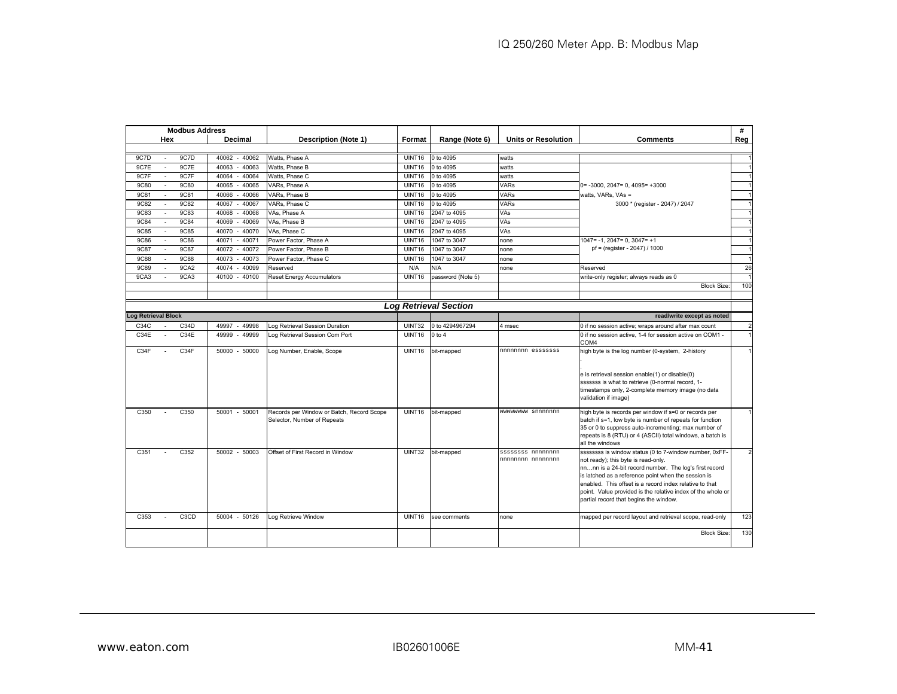| <b>Modbus Address</b>                  |                               |                   |                                                                          |                            |                              |                                        | #                                                                                                                                                                                                                                                                                                                                                                                                     |                |
|----------------------------------------|-------------------------------|-------------------|--------------------------------------------------------------------------|----------------------------|------------------------------|----------------------------------------|-------------------------------------------------------------------------------------------------------------------------------------------------------------------------------------------------------------------------------------------------------------------------------------------------------------------------------------------------------------------------------------------------------|----------------|
| Hex<br>Decimal<br>Description (Note 1) |                               | Format            | Range (Note 6)                                                           | <b>Units or Resolution</b> | <b>Comments</b>              | Reg                                    |                                                                                                                                                                                                                                                                                                                                                                                                       |                |
|                                        |                               |                   |                                                                          |                            |                              |                                        |                                                                                                                                                                                                                                                                                                                                                                                                       |                |
| 9C7D                                   | 9C7D                          | 40062 - 40062     | Watts, Phase A                                                           | <b>UINT16</b>              | 0 to 4095                    | watts                                  |                                                                                                                                                                                                                                                                                                                                                                                                       |                |
| 9C7E                                   | 9C7E                          | 40063<br>$-40063$ | Watts, Phase B                                                           | UINT16                     | 0 to 4095                    | watts                                  |                                                                                                                                                                                                                                                                                                                                                                                                       |                |
| 9C7F                                   | 9C7F                          | 40064<br>$-40064$ | Watts, Phase C                                                           | UINT16                     | 0 to 4095                    | watts                                  |                                                                                                                                                                                                                                                                                                                                                                                                       |                |
| 9C80<br>$\sim$                         | 9C80                          | 40065<br>$-40065$ | VARs, Phase A                                                            | UINT16                     | 0 to 4095                    | <b>VARs</b>                            | $0 = -3000, 2047 = 0, 4095 = +3000$                                                                                                                                                                                                                                                                                                                                                                   | $\overline{1}$ |
| <b>9C81</b>                            | <b>9C81</b>                   | 40066<br>$-40066$ | VARs. Phase B                                                            | UINT16                     | 0 to 4095                    | VARs                                   | watts, VARs, VAs =                                                                                                                                                                                                                                                                                                                                                                                    |                |
| 9C82                                   | 9C82                          | 40067<br>40067    | VARs, Phase C                                                            | UINT16                     | 0 to 4095                    | <b>VARs</b>                            | 3000 * (register - 2047) / 2047                                                                                                                                                                                                                                                                                                                                                                       |                |
| <b>9C83</b>                            | <b>9C83</b>                   | 40068<br>40068    | VAs, Phase A                                                             | UINT16                     | 2047 to 4095                 | VAs                                    |                                                                                                                                                                                                                                                                                                                                                                                                       |                |
| 9C84                                   | 9C84                          | 40069 - 40069     | VAs, Phase B                                                             | UINT16                     | 2047 to 4095                 | <b>VAs</b>                             |                                                                                                                                                                                                                                                                                                                                                                                                       | $\overline{1}$ |
| <b>9C85</b><br>÷                       | 9C85                          | 40070<br>$-40070$ | VAs, Phase C                                                             | UINT16                     | 2047 to 4095                 | VAs                                    |                                                                                                                                                                                                                                                                                                                                                                                                       |                |
| <b>9C86</b>                            | <b>9C86</b>                   | 40071<br>$-40071$ | Power Factor, Phase A                                                    | UINT16                     | 1047 to 3047                 | none                                   | $1047 = -1$ , $2047 = 0$ , $3047 = +1$                                                                                                                                                                                                                                                                                                                                                                |                |
| <b>9C87</b>                            | <b>9C87</b>                   | $-40072$<br>40072 | Power Factor, Phase B                                                    | UINT16                     | 1047 to 3047                 | none                                   | pf = (register - 2047) / 1000                                                                                                                                                                                                                                                                                                                                                                         |                |
| <b>9C88</b><br>$\sim$                  | 9C88                          | 40073<br>$-40073$ | Power Factor, Phase C                                                    | UINT16                     | 1047 to 3047                 | none                                   |                                                                                                                                                                                                                                                                                                                                                                                                       |                |
| <b>9C89</b>                            | 9CA <sub>2</sub>              | 40074<br>$-40099$ | Reserved                                                                 | N/A                        | N/A                          | none                                   | Reserved                                                                                                                                                                                                                                                                                                                                                                                              | 26             |
| 9CA3                                   | 9CA3                          | $-40100$<br>40100 | <b>Reset Energy Accumulators</b>                                         | UINT16                     | password (Note 5)            |                                        | write-only register; always reads as 0                                                                                                                                                                                                                                                                                                                                                                |                |
|                                        |                               |                   |                                                                          |                            |                              |                                        | <b>Block Size</b>                                                                                                                                                                                                                                                                                                                                                                                     | 100            |
|                                        |                               |                   |                                                                          |                            |                              |                                        |                                                                                                                                                                                                                                                                                                                                                                                                       |                |
|                                        |                               |                   |                                                                          |                            | <b>Log Retrieval Section</b> |                                        |                                                                                                                                                                                                                                                                                                                                                                                                       |                |
| <b>Log Retrieval Block</b>             |                               |                   |                                                                          |                            |                              |                                        | read/write except as noted                                                                                                                                                                                                                                                                                                                                                                            |                |
| C34C                                   | C34D                          | 49997<br>49998    | Log Retrieval Session Duration                                           | <b>UINT32</b>              | 0 to 4294967294              | 4 msec                                 | 0 if no session active; wraps around after max count                                                                                                                                                                                                                                                                                                                                                  | $\overline{2}$ |
| C34E                                   | C34E                          | 49999<br>49999    | Log Retrieval Session Com Port                                           | <b>UINT16</b>              | $0$ to $4$                   |                                        | 0 if no session active, 1-4 for session active on COM1 -<br>COM <sub>4</sub>                                                                                                                                                                                                                                                                                                                          |                |
| C34F                                   | C34F                          | 50000 - 50000     | Log Number, Enable, Scope                                                | <b>UINT16</b>              | bit-mapped                   | nnnnnnnn esssssss                      | high byte is the log number (0-system, 2-history                                                                                                                                                                                                                                                                                                                                                      |                |
|                                        |                               |                   |                                                                          |                            |                              |                                        | e is retrieval session enable(1) or disable(0)<br>sssssss is what to retrieve (0-normal record, 1-<br>timestamps only, 2-complete memory image (no data                                                                                                                                                                                                                                               |                |
| C350                                   | C350                          | 50001 - 50001     | Records per Window or Batch, Record Scope<br>Selector, Number of Repeats | UINT16                     | bit-mapped                   | wwwwwww snnnnnnn                       | validation if image)<br>high byte is records per window if s=0 or records per<br>batch if s=1, low byte is number of repeats for function<br>35 or 0 to suppress auto-incrementing; max number of<br>repeats is 8 (RTU) or 4 (ASCII) total windows, a batch is                                                                                                                                        |                |
| C351                                   | C352                          | 50002 - 50003     | Offset of First Record in Window                                         | <b>UINT32</b>              | bit-mapped                   | ssssssss nnnnnnnn<br>nnnnnnnn nnnnnnnn | all the windows<br>ssssssss is window status (0 to 7-window number, 0xFF-<br>not ready); this byte is read-only.<br>nnnn is a 24-bit record number. The log's first record<br>is latched as a reference point when the session is<br>enabled. This offset is a record index relative to that<br>point. Value provided is the relative index of the whole or<br>partial record that begins the window. | $\overline{2}$ |
| C353                                   | C <sub>3</sub> C <sub>D</sub> | 50004 - 50126     | Log Retrieve Window                                                      | UINT16                     | see comments                 | none                                   | mapped per record layout and retrieval scope, read-only<br><b>Block Size:</b>                                                                                                                                                                                                                                                                                                                         | 123<br>130     |
|                                        |                               |                   |                                                                          |                            |                              |                                        |                                                                                                                                                                                                                                                                                                                                                                                                       |                |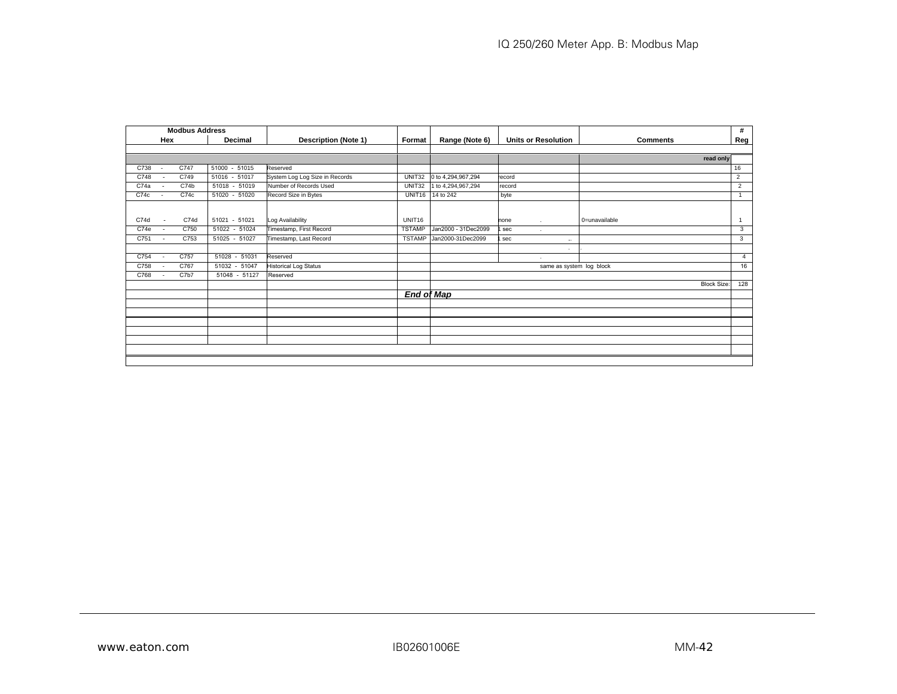| <b>Modbus Address</b> |                          |      |               |                                |                    |                     |                            |                          |                    | #              |
|-----------------------|--------------------------|------|---------------|--------------------------------|--------------------|---------------------|----------------------------|--------------------------|--------------------|----------------|
|                       | Hex                      |      | Decimal       | <b>Description (Note 1)</b>    | Format             | Range (Note 6)      | <b>Units or Resolution</b> | <b>Comments</b>          |                    | Reg            |
|                       |                          |      |               |                                |                    |                     |                            |                          |                    |                |
|                       |                          |      |               |                                |                    |                     |                            |                          | read only          |                |
| C738                  | $\overline{\phantom{a}}$ | C747 | 51000 - 51015 | Reserved                       |                    |                     |                            |                          |                    | 16             |
| C748                  |                          | C749 | 51016 - 51017 | System Log Log Size in Records | <b>UNIT32</b>      | 0 to 4,294,967,294  | ecord                      |                          |                    | 2              |
| C74a                  |                          | C74b | 51018 - 51019 | Number of Records Used         | UNIT32             | 1 to 4,294,967,294  | record                     |                          |                    | 2              |
| C74c                  |                          | C74c | 51020 - 51020 | Record Size in Bytes           | UNIT <sub>16</sub> | 14 to 242           | byte                       |                          |                    | $\overline{1}$ |
|                       |                          |      |               |                                |                    |                     |                            |                          |                    |                |
|                       |                          |      |               |                                |                    |                     |                            |                          |                    |                |
| C74d                  | $\sim$                   | C74d | 51021 - 51021 | Log Availability               | UNIT16             |                     | none<br>$\cdot$            | 0=unavailable            |                    | $\mathbf{1}$   |
| C74e                  | $\sim$                   | C750 | 51022 - 51024 | Timestamp, First Record        | <b>TSTAMP</b>      | Jan2000 - 31Dec2099 | sec                        |                          |                    | 3              |
| C751                  | $\sim$                   | C753 | 51025 - 51027 | Timestamp, Last Record         | <b>TSTAMP</b>      | Jan2000-31Dec2099   | sec                        | $\ddotsc$                |                    | 3              |
|                       |                          |      |               |                                |                    |                     |                            | $\sim$                   |                    |                |
| C754                  | $\sim$                   | C757 | 51028 - 51031 | Reserved                       |                    |                     | $\cdot$                    |                          |                    | $\overline{4}$ |
| C758                  | $\sim$                   | C767 | 51032 - 51047 | <b>Historical Log Status</b>   |                    |                     |                            | same as system log block |                    | 16             |
| C768                  | $\sim$                   | C7b7 | 51048 - 51127 | Reserved                       |                    |                     |                            |                          |                    |                |
|                       |                          |      |               |                                |                    |                     |                            |                          | <b>Block Size:</b> | 128            |
|                       |                          |      |               |                                |                    | <b>End of Map</b>   |                            |                          |                    |                |
|                       |                          |      |               |                                |                    |                     |                            |                          |                    |                |
|                       |                          |      |               |                                |                    |                     |                            |                          |                    |                |
|                       |                          |      |               |                                |                    |                     |                            |                          |                    |                |
|                       |                          |      |               |                                |                    |                     |                            |                          |                    |                |
|                       |                          |      |               |                                |                    |                     |                            |                          |                    |                |
|                       |                          |      |               |                                |                    |                     |                            |                          |                    |                |
|                       |                          |      |               |                                |                    |                     |                            |                          |                    |                |
|                       |                          |      |               |                                |                    |                     |                            |                          |                    |                |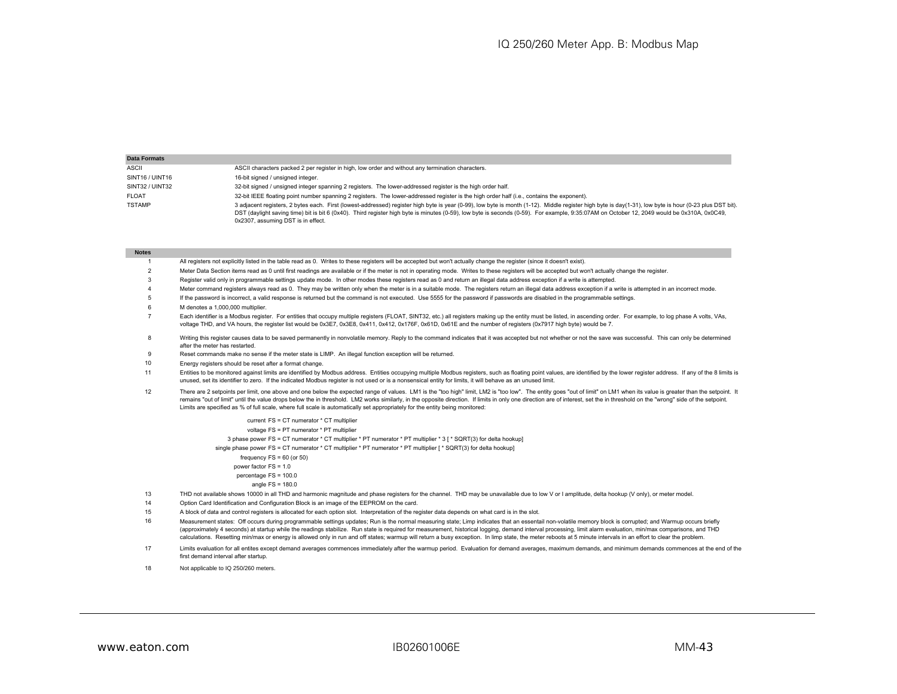| <b>Data Formats</b> |                                                                                                                                                                                                                                                                                                                                                                                                                                              |
|---------------------|----------------------------------------------------------------------------------------------------------------------------------------------------------------------------------------------------------------------------------------------------------------------------------------------------------------------------------------------------------------------------------------------------------------------------------------------|
| ASCII               | ASCII characters packed 2 per register in high, low order and without any termination characters.                                                                                                                                                                                                                                                                                                                                            |
| SINT16 / UINT16     | 16-bit signed / unsigned integer.                                                                                                                                                                                                                                                                                                                                                                                                            |
| SINT32 / UINT32     | 32-bit signed / unsigned integer spanning 2 registers. The lower-addressed register is the high order half.                                                                                                                                                                                                                                                                                                                                  |
| <b>FLOAT</b>        | 32-bit IEEE floating point number spanning 2 registers. The lower-addressed register is the high order half (i.e., contains the exponent).                                                                                                                                                                                                                                                                                                   |
| <b>TSTAMP</b>       | 3 adjacent registers, 2 bytes each. First (lowest-addressed) register high byte is year (0-99), low byte is month (1-12). Middle register high byte is day(1-31), low byte is hour (0-23 plus DST bit).<br>DST (daylight saving time) bit is bit 6 (0x40). Third register high byte is minutes (0-59), low byte is seconds (0-59). For example, 9:35:07AM on October 12, 2049 would be 0x310A, 0x0C49,<br>0x2307, assuming DST is in effect. |

| <b>Notes</b>   |                                                                                                                                                                                                                                                                                                                                                                                                                                                                                                                                                                                               |
|----------------|-----------------------------------------------------------------------------------------------------------------------------------------------------------------------------------------------------------------------------------------------------------------------------------------------------------------------------------------------------------------------------------------------------------------------------------------------------------------------------------------------------------------------------------------------------------------------------------------------|
|                | All registers not explicitly listed in the table read as 0. Writes to these registers will be accepted but won't actually change the register (since it doesn't exist).                                                                                                                                                                                                                                                                                                                                                                                                                       |
| 2              | Meter Data Section items read as 0 until first readings are available or if the meter is not in operating mode. Writes to these registers will be accepted but won't actually change the register.                                                                                                                                                                                                                                                                                                                                                                                            |
| 3              | Register valid only in programmable settings update mode. In other modes these registers read as 0 and return an illegal data address exception if a write is attempted.                                                                                                                                                                                                                                                                                                                                                                                                                      |
| 4              | Meter command registers always read as 0. They may be written only when the meter is in a suitable mode. The registers return an illegal data address exception if a write is attempted in an incorrect mode.                                                                                                                                                                                                                                                                                                                                                                                 |
| 5              | If the password is incorrect, a valid response is returned but the command is not executed. Use 5555 for the password if passwords are disabled in the programmable settings.                                                                                                                                                                                                                                                                                                                                                                                                                 |
| 6              | M denotes a 1,000,000 multiplier.                                                                                                                                                                                                                                                                                                                                                                                                                                                                                                                                                             |
| $\overline{7}$ | Each identifier is a Modbus register. For entities that occupy multiple registers (FLOAT, SINT32, etc.) all registers making up the entity must be listed, in ascending order. For example, to log phase A volts, VAs,<br>voltage THD, and VA hours, the register list would be 0x3E7, 0x3E8, 0x411, 0x412, 0x176F, 0x61D, 0x61E and the number of registers (0x7917 high byte) would be 7.                                                                                                                                                                                                   |
| 8              | Writing this register causes data to be saved permanently in nonvolatile memory. Reply to the command indicates that it was accepted but not whether or not the save was successful. This can only be determined<br>after the meter has restarted.                                                                                                                                                                                                                                                                                                                                            |
| 9              | Reset commands make no sense if the meter state is LIMP. An illegal function exception will be returned.                                                                                                                                                                                                                                                                                                                                                                                                                                                                                      |
| 10             | Energy registers should be reset after a format change.                                                                                                                                                                                                                                                                                                                                                                                                                                                                                                                                       |
| 11             | Entities to be monitored against limits are identified by Modbus address. Entities occupying multiple Modbus registers, such as floating point values, are identified by the lower register address. If any of the 8 limits is<br>unused, set its identifier to zero. If the indicated Modbus register is not used or is a nonsensical entity for limits, it will behave as an unused limit.                                                                                                                                                                                                  |
| 12             | There are 2 setpoints per limit, one above and one below the expected range of values. LM1 is the "too high" limit, LM2 is "too low". The entity goes "out of limit" on LM1 when its value is greater than the setpoint. It<br>remains "out of limit" until the value drops below the in threshold. LM2 works similarly, in the opposite direction. If limits in only one direction are of interest, set the in threshold on the "wrong" side of the setpoint<br>Limits are specified as % of full scale, where full scale is automatically set appropriately for the entity being monitored: |
|                | current FS = CT numerator * CT multiplier                                                                                                                                                                                                                                                                                                                                                                                                                                                                                                                                                     |
|                | voltage FS = PT numerator * PT multiplier                                                                                                                                                                                                                                                                                                                                                                                                                                                                                                                                                     |
|                | 3 phase power FS = CT numerator * CT multiplier * PT numerator * PT multiplier * 3 [ * SQRT(3) for delta hookup]                                                                                                                                                                                                                                                                                                                                                                                                                                                                              |
|                | single phase power FS = CT numerator * CT multiplier * PT numerator * PT multiplier [ * SQRT(3) for delta hookup]                                                                                                                                                                                                                                                                                                                                                                                                                                                                             |
|                | frequency $FS = 60$ (or 50)                                                                                                                                                                                                                                                                                                                                                                                                                                                                                                                                                                   |
|                | power factor $FS = 1.0$                                                                                                                                                                                                                                                                                                                                                                                                                                                                                                                                                                       |
|                | percentage FS = 100.0                                                                                                                                                                                                                                                                                                                                                                                                                                                                                                                                                                         |
|                | angle $FS = 180.0$                                                                                                                                                                                                                                                                                                                                                                                                                                                                                                                                                                            |
| 13             | THD not available shows 10000 in all THD and harmonic magnitude and phase registers for the channel. THD may be unavailable due to low V or I amplitude, delta hookup (V only), or meter model.                                                                                                                                                                                                                                                                                                                                                                                               |
| 14             | Option Card Identification and Configuration Block is an image of the EEPROM on the card.                                                                                                                                                                                                                                                                                                                                                                                                                                                                                                     |
| 15             | A block of data and control registers is allocated for each option slot. Interpretation of the register data depends on what card is in the slot.                                                                                                                                                                                                                                                                                                                                                                                                                                             |

- 16 Measurement states: Off occurs during programmable settings updates; Run is the normal measuring state; Limp indicates that an essentail non-volatile memory block is corrupted; and Warmup occurs briefly (approximately 4 seconds) at startup while the readings stabilize. Run state is required for measurement, historical logging, demand interval processing, limit alarm evaluation, min/max comparisons, and THD calculations. Resetting min/max or energy is allowed only in run and off states; warmup will return a busy exception. In limp state, the meter reboots at 5 minute intervals in an effort to clear the problem.
- 17Limits evaluation for all entites except demand averages commences immediately after the warmup period. Evaluation for demand averages, maximum demands, and minimum demands commences at the end of the first demand interval after startup.
- 18 Not applicable to IQ 250/260 meters.